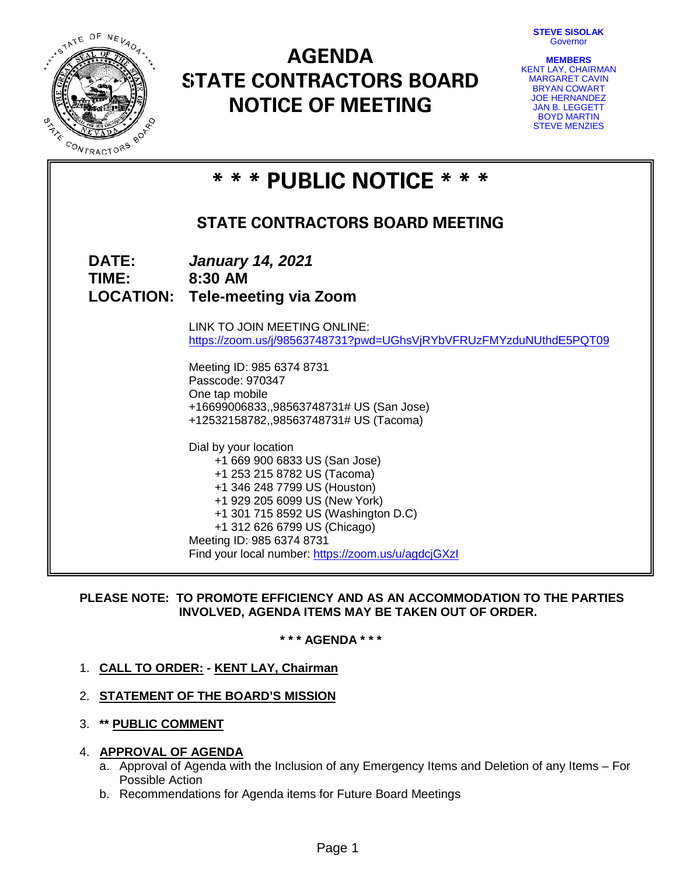**STEVE SISOLAK Governor** 



# **AGENDA STATE CONTRACTORS BOARD NOTICE OF MEETING**



| * * * PUBLIC NOTICE * * * |                                                                                                                                                                                                                                                                                                                                                                                                                                                                                                                                                                                  |  |  |  |
|---------------------------|----------------------------------------------------------------------------------------------------------------------------------------------------------------------------------------------------------------------------------------------------------------------------------------------------------------------------------------------------------------------------------------------------------------------------------------------------------------------------------------------------------------------------------------------------------------------------------|--|--|--|
|                           | <b>STATE CONTRACTORS BOARD MEETING</b>                                                                                                                                                                                                                                                                                                                                                                                                                                                                                                                                           |  |  |  |
| <b>DATE:</b><br>TIME:     | <b>January 14, 2021</b><br>8:30 AM<br><b>LOCATION: Tele-meeting via Zoom</b>                                                                                                                                                                                                                                                                                                                                                                                                                                                                                                     |  |  |  |
|                           | LINK TO JOIN MEETING ONLINE:<br>https://zoom.us/j/98563748731?pwd=UGhsVjRYbVFRUzFMYzduNUthdE5PQT09<br>Meeting ID: 985 6374 8731<br>Passcode: 970347<br>One tap mobile<br>+16699006833,,98563748731# US (San Jose)<br>+12532158782,,98563748731# US (Tacoma)<br>Dial by your location<br>+1 669 900 6833 US (San Jose)<br>+1 253 215 8782 US (Tacoma)<br>+1 346 248 7799 US (Houston)<br>+1 929 205 6099 US (New York)<br>+1 301 715 8592 US (Washington D.C)<br>+1 312 626 6799 US (Chicago)<br>Meeting ID: 985 6374 8731<br>Find your local number: https://zoom.us/u/agdcjGXzl |  |  |  |

# **PLEASE NOTE: TO PROMOTE EFFICIENCY AND AS AN ACCOMMODATION TO THE PARTIES INVOLVED, AGENDA ITEMS MAY BE TAKEN OUT OF ORDER.**

**\* \* \* AGENDA \* \* \***

- 1. **CALL TO ORDER: - KENT LAY, Chairman**
- 2. **STATEMENT OF THE BOARD'S MISSION**
- 3. **\*\* PUBLIC COMMENT**

# 4. **APPROVAL OF AGENDA**

- a. Approval of Agenda with the Inclusion of any Emergency Items and Deletion of any Items For Possible Action
- b. Recommendations for Agenda items for Future Board Meetings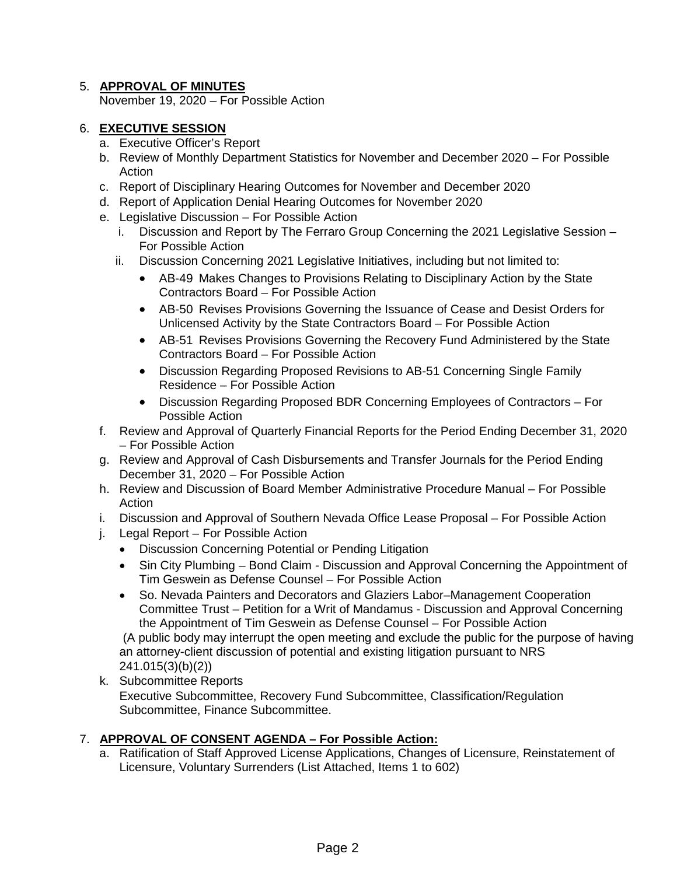# 5. **APPROVAL OF MINUTES**

November 19, 2020 – For Possible Action

# 6. **EXECUTIVE SESSION**

- a. Executive Officer's Report
- b. Review of Monthly Department Statistics for November and December 2020 For Possible Action
- c. Report of Disciplinary Hearing Outcomes for November and December 2020
- d. Report of Application Denial Hearing Outcomes for November 2020
- e. Legislative Discussion For Possible Action
	- i. Discussion and Report by The Ferraro Group Concerning the 2021 Legislative Session For Possible Action
	- ii. Discussion Concerning 2021 Legislative Initiatives, including but not limited to:
		- AB-49 Makes Changes to Provisions Relating to Disciplinary Action by the State Contractors Board – For Possible Action
		- AB-50 Revises Provisions Governing the Issuance of Cease and Desist Orders for Unlicensed Activity by the State Contractors Board – For Possible Action
		- AB-51 Revises Provisions Governing the Recovery Fund Administered by the State Contractors Board – For Possible Action
		- Discussion Regarding Proposed Revisions to AB-51 Concerning Single Family Residence – For Possible Action
		- Discussion Regarding Proposed BDR Concerning Employees of Contractors For Possible Action
- f. Review and Approval of Quarterly Financial Reports for the Period Ending December 31, 2020 – For Possible Action
- g. Review and Approval of Cash Disbursements and Transfer Journals for the Period Ending December 31, 2020 – For Possible Action
- h. Review and Discussion of Board Member Administrative Procedure Manual For Possible **Action**
- i. Discussion and Approval of Southern Nevada Office Lease Proposal For Possible Action
- j. Legal Report For Possible Action
	- Discussion Concerning Potential or Pending Litigation
	- Sin City Plumbing Bond Claim Discussion and Approval Concerning the Appointment of Tim Geswein as Defense Counsel – For Possible Action
	- So. Nevada Painters and Decorators and Glaziers Labor–Management Cooperation Committee Trust – Petition for a Writ of Mandamus - Discussion and Approval Concerning the Appointment of Tim Geswein as Defense Counsel – For Possible Action

(A public body may interrupt the open meeting and exclude the public for the purpose of having an attorney-client discussion of potential and existing litigation pursuant to NRS 241.015(3)(b)(2))

k. Subcommittee Reports Executive Subcommittee, Recovery Fund Subcommittee, Classification/Regulation Subcommittee, Finance Subcommittee.

# 7. **APPROVAL OF CONSENT AGENDA – For Possible Action:**

a. Ratification of Staff Approved License Applications, Changes of Licensure, Reinstatement of Licensure, Voluntary Surrenders (List Attached, Items 1 to 602)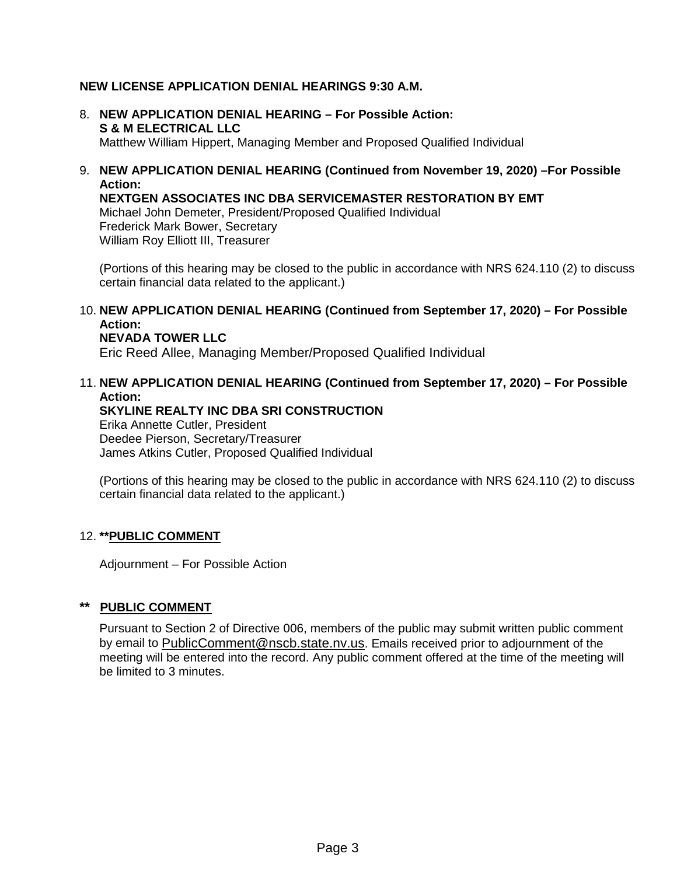# **NEW LICENSE APPLICATION DENIAL HEARINGS 9:30 A.M.**

- 8. **NEW APPLICATION DENIAL HEARING – For Possible Action: S & M ELECTRICAL LLC** Matthew William Hippert, Managing Member and Proposed Qualified Individual
- 9. **NEW APPLICATION DENIAL HEARING (Continued from November 19, 2020) –For Possible Action:**

**NEXTGEN ASSOCIATES INC DBA SERVICEMASTER RESTORATION BY EMT** Michael John Demeter, President/Proposed Qualified Individual Frederick Mark Bower, Secretary William Roy Elliott III, Treasurer

(Portions of this hearing may be closed to the public in accordance with NRS 624.110 (2) to discuss certain financial data related to the applicant.)

10. **NEW APPLICATION DENIAL HEARING (Continued from September 17, 2020) – For Possible Action:**

# **NEVADA TOWER LLC**

Eric Reed Allee, Managing Member/Proposed Qualified Individual

# 11. **NEW APPLICATION DENIAL HEARING (Continued from September 17, 2020) – For Possible Action:**

**SKYLINE REALTY INC DBA SRI CONSTRUCTION** Erika Annette Cutler, President Deedee Pierson, Secretary/Treasurer James Atkins Cutler, Proposed Qualified Individual

(Portions of this hearing may be closed to the public in accordance with NRS 624.110 (2) to discuss certain financial data related to the applicant.)

# 12. **\*\*PUBLIC COMMENT**

Adjournment – For Possible Action

# **\*\* PUBLIC COMMENT**

Pursuant to Section 2 of Directive 006, members of the public may submit written public comment by email to [PublicComment@nscb.state.nv.us.](mailto:PublicComment@nscb.state.nv.us) Emails received prior to adjournment of the meeting will be entered into the record. Any public comment offered at the time of the meeting will be limited to 3 minutes.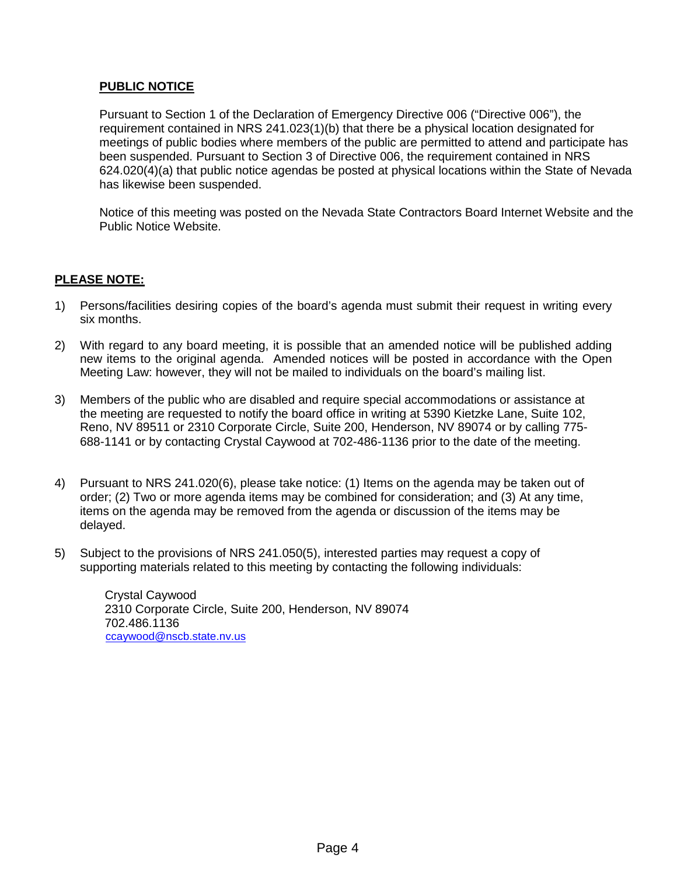# **PUBLIC NOTICE**

Pursuant to Section 1 of the Declaration of Emergency Directive 006 ("Directive 006"), the requirement contained in NRS 241.023(1)(b) that there be a physical location designated for meetings of public bodies where members of the public are permitted to attend and participate has been suspended. Pursuant to Section 3 of Directive 006, the requirement contained in NRS 624.020(4)(a) that public notice agendas be posted at physical locations within the State of Nevada has likewise been suspended.

Notice of this meeting was posted on the Nevada State Contractors Board Internet Website and the Public Notice Website.

# **PLEASE NOTE:**

- 1) Persons/facilities desiring copies of the board's agenda must submit their request in writing every six months.
- 2) With regard to any board meeting, it is possible that an amended notice will be published adding new items to the original agenda. Amended notices will be posted in accordance with the Open Meeting Law: however, they will not be mailed to individuals on the board's mailing list.
- 3) Members of the public who are disabled and require special accommodations or assistance at the meeting are requested to notify the board office in writing at 5390 Kietzke Lane, Suite 102, Reno, NV 89511 or 2310 Corporate Circle, Suite 200, Henderson, NV 89074 or by calling 775- 688-1141 or by contacting Crystal Caywood at 702-486-1136 prior to the date of the meeting.
- 4) Pursuant to NRS 241.020(6), please take notice: (1) Items on the agenda may be taken out of order; (2) Two or more agenda items may be combined for consideration; and (3) At any time, items on the agenda may be removed from the agenda or discussion of the items may be delayed.
- 5) Subject to the provisions of NRS 241.050(5), interested parties may request a copy of supporting materials related to this meeting by contacting the following individuals:

Crystal Caywood 2310 Corporate Circle, Suite 200, Henderson, NV 89074 702.486.1136 [ccaywood@nscb.state.nv.us](mailto:ccaywood@nscb.state.nv.us)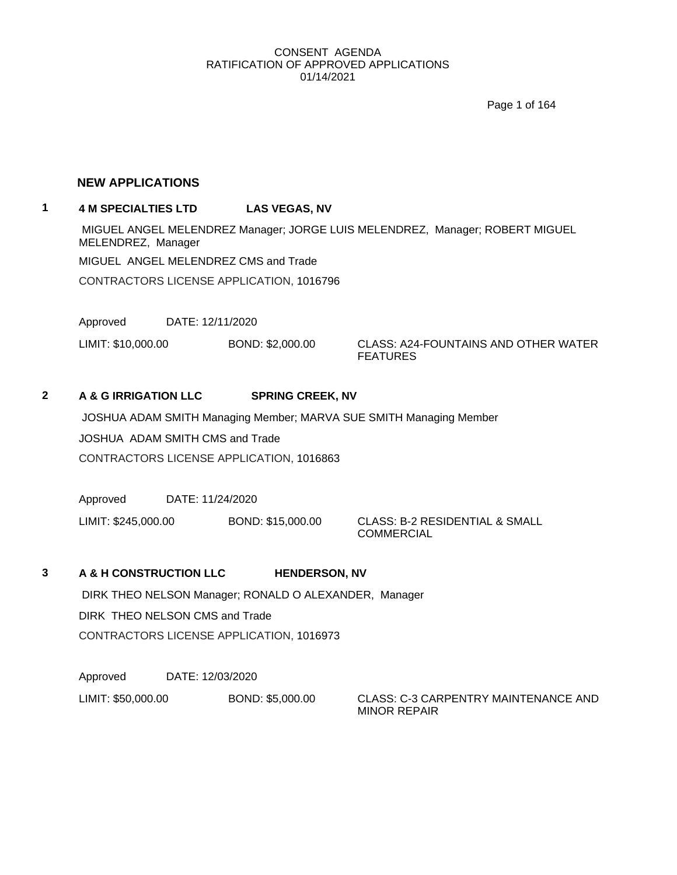Page 1 of 164

#### **NEW APPLICATIONS**

# **1 4 M SPECIALTIES LTD LAS VEGAS, NV**

MIGUEL ANGEL MELENDREZ Manager; JORGE LUIS MELENDREZ, Manager; ROBERT MIGUEL MELENDREZ, Manager MIGUEL ANGEL MELENDREZ CMS and Trade CONTRACTORS LICENSE APPLICATION, 1016796

Approved DATE: 12/11/2020

LIMIT: \$10,000.00 BOND: \$2,000.00 CLASS: A24-FOUNTAINS AND OTHER WATER FEATURES

### **2 A & G IRRIGATION LLC SPRING CREEK, NV**

JOSHUA ADAM SMITH Managing Member; MARVA SUE SMITH Managing Member

JOSHUA ADAM SMITH CMS and Trade

CONTRACTORS LICENSE APPLICATION, 1016863

Approved DATE: 11/24/2020

LIMIT: \$245,000.00 BOND: \$15,000.00 CLASS: B-2 RESIDENTIAL & SMALL

COMMERCIAL

### **3 A & H CONSTRUCTION LLC HENDERSON, NV**

DIRK THEO NELSON Manager; RONALD O ALEXANDER, Manager DIRK THEO NELSON CMS and Trade CONTRACTORS LICENSE APPLICATION, 1016973

Approved DATE: 12/03/2020

LIMIT: \$50,000.00 BOND: \$5,000.00 CLASS: C-3 CARPENTRY MAINTENANCE AND

MINOR REPAIR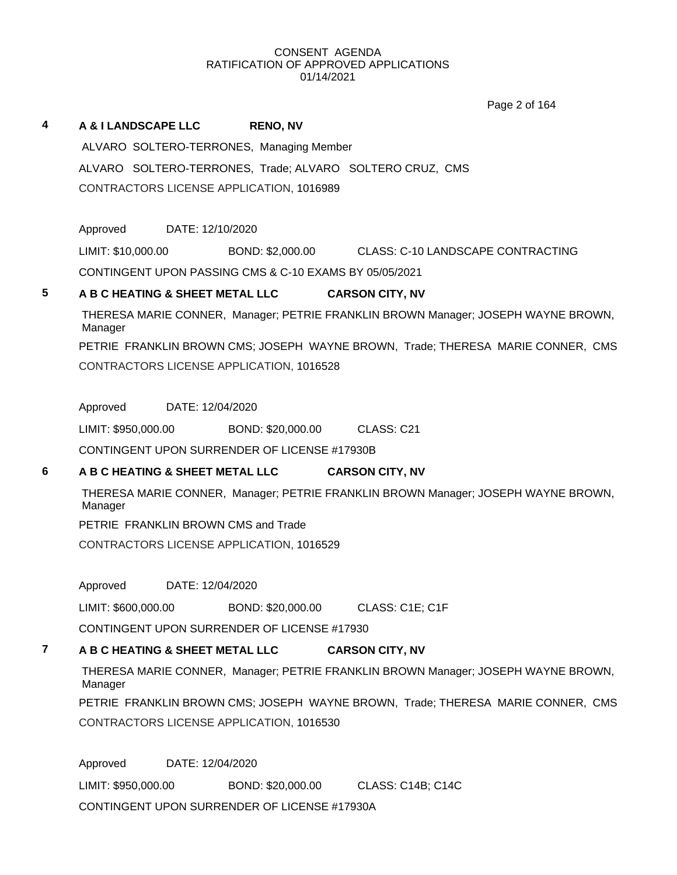Page 2 of 164

# **4 A & I LANDSCAPE LLC RENO, NV** ALVARO SOLTERO-TERRONES, Managing Member ALVARO SOLTERO-TERRONES, Trade; ALVARO SOLTERO CRUZ, CMS CONTRACTORS LICENSE APPLICATION, 1016989

Approved DATE: 12/10/2020 LIMIT: \$10,000.00 BOND: \$2,000.00 CLASS: C-10 LANDSCAPE CONTRACTING

CONTINGENT UPON PASSING CMS & C-10 EXAMS BY 05/05/2021

# **5 A B C HEATING & SHEET METAL LLC CARSON CITY, NV**

THERESA MARIE CONNER, Manager; PETRIE FRANKLIN BROWN Manager; JOSEPH WAYNE BROWN, Manager PETRIE FRANKLIN BROWN CMS; JOSEPH WAYNE BROWN, Trade; THERESA MARIE CONNER, CMS CONTRACTORS LICENSE APPLICATION, 1016528

# Approved DATE: 12/04/2020

LIMIT: \$950,000.00 BOND: \$20,000.00 CLASS: C21

CONTINGENT UPON SURRENDER OF LICENSE #17930B

# **6 A B C HEATING & SHEET METAL LLC CARSON CITY, NV**

THERESA MARIE CONNER, Manager; PETRIE FRANKLIN BROWN Manager; JOSEPH WAYNE BROWN, Manager

PETRIE FRANKLIN BROWN CMS and Trade

CONTRACTORS LICENSE APPLICATION, 1016529

Approved DATE: 12/04/2020

LIMIT: \$600,000.00 BOND: \$20,000.00 CLASS: C1E; C1F

CONTINGENT UPON SURRENDER OF LICENSE #17930

# **7 A B C HEATING & SHEET METAL LLC CARSON CITY, NV**

THERESA MARIE CONNER, Manager; PETRIE FRANKLIN BROWN Manager; JOSEPH WAYNE BROWN, Manager

PETRIE FRANKLIN BROWN CMS; JOSEPH WAYNE BROWN, Trade; THERESA MARIE CONNER, CMS CONTRACTORS LICENSE APPLICATION, 1016530

Approved DATE: 12/04/2020 LIMIT: \$950,000.00 BOND: \$20,000.00 CLASS: C14B; C14C CONTINGENT UPON SURRENDER OF LICENSE #17930A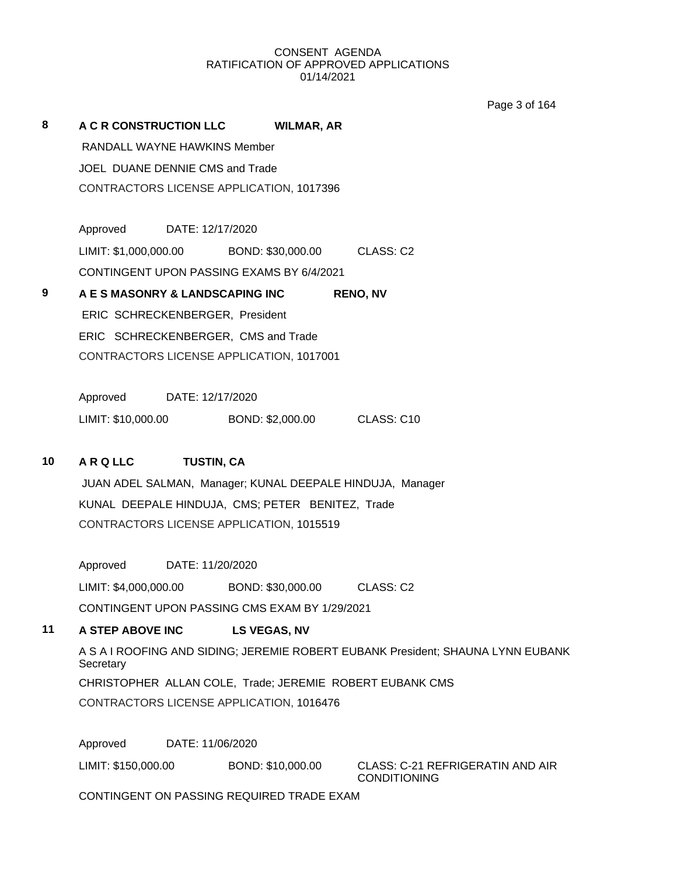Page 3 of 164

| 8                                   | A C R CONSTRUCTION LLC          |                  | <b>WILMAR, AR</b>                         |                 |
|-------------------------------------|---------------------------------|------------------|-------------------------------------------|-----------------|
|                                     | RANDALL WAYNE HAWKINS Member    |                  |                                           |                 |
|                                     | JOEL DUANE DENNIE CMS and Trade |                  |                                           |                 |
|                                     |                                 |                  | CONTRACTORS LICENSE APPLICATION, 1017396  |                 |
|                                     |                                 |                  |                                           |                 |
|                                     | Approved                        | DATE: 12/17/2020 |                                           |                 |
|                                     | LIMIT: \$1,000,000.00           |                  | BOND: \$30,000.00                         | CLASS: C2       |
|                                     |                                 |                  | CONTINGENT UPON PASSING EXAMS BY 6/4/2021 |                 |
| 9                                   | A E S MASONRY & LANDSCAPING INC |                  |                                           | <b>RENO, NV</b> |
|                                     | ERIC SCHRECKENBERGER, President |                  |                                           |                 |
| ERIC SCHRECKENBERGER, CMS and Trade |                                 |                  |                                           |                 |
|                                     |                                 |                  | CONTRACTORS LICENSE APPLICATION, 1017001  |                 |
|                                     |                                 |                  |                                           |                 |
|                                     | Approved DATE: 12/17/2020       |                  |                                           |                 |
|                                     | LIMIT: \$10,000.00              |                  | BOND: \$2,000.00                          | CLASS: C10      |

# **10 A R Q LLC TUSTIN, CA**

JUAN ADEL SALMAN, Manager; KUNAL DEEPALE HINDUJA, Manager KUNAL DEEPALE HINDUJA, CMS; PETER BENITEZ, Trade CONTRACTORS LICENSE APPLICATION, 1015519

Approved DATE: 11/20/2020

LIMIT: \$4,000,000.00 BOND: \$30,000.00 CLASS: C2

CONTINGENT UPON PASSING CMS EXAM BY 1/29/2021

# **11 A STEP ABOVE INC LS VEGAS, NV**

A S A I ROOFING AND SIDING; JEREMIE ROBERT EUBANK President; SHAUNA LYNN EUBANK **Secretary** CHRISTOPHER ALLAN COLE, Trade; JEREMIE ROBERT EUBANK CMS CONTRACTORS LICENSE APPLICATION, 1016476

Approved DATE: 11/06/2020

LIMIT: \$150,000.00 BOND: \$10,000.00 CLASS: C-21 REFRIGERATIN AND AIR CONDITIONING

CONTINGENT ON PASSING REQUIRED TRADE EXAM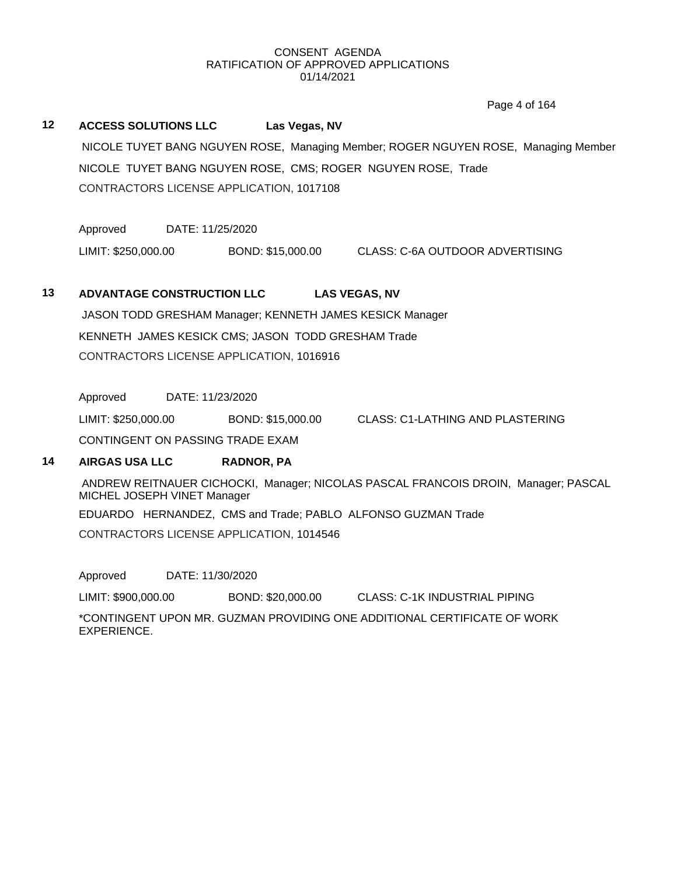Page 4 of 164

# **12 ACCESS SOLUTIONS LLC Las Vegas, NV** NICOLE TUYET BANG NGUYEN ROSE, Managing Member; ROGER NGUYEN ROSE, Managing Member NICOLE TUYET BANG NGUYEN ROSE, CMS; ROGER NGUYEN ROSE, Trade CONTRACTORS LICENSE APPLICATION, 1017108

Approved DATE: 11/25/2020

LIMIT: \$250,000.00 BOND: \$15,000.00 CLASS: C-6A OUTDOOR ADVERTISING

### **13 ADVANTAGE CONSTRUCTION LLC LAS VEGAS, NV**

JASON TODD GRESHAM Manager; KENNETH JAMES KESICK Manager KENNETH JAMES KESICK CMS; JASON TODD GRESHAM Trade CONTRACTORS LICENSE APPLICATION, 1016916

Approved DATE: 11/23/2020

LIMIT: \$250,000.00 BOND: \$15,000.00 CLASS: C1-LATHING AND PLASTERING

CONTINGENT ON PASSING TRADE EXAM

### **14 AIRGAS USA LLC RADNOR, PA**

ANDREW REITNAUER CICHOCKI, Manager; NICOLAS PASCAL FRANCOIS DROIN, Manager; PASCAL MICHEL JOSEPH VINET Manager

EDUARDO HERNANDEZ, CMS and Trade; PABLO ALFONSO GUZMAN Trade

CONTRACTORS LICENSE APPLICATION, 1014546

Approved DATE: 11/30/2020

LIMIT: \$900,000.00 BOND: \$20,000.00 CLASS: C-1K INDUSTRIAL PIPING

\*CONTINGENT UPON MR. GUZMAN PROVIDING ONE ADDITIONAL CERTIFICATE OF WORK EXPERIENCE.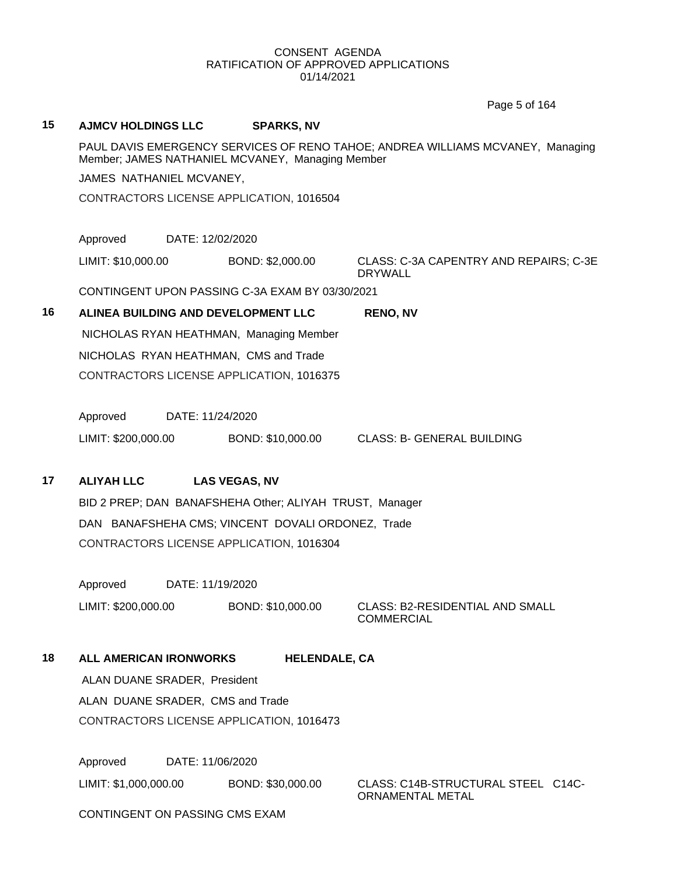Page 5 of 164

# **15 AJMCV HOLDINGS LLC SPARKS, NV** PAUL DAVIS EMERGENCY SERVICES OF RENO TAHOE; ANDREA WILLIAMS MCVANEY, Managing Member; JAMES NATHANIEL MCVANEY, Managing Member JAMES NATHANIEL MCVANEY, CONTRACTORS LICENSE APPLICATION, 1016504 Approved DATE: 12/02/2020 LIMIT: \$10,000.00 BOND: \$2,000.00 CLASS: C-3A CAPENTRY AND REPAIRS; C-3E DRYWALL CONTINGENT UPON PASSING C-3A EXAM BY 03/30/2021 **16 ALINEA BUILDING AND DEVELOPMENT LLC RENO, NV** NICHOLAS RYAN HEATHMAN, Managing Member NICHOLAS RYAN HEATHMAN, CMS and Trade CONTRACTORS LICENSE APPLICATION, 1016375 Approved DATE: 11/24/2020 LIMIT: \$200,000.00 BOND: \$10,000.00 CLASS: B- GENERAL BUILDING **17 ALIYAH LLC LAS VEGAS, NV** BID 2 PREP; DAN BANAFSHEHA Other; ALIYAH TRUST, Manager DAN BANAFSHEHA CMS; VINCENT DOVALI ORDONEZ, Trade CONTRACTORS LICENSE APPLICATION, 1016304 Approved DATE: 11/19/2020 LIMIT: \$200,000.00 BOND: \$10,000.00 CLASS: B2-RESIDENTIAL AND SMALL **COMMERCIAL 18 ALL AMERICAN IRONWORKS HELENDALE, CA** ALAN DUANE SRADER, President ALAN DUANE SRADER, CMS and Trade CONTRACTORS LICENSE APPLICATION, 1016473 Approved DATE: 11/06/2020

LIMIT: \$1,000,000.00 BOND: \$30,000.00 CLASS: C14B-STRUCTURAL STEEL C14C-ORNAMENTAL METAL

CONTINGENT ON PASSING CMS EXAM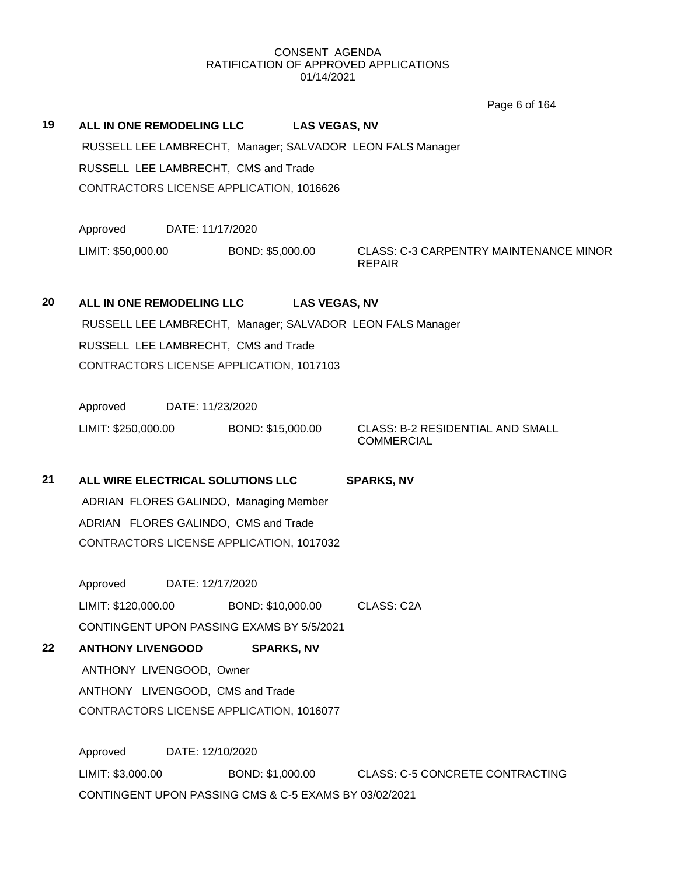Page 6 of 164

| 19 | ALL IN ONE REMODELING LLC                                  | <b>LAS VEGAS, NV</b> |
|----|------------------------------------------------------------|----------------------|
|    | RUSSELL LEE LAMBRECHT, Manager; SALVADOR LEON FALS Manager |                      |
|    | RUSSELL LEE LAMBRECHT, CMS and Trade                       |                      |
|    | CONTRACTORS LICENSE APPLICATION, 1016626                   |                      |
|    |                                                            |                      |

Approved DATE: 11/17/2020

LIMIT: \$50,000.00 BOND: \$5,000.00 CLASS: C-3 CARPENTRY MAINTENANCE MINOR REPAIR

# **20 ALL IN ONE REMODELING LLC LAS VEGAS, NV** RUSSELL LEE LAMBRECHT, Manager; SALVADOR LEON FALS Manager RUSSELL LEE LAMBRECHT, CMS and Trade CONTRACTORS LICENSE APPLICATION, 1017103

Approved DATE: 11/23/2020

LIMIT: \$250,000.00 BOND: \$15,000.00 CLASS: B-2 RESIDENTIAL AND SMALL

**COMMERCIAL** 

**21 ALL WIRE ELECTRICAL SOLUTIONS LLC SPARKS, NV** ADRIAN FLORES GALINDO, Managing Member ADRIAN FLORES GALINDO, CMS and Trade CONTRACTORS LICENSE APPLICATION, 1017032

Approved DATE: 12/17/2020 LIMIT: \$120,000.00 BOND: \$10,000.00 CLASS: C2A CONTINGENT UPON PASSING EXAMS BY 5/5/2021

**22 ANTHONY LIVENGOOD SPARKS, NV** ANTHONY LIVENGOOD, Owner ANTHONY LIVENGOOD, CMS and Trade CONTRACTORS LICENSE APPLICATION, 1016077

Approved DATE: 12/10/2020 LIMIT: \$3,000.00 BOND: \$1,000.00 CLASS: C-5 CONCRETE CONTRACTING CONTINGENT UPON PASSING CMS & C-5 EXAMS BY 03/02/2021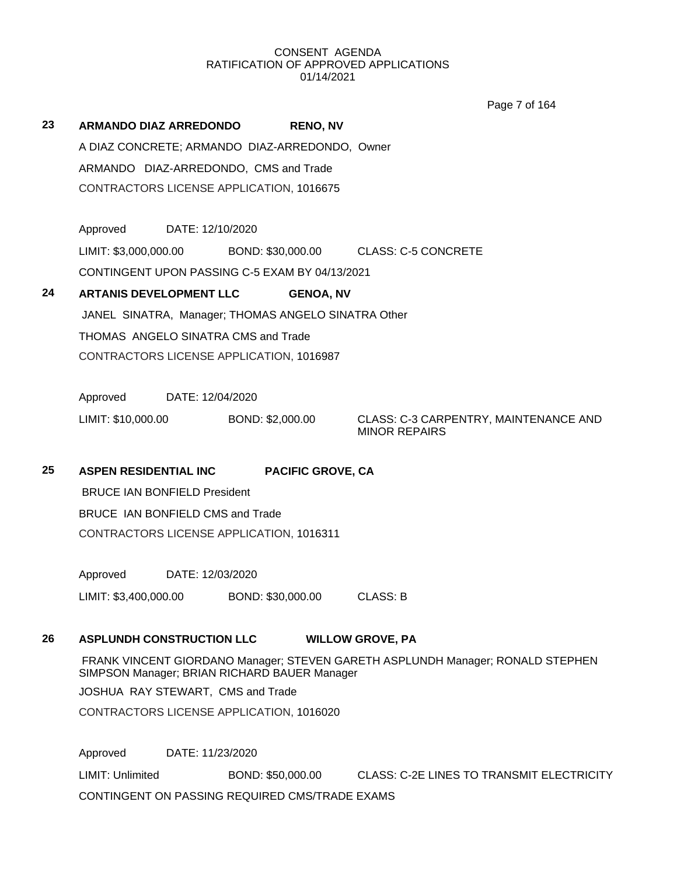Page 7 of 164

| 23 | ARMANDO DIAZ ARREDONDO                              |                  |  | <b>RENO, NV</b>   |                            |
|----|-----------------------------------------------------|------------------|--|-------------------|----------------------------|
|    | A DIAZ CONCRETE; ARMANDO DIAZ-ARREDONDO, Owner      |                  |  |                   |                            |
|    | ARMANDO DIAZ-ARREDONDO, CMS and Trade               |                  |  |                   |                            |
|    | CONTRACTORS LICENSE APPLICATION, 1016675            |                  |  |                   |                            |
|    |                                                     |                  |  |                   |                            |
|    | Approved                                            | DATE: 12/10/2020 |  |                   |                            |
|    | LIMIT: \$3,000,000.00                               |                  |  | BOND: \$30,000.00 | <b>CLASS: C-5 CONCRETE</b> |
|    | CONTINGENT UPON PASSING C-5 EXAM BY 04/13/2021      |                  |  |                   |                            |
| 24 | <b>ARTANIS DEVELOPMENT LLC</b>                      |                  |  | <b>GENOA, NV</b>  |                            |
|    | JANEL SINATRA, Manager; THOMAS ANGELO SINATRA Other |                  |  |                   |                            |
|    | THOMAS ANGELO SINATRA CMS and Trade                 |                  |  |                   |                            |
|    | CONTRACTORS LICENSE APPLICATION, 1016987            |                  |  |                   |                            |
|    |                                                     |                  |  |                   |                            |
|    | Approved                                            | DATE: 12/04/2020 |  |                   |                            |

LIMIT: \$10,000.00 BOND: \$2,000.00 CLASS: C-3 CARPENTRY, MAINTENANCE AND MINOR REPAIRS

**25 ASPEN RESIDENTIAL INC PACIFIC GROVE, CA**

BRUCE IAN BONFIELD President BRUCE IAN BONFIELD CMS and Trade CONTRACTORS LICENSE APPLICATION, 1016311

Approved DATE: 12/03/2020

LIMIT: \$3,400,000.00 BOND: \$30,000.00 CLASS: B

# **26 ASPLUNDH CONSTRUCTION LLC WILLOW GROVE, PA**

FRANK VINCENT GIORDANO Manager; STEVEN GARETH ASPLUNDH Manager; RONALD STEPHEN SIMPSON Manager; BRIAN RICHARD BAUER Manager

JOSHUA RAY STEWART, CMS and Trade

CONTRACTORS LICENSE APPLICATION, 1016020

Approved DATE: 11/23/2020

LIMIT: Unlimited BOND: \$50,000.00 CLASS: C-2E LINES TO TRANSMIT ELECTRICITY CONTINGENT ON PASSING REQUIRED CMS/TRADE EXAMS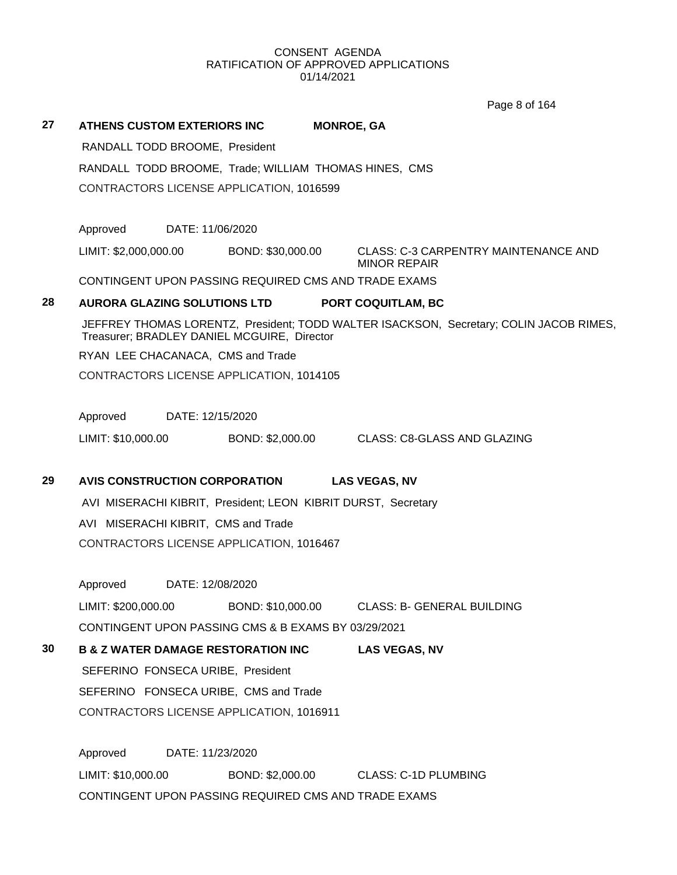Page 8 of 164

| 27 | <b>ATHENS CUSTOM EXTERIORS INC</b>                            | <b>MONROE, GA</b> |                                                                                        |
|----|---------------------------------------------------------------|-------------------|----------------------------------------------------------------------------------------|
|    | RANDALL TODD BROOME, President                                |                   |                                                                                        |
|    | RANDALL TODD BROOME, Trade; WILLIAM THOMAS HINES, CMS         |                   |                                                                                        |
|    | CONTRACTORS LICENSE APPLICATION, 1016599                      |                   |                                                                                        |
|    | Approved<br>DATE: 11/06/2020                                  |                   |                                                                                        |
|    | LIMIT: \$2,000,000.00                                         | BOND: \$30,000.00 | <b>CLASS: C-3 CARPENTRY MAINTENANCE AND</b><br><b>MINOR REPAIR</b>                     |
|    | CONTINGENT UPON PASSING REQUIRED CMS AND TRADE EXAMS          |                   |                                                                                        |
| 28 | AURORA GLAZING SOLUTIONS LTD PORT COQUITLAM, BC               |                   |                                                                                        |
|    | Treasurer; BRADLEY DANIEL MCGUIRE, Director                   |                   | JEFFREY THOMAS LORENTZ, President; TODD WALTER ISACKSON, Secretary; COLIN JACOB RIMES, |
|    | RYAN LEE CHACANACA, CMS and Trade                             |                   |                                                                                        |
|    | CONTRACTORS LICENSE APPLICATION, 1014105                      |                   |                                                                                        |
|    | Approved<br>DATE: 12/15/2020                                  |                   |                                                                                        |
|    | LIMIT: \$10,000.00                                            | BOND: \$2,000.00  | CLASS: C8-GLASS AND GLAZING                                                            |
| 29 | <b>AVIS CONSTRUCTION CORPORATION</b>                          |                   | <b>LAS VEGAS, NV</b>                                                                   |
|    | AVI MISERACHI KIBRIT, President; LEON KIBRIT DURST, Secretary |                   |                                                                                        |
|    | AVI MISERACHI KIBRIT, CMS and Trade                           |                   |                                                                                        |
|    | CONTRACTORS LICENSE APPLICATION, 1016467                      |                   |                                                                                        |
|    | Approved<br>DATE: 12/08/2020                                  |                   |                                                                                        |
|    |                                                               |                   | LIMIT: \$200,000.00 BOND: \$10,000.00 CLASS: B- GENERAL BUILDING                       |
|    | CONTINGENT UPON PASSING CMS & B EXAMS BY 03/29/2021           |                   |                                                                                        |
| 30 | <b>B &amp; Z WATER DAMAGE RESTORATION INC</b>                 |                   | <b>LAS VEGAS, NV</b>                                                                   |
|    | SEFERINO FONSECA URIBE, President                             |                   |                                                                                        |
|    | SEFERINO FONSECA URIBE, CMS and Trade                         |                   |                                                                                        |
|    | CONTRACTORS LICENSE APPLICATION, 1016911                      |                   |                                                                                        |
|    | Approved<br>DATE: 11/23/2020                                  |                   |                                                                                        |
|    | LIMIT: \$10,000.00                                            |                   | BOND: \$2,000.00 CLASS: C-1D PLUMBING                                                  |
|    | CONTINGENT UPON PASSING REQUIRED CMS AND TRADE EXAMS          |                   |                                                                                        |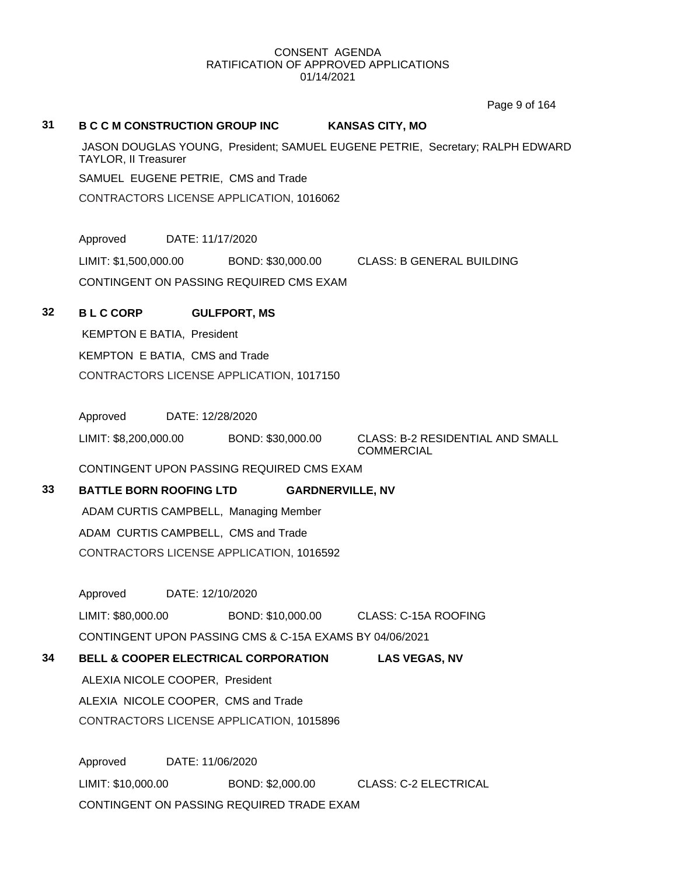Page 9 of 164

# **31 B C C M CONSTRUCTION GROUP INC KANSAS CITY, MO** JASON DOUGLAS YOUNG, President; SAMUEL EUGENE PETRIE, Secretary; RALPH EDWARD TAYLOR, II Treasurer SAMUEL EUGENE PETRIE, CMS and Trade CONTRACTORS LICENSE APPLICATION, 1016062 Approved DATE: 11/17/2020 LIMIT: \$1,500,000.00 BOND: \$30,000.00 CLASS: B GENERAL BUILDING CONTINGENT ON PASSING REQUIRED CMS EXAM **32 B L C CORP GULFPORT, MS** KEMPTON E BATIA, President KEMPTON E BATIA, CMS and Trade CONTRACTORS LICENSE APPLICATION, 1017150 Approved DATE: 12/28/2020 LIMIT: \$8,200,000.00 BOND: \$30,000.00 CLASS: B-2 RESIDENTIAL AND SMALL **COMMERCIAL** CONTINGENT UPON PASSING REQUIRED CMS EXAM **33 BATTLE BORN ROOFING LTD GARDNERVILLE, NV** ADAM CURTIS CAMPBELL, Managing Member ADAM CURTIS CAMPBELL, CMS and Trade CONTRACTORS LICENSE APPLICATION, 1016592 Approved DATE: 12/10/2020 LIMIT: \$80,000.00 BOND: \$10,000.00 CLASS: C-15A ROOFING CONTINGENT UPON PASSING CMS & C-15A EXAMS BY 04/06/2021 **34 BELL & COOPER ELECTRICAL CORPORATION LAS VEGAS, NV** ALEXIA NICOLE COOPER, President ALEXIA NICOLE COOPER, CMS and Trade CONTRACTORS LICENSE APPLICATION, 1015896 Approved DATE: 11/06/2020 LIMIT: \$10,000.00 BOND: \$2,000.00 CLASS: C-2 ELECTRICAL

CONTINGENT ON PASSING REQUIRED TRADE EXAM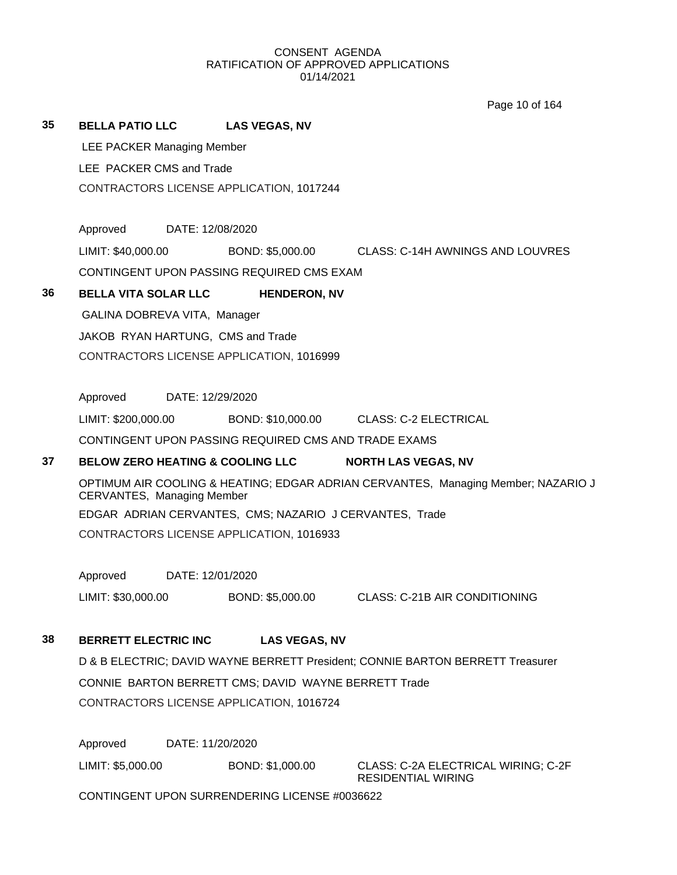Page 10 of 164

|    |                                   |                                                         | Page 10 of 164                                                                    |
|----|-----------------------------------|---------------------------------------------------------|-----------------------------------------------------------------------------------|
| 35 | BELLA PATIO LLC LAS VEGAS, NV     |                                                         |                                                                                   |
|    | <b>LEE PACKER Managing Member</b> |                                                         |                                                                                   |
|    | LEE PACKER CMS and Trade          |                                                         |                                                                                   |
|    |                                   | CONTRACTORS LICENSE APPLICATION, 1017244                |                                                                                   |
|    |                                   |                                                         |                                                                                   |
|    | Approved<br>DATE: 12/08/2020      |                                                         |                                                                                   |
|    | LIMIT: \$40,000.00                |                                                         | BOND: \$5,000.00 CLASS: C-14H AWNINGS AND LOUVRES                                 |
|    |                                   | CONTINGENT UPON PASSING REQUIRED CMS EXAM               |                                                                                   |
| 36 | <b>BELLA VITA SOLAR LLC</b>       | <b>HENDERON, NV</b>                                     |                                                                                   |
|    | GALINA DOBREVA VITA, Manager      |                                                         |                                                                                   |
|    | JAKOB RYAN HARTUNG, CMS and Trade |                                                         |                                                                                   |
|    |                                   | CONTRACTORS LICENSE APPLICATION, 1016999                |                                                                                   |
|    |                                   |                                                         |                                                                                   |
|    | Approved<br>DATE: 12/29/2020      |                                                         |                                                                                   |
|    | LIMIT: \$200,000.00               |                                                         | BOND: \$10,000.00 CLASS: C-2 ELECTRICAL                                           |
|    |                                   | CONTINGENT UPON PASSING REQUIRED CMS AND TRADE EXAMS    |                                                                                   |
| 37 |                                   | <b>BELOW ZERO HEATING &amp; COOLING LLC</b>             | <b>NORTH LAS VEGAS, NV</b>                                                        |
|    | CERVANTES, Managing Member        |                                                         | OPTIMUM AIR COOLING & HEATING; EDGAR ADRIAN CERVANTES, Managing Member; NAZARIO J |
|    |                                   | EDGAR ADRIAN CERVANTES, CMS; NAZARIO J CERVANTES, Trade |                                                                                   |
|    |                                   | CONTRACTORS LICENSE APPLICATION, 1016933                |                                                                                   |
|    |                                   |                                                         |                                                                                   |
|    | DATE: 12/01/2020<br>Approved      |                                                         |                                                                                   |
|    | LIMIT: \$30,000.00                | BOND: \$5,000.00                                        | CLASS: C-21B AIR CONDITIONING                                                     |
| 38 | <b>BERRETT ELECTRIC INC</b>       | <b>LAS VEGAS, NV</b>                                    |                                                                                   |
|    |                                   |                                                         | D & B ELECTRIC; DAVID WAYNE BERRETT President; CONNIE BARTON BERRETT Treasurer    |
|    |                                   | CONNIE BARTON BERRETT CMS; DAVID WAYNE BERRETT Trade    |                                                                                   |
|    |                                   | CONTRACTORS LICENSE APPLICATION, 1016724                |                                                                                   |
|    |                                   |                                                         |                                                                                   |
|    | Approved                          | DATE: 11/20/2020                                        |                                                                                   |
|    | LIMIT: \$5,000.00                 | BOND: \$1,000.00                                        | CLASS: C-2A ELECTRICAL WIRING; C-2F<br><b>RESIDENTIAL WIRING</b>                  |

CONTINGENT UPON SURRENDERING LICENSE #0036622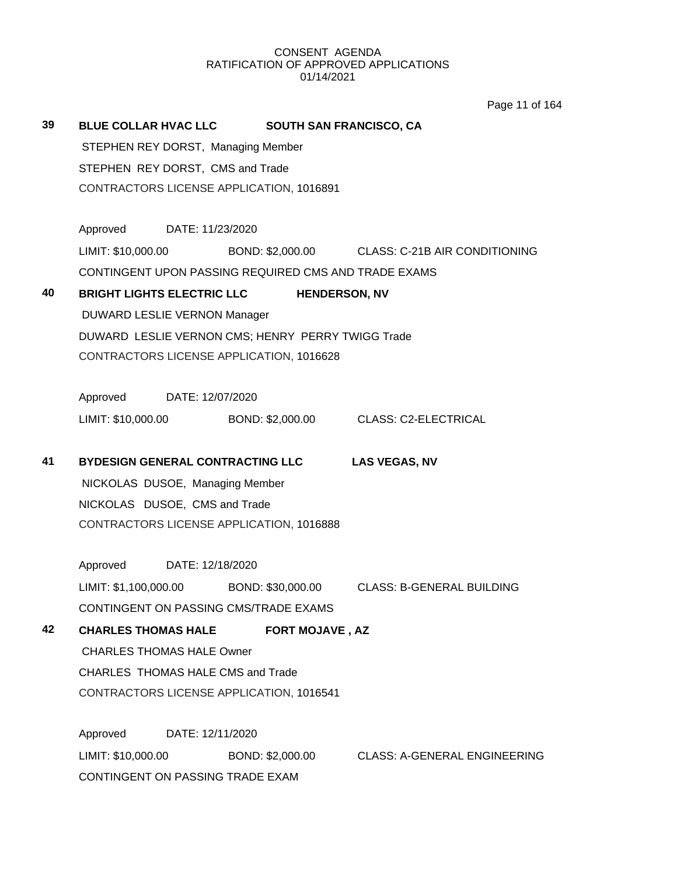Page 11 of 164

| 39 | BLUE COLLAR HVAC LLC SOUTH SAN FRANCISCO, CA      |                                  |                  |                        |                                                          |  |  |
|----|---------------------------------------------------|----------------------------------|------------------|------------------------|----------------------------------------------------------|--|--|
|    | STEPHEN REY DORST, Managing Member                |                                  |                  |                        |                                                          |  |  |
|    |                                                   | STEPHEN REY DORST, CMS and Trade |                  |                        |                                                          |  |  |
|    | CONTRACTORS LICENSE APPLICATION, 1016891          |                                  |                  |                        |                                                          |  |  |
|    | Approved DATE: 11/23/2020                         |                                  |                  |                        |                                                          |  |  |
|    | LIMIT: \$10,000.00                                |                                  |                  |                        | BOND: \$2,000.00 CLASS: C-21B AIR CONDITIONING           |  |  |
|    |                                                   |                                  |                  |                        | CONTINGENT UPON PASSING REQUIRED CMS AND TRADE EXAMS     |  |  |
| 40 | <b>BRIGHT LIGHTS ELECTRIC LLC</b>                 |                                  |                  | <b>HENDERSON, NV</b>   |                                                          |  |  |
|    | DUWARD LESLIE VERNON Manager                      |                                  |                  |                        |                                                          |  |  |
|    | DUWARD LESLIE VERNON CMS; HENRY PERRY TWIGG Trade |                                  |                  |                        |                                                          |  |  |
|    | CONTRACTORS LICENSE APPLICATION, 1016628          |                                  |                  |                        |                                                          |  |  |
|    | Approved DATE: 12/07/2020                         |                                  |                  |                        |                                                          |  |  |
|    |                                                   |                                  |                  |                        | LIMIT: \$10,000.00 BOND: \$2,000.00 CLASS: C2-ELECTRICAL |  |  |
| 41 | <b>BYDESIGN GENERAL CONTRACTING LLC</b>           |                                  |                  |                        | <b>LAS VEGAS, NV</b>                                     |  |  |
|    | NICKOLAS DUSOE, Managing Member                   |                                  |                  |                        |                                                          |  |  |
|    | NICKOLAS DUSOE, CMS and Trade                     |                                  |                  |                        |                                                          |  |  |
|    | CONTRACTORS LICENSE APPLICATION, 1016888          |                                  |                  |                        |                                                          |  |  |
|    | Approved DATE: 12/18/2020                         |                                  |                  |                        |                                                          |  |  |
|    | LIMIT: \$1,100,000.00                             |                                  |                  |                        | BOND: \$30,000.00 CLASS: B-GENERAL BUILDING              |  |  |
|    | CONTINGENT ON PASSING CMS/TRADE EXAMS             |                                  |                  |                        |                                                          |  |  |
| 42 | <b>CHARLES THOMAS HALE</b>                        |                                  |                  | <b>FORT MOJAVE, AZ</b> |                                                          |  |  |
|    | <b>CHARLES THOMAS HALE Owner</b>                  |                                  |                  |                        |                                                          |  |  |
|    | CHARLES THOMAS HALE CMS and Trade                 |                                  |                  |                        |                                                          |  |  |
|    | CONTRACTORS LICENSE APPLICATION, 1016541          |                                  |                  |                        |                                                          |  |  |
|    | Approved                                          | DATE: 12/11/2020                 |                  |                        |                                                          |  |  |
|    | LIMIT: \$10,000.00                                |                                  | BOND: \$2,000.00 |                        | <b>CLASS: A-GENERAL ENGINEERING</b>                      |  |  |
|    | CONTINGENT ON PASSING TRADE EXAM                  |                                  |                  |                        |                                                          |  |  |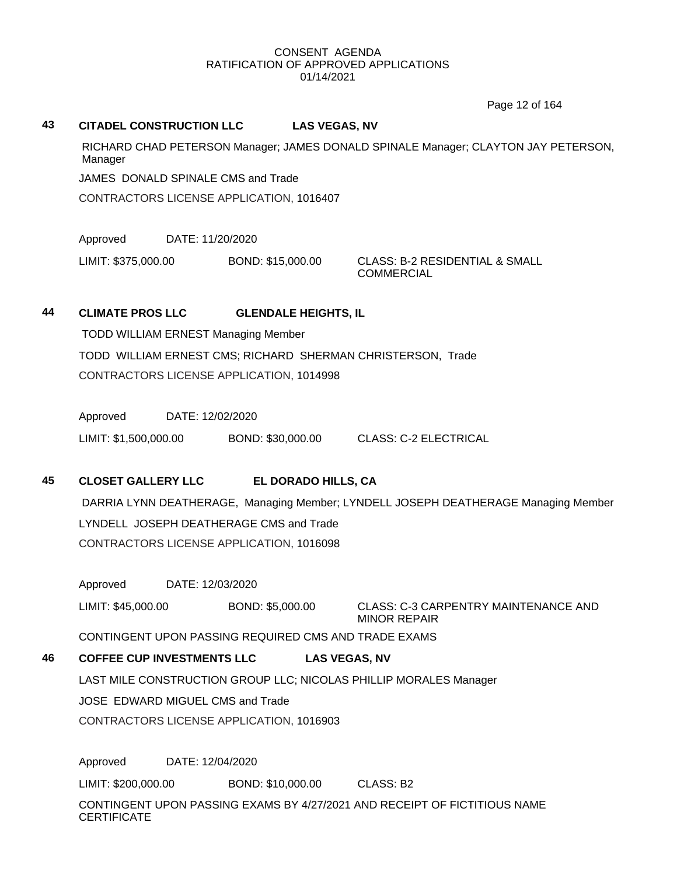Page 12 of 164

#### **43 CITADEL CONSTRUCTION LLC LAS VEGAS, NV**

RICHARD CHAD PETERSON Manager; JAMES DONALD SPINALE Manager; CLAYTON JAY PETERSON, Manager

JAMES DONALD SPINALE CMS and Trade

CONTRACTORS LICENSE APPLICATION, 1016407

Approved DATE: 11/20/2020

LIMIT: \$375,000.00 BOND: \$15,000.00 CLASS: B-2 RESIDENTIAL & SMALL

COMMERCIAL

### **44 CLIMATE PROS LLC GLENDALE HEIGHTS, IL**

TODD WILLIAM ERNEST Managing Member TODD WILLIAM ERNEST CMS; RICHARD SHERMAN CHRISTERSON, Trade CONTRACTORS LICENSE APPLICATION, 1014998

Approved DATE: 12/02/2020

LIMIT: \$1,500,000.00 BOND: \$30,000.00 CLASS: C-2 ELECTRICAL

# **45 CLOSET GALLERY LLC EL DORADO HILLS, CA**

DARRIA LYNN DEATHERAGE, Managing Member; LYNDELL JOSEPH DEATHERAGE Managing Member LYNDELL JOSEPH DEATHERAGE CMS and Trade CONTRACTORS LICENSE APPLICATION, 1016098

Approved DATE: 12/03/2020 LIMIT: \$45,000.00 BOND: \$5,000.00 CLASS: C-3 CARPENTRY MAINTENANCE AND MINOR REPAIR

CONTINGENT UPON PASSING REQUIRED CMS AND TRADE EXAMS

# **46 COFFEE CUP INVESTMENTS LLC LAS VEGAS, NV**

LAST MILE CONSTRUCTION GROUP LLC; NICOLAS PHILLIP MORALES Manager

JOSE EDWARD MIGUEL CMS and Trade

CONTRACTORS LICENSE APPLICATION, 1016903

Approved DATE: 12/04/2020 LIMIT: \$200,000.00 BOND: \$10,000.00 CLASS: B2 CONTINGENT UPON PASSING EXAMS BY 4/27/2021 AND RECEIPT OF FICTITIOUS NAME **CERTIFICATE**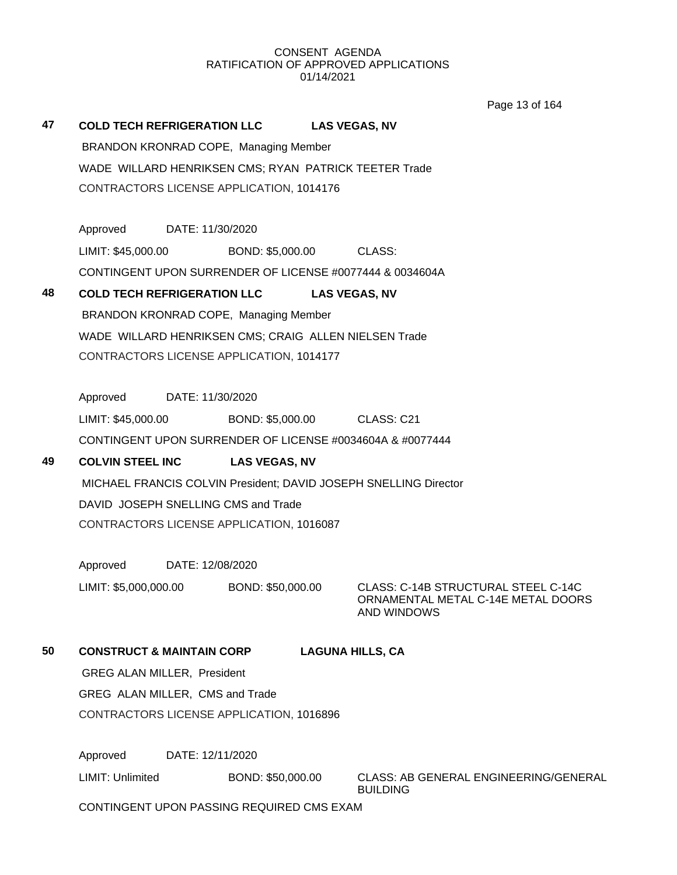Page 13 of 164

# **47 COLD TECH REFRIGERATION LLC LAS VEGAS, NV** BRANDON KRONRAD COPE, Managing Member WADE WILLARD HENRIKSEN CMS; RYAN PATRICK TEETER Trade CONTRACTORS LICENSE APPLICATION, 1014176 Approved DATE: 11/30/2020

LIMIT: \$45,000.00 BOND: \$5,000.00 CLASS: CONTINGENT UPON SURRENDER OF LICENSE #0077444 & 0034604A

# **48 COLD TECH REFRIGERATION LLC LAS VEGAS, NV**

BRANDON KRONRAD COPE, Managing Member WADE WILLARD HENRIKSEN CMS; CRAIG ALLEN NIELSEN Trade CONTRACTORS LICENSE APPLICATION, 1014177

Approved DATE: 11/30/2020

LIMIT: \$45,000.00 BOND: \$5,000.00 CLASS: C21

CONTINGENT UPON SURRENDER OF LICENSE #0034604A & #0077444

# **49 COLVIN STEEL INC LAS VEGAS, NV**

MICHAEL FRANCIS COLVIN President; DAVID JOSEPH SNELLING Director DAVID JOSEPH SNELLING CMS and Trade CONTRACTORS LICENSE APPLICATION, 1016087

Approved DATE: 12/08/2020

LIMIT: \$5,000,000.00 BOND: \$50,000.00 CLASS: C-14B STRUCTURAL STEEL C-14C

ORNAMENTAL METAL C-14E METAL DOORS AND WINDOWS

# **50 CONSTRUCT & MAINTAIN CORP LAGUNA HILLS, CA**

GREG ALAN MILLER, President

GREG ALAN MILLER, CMS and Trade

CONTRACTORS LICENSE APPLICATION, 1016896

Approved DATE: 12/11/2020

LIMIT: Unlimited BOND: \$50,000.00 CLASS: AB GENERAL ENGINEERING/GENERAL BUILDING

CONTINGENT UPON PASSING REQUIRED CMS EXAM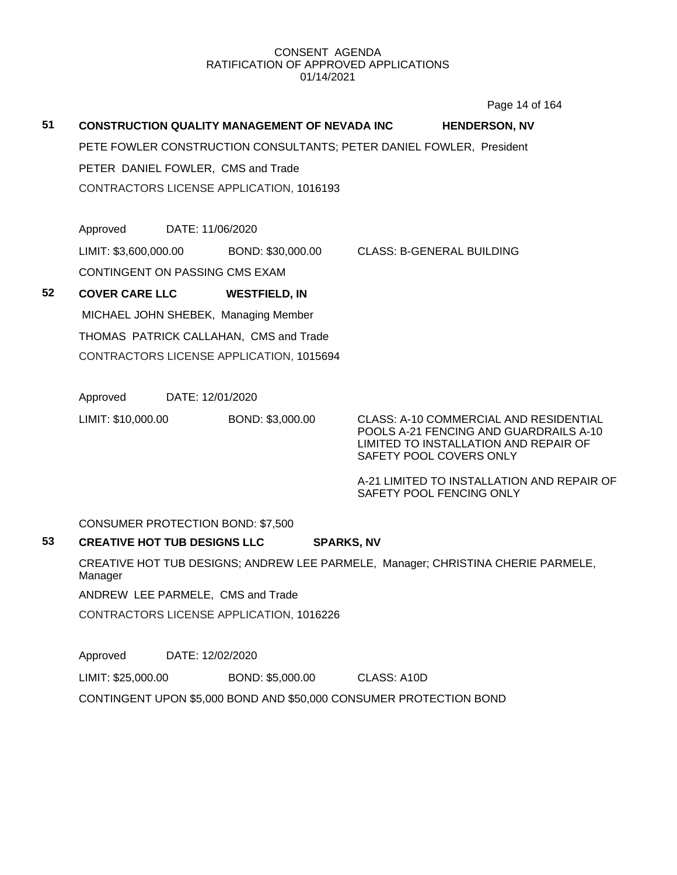Page 14 of 164

# **51 CONSTRUCTION QUALITY MANAGEMENT OF NEVADA INC HENDERSON, NV**

PETE FOWLER CONSTRUCTION CONSULTANTS; PETER DANIEL FOWLER, President PETER DANIEL FOWLER, CMS and Trade CONTRACTORS LICENSE APPLICATION, 1016193

Approved DATE: 11/06/2020 LIMIT: \$3,600,000.00 BOND: \$30,000.00 CLASS: B-GENERAL BUILDING CONTINGENT ON PASSING CMS EXAM

**52 COVER CARE LLC WESTFIELD, IN** MICHAEL JOHN SHEBEK, Managing Member THOMAS PATRICK CALLAHAN, CMS and Trade CONTRACTORS LICENSE APPLICATION, 1015694

Approved DATE: 12/01/2020

LIMIT: \$10,000.00 BOND: \$3,000.00 CLASS: A-10 COMMERCIAL AND RESIDENTIAL

POOLS A-21 FENCING AND GUARDRAILS A-10 LIMITED TO INSTALLATION AND REPAIR OF SAFETY POOL COVERS ONLY

A-21 LIMITED TO INSTALLATION AND REPAIR OF SAFETY POOL FENCING ONLY

CONSUMER PROTECTION BOND: \$7,500

# **53 CREATIVE HOT TUB DESIGNS LLC SPARKS, NV**

CREATIVE HOT TUB DESIGNS; ANDREW LEE PARMELE, Manager; CHRISTINA CHERIE PARMELE, Manager

ANDREW LEE PARMELE, CMS and Trade

CONTRACTORS LICENSE APPLICATION, 1016226

Approved DATE: 12/02/2020

LIMIT: \$25,000.00 BOND: \$5,000.00 CLASS: A10D

CONTINGENT UPON \$5,000 BOND AND \$50,000 CONSUMER PROTECTION BOND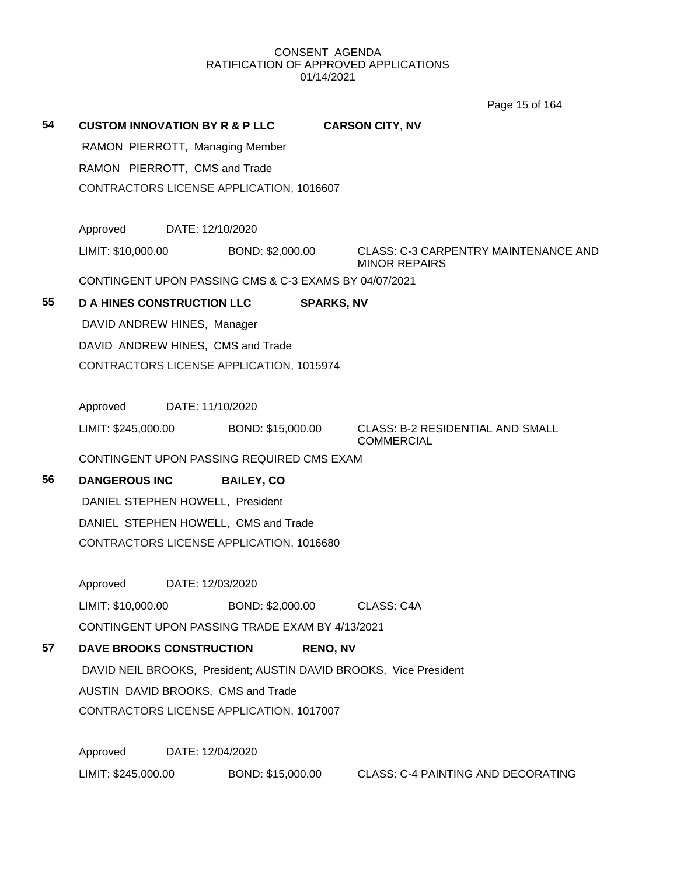Page 15 of 164

| 54 |                                    |                  | <b>CUSTOM INNOVATION BY R &amp; P LLC</b>             |                   | <b>CARSON CITY, NV</b>                                            |  |
|----|------------------------------------|------------------|-------------------------------------------------------|-------------------|-------------------------------------------------------------------|--|
|    | RAMON PIERROTT, Managing Member    |                  |                                                       |                   |                                                                   |  |
|    | RAMON PIERROTT, CMS and Trade      |                  |                                                       |                   |                                                                   |  |
|    |                                    |                  | CONTRACTORS LICENSE APPLICATION, 1016607              |                   |                                                                   |  |
|    | Approved                           | DATE: 12/10/2020 |                                                       |                   |                                                                   |  |
|    | LIMIT: \$10,000.00                 |                  | BOND: \$2,000.00                                      |                   | CLASS: C-3 CARPENTRY MAINTENANCE AND<br><b>MINOR REPAIRS</b>      |  |
|    |                                    |                  | CONTINGENT UPON PASSING CMS & C-3 EXAMS BY 04/07/2021 |                   |                                                                   |  |
| 55 | <b>D A HINES CONSTRUCTION LLC</b>  |                  |                                                       | <b>SPARKS, NV</b> |                                                                   |  |
|    | DAVID ANDREW HINES, Manager        |                  |                                                       |                   |                                                                   |  |
|    | DAVID ANDREW HINES, CMS and Trade  |                  |                                                       |                   |                                                                   |  |
|    |                                    |                  | CONTRACTORS LICENSE APPLICATION, 1015974              |                   |                                                                   |  |
|    | Approved                           | DATE: 11/10/2020 |                                                       |                   |                                                                   |  |
|    |                                    |                  |                                                       |                   |                                                                   |  |
|    | LIMIT: \$245,000.00                |                  | BOND: \$15,000.00                                     |                   | <b>CLASS: B-2 RESIDENTIAL AND SMALL</b><br><b>COMMERCIAL</b>      |  |
|    |                                    |                  | CONTINGENT UPON PASSING REQUIRED CMS EXAM             |                   |                                                                   |  |
| 56 | <b>DANGEROUS INC</b>               |                  | <b>BAILEY, CO</b>                                     |                   |                                                                   |  |
|    | DANIEL STEPHEN HOWELL, President   |                  |                                                       |                   |                                                                   |  |
|    |                                    |                  | DANIEL STEPHEN HOWELL, CMS and Trade                  |                   |                                                                   |  |
|    |                                    |                  | CONTRACTORS LICENSE APPLICATION, 1016680              |                   |                                                                   |  |
|    | Approved                           | DATE: 12/03/2020 |                                                       |                   |                                                                   |  |
|    | LIMIT: \$10,000.00                 |                  | BOND: \$2,000.00                                      |                   | CLASS: C4A                                                        |  |
|    |                                    |                  | CONTINGENT UPON PASSING TRADE EXAM BY 4/13/2021       |                   |                                                                   |  |
| 57 | <b>DAVE BROOKS CONSTRUCTION</b>    |                  |                                                       | <b>RENO, NV</b>   |                                                                   |  |
|    |                                    |                  |                                                       |                   | DAVID NEIL BROOKS, President; AUSTIN DAVID BROOKS, Vice President |  |
|    | AUSTIN DAVID BROOKS, CMS and Trade |                  |                                                       |                   |                                                                   |  |
|    |                                    |                  | CONTRACTORS LICENSE APPLICATION, 1017007              |                   |                                                                   |  |
|    | Approved                           | DATE: 12/04/2020 |                                                       |                   |                                                                   |  |
|    | LIMIT: \$245,000.00                |                  | BOND: \$15,000.00                                     |                   | <b>CLASS: C-4 PAINTING AND DECORATING</b>                         |  |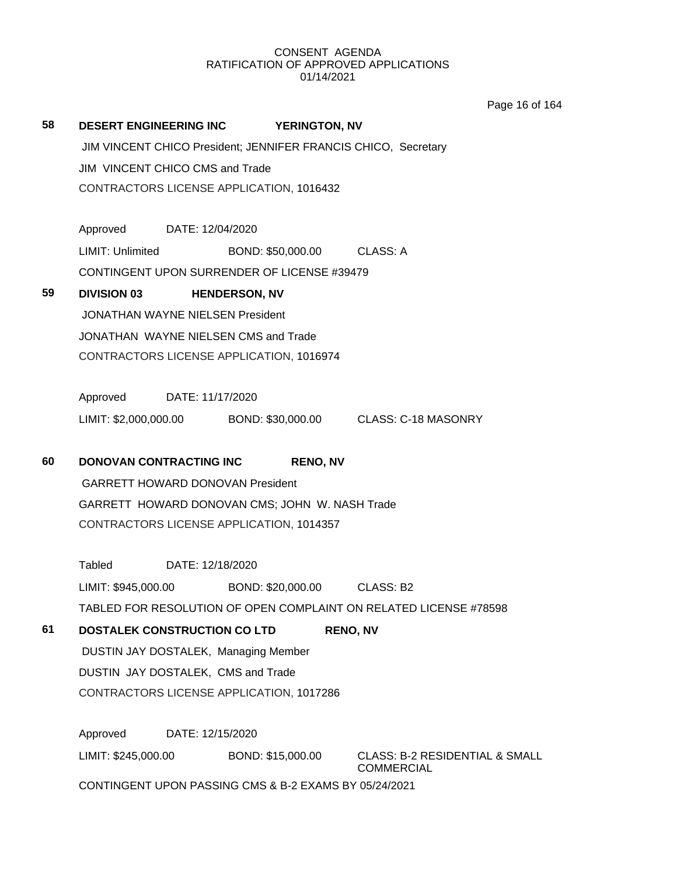Page 16 of 164

|    |                                                                                       | Page to OI |
|----|---------------------------------------------------------------------------------------|------------|
| 58 | <b>DESERT ENGINEERING INC</b><br><b>YERINGTON, NV</b>                                 |            |
|    | JIM VINCENT CHICO President; JENNIFER FRANCIS CHICO, Secretary                        |            |
|    | JIM VINCENT CHICO CMS and Trade                                                       |            |
|    | CONTRACTORS LICENSE APPLICATION, 1016432                                              |            |
|    |                                                                                       |            |
|    | Approved DATE: 12/04/2020                                                             |            |
|    | <b>LIMIT: Unlimited</b><br>BOND: \$50,000.00 CLASS: A                                 |            |
|    | CONTINGENT UPON SURRENDER OF LICENSE #39479                                           |            |
| 59 | <b>DIVISION 03</b><br><b>HENDERSON, NV</b>                                            |            |
|    | <b>JONATHAN WAYNE NIELSEN President</b>                                               |            |
|    | JONATHAN WAYNE NIELSEN CMS and Trade                                                  |            |
|    | CONTRACTORS LICENSE APPLICATION, 1016974                                              |            |
|    |                                                                                       |            |
|    | Approved DATE: 11/17/2020                                                             |            |
|    |                                                                                       |            |
|    |                                                                                       |            |
| 60 | DONOVAN CONTRACTING INC<br><b>RENO, NV</b>                                            |            |
|    | <b>GARRETT HOWARD DONOVAN President</b>                                               |            |
|    | GARRETT HOWARD DONOVAN CMS; JOHN W. NASH Trade                                        |            |
|    | CONTRACTORS LICENSE APPLICATION, 1014357                                              |            |
|    |                                                                                       |            |
|    | Tabled DATE: 12/18/2020                                                               |            |
|    | BOND: \$20,000.00 CLASS: B2<br>LIMIT: \$945,000.00                                    |            |
|    | TABLED FOR RESOLUTION OF OPEN COMPLAINT ON RELATED LICENSE #78598                     |            |
| 61 | <b>DOSTALEK CONSTRUCTION CO LTD</b><br><b>RENO, NV</b>                                |            |
|    | DUSTIN JAY DOSTALEK, Managing Member                                                  |            |
|    | DUSTIN JAY DOSTALEK, CMS and Trade                                                    |            |
|    | CONTRACTORS LICENSE APPLICATION, 1017286                                              |            |
|    | Approved<br>DATE: 12/15/2020                                                          |            |
|    | LIMIT: \$245,000.00<br>BOND: \$15,000.00<br><b>CLASS: B-2 RESIDENTIAL &amp; SMALL</b> |            |
|    | <b>COMMERCIAL</b>                                                                     |            |
|    | CONTINGENT UPON PASSING CMS & B-2 EXAMS BY 05/24/2021                                 |            |
|    |                                                                                       |            |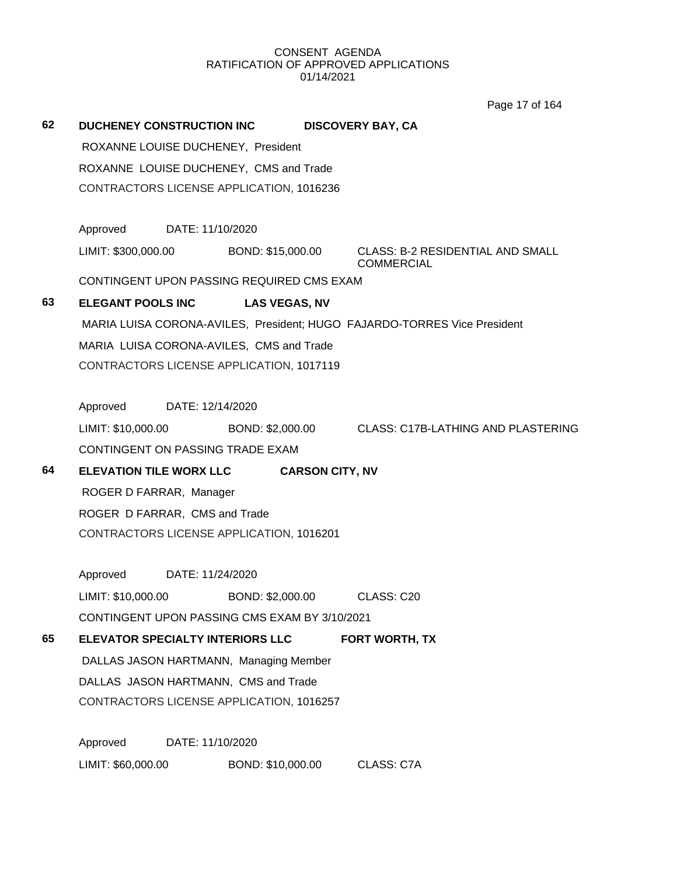Page 17 of 164

| 62 | <b>DUCHENEY CONSTRUCTION INC</b><br><b>DISCOVERY BAY, CA</b>                                             |  |  |  |  |  |
|----|----------------------------------------------------------------------------------------------------------|--|--|--|--|--|
|    | ROXANNE LOUISE DUCHENEY, President                                                                       |  |  |  |  |  |
|    | ROXANNE LOUISE DUCHENEY, CMS and Trade                                                                   |  |  |  |  |  |
|    | CONTRACTORS LICENSE APPLICATION, 1016236                                                                 |  |  |  |  |  |
|    | Approved<br>DATE: 11/10/2020                                                                             |  |  |  |  |  |
|    | LIMIT: \$300,000.00<br><b>CLASS: B-2 RESIDENTIAL AND SMALL</b><br>BOND: \$15,000.00<br><b>COMMERCIAL</b> |  |  |  |  |  |
|    | CONTINGENT UPON PASSING REQUIRED CMS EXAM                                                                |  |  |  |  |  |
| 63 | <b>ELEGANT POOLS INC</b><br><b>LAS VEGAS, NV</b>                                                         |  |  |  |  |  |
|    | MARIA LUISA CORONA-AVILES, President; HUGO FAJARDO-TORRES Vice President                                 |  |  |  |  |  |
|    | MARIA LUISA CORONA-AVILES, CMS and Trade                                                                 |  |  |  |  |  |
|    | CONTRACTORS LICENSE APPLICATION, 1017119                                                                 |  |  |  |  |  |
|    | Approved DATE: 12/14/2020                                                                                |  |  |  |  |  |
|    | LIMIT: \$10,000.00<br>BOND: \$2,000.00 CLASS: C17B-LATHING AND PLASTERING                                |  |  |  |  |  |
|    | CONTINGENT ON PASSING TRADE EXAM                                                                         |  |  |  |  |  |
| 64 | <b>ELEVATION TILE WORX LLC</b><br><b>CARSON CITY, NV</b>                                                 |  |  |  |  |  |
|    | ROGER D FARRAR, Manager                                                                                  |  |  |  |  |  |
|    | ROGER D FARRAR, CMS and Trade                                                                            |  |  |  |  |  |
|    | CONTRACTORS LICENSE APPLICATION, 1016201                                                                 |  |  |  |  |  |
|    | Approved DATE: 11/24/2020                                                                                |  |  |  |  |  |
|    | LIMIT: \$10,000.00<br>BOND: \$2,000.00<br>CLASS: C20                                                     |  |  |  |  |  |
|    | CONTINGENT UPON PASSING CMS EXAM BY 3/10/2021                                                            |  |  |  |  |  |
| 65 | <b>ELEVATOR SPECIALTY INTERIORS LLC</b><br><b>FORT WORTH, TX</b>                                         |  |  |  |  |  |
|    | DALLAS JASON HARTMANN, Managing Member                                                                   |  |  |  |  |  |
|    | DALLAS JASON HARTMANN, CMS and Trade                                                                     |  |  |  |  |  |
|    | CONTRACTORS LICENSE APPLICATION, 1016257                                                                 |  |  |  |  |  |
|    | Approved<br>DATE: 11/10/2020                                                                             |  |  |  |  |  |
|    | LIMIT: \$60,000.00<br>BOND: \$10,000.00<br>CLASS: C7A                                                    |  |  |  |  |  |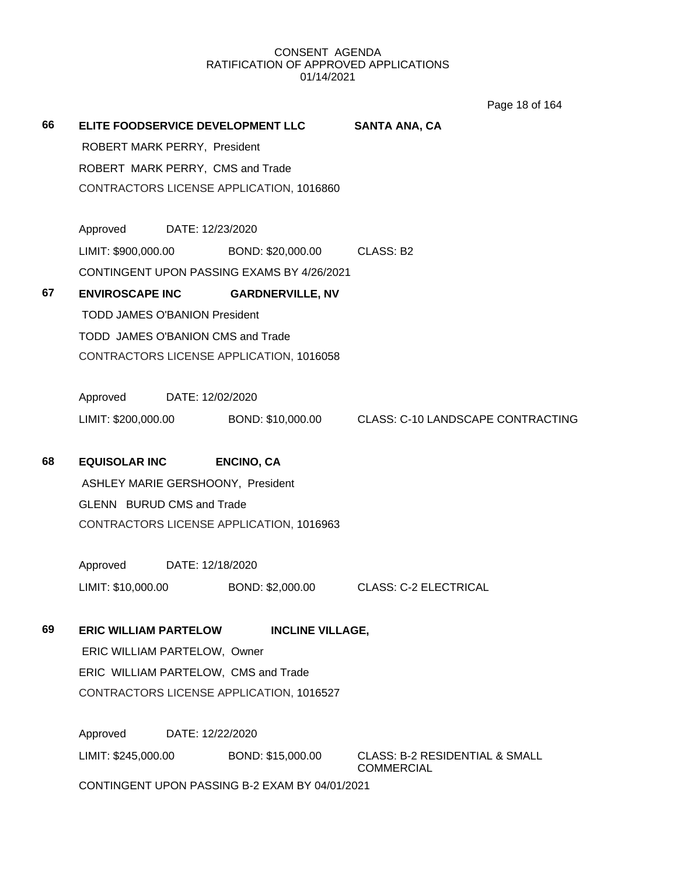Page 18 of 164

| 66 |                                      | <b>ELITE FOODSERVICE DEVELOPMENT LLC</b>       | <b>SANTA ANA, CA</b>                                                    |
|----|--------------------------------------|------------------------------------------------|-------------------------------------------------------------------------|
|    | ROBERT MARK PERRY, President         |                                                |                                                                         |
|    | ROBERT MARK PERRY, CMS and Trade     |                                                |                                                                         |
|    |                                      | CONTRACTORS LICENSE APPLICATION, 1016860       |                                                                         |
|    | Approved DATE: 12/23/2020            |                                                |                                                                         |
|    | LIMIT: \$900,000.00                  | BOND: \$20,000.00 CLASS: B2                    |                                                                         |
|    |                                      | CONTINGENT UPON PASSING EXAMS BY 4/26/2021     |                                                                         |
| 67 | <b>ENVIROSCAPE INC</b>               | <b>GARDNERVILLE, NV</b>                        |                                                                         |
|    | <b>TODD JAMES O'BANION President</b> |                                                |                                                                         |
|    | TODD JAMES O'BANION CMS and Trade    |                                                |                                                                         |
|    |                                      | CONTRACTORS LICENSE APPLICATION, 1016058       |                                                                         |
|    |                                      |                                                |                                                                         |
|    | Approved DATE: 12/02/2020            |                                                |                                                                         |
|    |                                      |                                                | LIMIT: \$200,000.00 BOND: \$10,000.00 CLASS: C-10 LANDSCAPE CONTRACTING |
| 68 | <b>EQUISOLAR INC</b>                 | <b>ENCINO, CA</b>                              |                                                                         |
|    | ASHLEY MARIE GERSHOONY, President    |                                                |                                                                         |
|    | <b>GLENN BURUD CMS and Trade</b>     |                                                |                                                                         |
|    |                                      | CONTRACTORS LICENSE APPLICATION, 1016963       |                                                                         |
|    | Approved DATE: 12/18/2020            |                                                |                                                                         |
|    | LIMIT: \$10,000.00                   |                                                | BOND: \$2,000.00 CLASS: C-2 ELECTRICAL                                  |
| 69 |                                      |                                                |                                                                         |
|    | <b>ERIC WILLIAM PARTELOW</b>         | <b>INCLINE VILLAGE,</b>                        |                                                                         |
|    | ERIC WILLIAM PARTELOW, Owner         |                                                |                                                                         |
|    | ERIC WILLIAM PARTELOW, CMS and Trade |                                                |                                                                         |
|    |                                      | CONTRACTORS LICENSE APPLICATION, 1016527       |                                                                         |
|    | Approved                             | DATE: 12/22/2020                               |                                                                         |
|    | LIMIT: \$245,000.00                  | BOND: \$15,000.00                              | <b>CLASS: B-2 RESIDENTIAL &amp; SMALL</b><br><b>COMMERCIAL</b>          |
|    |                                      | CONTINGENT UPON PASSING B-2 EXAM BY 04/01/2021 |                                                                         |
|    |                                      |                                                |                                                                         |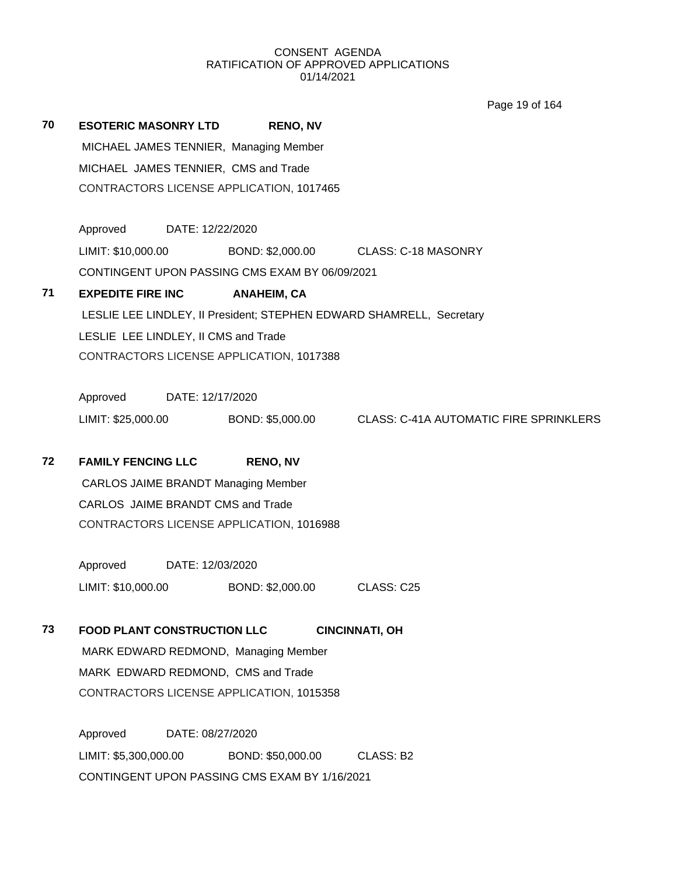Page 19 of 164

| 70 | <b>ESOTERIC MASONRY LTD</b>                | <b>RENO, NV</b>                                |                                                                      |
|----|--------------------------------------------|------------------------------------------------|----------------------------------------------------------------------|
|    | MICHAEL JAMES TENNIER, Managing Member     |                                                |                                                                      |
|    | MICHAEL JAMES TENNIER, CMS and Trade       |                                                |                                                                      |
|    |                                            | CONTRACTORS LICENSE APPLICATION, 1017465       |                                                                      |
|    | Approved                                   | DATE: 12/22/2020                               |                                                                      |
|    | LIMIT: \$10,000.00                         | BOND: \$2,000.00                               | <b>CLASS: C-18 MASONRY</b>                                           |
|    |                                            | CONTINGENT UPON PASSING CMS EXAM BY 06/09/2021 |                                                                      |
| 71 | <b>EXPEDITE FIRE INC</b>                   | <b>ANAHEIM, CA</b>                             |                                                                      |
|    |                                            |                                                | LESLIE LEE LINDLEY, II President; STEPHEN EDWARD SHAMRELL, Secretary |
|    | LESLIE LEE LINDLEY, II CMS and Trade       |                                                |                                                                      |
|    |                                            | CONTRACTORS LICENSE APPLICATION, 1017388       |                                                                      |
|    | Approved                                   | DATE: 12/17/2020                               |                                                                      |
|    | LIMIT: \$25,000.00                         | BOND: \$5,000.00                               | <b>CLASS: C-41A AUTOMATIC FIRE SPRINKLERS</b>                        |
| 72 | <b>FAMILY FENCING LLC</b>                  | <b>RENO, NV</b>                                |                                                                      |
|    | <b>CARLOS JAIME BRANDT Managing Member</b> |                                                |                                                                      |
|    | CARLOS JAIME BRANDT CMS and Trade          |                                                |                                                                      |
|    |                                            | CONTRACTORS LICENSE APPLICATION, 1016988       |                                                                      |
|    | Approved<br>DATE: 12/03/2020               |                                                |                                                                      |
|    | LIMIT: \$10,000.00                         | BOND: \$2,000.00                               | CLASS: C25                                                           |
| 73 | <b>FOOD PLANT CONSTRUCTION LLC</b>         |                                                | <b>CINCINNATI, OH</b>                                                |
|    | MARK EDWARD REDMOND, Managing Member       |                                                |                                                                      |
|    | MARK EDWARD REDMOND, CMS and Trade         |                                                |                                                                      |
|    |                                            | CONTRACTORS LICENSE APPLICATION, 1015358       |                                                                      |
|    | Approved                                   | DATE: 08/27/2020                               |                                                                      |
|    | LIMIT: \$5,300,000.00                      | BOND: \$50,000.00                              | CLASS: B2                                                            |
|    |                                            |                                                |                                                                      |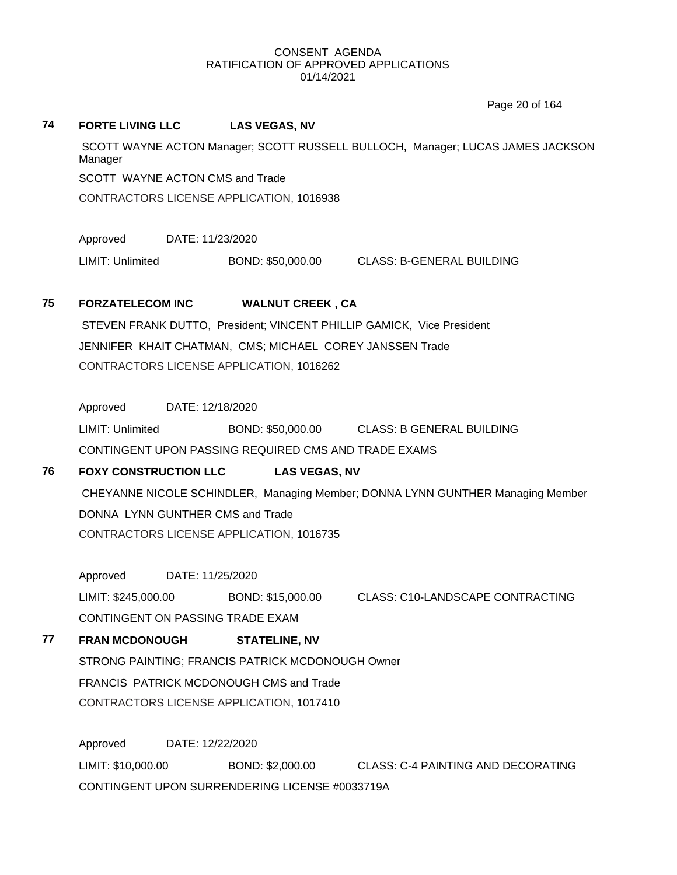**74 FORTE LIVING LLC LAS VEGAS, NV**

Page 20 of 164

# SCOTT WAYNE ACTON Manager; SCOTT RUSSELL BULLOCH, Manager; LUCAS JAMES JACKSON Manager SCOTT WAYNE ACTON CMS and Trade CONTRACTORS LICENSE APPLICATION, 1016938 Approved DATE: 11/23/2020 LIMIT: Unlimited BOND: \$50,000.00 CLASS: B-GENERAL BUILDING **75 FORZATELECOM INC WALNUT CREEK , CA** STEVEN FRANK DUTTO, President; VINCENT PHILLIP GAMICK, Vice President JENNIFER KHAIT CHATMAN, CMS; MICHAEL COREY JANSSEN Trade CONTRACTORS LICENSE APPLICATION, 1016262 Approved DATE: 12/18/2020 LIMIT: Unlimited BOND: \$50,000.00 CLASS: B GENERAL BUILDING CONTINGENT UPON PASSING REQUIRED CMS AND TRADE EXAMS **76 FOXY CONSTRUCTION LLC LAS VEGAS, NV** CHEYANNE NICOLE SCHINDLER, Managing Member; DONNA LYNN GUNTHER Managing Member DONNA LYNN GUNTHER CMS and Trade CONTRACTORS LICENSE APPLICATION, 1016735 Approved DATE: 11/25/2020 LIMIT: \$245,000.00 BOND: \$15,000.00 CLASS: C10-LANDSCAPE CONTRACTING CONTINGENT ON PASSING TRADE EXAM **77 FRAN MCDONOUGH STATELINE, NV** STRONG PAINTING; FRANCIS PATRICK MCDONOUGH Owner FRANCIS PATRICK MCDONOUGH CMS and Trade CONTRACTORS LICENSE APPLICATION, 1017410 Approved DATE: 12/22/2020 LIMIT: \$10,000.00 BOND: \$2,000.00 CLASS: C-4 PAINTING AND DECORATING CONTINGENT UPON SURRENDERING LICENSE #0033719A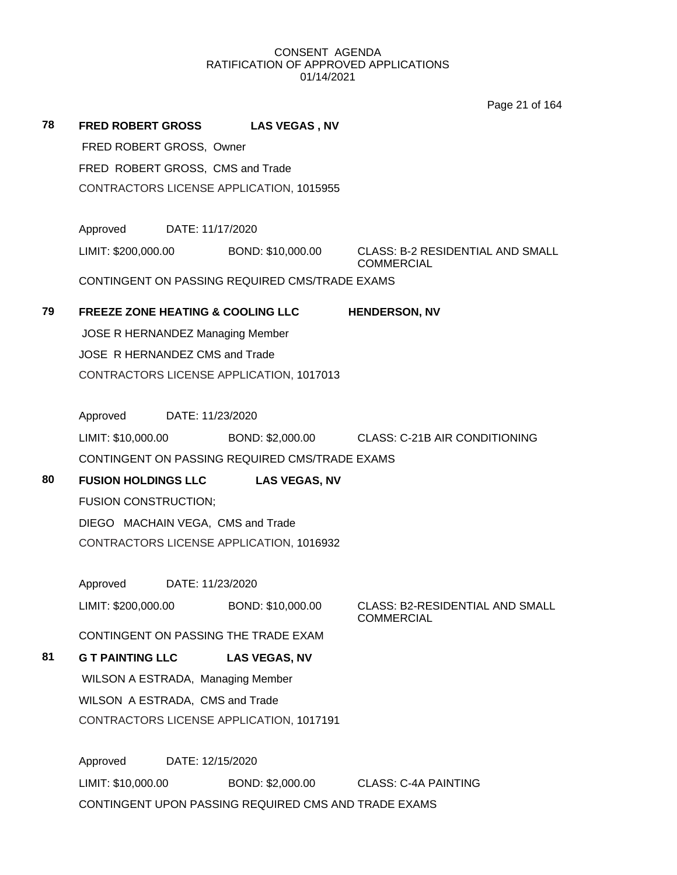Page 21 of 164

| 78 | <b>FRED ROBERT GROSS</b>                             | <b>LAS VEGAS, NV</b> |                                                              |  |  |
|----|------------------------------------------------------|----------------------|--------------------------------------------------------------|--|--|
|    | FRED ROBERT GROSS, Owner                             |                      |                                                              |  |  |
|    | FRED ROBERT GROSS, CMS and Trade                     |                      |                                                              |  |  |
|    | CONTRACTORS LICENSE APPLICATION, 1015955             |                      |                                                              |  |  |
|    |                                                      |                      |                                                              |  |  |
|    | Approved<br>DATE: 11/17/2020                         |                      |                                                              |  |  |
|    | LIMIT: \$200,000.00                                  | BOND: \$10,000.00    | <b>CLASS: B-2 RESIDENTIAL AND SMALL</b><br><b>COMMERCIAL</b> |  |  |
|    | CONTINGENT ON PASSING REQUIRED CMS/TRADE EXAMS       |                      |                                                              |  |  |
| 79 | <b>FREEZE ZONE HEATING &amp; COOLING LLC</b>         |                      | <b>HENDERSON, NV</b>                                         |  |  |
|    | JOSE R HERNANDEZ Managing Member                     |                      |                                                              |  |  |
|    | JOSE R HERNANDEZ CMS and Trade                       |                      |                                                              |  |  |
|    | CONTRACTORS LICENSE APPLICATION, 1017013             |                      |                                                              |  |  |
|    |                                                      |                      |                                                              |  |  |
|    | Approved DATE: 11/23/2020                            |                      |                                                              |  |  |
|    | LIMIT: \$10,000.00                                   |                      | BOND: \$2,000.00 CLASS: C-21B AIR CONDITIONING               |  |  |
|    | CONTINGENT ON PASSING REQUIRED CMS/TRADE EXAMS       |                      |                                                              |  |  |
| 80 | <b>FUSION HOLDINGS LLC</b><br><b>LAS VEGAS, NV</b>   |                      |                                                              |  |  |
|    | <b>FUSION CONSTRUCTION;</b>                          |                      |                                                              |  |  |
|    | DIEGO MACHAIN VEGA, CMS and Trade                    |                      |                                                              |  |  |
|    | CONTRACTORS LICENSE APPLICATION, 1016932             |                      |                                                              |  |  |
|    |                                                      |                      |                                                              |  |  |
|    | Approved DATE: 11/23/2020                            |                      |                                                              |  |  |
|    | LIMIT: \$200,000.00                                  | BOND: \$10,000.00    | CLASS: B2-RESIDENTIAL AND SMALL<br><b>COMMERCIAL</b>         |  |  |
|    | CONTINGENT ON PASSING THE TRADE EXAM                 |                      |                                                              |  |  |
| 81 | <b>G T PAINTING LLC</b>                              | <b>LAS VEGAS, NV</b> |                                                              |  |  |
|    | WILSON A ESTRADA, Managing Member                    |                      |                                                              |  |  |
|    | WILSON A ESTRADA, CMS and Trade                      |                      |                                                              |  |  |
|    | CONTRACTORS LICENSE APPLICATION, 1017191             |                      |                                                              |  |  |
|    |                                                      |                      |                                                              |  |  |
|    | Approved<br>DATE: 12/15/2020                         |                      |                                                              |  |  |
|    | LIMIT: \$10,000.00                                   | BOND: \$2,000.00     | <b>CLASS: C-4A PAINTING</b>                                  |  |  |
|    | CONTINGENT UPON PASSING REQUIRED CMS AND TRADE EXAMS |                      |                                                              |  |  |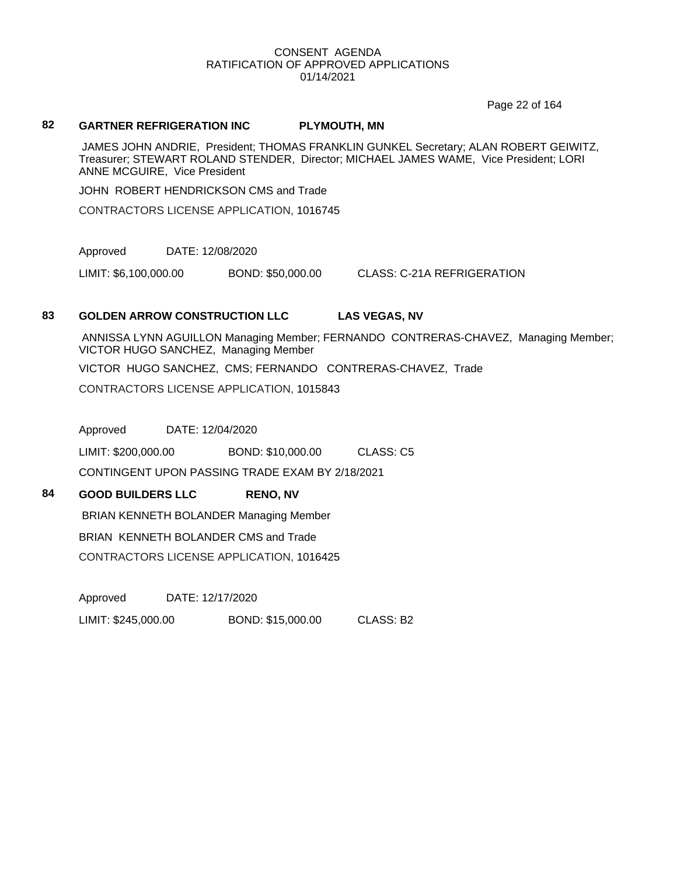Page 22 of 164

#### **82 GARTNER REFRIGERATION INC PLYMOUTH, MN**

JAMES JOHN ANDRIE, President; THOMAS FRANKLIN GUNKEL Secretary; ALAN ROBERT GEIWITZ, Treasurer; STEWART ROLAND STENDER, Director; MICHAEL JAMES WAME, Vice President; LORI ANNE MCGUIRE, Vice President

JOHN ROBERT HENDRICKSON CMS and Trade

CONTRACTORS LICENSE APPLICATION, 1016745

Approved DATE: 12/08/2020

LIMIT: \$6,100,000.00 BOND: \$50,000.00 CLASS: C-21A REFRIGERATION

#### **83 GOLDEN ARROW CONSTRUCTION LLC LAS VEGAS, NV**

ANNISSA LYNN AGUILLON Managing Member; FERNANDO CONTRERAS-CHAVEZ, Managing Member; VICTOR HUGO SANCHEZ, Managing Member VICTOR HUGO SANCHEZ, CMS; FERNANDO CONTRERAS-CHAVEZ, Trade CONTRACTORS LICENSE APPLICATION, 1015843

Approved DATE: 12/04/2020

LIMIT: \$200,000.00 BOND: \$10,000.00 CLASS: C5

CONTINGENT UPON PASSING TRADE EXAM BY 2/18/2021

### **84 GOOD BUILDERS LLC RENO, NV**

BRIAN KENNETH BOLANDER Managing Member

BRIAN KENNETH BOLANDER CMS and Trade

CONTRACTORS LICENSE APPLICATION, 1016425

Approved DATE: 12/17/2020 LIMIT: \$245,000.00 BOND: \$15,000.00 CLASS: B2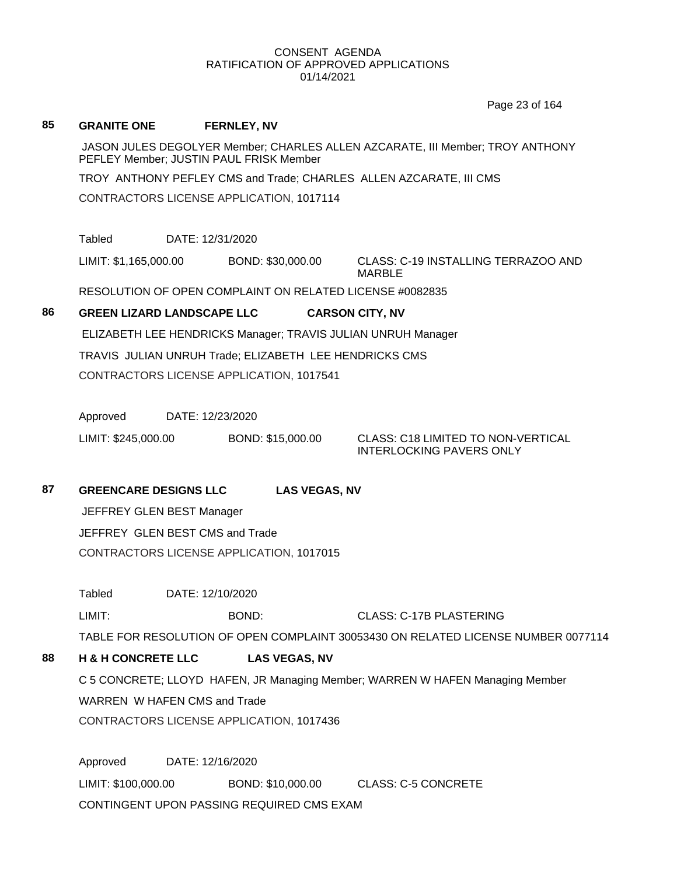Page 23 of 164

#### **85 GRANITE ONE FERNLEY, NV**

JASON JULES DEGOLYER Member; CHARLES ALLEN AZCARATE, III Member; TROY ANTHONY PEFLEY Member; JUSTIN PAUL FRISK Member

TROY ANTHONY PEFLEY CMS and Trade; CHARLES ALLEN AZCARATE, III CMS

CONTRACTORS LICENSE APPLICATION, 1017114

Tabled DATE: 12/31/2020

LIMIT: \$1,165,000.00 BOND: \$30,000.00 CLASS: C-19 INSTALLING TERRAZOO AND

MARBLE

RESOLUTION OF OPEN COMPLAINT ON RELATED LICENSE #0082835

# **86 GREEN LIZARD LANDSCAPE LLC CARSON CITY, NV**

ELIZABETH LEE HENDRICKS Manager; TRAVIS JULIAN UNRUH Manager

TRAVIS JULIAN UNRUH Trade; ELIZABETH LEE HENDRICKS CMS

CONTRACTORS LICENSE APPLICATION, 1017541

Approved DATE: 12/23/2020

LIMIT: \$245,000.00 BOND: \$15,000.00 CLASS: C18 LIMITED TO NON-VERTICAL

INTERLOCKING PAVERS ONLY

**87 GREENCARE DESIGNS LLC LAS VEGAS, NV**

JEFFREY GLEN BEST Manager JEFFREY GLEN BEST CMS and Trade CONTRACTORS LICENSE APPLICATION, 1017015

Tabled DATE: 12/10/2020

LIMIT: BOND: CLASS: C-17B PLASTERING

TABLE FOR RESOLUTION OF OPEN COMPLAINT 30053430 ON RELATED LICENSE NUMBER 0077114

# **88 H & H CONCRETE LLC LAS VEGAS, NV**

C 5 CONCRETE; LLOYD HAFEN, JR Managing Member; WARREN W HAFEN Managing Member WARREN W HAFEN CMS and Trade CONTRACTORS LICENSE APPLICATION, 1017436

Approved DATE: 12/16/2020 LIMIT: \$100,000.00 BOND: \$10,000.00 CLASS: C-5 CONCRETE CONTINGENT UPON PASSING REQUIRED CMS EXAM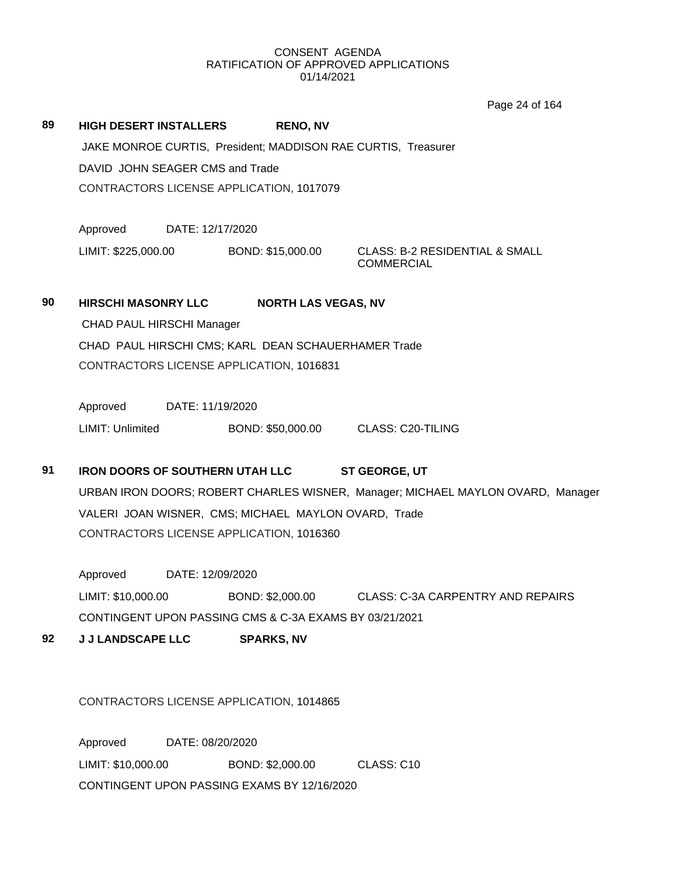Page 24 of 164

**89 HIGH DESERT INSTALLERS RENO, NV** JAKE MONROE CURTIS, President; MADDISON RAE CURTIS, Treasurer DAVID JOHN SEAGER CMS and Trade CONTRACTORS LICENSE APPLICATION, 1017079

Approved DATE: 12/17/2020

LIMIT: \$225,000.00 BOND: \$15,000.00 CLASS: B-2 RESIDENTIAL & SMALL **COMMERCIAL** 

# **90 HIRSCHI MASONRY LLC NORTH LAS VEGAS, NV**

CHAD PAUL HIRSCHI Manager

CHAD PAUL HIRSCHI CMS; KARL DEAN SCHAUERHAMER Trade CONTRACTORS LICENSE APPLICATION, 1016831

Approved DATE: 11/19/2020 LIMIT: Unlimited BOND: \$50,000.00 CLASS: C20-TILING

# **91 IRON DOORS OF SOUTHERN UTAH LLC ST GEORGE, UT**

URBAN IRON DOORS; ROBERT CHARLES WISNER, Manager; MICHAEL MAYLON OVARD, Manager VALERI JOAN WISNER, CMS; MICHAEL MAYLON OVARD, Trade CONTRACTORS LICENSE APPLICATION, 1016360

Approved DATE: 12/09/2020 LIMIT: \$10,000.00 BOND: \$2,000.00 CLASS: C-3A CARPENTRY AND REPAIRS CONTINGENT UPON PASSING CMS & C-3A EXAMS BY 03/21/2021

**92 J J LANDSCAPE LLC SPARKS, NV**

CONTRACTORS LICENSE APPLICATION, 1014865

Approved DATE: 08/20/2020 LIMIT: \$10,000.00 BOND: \$2,000.00 CLASS: C10 CONTINGENT UPON PASSING EXAMS BY 12/16/2020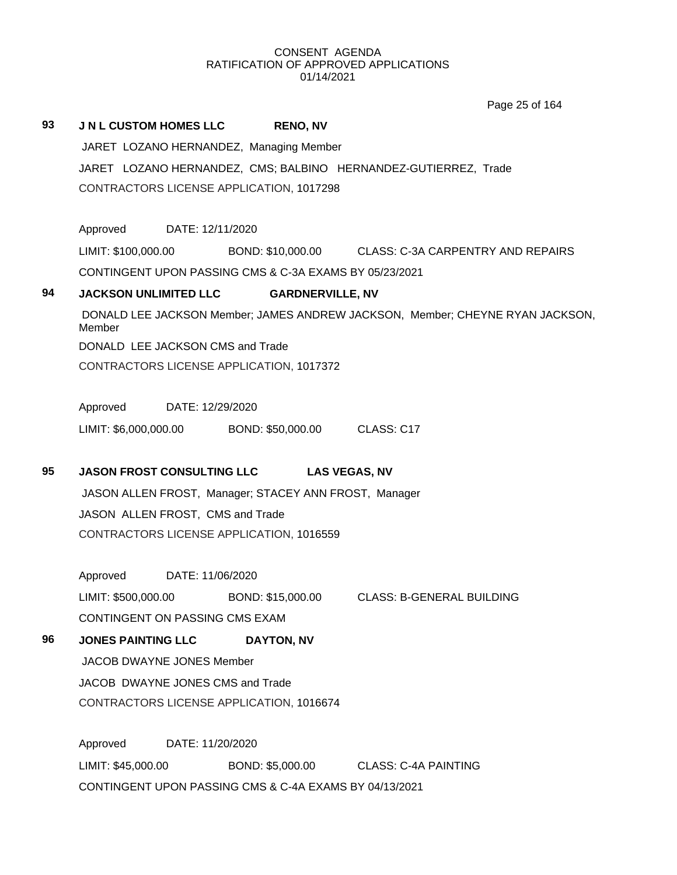# **93 J N L CUSTOM HOMES LLC RENO, NV** JARET LOZANO HERNANDEZ, Managing Member JARET LOZANO HERNANDEZ, CMS; BALBINO HERNANDEZ-GUTIERREZ, Trade CONTRACTORS LICENSE APPLICATION, 1017298 Approved DATE: 12/11/2020 LIMIT: \$100,000.00 BOND: \$10,000.00 CLASS: C-3A CARPENTRY AND REPAIRS CONTINGENT UPON PASSING CMS & C-3A EXAMS BY 05/23/2021 **94 JACKSON UNLIMITED LLC GARDNERVILLE, NV** DONALD LEE JACKSON Member; JAMES ANDREW JACKSON, Member; CHEYNE RYAN JACKSON, Member DONALD LEE JACKSON CMS and Trade CONTRACTORS LICENSE APPLICATION, 1017372 Approved DATE: 12/29/2020 LIMIT: \$6,000,000.00 BOND: \$50,000.00 CLASS: C17 **95 JASON FROST CONSULTING LLC LAS VEGAS, NV** JASON ALLEN FROST, Manager; STACEY ANN FROST, Manager JASON ALLEN FROST, CMS and Trade CONTRACTORS LICENSE APPLICATION, 1016559 Approved DATE: 11/06/2020 LIMIT: \$500,000.00 BOND: \$15,000.00 CLASS: B-GENERAL BUILDING CONTINGENT ON PASSING CMS EXAM **96 JONES PAINTING LLC DAYTON, NV** JACOB DWAYNE JONES Member JACOB DWAYNE JONES CMS and Trade CONTRACTORS LICENSE APPLICATION, 1016674 Approved DATE: 11/20/2020 LIMIT: \$45,000.00 BOND: \$5,000.00 CLASS: C-4A PAINTING CONTINGENT UPON PASSING CMS & C-4A EXAMS BY 04/13/2021 Page 25 of 164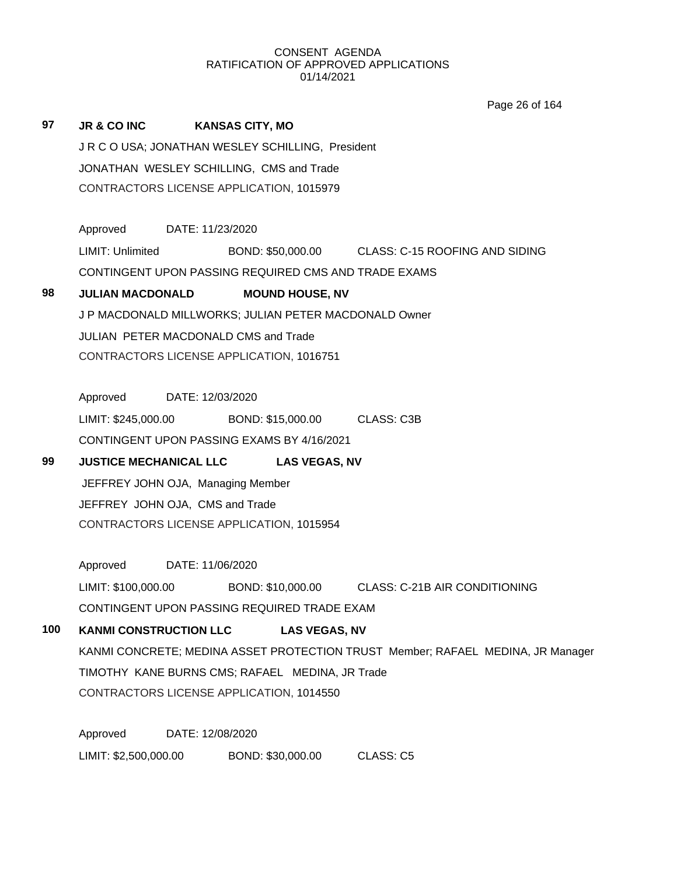Page 26 of 164

| 97  | JR & CO INC                                                                     | <b>KANSAS CITY, MO</b>                                              |  |  |  |
|-----|---------------------------------------------------------------------------------|---------------------------------------------------------------------|--|--|--|
|     | JR C O USA; JONATHAN WESLEY SCHILLING, President                                |                                                                     |  |  |  |
|     | JONATHAN WESLEY SCHILLING, CMS and Trade                                        |                                                                     |  |  |  |
|     | CONTRACTORS LICENSE APPLICATION, 1015979                                        |                                                                     |  |  |  |
|     |                                                                                 |                                                                     |  |  |  |
|     | Approved DATE: 11/23/2020                                                       |                                                                     |  |  |  |
|     | LIMIT: Unlimited                                                                | BOND: \$50,000.00 CLASS: C-15 ROOFING AND SIDING                    |  |  |  |
|     |                                                                                 | CONTINGENT UPON PASSING REQUIRED CMS AND TRADE EXAMS                |  |  |  |
| 98  | <b>JULIAN MACDONALD</b>                                                         | <b>MOUND HOUSE, NV</b>                                              |  |  |  |
|     |                                                                                 | J P MACDONALD MILLWORKS; JULIAN PETER MACDONALD Owner               |  |  |  |
|     | JULIAN PETER MACDONALD CMS and Trade                                            |                                                                     |  |  |  |
|     | CONTRACTORS LICENSE APPLICATION, 1016751                                        |                                                                     |  |  |  |
|     |                                                                                 |                                                                     |  |  |  |
|     | Approved DATE: 12/03/2020                                                       |                                                                     |  |  |  |
|     |                                                                                 | LIMIT: \$245,000.00 BOND: \$15,000.00 CLASS: C3B                    |  |  |  |
|     |                                                                                 | CONTINGENT UPON PASSING EXAMS BY 4/16/2021                          |  |  |  |
| 99  | <b>JUSTICE MECHANICAL LLC</b>                                                   | <b>LAS VEGAS, NV</b>                                                |  |  |  |
|     | JEFFREY JOHN OJA, Managing Member                                               |                                                                     |  |  |  |
|     | JEFFREY JOHN OJA, CMS and Trade                                                 |                                                                     |  |  |  |
|     | CONTRACTORS LICENSE APPLICATION, 1015954                                        |                                                                     |  |  |  |
|     |                                                                                 |                                                                     |  |  |  |
|     | Approved                                                                        | DATE: 11/06/2020                                                    |  |  |  |
|     |                                                                                 | LIMIT: \$100,000.00 BOND: \$10,000.00 CLASS: C-21B AIR CONDITIONING |  |  |  |
|     |                                                                                 | CONTINGENT UPON PASSING REQUIRED TRADE EXAM                         |  |  |  |
| 100 | <b>KANMI CONSTRUCTION LLC</b><br><b>LAS VEGAS, NV</b>                           |                                                                     |  |  |  |
|     | KANMI CONCRETE; MEDINA ASSET PROTECTION TRUST Member; RAFAEL MEDINA, JR Manager |                                                                     |  |  |  |
|     | TIMOTHY KANE BURNS CMS; RAFAEL MEDINA, JR Trade                                 |                                                                     |  |  |  |
|     | CONTRACTORS LICENSE APPLICATION, 1014550                                        |                                                                     |  |  |  |
|     |                                                                                 |                                                                     |  |  |  |
|     | Approved                                                                        | DATE: 12/08/2020                                                    |  |  |  |

LIMIT: \$2,500,000.00 BOND: \$30,000.00 CLASS: C5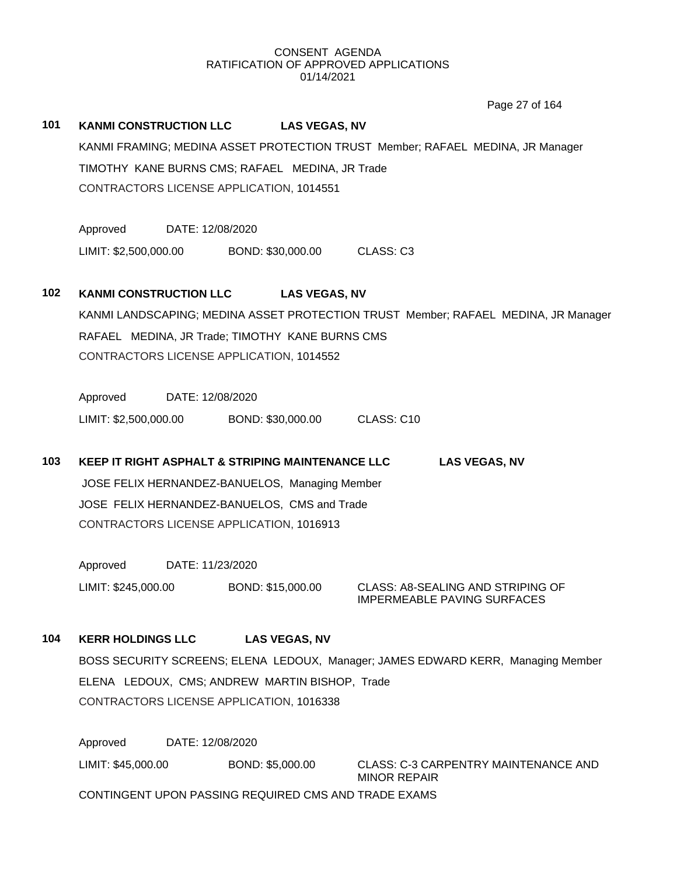Page 27 of 164

### **101 KANMI CONSTRUCTION LLC LAS VEGAS, NV**

KANMI FRAMING; MEDINA ASSET PROTECTION TRUST Member; RAFAEL MEDINA, JR Manager TIMOTHY KANE BURNS CMS; RAFAEL MEDINA, JR Trade CONTRACTORS LICENSE APPLICATION, 1014551

Approved DATE: 12/08/2020 LIMIT: \$2,500,000.00 BOND: \$30,000.00 CLASS: C3

#### **102 KANMI CONSTRUCTION LLC LAS VEGAS, NV**

KANMI LANDSCAPING; MEDINA ASSET PROTECTION TRUST Member; RAFAEL MEDINA, JR Manager RAFAEL MEDINA, JR Trade; TIMOTHY KANE BURNS CMS CONTRACTORS LICENSE APPLICATION, 1014552

Approved DATE: 12/08/2020 LIMIT: \$2,500,000.00 BOND: \$30,000.00 CLASS: C10

**103 KEEP IT RIGHT ASPHALT & STRIPING MAINTENANCE LLC LAS VEGAS, NV** JOSE FELIX HERNANDEZ-BANUELOS, Managing Member JOSE FELIX HERNANDEZ-BANUELOS, CMS and Trade CONTRACTORS LICENSE APPLICATION, 1016913

Approved DATE: 11/23/2020 LIMIT: \$245,000.00 BOND: \$15,000.00 CLASS: A8-SEALING AND STRIPING OF

IMPERMEABLE PAVING SURFACES

**104 KERR HOLDINGS LLC LAS VEGAS, NV**

BOSS SECURITY SCREENS; ELENA LEDOUX, Manager; JAMES EDWARD KERR, Managing Member ELENA LEDOUX, CMS; ANDREW MARTIN BISHOP, Trade CONTRACTORS LICENSE APPLICATION, 1016338

Approved DATE: 12/08/2020 LIMIT: \$45,000.00 BOND: \$5,000.00 CLASS: C-3 CARPENTRY MAINTENANCE AND MINOR REPAIR CONTINGENT UPON PASSING REQUIRED CMS AND TRADE EXAMS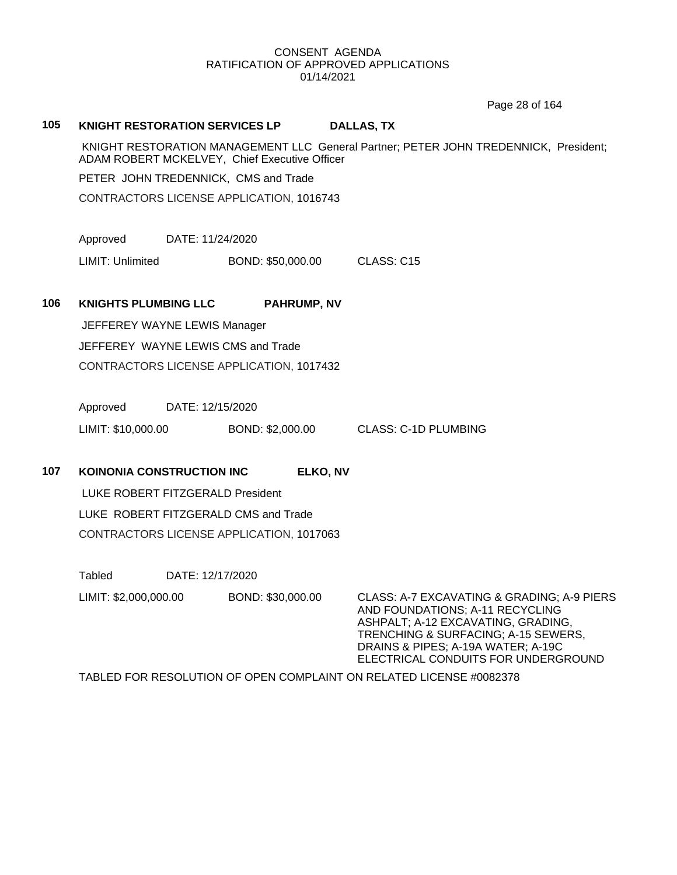Page 28 of 164

#### **105 KNIGHT RESTORATION SERVICES LP DALLAS, TX**

KNIGHT RESTORATION MANAGEMENT LLC General Partner; PETER JOHN TREDENNICK, President; ADAM ROBERT MCKELVEY, Chief Executive Officer

PETER JOHN TREDENNICK, CMS and Trade

CONTRACTORS LICENSE APPLICATION, 1016743

Approved DATE: 11/24/2020

LIMIT: Unlimited BOND: \$50,000.00 CLASS: C15

#### **106 KNIGHTS PLUMBING LLC PAHRUMP, NV**

JEFFEREY WAYNE LEWIS Manager JEFFEREY WAYNE LEWIS CMS and Trade CONTRACTORS LICENSE APPLICATION, 1017432

Approved DATE: 12/15/2020

LIMIT: \$10,000.00 BOND: \$2,000.00 CLASS: C-1D PLUMBING

#### **107 KOINONIA CONSTRUCTION INC ELKO, NV**

LUKE ROBERT FITZGERALD President LUKE ROBERT FITZGERALD CMS and Trade CONTRACTORS LICENSE APPLICATION, 1017063

Tabled DATE: 12/17/2020

LIMIT: \$2,000,000.00 BOND: \$30,000.00 CLASS: A-7 EXCAVATING & GRADING; A-9 PIERS

AND FOUNDATIONS; A-11 RECYCLING ASHPALT; A-12 EXCAVATING, GRADING, TRENCHING & SURFACING; A-15 SEWERS, DRAINS & PIPES; A-19A WATER; A-19C ELECTRICAL CONDUITS FOR UNDERGROUND

TABLED FOR RESOLUTION OF OPEN COMPLAINT ON RELATED LICENSE #0082378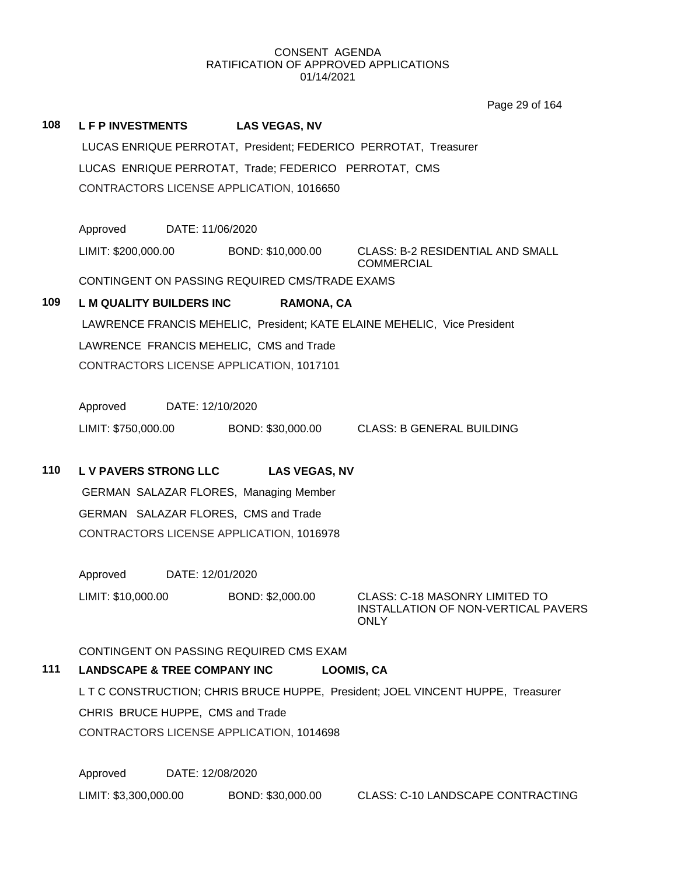Page 29 of 164

| 108 | <b>LFPINVESTMENTS</b>                                                                                   | <b>LAS VEGAS, NV</b> |                                                                               |  |  |
|-----|---------------------------------------------------------------------------------------------------------|----------------------|-------------------------------------------------------------------------------|--|--|
|     | LUCAS ENRIQUE PERROTAT, President; FEDERICO PERROTAT, Treasurer                                         |                      |                                                                               |  |  |
|     | LUCAS ENRIQUE PERROTAT, Trade; FEDERICO PERROTAT, CMS                                                   |                      |                                                                               |  |  |
|     | CONTRACTORS LICENSE APPLICATION, 1016650                                                                |                      |                                                                               |  |  |
|     |                                                                                                         |                      |                                                                               |  |  |
|     | Approved<br>DATE: 11/06/2020                                                                            |                      |                                                                               |  |  |
|     | LIMIT: \$200,000.00                                                                                     | BOND: \$10,000.00    | CLASS: B-2 RESIDENTIAL AND SMALL<br><b>COMMERCIAL</b>                         |  |  |
|     | CONTINGENT ON PASSING REQUIRED CMS/TRADE EXAMS                                                          |                      |                                                                               |  |  |
| 109 | <b>L M QUALITY BUILDERS INC</b>                                                                         | <b>RAMONA, CA</b>    |                                                                               |  |  |
|     | LAWRENCE FRANCIS MEHELIC, President; KATE ELAINE MEHELIC, Vice President                                |                      |                                                                               |  |  |
|     | LAWRENCE FRANCIS MEHELIC, CMS and Trade                                                                 |                      |                                                                               |  |  |
|     | CONTRACTORS LICENSE APPLICATION, 1017101                                                                |                      |                                                                               |  |  |
|     |                                                                                                         |                      |                                                                               |  |  |
|     | DATE: 12/10/2020<br>Approved                                                                            |                      |                                                                               |  |  |
|     | LIMIT: \$750,000.00                                                                                     |                      | BOND: \$30,000.00 CLASS: B GENERAL BUILDING                                   |  |  |
|     |                                                                                                         |                      |                                                                               |  |  |
| 110 | <b>LV PAVERS STRONG LLC</b>                                                                             | <b>LAS VEGAS, NV</b> |                                                                               |  |  |
|     | <b>GERMAN SALAZAR FLORES, Managing Member</b>                                                           |                      |                                                                               |  |  |
|     | GERMAN SALAZAR FLORES, CMS and Trade                                                                    |                      |                                                                               |  |  |
|     | CONTRACTORS LICENSE APPLICATION, 1016978                                                                |                      |                                                                               |  |  |
|     |                                                                                                         |                      |                                                                               |  |  |
|     | Approved DATE: 12/01/2020                                                                               |                      |                                                                               |  |  |
|     | LIMIT: \$10,000.00                                                                                      | BOND: \$2,000.00     | CLASS: C-18 MASONRY LIMITED TO<br>INSTALLATION OF NON-VERTICAL PAVERS<br>ONLY |  |  |
|     |                                                                                                         |                      |                                                                               |  |  |
| 111 | CONTINGENT ON PASSING REQUIRED CMS EXAM<br><b>LANDSCAPE &amp; TREE COMPANY INC</b><br><b>LOOMIS, CA</b> |                      |                                                                               |  |  |
|     | L T C CONSTRUCTION; CHRIS BRUCE HUPPE, President; JOEL VINCENT HUPPE, Treasurer                         |                      |                                                                               |  |  |
|     | CHRIS BRUCE HUPPE, CMS and Trade                                                                        |                      |                                                                               |  |  |
|     | CONTRACTORS LICENSE APPLICATION, 1014698                                                                |                      |                                                                               |  |  |
|     |                                                                                                         |                      |                                                                               |  |  |
|     |                                                                                                         |                      |                                                                               |  |  |

Approved DATE: 12/08/2020 LIMIT: \$3,300,000.00 BOND: \$30,000.00 CLASS: C-10 LANDSCAPE CONTRACTING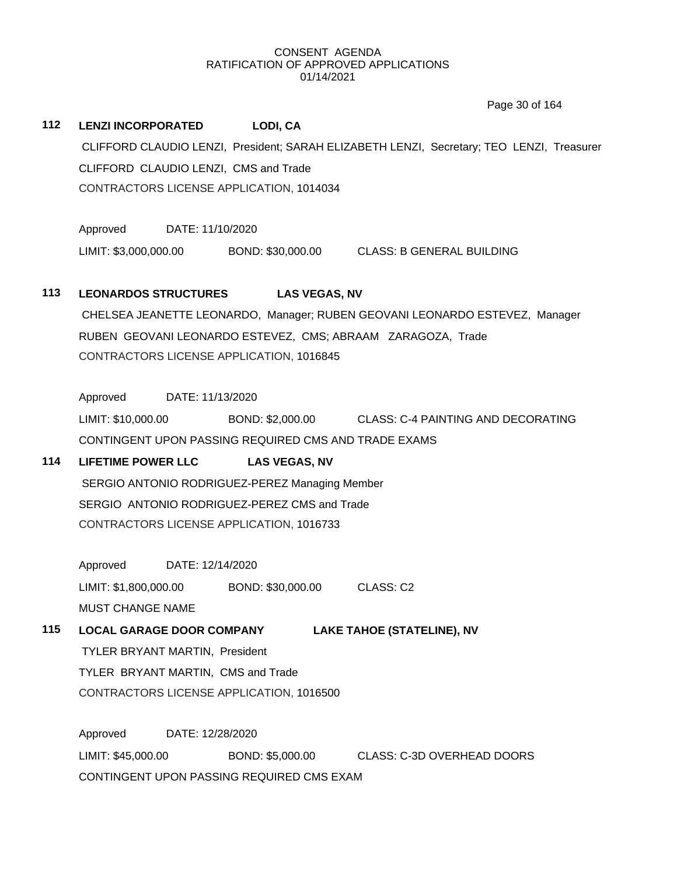Page 30 of 164

# **112 LENZI INCORPORATED LODI, CA** CLIFFORD CLAUDIO LENZI, President; SARAH ELIZABETH LENZI, Secretary; TEO LENZI, Treasurer CLIFFORD CLAUDIO LENZI, CMS and Trade CONTRACTORS LICENSE APPLICATION, 1014034

Approved DATE: 11/10/2020 LIMIT: \$3,000,000.00 BOND: \$30,000.00 CLASS: B GENERAL BUILDING

# **113 LEONARDOS STRUCTURES LAS VEGAS, NV**

CHELSEA JEANETTE LEONARDO, Manager; RUBEN GEOVANI LEONARDO ESTEVEZ, Manager RUBEN GEOVANI LEONARDO ESTEVEZ, CMS; ABRAAM ZARAGOZA, Trade CONTRACTORS LICENSE APPLICATION, 1016845

Approved DATE: 11/13/2020

LIMIT: \$10,000.00 BOND: \$2,000.00 CLASS: C-4 PAINTING AND DECORATING CONTINGENT UPON PASSING REQUIRED CMS AND TRADE EXAMS

# **114 LIFETIME POWER LLC LAS VEGAS, NV**

SERGIO ANTONIO RODRIGUEZ-PEREZ Managing Member SERGIO ANTONIO RODRIGUEZ-PEREZ CMS and Trade CONTRACTORS LICENSE APPLICATION, 1016733

Approved DATE: 12/14/2020 LIMIT: \$1,800,000.00 BOND: \$30,000.00 CLASS: C2 MUST CHANGE NAME

# **115 LOCAL GARAGE DOOR COMPANY LAKE TAHOE (STATELINE), NV**

TYLER BRYANT MARTIN, President TYLER BRYANT MARTIN, CMS and Trade CONTRACTORS LICENSE APPLICATION, 1016500

Approved DATE: 12/28/2020 LIMIT: \$45,000.00 BOND: \$5,000.00 CLASS: C-3D OVERHEAD DOORS CONTINGENT UPON PASSING REQUIRED CMS EXAM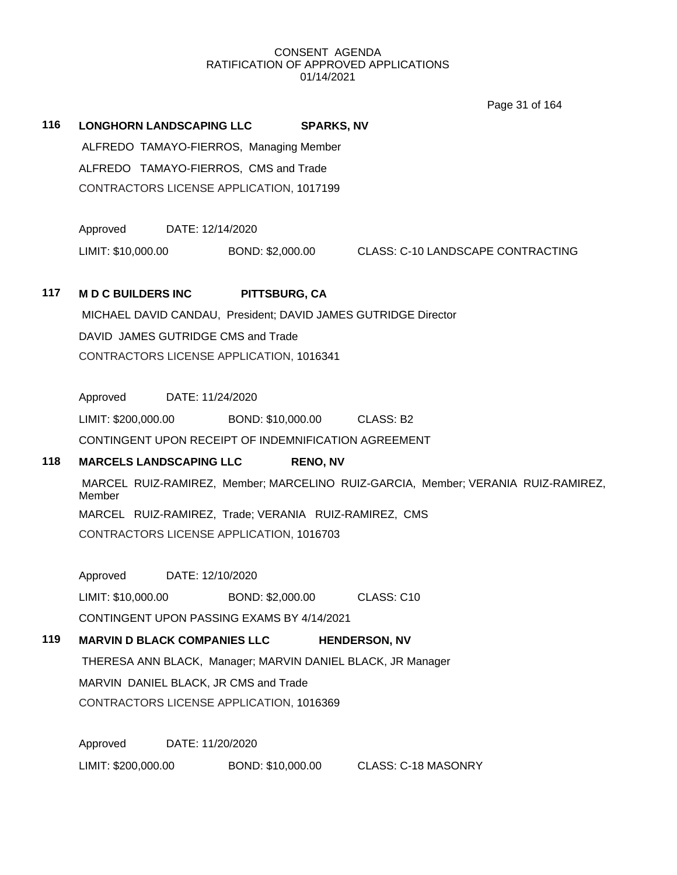Page 31 of 164

**116 LONGHORN LANDSCAPING LLC SPARKS, NV** ALFREDO TAMAYO-FIERROS, Managing Member

> ALFREDO TAMAYO-FIERROS, CMS and Trade CONTRACTORS LICENSE APPLICATION, 1017199

Approved DATE: 12/14/2020

LIMIT: \$10,000.00 BOND: \$2,000.00 CLASS: C-10 LANDSCAPE CONTRACTING

# **117 M D C BUILDERS INC PITTSBURG, CA**

MICHAEL DAVID CANDAU, President; DAVID JAMES GUTRIDGE Director DAVID JAMES GUTRIDGE CMS and Trade CONTRACTORS LICENSE APPLICATION, 1016341

Approved DATE: 11/24/2020

LIMIT: \$200,000.00 BOND: \$10,000.00 CLASS: B2

CONTINGENT UPON RECEIPT OF INDEMNIFICATION AGREEMENT

# **118 MARCELS LANDSCAPING LLC RENO, NV**

MARCEL RUIZ-RAMIREZ, Member; MARCELINO RUIZ-GARCIA, Member; VERANIA RUIZ-RAMIREZ, Member MARCEL RUIZ-RAMIREZ, Trade; VERANIA RUIZ-RAMIREZ, CMS CONTRACTORS LICENSE APPLICATION, 1016703

Approved DATE: 12/10/2020

LIMIT: \$10,000.00 BOND: \$2,000.00 CLASS: C10

CONTINGENT UPON PASSING EXAMS BY 4/14/2021

# **119 MARVIN D BLACK COMPANIES LLC HENDERSON, NV**

THERESA ANN BLACK, Manager; MARVIN DANIEL BLACK, JR Manager MARVIN DANIEL BLACK, JR CMS and Trade CONTRACTORS LICENSE APPLICATION, 1016369

Approved DATE: 11/20/2020 LIMIT: \$200,000.00 BOND: \$10,000.00 CLASS: C-18 MASONRY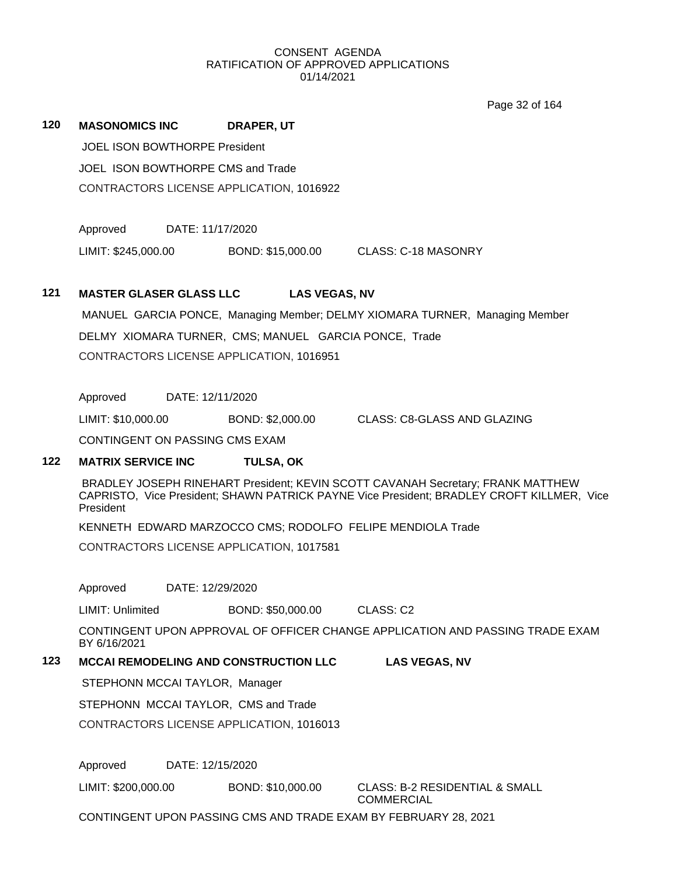Page 32 of 164

# JOEL ISON BOWTHORPE President JOEL ISON BOWTHORPE CMS and Trade CONTRACTORS LICENSE APPLICATION, 1016922 Approved DATE: 11/17/2020 DELMY XIOMARA TURNER, CMS; MANUEL GARCIA PONCE, Trade CONTRACTORS LICENSE APPLICATION, 1016951 Approved DATE: 12/11/2020 CONTINGENT ON PASSING CMS EXAM President CONTRACTORS LICENSE APPLICATION, 1017581 Approved DATE: 12/29/2020 LIMIT: Unlimited BOND: \$50,000.00 CLASS: C2 BY 6/16/2021 STEPHONN MCCAI TAYLOR, Manager STEPHONN MCCAI TAYLOR, CMS and Trade

Approved DATE: 12/15/2020

LIMIT: \$200,000.00 BOND: \$10,000.00 CLASS: B-2 RESIDENTIAL & SMALL

**COMMERCIAL** 

CONTINGENT UPON PASSING CMS AND TRADE EXAM BY FEBRUARY 28, 2021

# **120 MASONOMICS INC DRAPER, UT**

LIMIT: \$245,000.00 BOND: \$15,000.00 CLASS: C-18 MASONRY

# **121 MASTER GLASER GLASS LLC LAS VEGAS, NV**

MANUEL GARCIA PONCE, Managing Member; DELMY XIOMARA TURNER, Managing Member

LIMIT: \$10,000.00 BOND: \$2,000.00 CLASS: C8-GLASS AND GLAZING

# **122 MATRIX SERVICE INC TULSA, OK**

BRADLEY JOSEPH RINEHART President; KEVIN SCOTT CAVANAH Secretary; FRANK MATTHEW CAPRISTO, Vice President; SHAWN PATRICK PAYNE Vice President; BRADLEY CROFT KILLMER, Vice

KENNETH EDWARD MARZOCCO CMS; RODOLFO FELIPE MENDIOLA Trade

CONTINGENT UPON APPROVAL OF OFFICER CHANGE APPLICATION AND PASSING TRADE EXAM

# **123 MCCAI REMODELING AND CONSTRUCTION LLC LAS VEGAS, NV**

CONTRACTORS LICENSE APPLICATION, 1016013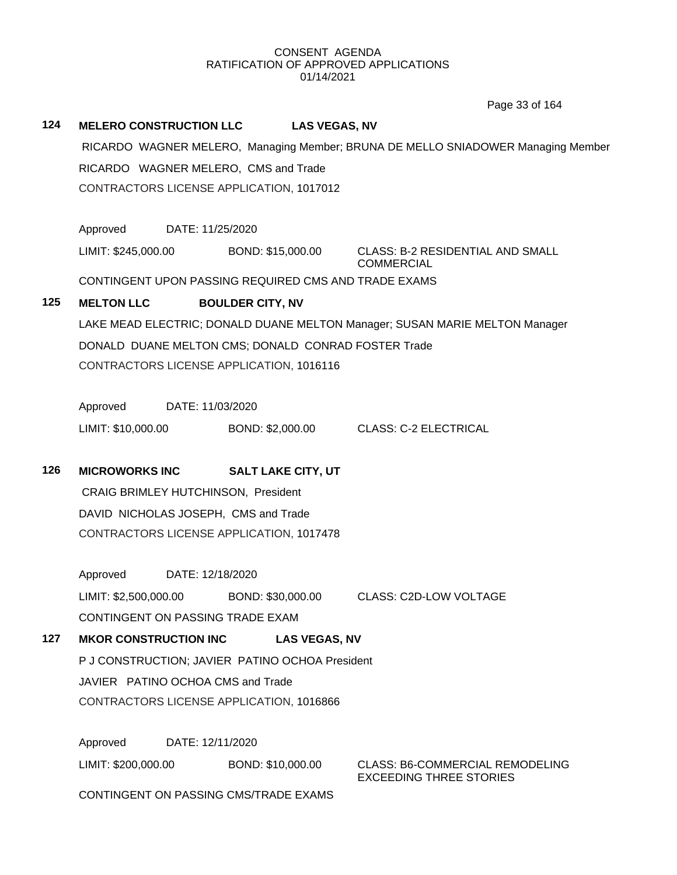# **124 MELERO CONSTRUCTION LLC LAS VEGAS, NV** RICARDO WAGNER MELERO, Managing Member; BRUNA DE MELLO SNIADOWER Managing Member RICARDO WAGNER MELERO, CMS and Trade CONTRACTORS LICENSE APPLICATION, 1017012 Approved DATE: 11/25/2020 LIMIT: \$245,000.00 BOND: \$15,000.00 CLASS: B-2 RESIDENTIAL AND SMALL COMMERCIAL CONTINGENT UPON PASSING REQUIRED CMS AND TRADE EXAMS **125 MELTON LLC BOULDER CITY, NV** LAKE MEAD ELECTRIC; DONALD DUANE MELTON Manager; SUSAN MARIE MELTON Manager DONALD DUANE MELTON CMS; DONALD CONRAD FOSTER Trade CONTRACTORS LICENSE APPLICATION, 1016116 Approved DATE: 11/03/2020 LIMIT: \$10,000.00 BOND: \$2,000.00 CLASS: C-2 ELECTRICAL **126 MICROWORKS INC SALT LAKE CITY, UT** CRAIG BRIMLEY HUTCHINSON, President DAVID NICHOLAS JOSEPH, CMS and Trade CONTRACTORS LICENSE APPLICATION, 1017478 Approved DATE: 12/18/2020 LIMIT: \$2,500,000.00 BOND: \$30,000.00 CLASS: C2D-LOW VOLTAGE CONTINGENT ON PASSING TRADE EXAM **127 MKOR CONSTRUCTION INC LAS VEGAS, NV** P J CONSTRUCTION; JAVIER PATINO OCHOA President JAVIER PATINO OCHOA CMS and Trade CONTRACTORS LICENSE APPLICATION, 1016866 Approved DATE: 12/11/2020 LIMIT: \$200,000.00 BOND: \$10,000.00 CLASS: B6-COMMERCIAL REMODELING EXCEEDING THREE STORIES CONTINGENT ON PASSING CMS/TRADE EXAMS Page 33 of 164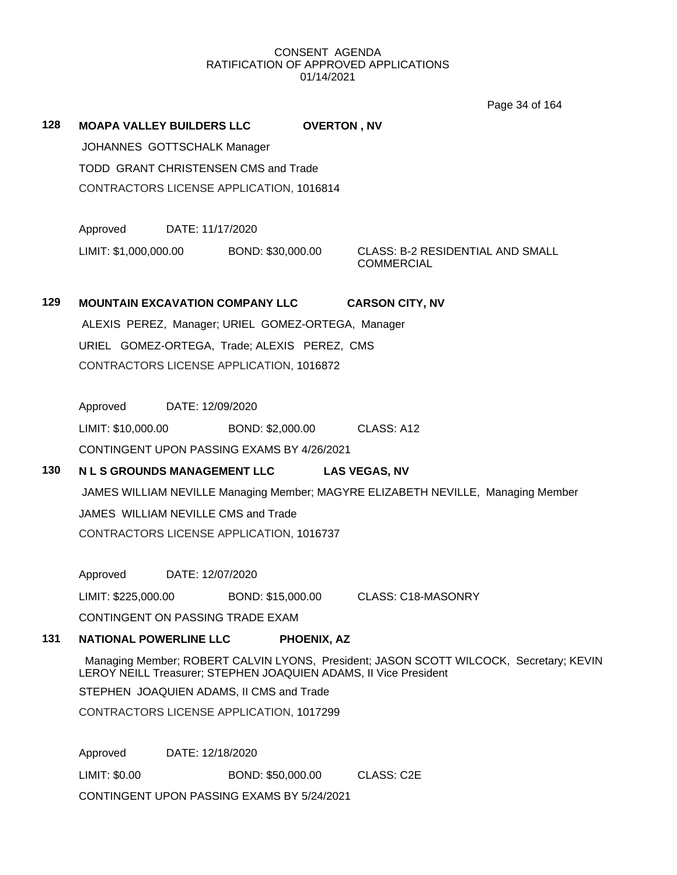**128 MOAPA VALLEY BUILDERS LLC OVERTON , NV**

Page 34 of 164

JOHANNES GOTTSCHALK Manager TODD GRANT CHRISTENSEN CMS and Trade CONTRACTORS LICENSE APPLICATION, 1016814 Approved DATE: 11/17/2020 LIMIT: \$1,000,000.00 BOND: \$30,000.00 CLASS: B-2 RESIDENTIAL AND SMALL **COMMERCIAL 129 MOUNTAIN EXCAVATION COMPANY LLC CARSON CITY, NV** ALEXIS PEREZ, Manager; URIEL GOMEZ-ORTEGA, Manager URIEL GOMEZ-ORTEGA, Trade; ALEXIS PEREZ, CMS CONTRACTORS LICENSE APPLICATION, 1016872 Approved DATE: 12/09/2020 LIMIT: \$10,000.00 BOND: \$2,000.00 CLASS: A12 CONTINGENT UPON PASSING EXAMS BY 4/26/2021 **130 N L S GROUNDS MANAGEMENT LLC LAS VEGAS, NV** JAMES WILLIAM NEVILLE Managing Member; MAGYRE ELIZABETH NEVILLE, Managing Member JAMES WILLIAM NEVILLE CMS and Trade CONTRACTORS LICENSE APPLICATION, 1016737 Approved DATE: 12/07/2020 LIMIT: \$225,000.00 BOND: \$15,000.00 CLASS: C18-MASONRY CONTINGENT ON PASSING TRADE EXAM **131 NATIONAL POWERLINE LLC PHOENIX, AZ** Managing Member; ROBERT CALVIN LYONS, President; JASON SCOTT WILCOCK, Secretary; KEVIN LEROY NEILL Treasurer; STEPHEN JOAQUIEN ADAMS, II Vice President STEPHEN JOAQUIEN ADAMS, II CMS and Trade CONTRACTORS LICENSE APPLICATION, 1017299 Approved DATE: 12/18/2020 LIMIT: \$0.00 BOND: \$50,000.00 CLASS: C2E CONTINGENT UPON PASSING EXAMS BY 5/24/2021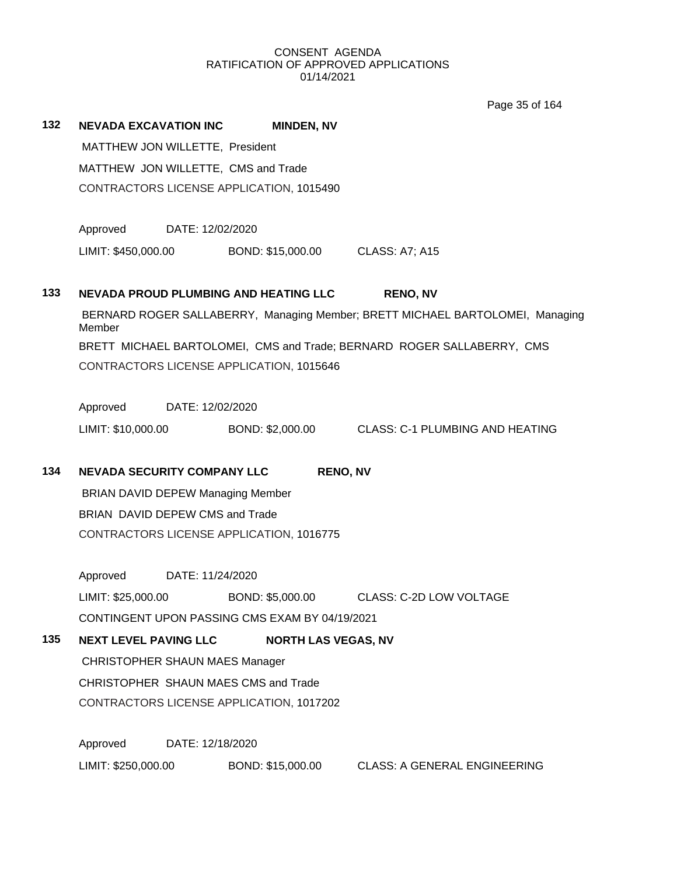Page 35 of 164

| 132 | <b>NEVADA EXCAVATION INC</b>             |                                     | <b>MINDEN, NV</b>                              |                                                                               |  |  |  |  |  |
|-----|------------------------------------------|-------------------------------------|------------------------------------------------|-------------------------------------------------------------------------------|--|--|--|--|--|
|     | MATTHEW JON WILLETTE, President          |                                     |                                                |                                                                               |  |  |  |  |  |
|     |                                          | MATTHEW JON WILLETTE, CMS and Trade |                                                |                                                                               |  |  |  |  |  |
|     |                                          |                                     | CONTRACTORS LICENSE APPLICATION, 1015490       |                                                                               |  |  |  |  |  |
|     | Approved                                 | DATE: 12/02/2020                    |                                                |                                                                               |  |  |  |  |  |
|     | LIMIT: \$450,000.00                      |                                     | BOND: \$15,000.00                              | <b>CLASS: A7; A15</b>                                                         |  |  |  |  |  |
| 133 |                                          |                                     | NEVADA PROUD PLUMBING AND HEATING LLC          | <b>RENO, NV</b>                                                               |  |  |  |  |  |
|     | Member                                   |                                     |                                                | BERNARD ROGER SALLABERRY, Managing Member; BRETT MICHAEL BARTOLOMEI, Managing |  |  |  |  |  |
|     |                                          |                                     |                                                | BRETT MICHAEL BARTOLOMEI, CMS and Trade; BERNARD ROGER SALLABERRY, CMS        |  |  |  |  |  |
|     |                                          |                                     | CONTRACTORS LICENSE APPLICATION, 1015646       |                                                                               |  |  |  |  |  |
|     | Approved                                 | DATE: 12/02/2020                    |                                                |                                                                               |  |  |  |  |  |
|     | LIMIT: \$10,000.00                       |                                     |                                                | BOND: \$2,000.00 CLASS: C-1 PLUMBING AND HEATING                              |  |  |  |  |  |
| 134 | <b>NEVADA SECURITY COMPANY LLC</b>       |                                     | <b>RENO, NV</b>                                |                                                                               |  |  |  |  |  |
|     | <b>BRIAN DAVID DEPEW Managing Member</b> |                                     |                                                |                                                                               |  |  |  |  |  |
|     | BRIAN DAVID DEPEW CMS and Trade          |                                     |                                                |                                                                               |  |  |  |  |  |
|     |                                          |                                     | CONTRACTORS LICENSE APPLICATION, 1016775       |                                                                               |  |  |  |  |  |
|     | Approved                                 | DATE: 11/24/2020                    |                                                |                                                                               |  |  |  |  |  |
|     | LIMIT: \$25,000.00                       |                                     | BOND: \$5,000.00                               | <b>CLASS: C-2D LOW VOLTAGE</b>                                                |  |  |  |  |  |
|     |                                          |                                     | CONTINGENT UPON PASSING CMS EXAM BY 04/19/2021 |                                                                               |  |  |  |  |  |
| 135 | <b>NEXT LEVEL PAVING LLC</b>             |                                     | <b>NORTH LAS VEGAS, NV</b>                     |                                                                               |  |  |  |  |  |
|     | <b>CHRISTOPHER SHAUN MAES Manager</b>    |                                     |                                                |                                                                               |  |  |  |  |  |
|     |                                          |                                     | CHRISTOPHER SHAUN MAES CMS and Trade           |                                                                               |  |  |  |  |  |
|     |                                          |                                     | CONTRACTORS LICENSE APPLICATION, 1017202       |                                                                               |  |  |  |  |  |
|     | Approved                                 | DATE: 12/18/2020                    |                                                |                                                                               |  |  |  |  |  |
|     | LIMIT: \$250,000.00                      |                                     | BOND: \$15,000.00                              | <b>CLASS: A GENERAL ENGINEERING</b>                                           |  |  |  |  |  |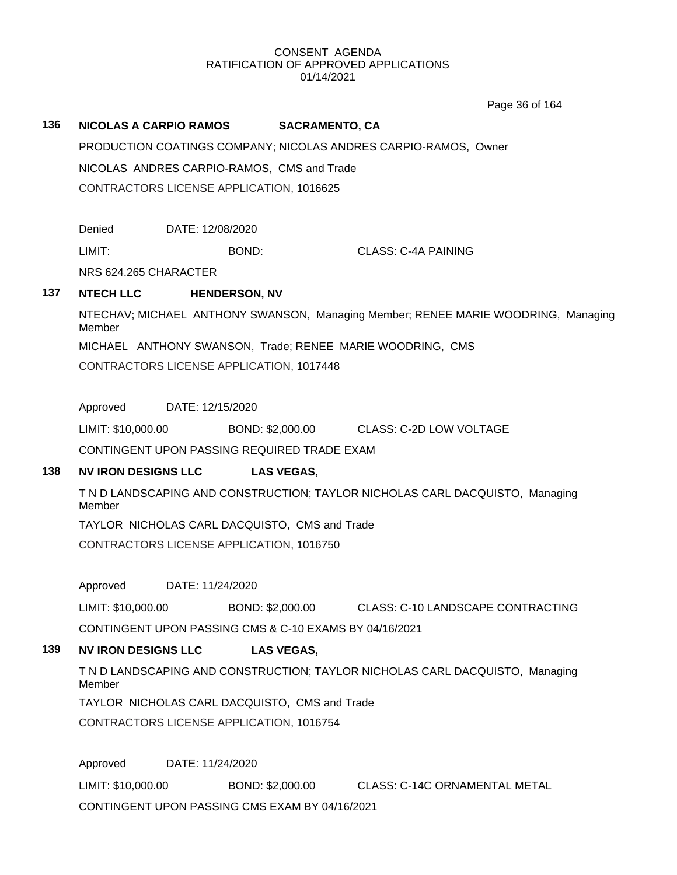Page 36 of 164

### **136 NICOLAS A CARPIO RAMOS SACRAMENTO, CA**

PRODUCTION COATINGS COMPANY; NICOLAS ANDRES CARPIO-RAMOS, Owner NICOLAS ANDRES CARPIO-RAMOS, CMS and Trade CONTRACTORS LICENSE APPLICATION, 1016625

Denied DATE: 12/08/2020

LIMIT: BOND: CLASS: C-4A PAINING

NRS 624.265 CHARACTER

## **137 NTECH LLC HENDERSON, NV**

NTECHAV; MICHAEL ANTHONY SWANSON, Managing Member; RENEE MARIE WOODRING, Managing Member

MICHAEL ANTHONY SWANSON, Trade; RENEE MARIE WOODRING, CMS

CONTRACTORS LICENSE APPLICATION, 1017448

Approved DATE: 12/15/2020

LIMIT: \$10,000.00 BOND: \$2,000.00 CLASS: C-2D LOW VOLTAGE

CONTINGENT UPON PASSING REQUIRED TRADE EXAM

## **138 NV IRON DESIGNS LLC LAS VEGAS,**

T N D LANDSCAPING AND CONSTRUCTION; TAYLOR NICHOLAS CARL DACQUISTO, Managing Member

TAYLOR NICHOLAS CARL DACQUISTO, CMS and Trade CONTRACTORS LICENSE APPLICATION, 1016750

Approved DATE: 11/24/2020

LIMIT: \$10,000.00 BOND: \$2,000.00 CLASS: C-10 LANDSCAPE CONTRACTING CONTINGENT UPON PASSING CMS & C-10 EXAMS BY 04/16/2021

## **139 NV IRON DESIGNS LLC LAS VEGAS,**

T N D LANDSCAPING AND CONSTRUCTION; TAYLOR NICHOLAS CARL DACQUISTO, Managing Member

TAYLOR NICHOLAS CARL DACQUISTO, CMS and Trade

CONTRACTORS LICENSE APPLICATION, 1016754

Approved DATE: 11/24/2020

LIMIT: \$10,000.00 BOND: \$2,000.00 CLASS: C-14C ORNAMENTAL METAL

CONTINGENT UPON PASSING CMS EXAM BY 04/16/2021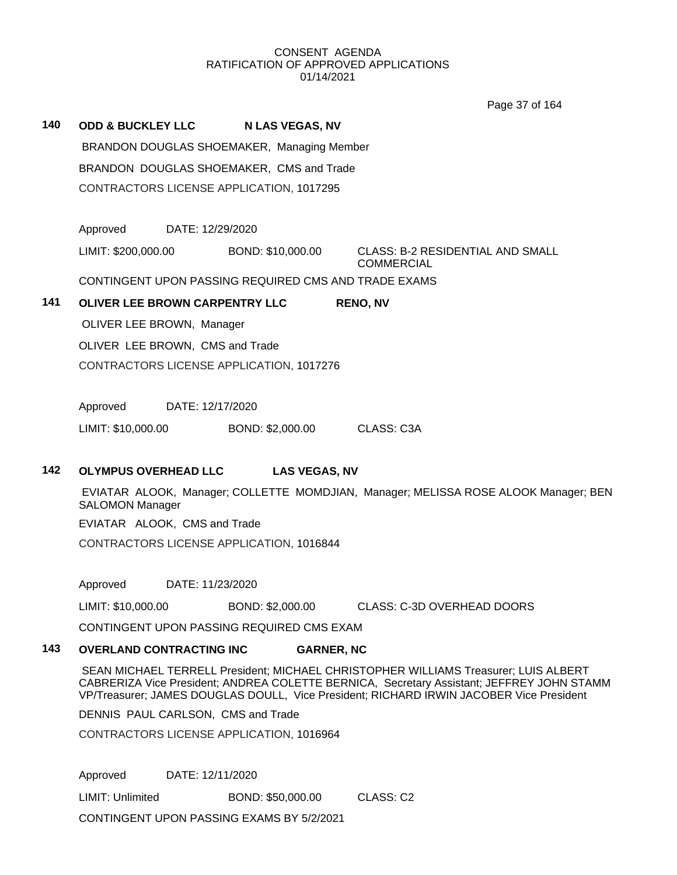Page 37 of 164

# **140 ODD & BUCKLEY LLC N LAS VEGAS, NV** BRANDON DOUGLAS SHOEMAKER, Managing Member BRANDON DOUGLAS SHOEMAKER, CMS and Trade CONTRACTORS LICENSE APPLICATION, 1017295 Approved DATE: 12/29/2020 LIMIT: \$200,000.00 BOND: \$10,000.00 CLASS: B-2 RESIDENTIAL AND SMALL COMMERCIAL

CONTINGENT UPON PASSING REQUIRED CMS AND TRADE EXAMS

# **141 OLIVER LEE BROWN CARPENTRY LLC RENO, NV**

OLIVER LEE BROWN, Manager

OLIVER LEE BROWN, CMS and Trade

CONTRACTORS LICENSE APPLICATION, 1017276

Approved DATE: 12/17/2020

LIMIT: \$10,000.00 BOND: \$2,000.00 CLASS: C3A

## **142 OLYMPUS OVERHEAD LLC LAS VEGAS, NV**

EVIATAR ALOOK, Manager; COLLETTE MOMDJIAN, Manager; MELISSA ROSE ALOOK Manager; BEN SALOMON Manager

EVIATAR ALOOK, CMS and Trade

CONTRACTORS LICENSE APPLICATION, 1016844

Approved DATE: 11/23/2020

LIMIT: \$10,000.00 BOND: \$2,000.00 CLASS: C-3D OVERHEAD DOORS

CONTINGENT UPON PASSING REQUIRED CMS EXAM

# **143 OVERLAND CONTRACTING INC GARNER, NC**

SEAN MICHAEL TERRELL President; MICHAEL CHRISTOPHER WILLIAMS Treasurer; LUIS ALBERT CABRERIZA Vice President; ANDREA COLETTE BERNICA, Secretary Assistant; JEFFREY JOHN STAMM VP/Treasurer; JAMES DOUGLAS DOULL, Vice President; RICHARD IRWIN JACOBER Vice President

DENNIS PAUL CARLSON, CMS and Trade

CONTRACTORS LICENSE APPLICATION, 1016964

Approved DATE: 12/11/2020

LIMIT: Unlimited BOND: \$50,000.00 CLASS: C2

CONTINGENT UPON PASSING EXAMS BY 5/2/2021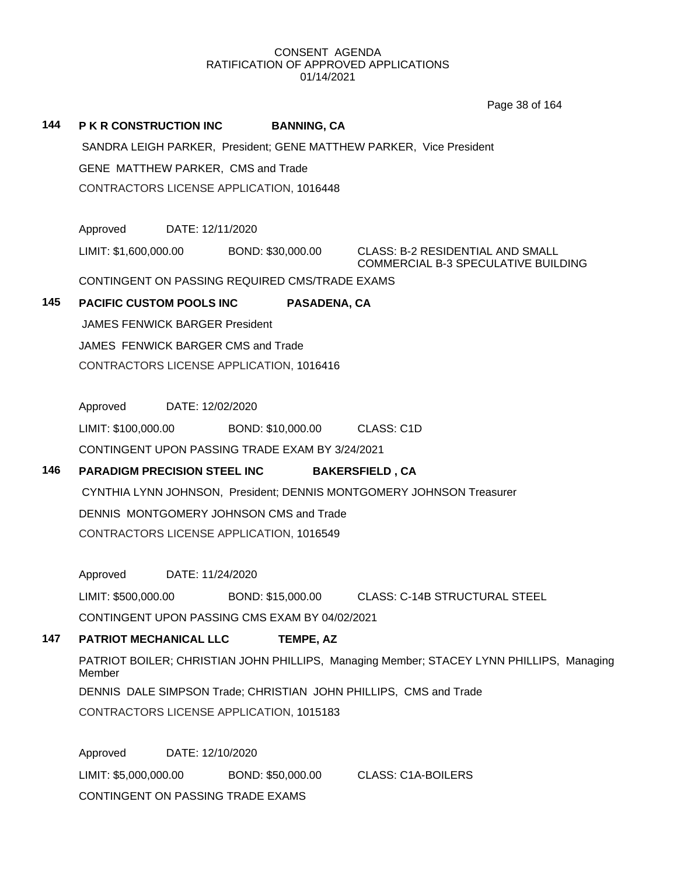# **144 P K R CONSTRUCTION INC BANNING, CA** SANDRA LEIGH PARKER, President; GENE MATTHEW PARKER, Vice President GENE MATTHEW PARKER, CMS and Trade CONTRACTORS LICENSE APPLICATION, 1016448 Approved DATE: 12/11/2020 LIMIT: \$1,600,000.00 BOND: \$30,000.00 CLASS: B-2 RESIDENTIAL AND SMALL COMMERCIAL B-3 SPECULATIVE BUILDING CONTINGENT ON PASSING REQUIRED CMS/TRADE EXAMS **145 PACIFIC CUSTOM POOLS INC PASADENA, CA** JAMES FENWICK BARGER President JAMES FENWICK BARGER CMS and Trade CONTRACTORS LICENSE APPLICATION, 1016416 Approved DATE: 12/02/2020 LIMIT: \$100,000.00 BOND: \$10,000.00 CLASS: C1D CONTINGENT UPON PASSING TRADE EXAM BY 3/24/2021 **146 PARADIGM PRECISION STEEL INC BAKERSFIELD , CA** CYNTHIA LYNN JOHNSON, President; DENNIS MONTGOMERY JOHNSON Treasurer DENNIS MONTGOMERY JOHNSON CMS and Trade CONTRACTORS LICENSE APPLICATION, 1016549 Approved DATE: 11/24/2020 LIMIT: \$500,000.00 BOND: \$15,000.00 CLASS: C-14B STRUCTURAL STEEL CONTINGENT UPON PASSING CMS EXAM BY 04/02/2021 **147 PATRIOT MECHANICAL LLC TEMPE, AZ** PATRIOT BOILER; CHRISTIAN JOHN PHILLIPS, Managing Member; STACEY LYNN PHILLIPS, Managing Member DENNIS DALE SIMPSON Trade; CHRISTIAN JOHN PHILLIPS, CMS and Trade CONTRACTORS LICENSE APPLICATION, 1015183 Approved DATE: 12/10/2020 LIMIT: \$5,000,000.00 BOND: \$50,000.00 CLASS: C1A-BOILERS CONTINGENT ON PASSING TRADE EXAMS Page 38 of 164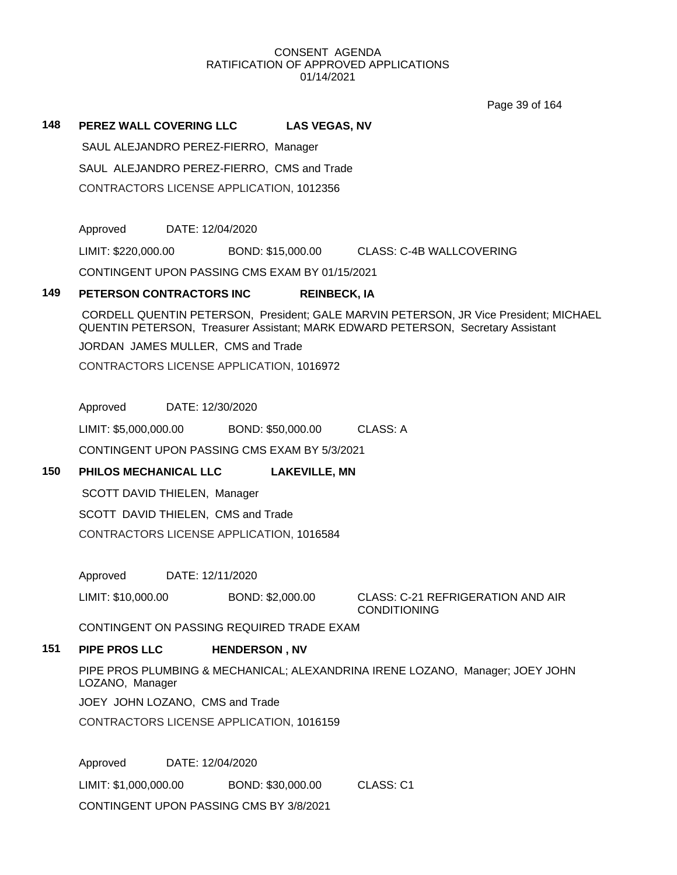Page 39 of 164

### **148 PEREZ WALL COVERING LLC LAS VEGAS, NV**

SAUL ALEJANDRO PEREZ-FIERRO, Manager

SAUL ALEJANDRO PEREZ-FIERRO, CMS and Trade

CONTRACTORS LICENSE APPLICATION, 1012356

Approved DATE: 12/04/2020

LIMIT: \$220,000.00 BOND: \$15,000.00 CLASS: C-4B WALLCOVERING

CONTINGENT UPON PASSING CMS EXAM BY 01/15/2021

#### **149 PETERSON CONTRACTORS INC REINBECK, IA**

CORDELL QUENTIN PETERSON, President; GALE MARVIN PETERSON, JR Vice President; MICHAEL QUENTIN PETERSON, Treasurer Assistant; MARK EDWARD PETERSON, Secretary Assistant

JORDAN JAMES MULLER, CMS and Trade

CONTRACTORS LICENSE APPLICATION, 1016972

Approved DATE: 12/30/2020

LIMIT: \$5,000,000.00 BOND: \$50,000.00 CLASS: A

CONTINGENT UPON PASSING CMS EXAM BY 5/3/2021

# **150 PHILOS MECHANICAL LLC LAKEVILLE, MN**

SCOTT DAVID THIELEN, Manager SCOTT DAVID THIELEN, CMS and Trade

CONTRACTORS LICENSE APPLICATION, 1016584

Approved DATE: 12/11/2020

LIMIT: \$10,000.00 BOND: \$2,000.00 CLASS: C-21 REFRIGERATION AND AIR

CONDITIONING

CONTINGENT ON PASSING REQUIRED TRADE EXAM

# **151 PIPE PROS LLC HENDERSON , NV**

PIPE PROS PLUMBING & MECHANICAL; ALEXANDRINA IRENE LOZANO, Manager; JOEY JOHN LOZANO, Manager

JOEY JOHN LOZANO, CMS and Trade

CONTRACTORS LICENSE APPLICATION, 1016159

Approved DATE: 12/04/2020

LIMIT: \$1,000,000.00 BOND: \$30,000.00 CLASS: C1

CONTINGENT UPON PASSING CMS BY 3/8/2021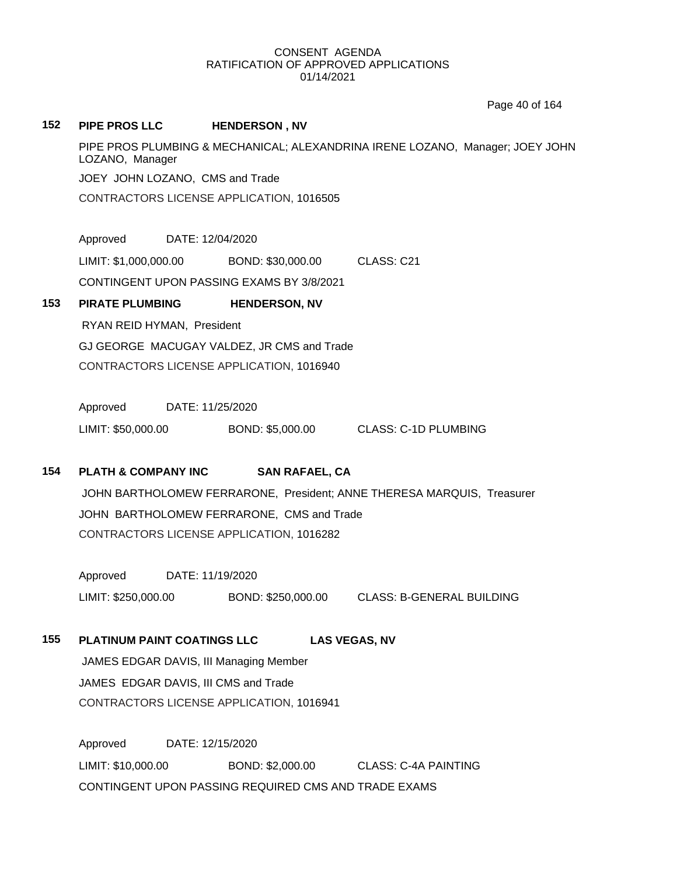Page 40 of 164

# **152 PIPE PROS LLC HENDERSON , NV** PIPE PROS PLUMBING & MECHANICAL; ALEXANDRINA IRENE LOZANO, Manager; JOEY JOHN LOZANO, Manager JOEY JOHN LOZANO, CMS and Trade CONTRACTORS LICENSE APPLICATION, 1016505 Approved DATE: 12/04/2020 LIMIT: \$1,000,000.00 BOND: \$30,000.00 CLASS: C21 CONTINGENT UPON PASSING EXAMS BY 3/8/2021 **153 PIRATE PLUMBING HENDERSON, NV** RYAN REID HYMAN, President GJ GEORGE MACUGAY VALDEZ, JR CMS and Trade CONTRACTORS LICENSE APPLICATION, 1016940 Approved DATE: 11/25/2020 LIMIT: \$50,000.00 BOND: \$5,000.00 CLASS: C-1D PLUMBING

## **154 PLATH & COMPANY INC SAN RAFAEL, CA**

JOHN BARTHOLOMEW FERRARONE, President; ANNE THERESA MARQUIS, Treasurer JOHN BARTHOLOMEW FERRARONE, CMS and Trade CONTRACTORS LICENSE APPLICATION, 1016282

Approved DATE: 11/19/2020 LIMIT: \$250,000.00 BOND: \$250,000.00 CLASS: B-GENERAL BUILDING

# **155 PLATINUM PAINT COATINGS LLC LAS VEGAS, NV**

JAMES EDGAR DAVIS, III Managing Member JAMES EDGAR DAVIS, III CMS and Trade CONTRACTORS LICENSE APPLICATION, 1016941

Approved DATE: 12/15/2020 LIMIT: \$10,000.00 BOND: \$2,000.00 CLASS: C-4A PAINTING CONTINGENT UPON PASSING REQUIRED CMS AND TRADE EXAMS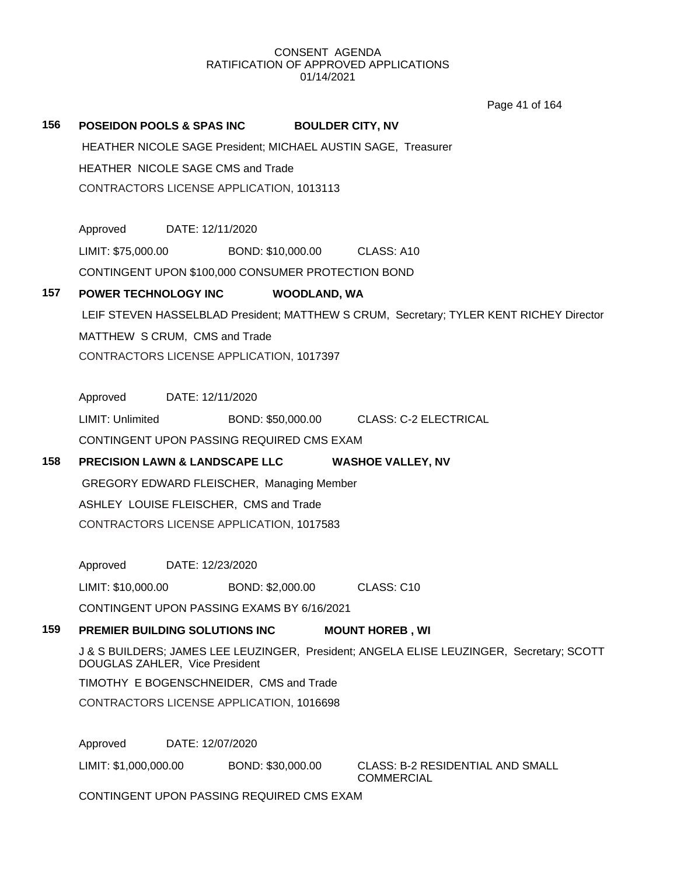# 156 **POSEIDON POOLS & SPAS INC BOULDER CITY, NV** HEATHER NICOLE SAGE President; MICHAEL AUSTIN SAGE, Treasurer HEATHER NICOLE SAGE CMS and Trade CONTRACTORS LICENSE APPLICATION, 1013113 Approved DATE: 12/11/2020 LIMIT: \$75,000.00 BOND: \$10,000.00 CLASS: A10 CONTINGENT UPON \$100,000 CONSUMER PROTECTION BOND **157 POWER TECHNOLOGY INC WOODLAND, WA** LEIF STEVEN HASSELBLAD President; MATTHEW S CRUM, Secretary; TYLER KENT RICHEY Director MATTHEW S CRUM, CMS and Trade CONTRACTORS LICENSE APPLICATION, 1017397 Approved DATE: 12/11/2020 LIMIT: Unlimited BOND: \$50,000.00 CLASS: C-2 ELECTRICAL CONTINGENT UPON PASSING REQUIRED CMS EXAM **158 PRECISION LAWN & LANDSCAPE LLC WASHOE VALLEY, NV** GREGORY EDWARD FLEISCHER, Managing Member ASHLEY LOUISE FLEISCHER, CMS and Trade CONTRACTORS LICENSE APPLICATION, 1017583 Approved DATE: 12/23/2020 LIMIT: \$10,000.00 BOND: \$2,000.00 CLASS: C10 CONTINGENT UPON PASSING EXAMS BY 6/16/2021 **159 PREMIER BUILDING SOLUTIONS INC MOUNT HOREB , WI** J & S BUILDERS; JAMES LEE LEUZINGER, President; ANGELA ELISE LEUZINGER, Secretary; SCOTT DOUGLAS ZAHLER, Vice President TIMOTHY E BOGENSCHNEIDER, CMS and Trade CONTRACTORS LICENSE APPLICATION, 1016698 Approved DATE: 12/07/2020 LIMIT: \$1,000,000.00 BOND: \$30,000.00 CLASS: B-2 RESIDENTIAL AND SMALL COMMERCIAL Page 41 of 164

CONTINGENT UPON PASSING REQUIRED CMS EXAM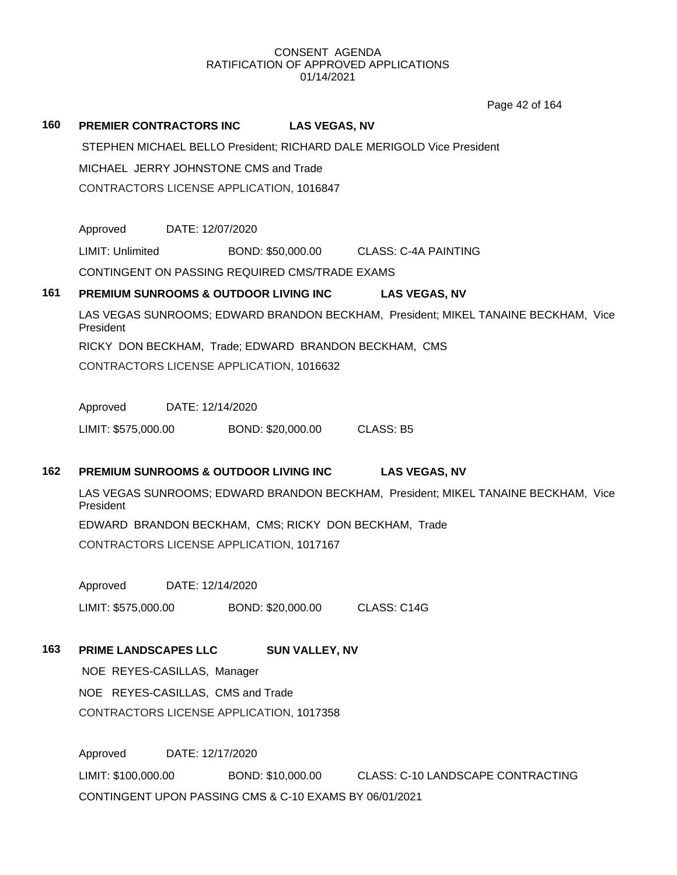Page 42 of 164

#### **160 PREMIER CONTRACTORS INC LAS VEGAS, NV**

STEPHEN MICHAEL BELLO President; RICHARD DALE MERIGOLD Vice President

MICHAEL JERRY JOHNSTONE CMS and Trade

CONTRACTORS LICENSE APPLICATION, 1016847

Approved DATE: 12/07/2020

LIMIT: Unlimited BOND: \$50,000.00 CLASS: C-4A PAINTING

CONTINGENT ON PASSING REQUIRED CMS/TRADE EXAMS

### **161 PREMIUM SUNROOMS & OUTDOOR LIVING INC LAS VEGAS, NV**

LAS VEGAS SUNROOMS; EDWARD BRANDON BECKHAM, President; MIKEL TANAINE BECKHAM, Vice President

RICKY DON BECKHAM, Trade; EDWARD BRANDON BECKHAM, CMS

CONTRACTORS LICENSE APPLICATION, 1016632

Approved DATE: 12/14/2020

LIMIT: \$575,000.00 BOND: \$20,000.00 CLASS: B5

## **162 PREMIUM SUNROOMS & OUTDOOR LIVING INC LAS VEGAS, NV**

LAS VEGAS SUNROOMS; EDWARD BRANDON BECKHAM, President; MIKEL TANAINE BECKHAM, Vice President EDWARD BRANDON BECKHAM, CMS; RICKY DON BECKHAM, Trade

CONTRACTORS LICENSE APPLICATION, 1017167

Approved DATE: 12/14/2020

LIMIT: \$575,000.00 BOND: \$20,000.00 CLASS: C14G

# **163 PRIME LANDSCAPES LLC SUN VALLEY, NV**

NOE REYES-CASILLAS, Manager NOE REYES-CASILLAS, CMS and Trade CONTRACTORS LICENSE APPLICATION, 1017358

Approved DATE: 12/17/2020 LIMIT: \$100,000.00 BOND: \$10,000.00 CLASS: C-10 LANDSCAPE CONTRACTING CONTINGENT UPON PASSING CMS & C-10 EXAMS BY 06/01/2021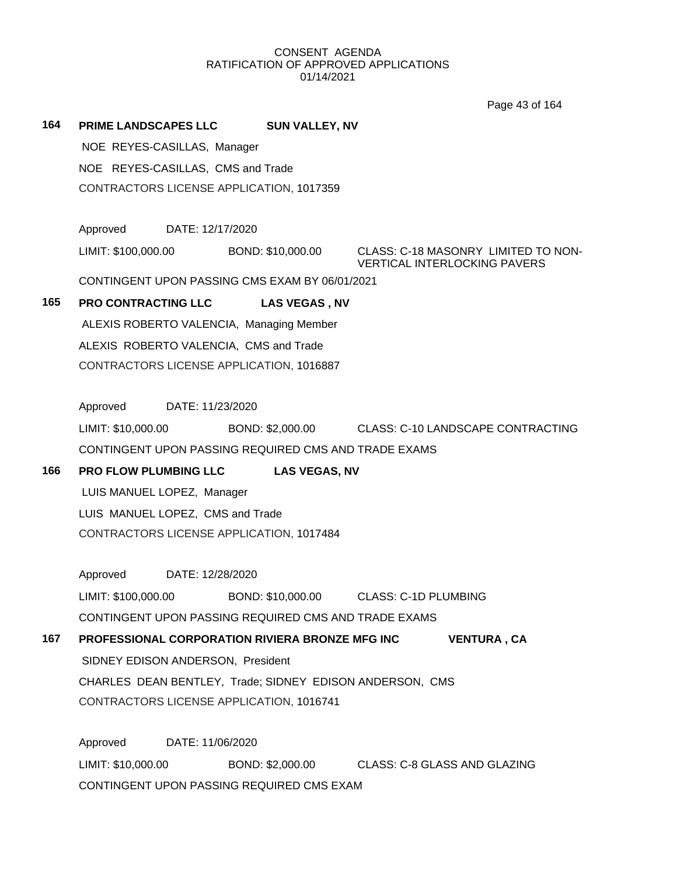Page 43 of 164

### **164 PRIME LANDSCAPES LLC SUN VALLEY, NV**

NOE REYES-CASILLAS, Manager NOE REYES-CASILLAS, CMS and Trade CONTRACTORS LICENSE APPLICATION, 1017359

Approved DATE: 12/17/2020

LIMIT: \$100,000.00 BOND: \$10,000.00 CLASS: C-18 MASONRY LIMITED TO NON-

VERTICAL INTERLOCKING PAVERS

CONTINGENT UPON PASSING CMS EXAM BY 06/01/2021

# **165 PRO CONTRACTING LLC LAS VEGAS , NV**

ALEXIS ROBERTO VALENCIA, Managing Member ALEXIS ROBERTO VALENCIA, CMS and Trade CONTRACTORS LICENSE APPLICATION, 1016887

Approved DATE: 11/23/2020

LIMIT: \$10,000.00 BOND: \$2,000.00 CLASS: C-10 LANDSCAPE CONTRACTING CONTINGENT UPON PASSING REQUIRED CMS AND TRADE EXAMS

# **166 PRO FLOW PLUMBING LLC LAS VEGAS, NV**

LUIS MANUEL LOPEZ, Manager LUIS MANUEL LOPEZ, CMS and Trade CONTRACTORS LICENSE APPLICATION, 1017484

Approved DATE: 12/28/2020

LIMIT: \$100,000.00 BOND: \$10,000.00 CLASS: C-1D PLUMBING CONTINGENT UPON PASSING REQUIRED CMS AND TRADE EXAMS

# **167 PROFESSIONAL CORPORATION RIVIERA BRONZE MFG INC VENTURA , CA**

SIDNEY EDISON ANDERSON, President

CHARLES DEAN BENTLEY, Trade; SIDNEY EDISON ANDERSON, CMS CONTRACTORS LICENSE APPLICATION, 1016741

Approved DATE: 11/06/2020 LIMIT: \$10,000.00 BOND: \$2,000.00 CLASS: C-8 GLASS AND GLAZING CONTINGENT UPON PASSING REQUIRED CMS EXAM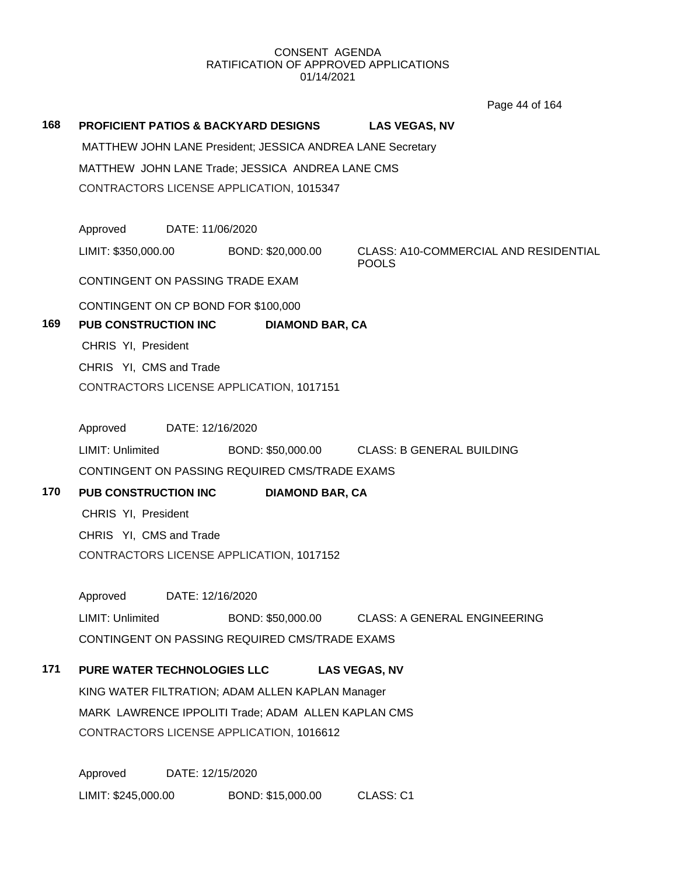Page 44 of 164

**168 PROFICIENT PATIOS & BACKYARD DESIGNS LAS VEGAS, NV** MATTHEW JOHN LANE President; JESSICA ANDREA LANE Secretary MATTHEW JOHN LANE Trade; JESSICA ANDREA LANE CMS CONTRACTORS LICENSE APPLICATION, 1015347 Approved DATE: 11/06/2020 LIMIT: \$350,000.00 BOND: \$20,000.00 CLASS: A10-COMMERCIAL AND RESIDENTIAL POOLS CONTINGENT ON PASSING TRADE EXAM CONTINGENT ON CP BOND FOR \$100,000 **169 PUB CONSTRUCTION INC DIAMOND BAR, CA** CHRIS YI, President CHRIS YI, CMS and Trade CONTRACTORS LICENSE APPLICATION, 1017151 Approved DATE: 12/16/2020 LIMIT: Unlimited BOND: \$50,000.00 CLASS: B GENERAL BUILDING CONTINGENT ON PASSING REQUIRED CMS/TRADE EXAMS **170 PUB CONSTRUCTION INC DIAMOND BAR, CA** CHRIS YI, President CHRIS YI, CMS and Trade CONTRACTORS LICENSE APPLICATION, 1017152 Approved DATE: 12/16/2020 LIMIT: Unlimited BOND: \$50,000.00 CLASS: A GENERAL ENGINEERING CONTINGENT ON PASSING REQUIRED CMS/TRADE EXAMS **171 PURE WATER TECHNOLOGIES LLC LAS VEGAS, NV** KING WATER FILTRATION; ADAM ALLEN KAPLAN Manager MARK LAWRENCE IPPOLITI Trade; ADAM ALLEN KAPLAN CMS CONTRACTORS LICENSE APPLICATION, 1016612 Approved DATE: 12/15/2020 LIMIT: \$245,000.00 BOND: \$15,000.00 CLASS: C1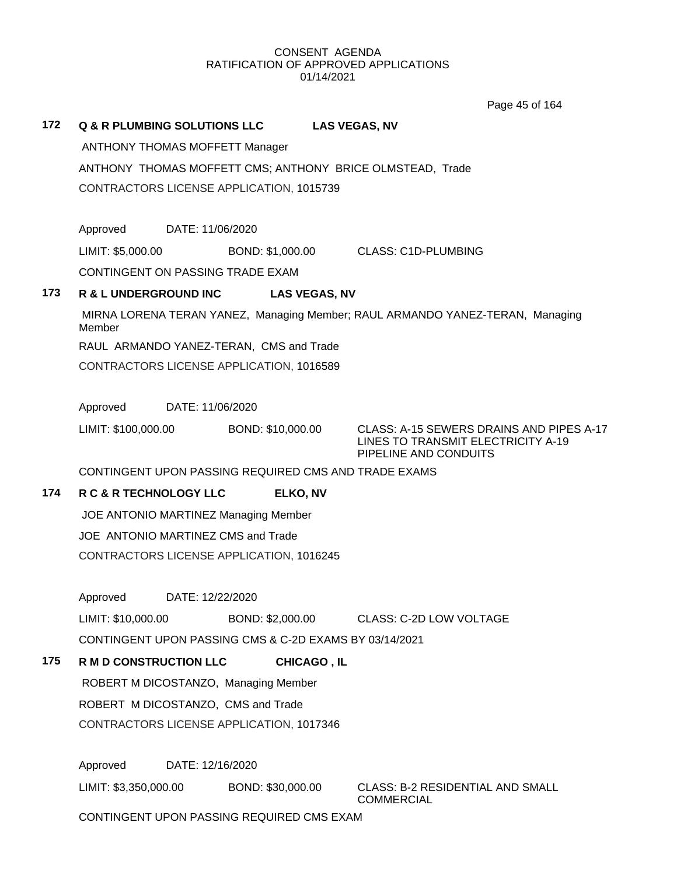Page 45 of 164

|     |                                                        |                   | Page 45 01 164                                                                |
|-----|--------------------------------------------------------|-------------------|-------------------------------------------------------------------------------|
| 172 | <b>Q &amp; R PLUMBING SOLUTIONS LLC</b>                |                   | <b>LAS VEGAS, NV</b>                                                          |
|     | <b>ANTHONY THOMAS MOFFETT Manager</b>                  |                   |                                                                               |
|     |                                                        |                   | ANTHONY THOMAS MOFFETT CMS; ANTHONY BRICE OLMSTEAD, Trade                     |
|     | CONTRACTORS LICENSE APPLICATION, 1015739               |                   |                                                                               |
|     |                                                        |                   |                                                                               |
|     | DATE: 11/06/2020<br>Approved                           |                   |                                                                               |
|     | LIMIT: \$5,000.00                                      | BOND: \$1,000.00  | <b>CLASS: C1D-PLUMBING</b>                                                    |
|     | CONTINGENT ON PASSING TRADE EXAM                       |                   |                                                                               |
| 173 | R & L UNDERGROUND INC                                  |                   | <b>LAS VEGAS, NV</b>                                                          |
|     | Member                                                 |                   | MIRNA LORENA TERAN YANEZ, Managing Member; RAUL ARMANDO YANEZ-TERAN, Managing |
|     | RAUL ARMANDO YANEZ-TERAN, CMS and Trade                |                   |                                                                               |
|     | CONTRACTORS LICENSE APPLICATION, 1016589               |                   |                                                                               |
|     | Approved<br>DATE: 11/06/2020                           |                   |                                                                               |
|     | LIMIT: \$100,000.00                                    | BOND: \$10,000.00 | CLASS: A-15 SEWERS DRAINS AND PIPES A-17                                      |
|     |                                                        |                   | LINES TO TRANSMIT ELECTRICITY A-19<br>PIPELINE AND CONDUITS                   |
|     | CONTINGENT UPON PASSING REQUIRED CMS AND TRADE EXAMS   |                   |                                                                               |
| 174 | R C & R TECHNOLOGY LLC                                 | ELKO, NV          |                                                                               |
|     | JOE ANTONIO MARTINEZ Managing Member                   |                   |                                                                               |
|     | JOE ANTONIO MARTINEZ CMS and Trade                     |                   |                                                                               |
|     | CONTRACTORS LICENSE APPLICATION, 1016245               |                   |                                                                               |
|     | DATE: 12/22/2020<br>Approved                           |                   |                                                                               |
|     | LIMIT: \$10,000.00                                     | BOND: \$2,000.00  | <b>CLASS: C-2D LOW VOLTAGE</b>                                                |
|     | CONTINGENT UPON PASSING CMS & C-2D EXAMS BY 03/14/2021 |                   |                                                                               |
| 175 | R M D CONSTRUCTION LLC                                 |                   | <b>CHICAGO, IL</b>                                                            |
|     | ROBERT M DICOSTANZO, Managing Member                   |                   |                                                                               |
|     | ROBERT M DICOSTANZO, CMS and Trade                     |                   |                                                                               |
|     | CONTRACTORS LICENSE APPLICATION, 1017346               |                   |                                                                               |

Approved DATE: 12/16/2020

LIMIT: \$3,350,000.00 BOND: \$30,000.00 CLASS: B-2 RESIDENTIAL AND SMALL

COMMERCIAL

CONTINGENT UPON PASSING REQUIRED CMS EXAM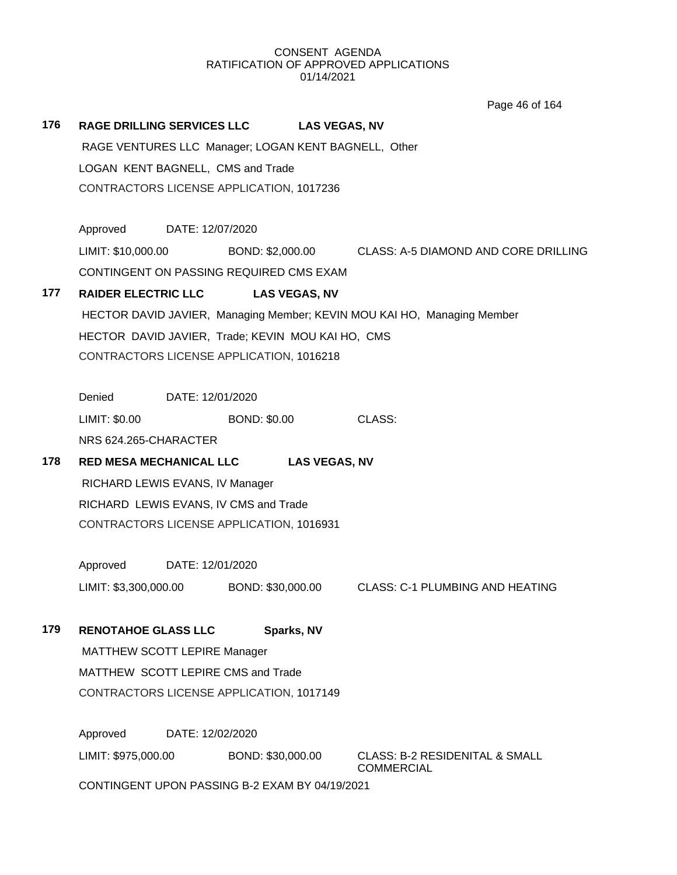Page 46 of 164

|     |                                                      |                  |                     |                      | Faye 40 01 104                                                          |  |  |
|-----|------------------------------------------------------|------------------|---------------------|----------------------|-------------------------------------------------------------------------|--|--|
| 176 | <b>RAGE DRILLING SERVICES LLC</b>                    |                  |                     | <b>LAS VEGAS, NV</b> |                                                                         |  |  |
|     | RAGE VENTURES LLC Manager; LOGAN KENT BAGNELL, Other |                  |                     |                      |                                                                         |  |  |
|     | LOGAN KENT BAGNELL, CMS and Trade                    |                  |                     |                      |                                                                         |  |  |
|     | CONTRACTORS LICENSE APPLICATION, 1017236             |                  |                     |                      |                                                                         |  |  |
|     |                                                      |                  |                     |                      |                                                                         |  |  |
|     | Approved DATE: 12/07/2020                            |                  |                     |                      |                                                                         |  |  |
|     | LIMIT: \$10,000.00                                   |                  |                     |                      | BOND: \$2,000.00 CLASS: A-5 DIAMOND AND CORE DRILLING                   |  |  |
|     | CONTINGENT ON PASSING REQUIRED CMS EXAM              |                  |                     |                      |                                                                         |  |  |
| 177 | <b>RAIDER ELECTRIC LLC</b>                           |                  |                     | <b>LAS VEGAS, NV</b> |                                                                         |  |  |
|     |                                                      |                  |                     |                      | HECTOR DAVID JAVIER, Managing Member; KEVIN MOU KAI HO, Managing Member |  |  |
|     | HECTOR DAVID JAVIER, Trade; KEVIN MOU KAI HO, CMS    |                  |                     |                      |                                                                         |  |  |
|     | CONTRACTORS LICENSE APPLICATION, 1016218             |                  |                     |                      |                                                                         |  |  |
|     | Denied DATE: 12/01/2020                              |                  |                     |                      |                                                                         |  |  |
|     | LIMIT: \$0.00                                        |                  | <b>BOND: \$0.00</b> |                      | CLASS:                                                                  |  |  |
|     | NRS 624.265-CHARACTER                                |                  |                     |                      |                                                                         |  |  |
| 178 | <b>RED MESA MECHANICAL LLC</b>                       |                  |                     | <b>LAS VEGAS, NV</b> |                                                                         |  |  |
|     | RICHARD LEWIS EVANS, IV Manager                      |                  |                     |                      |                                                                         |  |  |
|     | RICHARD LEWIS EVANS, IV CMS and Trade                |                  |                     |                      |                                                                         |  |  |
|     | CONTRACTORS LICENSE APPLICATION, 1016931             |                  |                     |                      |                                                                         |  |  |
|     | Approved                                             | DATE: 12/01/2020 |                     |                      |                                                                         |  |  |
|     | LIMIT: \$3,300,000.00                                |                  |                     |                      | BOND: \$30,000.00 CLASS: C-1 PLUMBING AND HEATING                       |  |  |
| 179 | <b>RENOTAHOE GLASS LLC</b>                           |                  | Sparks, NV          |                      |                                                                         |  |  |
|     | <b>MATTHEW SCOTT LEPIRE Manager</b>                  |                  |                     |                      |                                                                         |  |  |
|     | MATTHEW SCOTT LEPIRE CMS and Trade                   |                  |                     |                      |                                                                         |  |  |
|     | CONTRACTORS LICENSE APPLICATION, 1017149             |                  |                     |                      |                                                                         |  |  |
|     | Approved                                             | DATE: 12/02/2020 |                     |                      |                                                                         |  |  |
|     | LIMIT: \$975,000.00                                  |                  | BOND: \$30,000.00   |                      | <b>CLASS: B-2 RESIDENITAL &amp; SMALL</b><br><b>COMMERCIAL</b>          |  |  |
|     | CONTINGENT UPON PASSING B-2 EXAM BY 04/19/2021       |                  |                     |                      |                                                                         |  |  |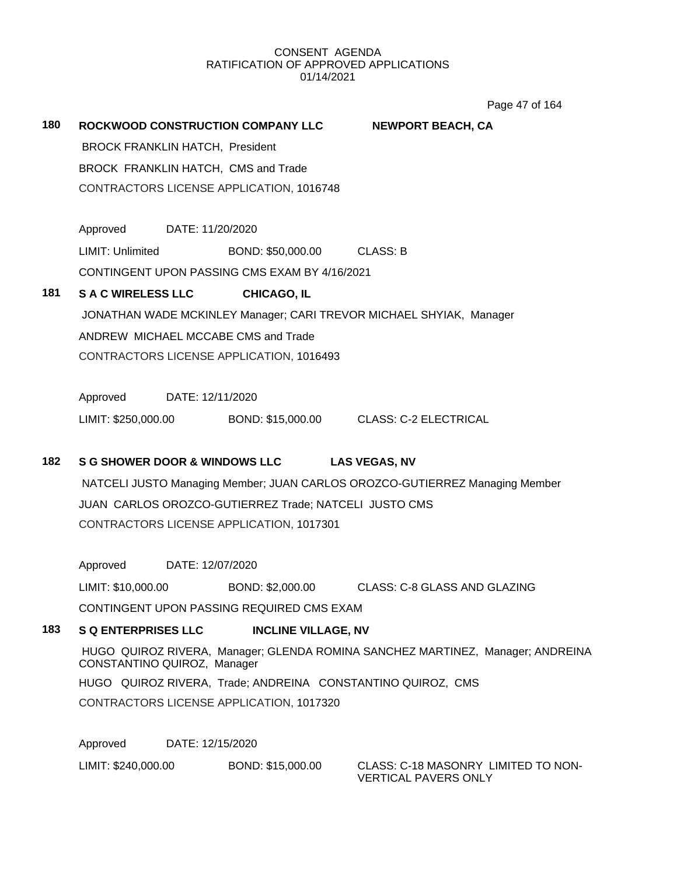Page 47 of 164

| 180 | ROCKWOOD CONSTRUCTION COMPANY LLC        |                                                       | <b>NEWPORT BEACH, CA</b>                                                    |  |
|-----|------------------------------------------|-------------------------------------------------------|-----------------------------------------------------------------------------|--|
|     | BROCK FRANKLIN HATCH, President          |                                                       |                                                                             |  |
|     | BROCK FRANKLIN HATCH, CMS and Trade      |                                                       |                                                                             |  |
|     |                                          | CONTRACTORS LICENSE APPLICATION, 1016748              |                                                                             |  |
|     |                                          |                                                       |                                                                             |  |
|     | Approved DATE: 11/20/2020                |                                                       |                                                                             |  |
|     | LIMIT: Unlimited                         | BOND: \$50,000.00 CLASS: B                            |                                                                             |  |
|     |                                          | CONTINGENT UPON PASSING CMS EXAM BY 4/16/2021         |                                                                             |  |
| 181 | <b>S A C WIRELESS LLC</b>                | <b>CHICAGO, IL</b>                                    |                                                                             |  |
|     |                                          |                                                       | JONATHAN WADE MCKINLEY Manager; CARI TREVOR MICHAEL SHYIAK, Manager         |  |
|     | ANDREW MICHAEL MCCABE CMS and Trade      |                                                       |                                                                             |  |
|     |                                          | CONTRACTORS LICENSE APPLICATION, 1016493              |                                                                             |  |
|     |                                          |                                                       |                                                                             |  |
|     | Approved DATE: 12/11/2020                |                                                       |                                                                             |  |
|     | LIMIT: \$250,000.00                      |                                                       | BOND: \$15,000.00 CLASS: C-2 ELECTRICAL                                     |  |
|     |                                          |                                                       |                                                                             |  |
| 182 | <b>S G SHOWER DOOR &amp; WINDOWS LLC</b> |                                                       | <b>LAS VEGAS, NV</b>                                                        |  |
|     |                                          |                                                       | NATCELI JUSTO Managing Member; JUAN CARLOS OROZCO-GUTIERREZ Managing Member |  |
|     |                                          | JUAN CARLOS OROZCO-GUTIERREZ Trade; NATCELI JUSTO CMS |                                                                             |  |

CONTRACTORS LICENSE APPLICATION, 1017301

Approved DATE: 12/07/2020

LIMIT: \$10,000.00 BOND: \$2,000.00 CLASS: C-8 GLASS AND GLAZING

CONTINGENT UPON PASSING REQUIRED CMS EXAM

## **183 S Q ENTERPRISES LLC INCLINE VILLAGE, NV**

HUGO QUIROZ RIVERA, Manager; GLENDA ROMINA SANCHEZ MARTINEZ, Manager; ANDREINA CONSTANTINO QUIROZ, Manager HUGO QUIROZ RIVERA, Trade; ANDREINA CONSTANTINO QUIROZ, CMS CONTRACTORS LICENSE APPLICATION, 1017320

Approved DATE: 12/15/2020

LIMIT: \$240,000.00 BOND: \$15,000.00 CLASS: C-18 MASONRY LIMITED TO NON-

VERTICAL PAVERS ONLY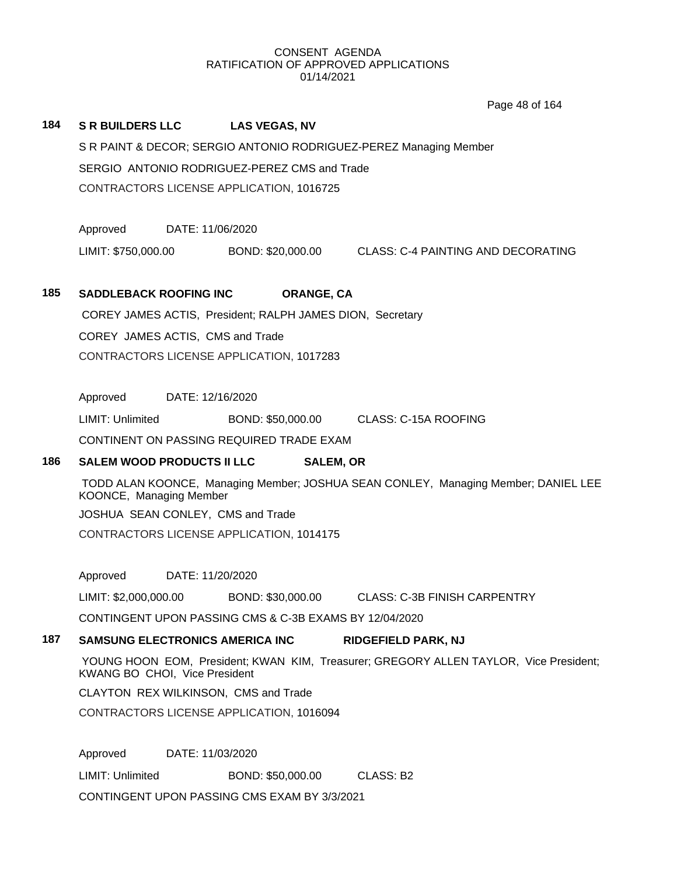Page 48 of 164

## **184 S R BUILDERS LLC LAS VEGAS, NV**

S R PAINT & DECOR; SERGIO ANTONIO RODRIGUEZ-PEREZ Managing Member SERGIO ANTONIO RODRIGUEZ-PEREZ CMS and Trade CONTRACTORS LICENSE APPLICATION, 1016725

Approved DATE: 11/06/2020

LIMIT: \$750,000.00 BOND: \$20,000.00 CLASS: C-4 PAINTING AND DECORATING

#### **185 SADDLEBACK ROOFING INC ORANGE, CA**

COREY JAMES ACTIS, President; RALPH JAMES DION, Secretary COREY JAMES ACTIS, CMS and Trade CONTRACTORS LICENSE APPLICATION, 1017283

Approved DATE: 12/16/2020

LIMIT: Unlimited BOND: \$50,000.00 CLASS: C-15A ROOFING

CONTINENT ON PASSING REQUIRED TRADE EXAM

### **186 SALEM WOOD PRODUCTS II LLC SALEM, OR**

TODD ALAN KOONCE, Managing Member; JOSHUA SEAN CONLEY, Managing Member; DANIEL LEE KOONCE, Managing Member JOSHUA SEAN CONLEY, CMS and Trade CONTRACTORS LICENSE APPLICATION, 1014175

Approved DATE: 11/20/2020

LIMIT: \$2,000,000.00 BOND: \$30,000.00 CLASS: C-3B FINISH CARPENTRY

CONTINGENT UPON PASSING CMS & C-3B EXAMS BY 12/04/2020

## **187 SAMSUNG ELECTRONICS AMERICA INC RIDGEFIELD PARK, NJ**

YOUNG HOON EOM, President; KWAN KIM, Treasurer; GREGORY ALLEN TAYLOR, Vice President; KWANG BO CHOI, Vice President

CLAYTON REX WILKINSON, CMS and Trade

CONTRACTORS LICENSE APPLICATION, 1016094

Approved DATE: 11/03/2020

LIMIT: Unlimited BOND: \$50,000.00 CLASS: B2

CONTINGENT UPON PASSING CMS EXAM BY 3/3/2021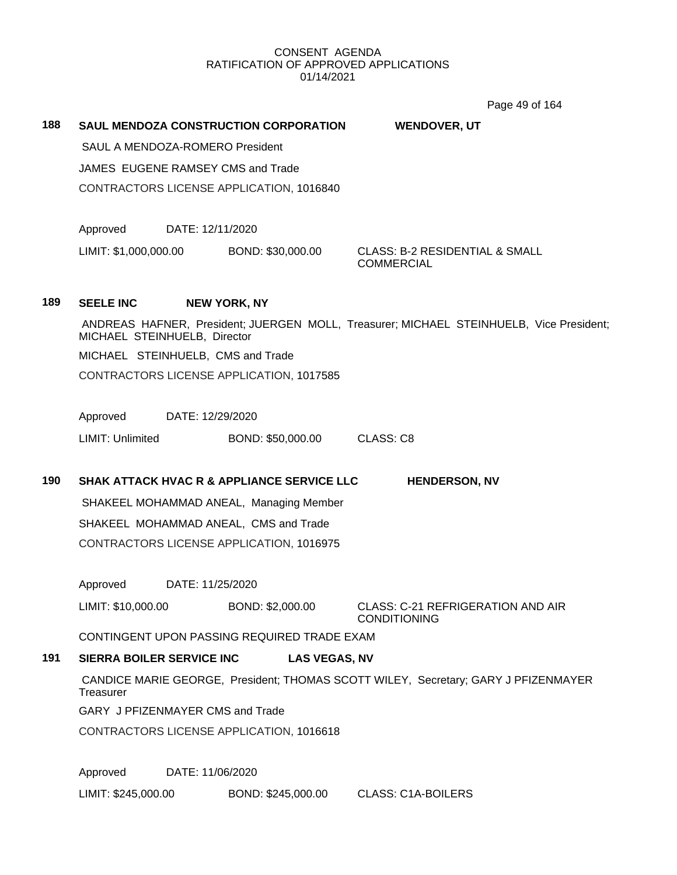Page 49 of 164

|     |                                   |                  |                                                       | Page 49 of 164                                                                          |
|-----|-----------------------------------|------------------|-------------------------------------------------------|-----------------------------------------------------------------------------------------|
| 188 |                                   |                  | <b>SAUL MENDOZA CONSTRUCTION CORPORATION</b>          | <b>WENDOVER, UT</b>                                                                     |
|     | SAUL A MENDOZA-ROMERO President   |                  |                                                       |                                                                                         |
|     |                                   |                  | JAMES EUGENE RAMSEY CMS and Trade                     |                                                                                         |
|     |                                   |                  | CONTRACTORS LICENSE APPLICATION, 1016840              |                                                                                         |
|     |                                   |                  |                                                       |                                                                                         |
|     | Approved                          | DATE: 12/11/2020 |                                                       |                                                                                         |
|     | LIMIT: \$1,000,000.00             |                  | BOND: \$30,000.00                                     | <b>CLASS: B-2 RESIDENTIAL &amp; SMALL</b><br><b>COMMERCIAL</b>                          |
| 189 | <b>SEELE INC</b>                  |                  | <b>NEW YORK, NY</b>                                   |                                                                                         |
|     | MICHAEL STEINHUELB, Director      |                  |                                                       | ANDREAS HAFNER, President; JUERGEN MOLL, Treasurer; MICHAEL STEINHUELB, Vice President; |
|     | MICHAEL STEINHUELB, CMS and Trade |                  |                                                       |                                                                                         |
|     |                                   |                  | CONTRACTORS LICENSE APPLICATION, 1017585              |                                                                                         |
|     |                                   |                  |                                                       |                                                                                         |
|     | Approved                          | DATE: 12/29/2020 |                                                       |                                                                                         |
|     | LIMIT: Unlimited                  |                  | BOND: \$50,000.00                                     | <b>CLASS: C8</b>                                                                        |
|     |                                   |                  |                                                       |                                                                                         |
| 190 |                                   |                  | <b>SHAK ATTACK HVAC R &amp; APPLIANCE SERVICE LLC</b> | <b>HENDERSON, NV</b>                                                                    |
|     |                                   |                  | SHAKEEL MOHAMMAD ANEAL, Managing Member               |                                                                                         |
|     |                                   |                  | SHAKEEL MOHAMMAD ANEAL, CMS and Trade                 |                                                                                         |
|     |                                   |                  | CONTRACTORS LICENSE APPLICATION, 1016975              |                                                                                         |
|     |                                   |                  |                                                       |                                                                                         |
|     |                                   |                  |                                                       |                                                                                         |
|     | Approved                          | DATE: 11/25/2020 |                                                       |                                                                                         |
|     | LIMIT: \$10,000.00                |                  | BOND: \$2,000.00                                      | CLASS: C-21 REFRIGERATION AND AIR<br><b>CONDITIONING</b>                                |
|     |                                   |                  | CONTINGENT UPON PASSING REQUIRED TRADE EXAM           |                                                                                         |
| 191 | <b>SIERRA BOILER SERVICE INC</b>  |                  | <b>LAS VEGAS, NV</b>                                  |                                                                                         |
|     | Treasurer                         |                  |                                                       | CANDICE MARIE GEORGE, President; THOMAS SCOTT WILEY, Secretary; GARY J PFIZENMAYER      |
|     | GARY J PFIZENMAYER CMS and Trade  |                  |                                                       |                                                                                         |
|     |                                   |                  | CONTRACTORS LICENSE APPLICATION, 1016618              |                                                                                         |
|     |                                   |                  |                                                       |                                                                                         |
|     | Approved                          | DATE: 11/06/2020 |                                                       |                                                                                         |
|     | LIMIT: \$245,000.00               |                  | BOND: \$245,000.00                                    | <b>CLASS: C1A-BOILERS</b>                                                               |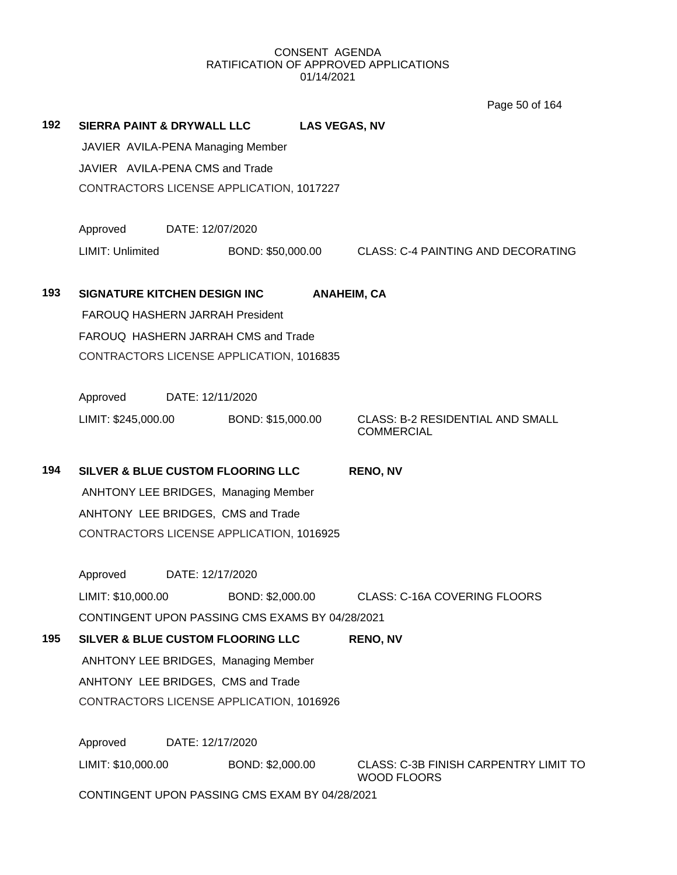Page 50 of 164

| 192 | <b>SIERRA PAINT &amp; DRYWALL LLC</b>           |                  |                   | <b>LAS VEGAS, NV</b> |                                                                    |  |  |  |
|-----|-------------------------------------------------|------------------|-------------------|----------------------|--------------------------------------------------------------------|--|--|--|
|     | JAVIER AVILA-PENA Managing Member               |                  |                   |                      |                                                                    |  |  |  |
|     | JAVIER AVILA-PENA CMS and Trade                 |                  |                   |                      |                                                                    |  |  |  |
|     | CONTRACTORS LICENSE APPLICATION, 1017227        |                  |                   |                      |                                                                    |  |  |  |
|     | Approved                                        | DATE: 12/07/2020 |                   |                      |                                                                    |  |  |  |
|     | LIMIT: Unlimited                                |                  | BOND: \$50,000.00 |                      | <b>CLASS: C-4 PAINTING AND DECORATING</b>                          |  |  |  |
| 193 | SIGNATURE KITCHEN DESIGN INC                    |                  |                   |                      | <b>ANAHEIM, CA</b>                                                 |  |  |  |
|     | FAROUQ HASHERN JARRAH President                 |                  |                   |                      |                                                                    |  |  |  |
|     | FAROUQ HASHERN JARRAH CMS and Trade             |                  |                   |                      |                                                                    |  |  |  |
|     | CONTRACTORS LICENSE APPLICATION, 1016835        |                  |                   |                      |                                                                    |  |  |  |
|     | Approved                                        | DATE: 12/11/2020 |                   |                      |                                                                    |  |  |  |
|     | LIMIT: \$245,000.00                             |                  | BOND: \$15,000.00 |                      | <b>CLASS: B-2 RESIDENTIAL AND SMALL</b><br><b>COMMERCIAL</b>       |  |  |  |
| 194 | <b>SILVER &amp; BLUE CUSTOM FLOORING LLC</b>    |                  |                   |                      | <b>RENO, NV</b>                                                    |  |  |  |
|     | <b>ANHTONY LEE BRIDGES, Managing Member</b>     |                  |                   |                      |                                                                    |  |  |  |
|     | ANHTONY LEE BRIDGES, CMS and Trade              |                  |                   |                      |                                                                    |  |  |  |
|     | CONTRACTORS LICENSE APPLICATION, 1016925        |                  |                   |                      |                                                                    |  |  |  |
|     | Approved                                        | DATE: 12/17/2020 |                   |                      |                                                                    |  |  |  |
|     | LIMIT: \$10,000.00                              |                  | BOND: \$2,000.00  |                      | <b>CLASS: C-16A COVERING FLOORS</b>                                |  |  |  |
|     | CONTINGENT UPON PASSING CMS EXAMS BY 04/28/2021 |                  |                   |                      |                                                                    |  |  |  |
| 195 | SILVER & BLUE CUSTOM FLOORING LLC               |                  |                   |                      | <b>RENO, NV</b>                                                    |  |  |  |
|     | <b>ANHTONY LEE BRIDGES, Managing Member</b>     |                  |                   |                      |                                                                    |  |  |  |
|     | ANHTONY LEE BRIDGES, CMS and Trade              |                  |                   |                      |                                                                    |  |  |  |
|     | CONTRACTORS LICENSE APPLICATION, 1016926        |                  |                   |                      |                                                                    |  |  |  |
|     | Approved                                        | DATE: 12/17/2020 |                   |                      |                                                                    |  |  |  |
|     |                                                 |                  |                   |                      |                                                                    |  |  |  |
|     | LIMIT: \$10,000.00                              |                  | BOND: \$2,000.00  |                      | <b>CLASS: C-3B FINISH CARPENTRY LIMIT TO</b><br><b>WOOD FLOORS</b> |  |  |  |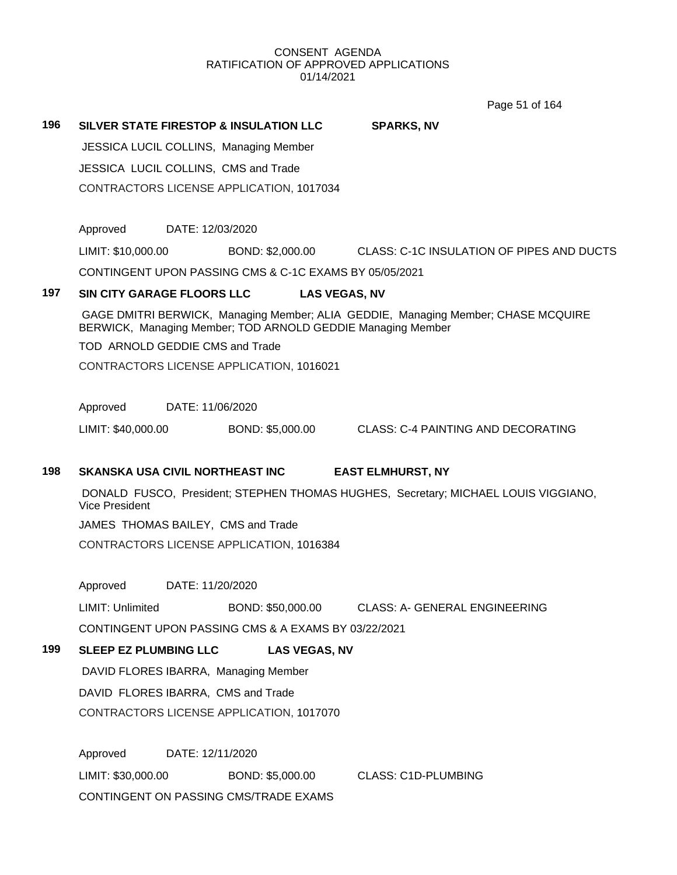Page 51 of 164

**196 SILVER STATE FIRESTOP & INSULATION LLC SPARKS, NV** JESSICA LUCIL COLLINS, Managing Member JESSICA LUCIL COLLINS, CMS and Trade CONTRACTORS LICENSE APPLICATION, 1017034

Approved DATE: 12/03/2020

LIMIT: \$10,000.00 BOND: \$2,000.00 CLASS: C-1C INSULATION OF PIPES AND DUCTS

CONTINGENT UPON PASSING CMS & C-1C EXAMS BY 05/05/2021

# **197 SIN CITY GARAGE FLOORS LLC LAS VEGAS, NV**

GAGE DMITRI BERWICK, Managing Member; ALIA GEDDIE, Managing Member; CHASE MCQUIRE BERWICK, Managing Member; TOD ARNOLD GEDDIE Managing Member

TOD ARNOLD GEDDIE CMS and Trade

CONTRACTORS LICENSE APPLICATION, 1016021

Approved DATE: 11/06/2020

LIMIT: \$40,000.00 BOND: \$5,000.00 CLASS: C-4 PAINTING AND DECORATING

# **198 SKANSKA USA CIVIL NORTHEAST INC EAST ELMHURST, NY**

DONALD FUSCO, President; STEPHEN THOMAS HUGHES, Secretary; MICHAEL LOUIS VIGGIANO, Vice President

JAMES THOMAS BAILEY, CMS and Trade

CONTRACTORS LICENSE APPLICATION, 1016384

Approved DATE: 11/20/2020

LIMIT: Unlimited BOND: \$50,000.00 CLASS: A- GENERAL ENGINEERING CONTINGENT UPON PASSING CMS & A EXAMS BY 03/22/2021

**199 SLEEP EZ PLUMBING LLC LAS VEGAS, NV**

DAVID FLORES IBARRA, Managing Member DAVID FLORES IBARRA, CMS and Trade CONTRACTORS LICENSE APPLICATION, 1017070

Approved DATE: 12/11/2020 LIMIT: \$30,000.00 BOND: \$5,000.00 CLASS: C1D-PLUMBING CONTINGENT ON PASSING CMS/TRADE EXAMS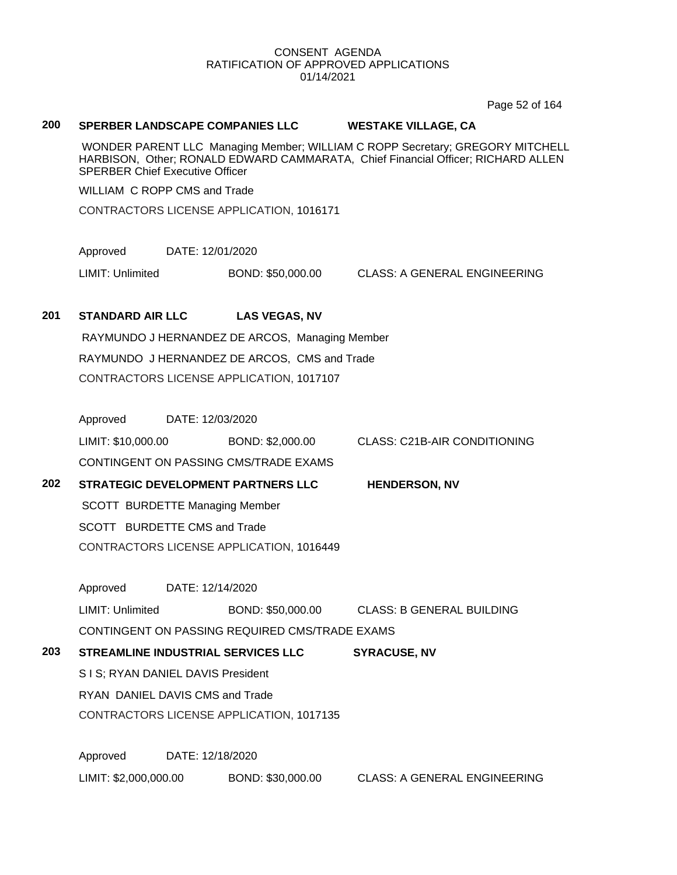Page 52 of 164

### **200 SPERBER LANDSCAPE COMPANIES LLC WESTAKE VILLAGE, CA**

WONDER PARENT LLC Managing Member; WILLIAM C ROPP Secretary; GREGORY MITCHELL HARBISON, Other; RONALD EDWARD CAMMARATA, Chief Financial Officer; RICHARD ALLEN SPERBER Chief Executive Officer

WILLIAM C ROPP CMS and Trade

CONTRACTORS LICENSE APPLICATION, 1016171

Approved DATE: 12/01/2020

LIMIT: Unlimited BOND: \$50,000.00 CLASS: A GENERAL ENGINEERING

#### **201 STANDARD AIR LLC LAS VEGAS, NV**

RAYMUNDO J HERNANDEZ DE ARCOS, Managing Member RAYMUNDO J HERNANDEZ DE ARCOS, CMS and Trade CONTRACTORS LICENSE APPLICATION, 1017107

Approved DATE: 12/03/2020

LIMIT: \$10,000.00 BOND: \$2,000.00 CLASS: C21B-AIR CONDITIONING

CONTINGENT ON PASSING CMS/TRADE EXAMS

**202 STRATEGIC DEVELOPMENT PARTNERS LLC HENDERSON, NV**

SCOTT BURDETTE Managing Member

SCOTT BURDETTE CMS and Trade

CONTRACTORS LICENSE APPLICATION, 1016449

Approved DATE: 12/14/2020

LIMIT: Unlimited BOND: \$50,000.00 CLASS: B GENERAL BUILDING CONTINGENT ON PASSING REQUIRED CMS/TRADE EXAMS

**203 STREAMLINE INDUSTRIAL SERVICES LLC SYRACUSE, NV**

S I S; RYAN DANIEL DAVIS President

RYAN DANIEL DAVIS CMS and Trade

CONTRACTORS LICENSE APPLICATION, 1017135

Approved DATE: 12/18/2020

LIMIT: \$2,000,000.00 BOND: \$30,000.00 CLASS: A GENERAL ENGINEERING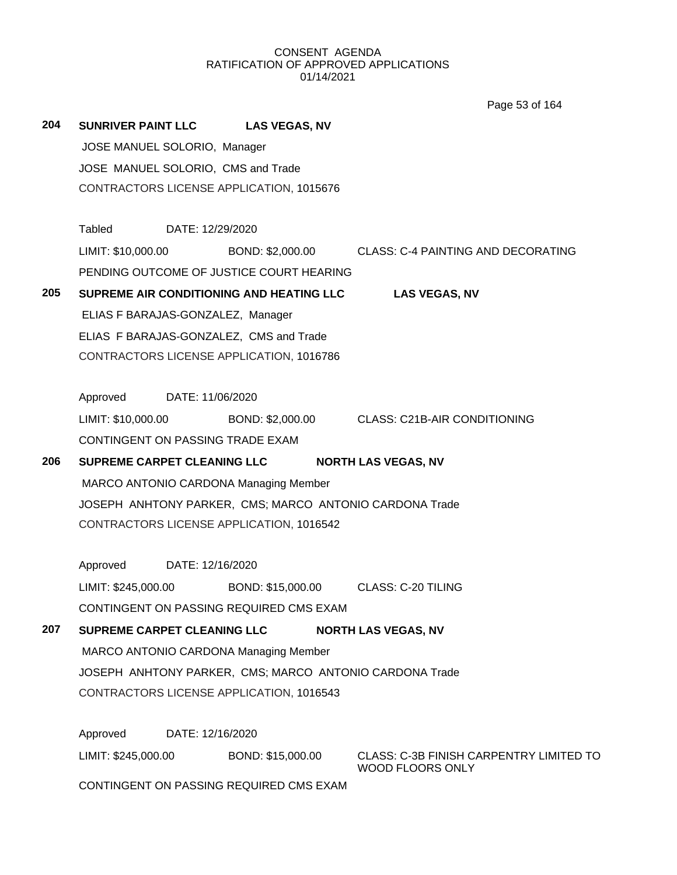Page 53 of 164

| 204 |                                                         | SUNRIVER PAINT LLC LAS VEGAS, NV                        |                                                                        |  |  |  |
|-----|---------------------------------------------------------|---------------------------------------------------------|------------------------------------------------------------------------|--|--|--|
|     | JOSE MANUEL SOLORIO, Manager                            |                                                         |                                                                        |  |  |  |
|     | JOSE MANUEL SOLORIO, CMS and Trade                      |                                                         |                                                                        |  |  |  |
|     |                                                         | CONTRACTORS LICENSE APPLICATION, 1015676                |                                                                        |  |  |  |
|     | Tabled DATE: 12/29/2020                                 |                                                         |                                                                        |  |  |  |
|     |                                                         |                                                         | LIMIT: \$10,000.00 BOND: \$2,000.00 CLASS: C-4 PAINTING AND DECORATING |  |  |  |
|     |                                                         | PENDING OUTCOME OF JUSTICE COURT HEARING                |                                                                        |  |  |  |
| 205 |                                                         | SUPREME AIR CONDITIONING AND HEATING LLC                | <b>LAS VEGAS, NV</b>                                                   |  |  |  |
|     | ELIAS F BARAJAS-GONZALEZ, Manager                       |                                                         |                                                                        |  |  |  |
|     |                                                         | ELIAS F BARAJAS-GONZALEZ, CMS and Trade                 |                                                                        |  |  |  |
|     |                                                         | CONTRACTORS LICENSE APPLICATION, 1016786                |                                                                        |  |  |  |
|     | Approved DATE: 11/06/2020                               |                                                         |                                                                        |  |  |  |
|     | LIMIT: \$10,000.00                                      |                                                         | BOND: \$2,000.00 CLASS: C21B-AIR CONDITIONING                          |  |  |  |
|     | CONTINGENT ON PASSING TRADE EXAM                        |                                                         |                                                                        |  |  |  |
| 206 | SUPREME CARPET CLEANING LLC                             |                                                         | <b>NORTH LAS VEGAS, NV</b>                                             |  |  |  |
|     |                                                         | MARCO ANTONIO CARDONA Managing Member                   |                                                                        |  |  |  |
|     |                                                         | JOSEPH ANHTONY PARKER, CMS; MARCO ANTONIO CARDONA Trade |                                                                        |  |  |  |
|     |                                                         | CONTRACTORS LICENSE APPLICATION, 1016542                |                                                                        |  |  |  |
|     | Approved DATE: 12/16/2020                               |                                                         |                                                                        |  |  |  |
|     | LIMIT: \$245,000.00                                     | BOND: \$15,000.00 CLASS: C-20 TILING                    |                                                                        |  |  |  |
|     |                                                         | CONTINGENT ON PASSING REQUIRED CMS EXAM                 |                                                                        |  |  |  |
| 207 | SUPREME CARPET CLEANING LLC                             |                                                         | <b>NORTH LAS VEGAS, NV</b>                                             |  |  |  |
|     |                                                         | MARCO ANTONIO CARDONA Managing Member                   |                                                                        |  |  |  |
|     | JOSEPH ANHTONY PARKER, CMS; MARCO ANTONIO CARDONA Trade |                                                         |                                                                        |  |  |  |
|     |                                                         | CONTRACTORS LICENSE APPLICATION, 1016543                |                                                                        |  |  |  |
|     | Approved                                                | DATE: 12/16/2020                                        |                                                                        |  |  |  |
|     | LIMIT: \$245,000.00                                     | BOND: \$15,000.00                                       | CLASS: C-3B FINISH CARPENTRY LIMITED TO<br>WOOD FLOORS ONLY            |  |  |  |
|     |                                                         | CONTINGENT ON PASSING REQUIRED CMS EXAM                 |                                                                        |  |  |  |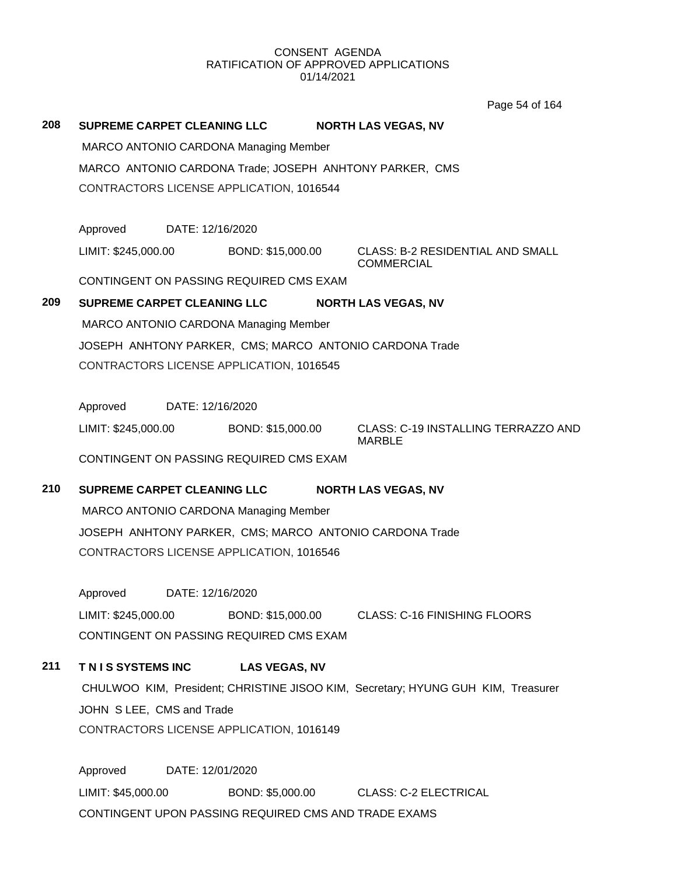Page 54 of 164

| 208 | SUPREME CARPET CLEANING LLC        |                  |                                                      | <b>NORTH LAS VEGAS, NV</b>                                                       |  |
|-----|------------------------------------|------------------|------------------------------------------------------|----------------------------------------------------------------------------------|--|
|     |                                    |                  | <b>MARCO ANTONIO CARDONA Managing Member</b>         |                                                                                  |  |
|     |                                    |                  |                                                      | MARCO ANTONIO CARDONA Trade; JOSEPH ANHTONY PARKER, CMS                          |  |
|     |                                    |                  | CONTRACTORS LICENSE APPLICATION, 1016544             |                                                                                  |  |
|     |                                    |                  |                                                      |                                                                                  |  |
|     | Approved                           | DATE: 12/16/2020 |                                                      |                                                                                  |  |
|     | LIMIT: \$245,000.00                |                  | BOND: \$15,000.00                                    | <b>CLASS: B-2 RESIDENTIAL AND SMALL</b><br><b>COMMERCIAL</b>                     |  |
|     |                                    |                  | CONTINGENT ON PASSING REQUIRED CMS EXAM              |                                                                                  |  |
| 209 | <b>SUPREME CARPET CLEANING LLC</b> |                  |                                                      | <b>NORTH LAS VEGAS, NV</b>                                                       |  |
|     |                                    |                  | <b>MARCO ANTONIO CARDONA Managing Member</b>         |                                                                                  |  |
|     |                                    |                  |                                                      | JOSEPH ANHTONY PARKER, CMS; MARCO ANTONIO CARDONA Trade                          |  |
|     |                                    |                  | CONTRACTORS LICENSE APPLICATION, 1016545             |                                                                                  |  |
|     | Approved                           | DATE: 12/16/2020 |                                                      |                                                                                  |  |
|     | LIMIT: \$245,000.00                |                  | BOND: \$15,000.00                                    | CLASS: C-19 INSTALLING TERRAZZO AND<br><b>MARBLE</b>                             |  |
|     |                                    |                  | CONTINGENT ON PASSING REQUIRED CMS EXAM              |                                                                                  |  |
| 210 | SUPREME CARPET CLEANING LLC        |                  |                                                      | <b>NORTH LAS VEGAS, NV</b>                                                       |  |
|     |                                    |                  | <b>MARCO ANTONIO CARDONA Managing Member</b>         |                                                                                  |  |
|     |                                    |                  |                                                      | JOSEPH ANHTONY PARKER, CMS; MARCO ANTONIO CARDONA Trade                          |  |
|     |                                    |                  | CONTRACTORS LICENSE APPLICATION, 1016546             |                                                                                  |  |
|     | Approved                           | DATE: 12/16/2020 |                                                      |                                                                                  |  |
|     | LIMIT: \$245,000.00                |                  | BOND: \$15,000.00                                    | <b>CLASS: C-16 FINISHING FLOORS</b>                                              |  |
|     |                                    |                  | CONTINGENT ON PASSING REQUIRED CMS EXAM              |                                                                                  |  |
| 211 | TNIS SYSTEMS INC                   |                  | <b>LAS VEGAS, NV</b>                                 |                                                                                  |  |
|     |                                    |                  |                                                      | CHULWOO KIM, President; CHRISTINE JISOO KIM, Secretary; HYUNG GUH KIM, Treasurer |  |
|     | JOHN SLEE, CMS and Trade           |                  |                                                      |                                                                                  |  |
|     |                                    |                  | CONTRACTORS LICENSE APPLICATION, 1016149             |                                                                                  |  |
|     | Approved                           | DATE: 12/01/2020 |                                                      |                                                                                  |  |
|     | LIMIT: \$45,000.00                 |                  | BOND: \$5,000.00                                     | <b>CLASS: C-2 ELECTRICAL</b>                                                     |  |
|     |                                    |                  | CONTINGENT UPON PASSING REQUIRED CMS AND TRADE EXAMS |                                                                                  |  |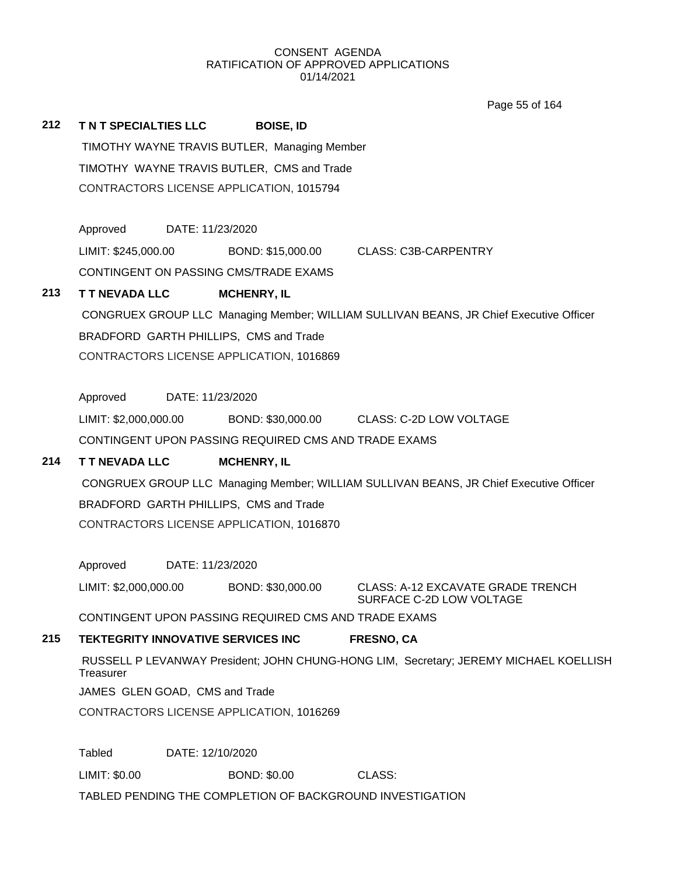Page 55 of 164

**212 T N T SPECIALTIES LLC BOISE, ID** TIMOTHY WAYNE TRAVIS BUTLER, Managing Member TIMOTHY WAYNE TRAVIS BUTLER, CMS and Trade CONTRACTORS LICENSE APPLICATION, 1015794

Approved DATE: 11/23/2020

LIMIT: \$245,000.00 BOND: \$15,000.00 CLASS: C3B-CARPENTRY

CONTINGENT ON PASSING CMS/TRADE EXAMS

## **213 T T NEVADA LLC MCHENRY, IL**

CONGRUEX GROUP LLC Managing Member; WILLIAM SULLIVAN BEANS, JR Chief Executive Officer BRADFORD GARTH PHILLIPS, CMS and Trade CONTRACTORS LICENSE APPLICATION, 1016869

Approved DATE: 11/23/2020

LIMIT: \$2,000,000.00 BOND: \$30,000.00 CLASS: C-2D LOW VOLTAGE

CONTINGENT UPON PASSING REQUIRED CMS AND TRADE EXAMS

# **214 T T NEVADA LLC MCHENRY, IL**

CONGRUEX GROUP LLC Managing Member; WILLIAM SULLIVAN BEANS, JR Chief Executive Officer BRADFORD GARTH PHILLIPS, CMS and Trade CONTRACTORS LICENSE APPLICATION, 1016870

Approved DATE: 11/23/2020

LIMIT: \$2,000,000.00 BOND: \$30,000.00 CLASS: A-12 EXCAVATE GRADE TRENCH SURFACE C-2D LOW VOLTAGE

CONTINGENT UPON PASSING REQUIRED CMS AND TRADE EXAMS

# **215 TEKTEGRITY INNOVATIVE SERVICES INC FRESNO, CA**

RUSSELL P LEVANWAY President; JOHN CHUNG-HONG LIM, Secretary; JEREMY MICHAEL KOELLISH **Treasurer** 

JAMES GLEN GOAD, CMS and Trade

CONTRACTORS LICENSE APPLICATION, 1016269

Tabled DATE: 12/10/2020

LIMIT: \$0.00 BOND: \$0.00 CLASS:

TABLED PENDING THE COMPLETION OF BACKGROUND INVESTIGATION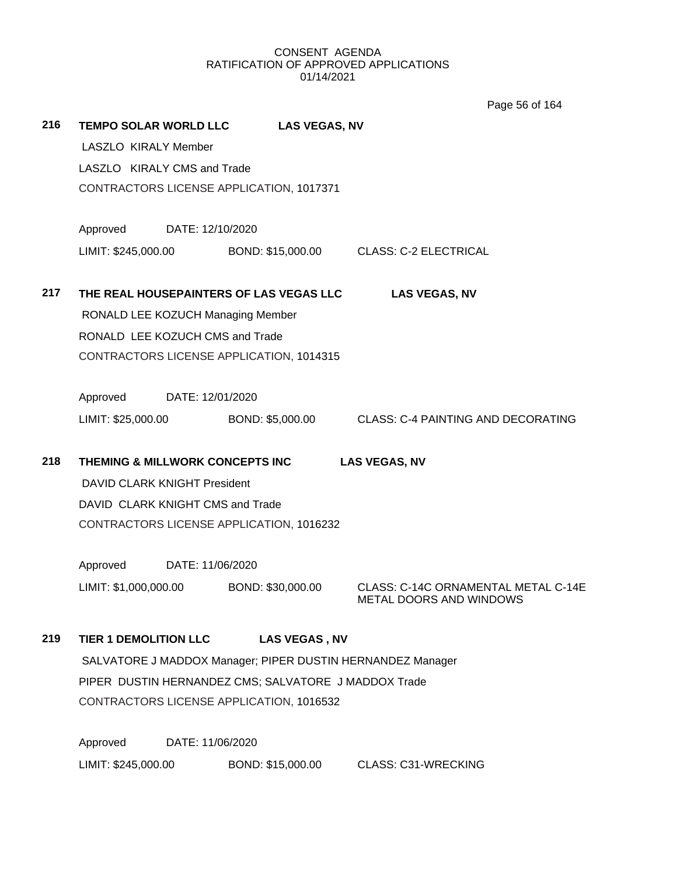Page 56 of 164

| 216 | <b>TEMPO SOLAR WORLD LLC</b>        |                  | <b>LAS VEGAS, NV</b>                                       |                                                                |
|-----|-------------------------------------|------------------|------------------------------------------------------------|----------------------------------------------------------------|
|     | LASZLO KIRALY Member                |                  |                                                            |                                                                |
|     | LASZLO KIRALY CMS and Trade         |                  |                                                            |                                                                |
|     |                                     |                  | CONTRACTORS LICENSE APPLICATION, 1017371                   |                                                                |
|     | Approved                            | DATE: 12/10/2020 |                                                            |                                                                |
|     | LIMIT: \$245,000.00                 |                  | BOND: \$15,000.00                                          | CLASS: C-2 ELECTRICAL                                          |
|     |                                     |                  |                                                            |                                                                |
| 217 |                                     |                  | THE REAL HOUSEPAINTERS OF LAS VEGAS LLC                    | <b>LAS VEGAS, NV</b>                                           |
|     |                                     |                  | RONALD LEE KOZUCH Managing Member                          |                                                                |
|     | RONALD LEE KOZUCH CMS and Trade     |                  |                                                            |                                                                |
|     |                                     |                  | CONTRACTORS LICENSE APPLICATION, 1014315                   |                                                                |
|     | Approved                            | DATE: 12/01/2020 |                                                            |                                                                |
|     | LIMIT: \$25,000.00                  |                  | BOND: \$5,000.00                                           | <b>CLASS: C-4 PAINTING AND DECORATING</b>                      |
|     |                                     |                  |                                                            |                                                                |
| 218 | THEMING & MILLWORK CONCEPTS INC     |                  |                                                            | <b>LAS VEGAS, NV</b>                                           |
|     | <b>DAVID CLARK KNIGHT President</b> |                  |                                                            |                                                                |
|     | DAVID CLARK KNIGHT CMS and Trade    |                  |                                                            |                                                                |
|     |                                     |                  | CONTRACTORS LICENSE APPLICATION, 1016232                   |                                                                |
|     | Approved                            | DATE: 11/06/2020 |                                                            |                                                                |
|     | LIMIT: \$1,000,000.00               |                  | BOND: \$30,000.00                                          | CLASS: C-14C ORNAMENTAL METAL C-14E<br>METAL DOORS AND WINDOWS |
| 219 | <b>TIER 1 DEMOLITION LLC</b>        |                  | <b>LAS VEGAS, NV</b>                                       |                                                                |
|     |                                     |                  | SALVATORE J MADDOX Manager; PIPER DUSTIN HERNANDEZ Manager |                                                                |
|     |                                     |                  | PIPER DUSTIN HERNANDEZ CMS; SALVATORE J MADDOX Trade       |                                                                |
|     |                                     |                  | CONTRACTORS LICENSE APPLICATION, 1016532                   |                                                                |
|     | Approved                            | DATE: 11/06/2020 |                                                            |                                                                |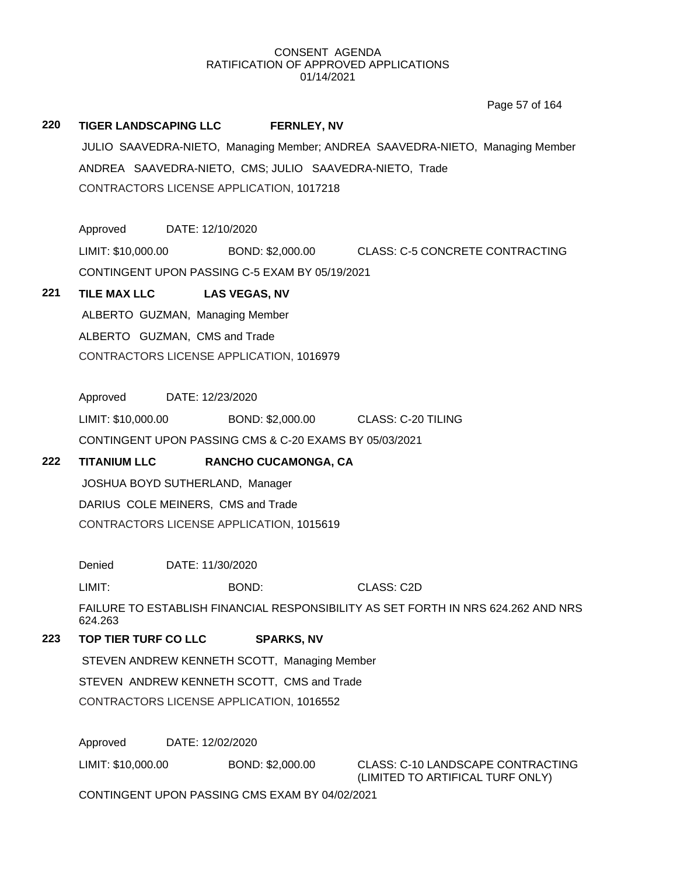Page 57 of 164

# **220 TIGER LANDSCAPING LLC FERNLEY, NV** JULIO SAAVEDRA-NIETO, Managing Member; ANDREA SAAVEDRA-NIETO, Managing Member ANDREA SAAVEDRA-NIETO, CMS; JULIO SAAVEDRA-NIETO, Trade CONTRACTORS LICENSE APPLICATION, 1017218

Approved DATE: 12/10/2020

LIMIT: \$10,000.00 BOND: \$2,000.00 CLASS: C-5 CONCRETE CONTRACTING CONTINGENT UPON PASSING C-5 EXAM BY 05/19/2021

# **221 TILE MAX LLC LAS VEGAS, NV**

ALBERTO GUZMAN, Managing Member ALBERTO GUZMAN, CMS and Trade CONTRACTORS LICENSE APPLICATION, 1016979

Approved DATE: 12/23/2020

LIMIT: \$10,000.00 BOND: \$2,000.00 CLASS: C-20 TILING

CONTINGENT UPON PASSING CMS & C-20 EXAMS BY 05/03/2021

# **222 TITANIUM LLC RANCHO CUCAMONGA, CA**

JOSHUA BOYD SUTHERLAND, Manager DARIUS COLE MEINERS, CMS and Trade CONTRACTORS LICENSE APPLICATION, 1015619

Denied DATE: 11/30/2020

LIMIT: BOND: CLASS: C2D

FAILURE TO ESTABLISH FINANCIAL RESPONSIBILITY AS SET FORTH IN NRS 624.262 AND NRS 624.263

# **223 TOP TIER TURF CO LLC SPARKS, NV**

STEVEN ANDREW KENNETH SCOTT, Managing Member

STEVEN ANDREW KENNETH SCOTT, CMS and Trade

CONTRACTORS LICENSE APPLICATION, 1016552

Approved DATE: 12/02/2020

LIMIT: \$10,000.00 BOND: \$2,000.00 CLASS: C-10 LANDSCAPE CONTRACTING

(LIMITED TO ARTIFICAL TURF ONLY)

CONTINGENT UPON PASSING CMS EXAM BY 04/02/2021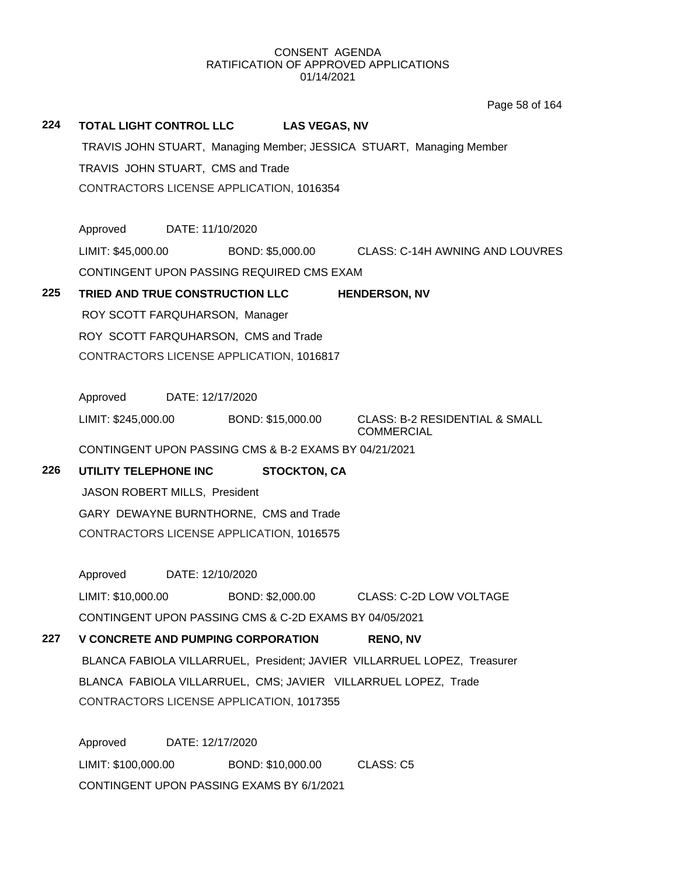**224 TOTAL LIGHT CONTROL LLC LAS VEGAS, NV** TRAVIS JOHN STUART, Managing Member; JESSICA STUART, Managing Member TRAVIS JOHN STUART, CMS and Trade CONTRACTORS LICENSE APPLICATION, 1016354 Approved DATE: 11/10/2020 LIMIT: \$45,000.00 BOND: \$5,000.00 CLASS: C-14H AWNING AND LOUVRES CONTINGENT UPON PASSING REQUIRED CMS EXAM **225 TRIED AND TRUE CONSTRUCTION LLC HENDERSON, NV** ROY SCOTT FARQUHARSON, Manager ROY SCOTT FARQUHARSON, CMS and Trade CONTRACTORS LICENSE APPLICATION, 1016817 Approved DATE: 12/17/2020 LIMIT: \$245,000.00 BOND: \$15,000.00 CLASS: B-2 RESIDENTIAL & SMALL COMMERCIAL CONTINGENT UPON PASSING CMS & B-2 EXAMS BY 04/21/2021 **226 UTILITY TELEPHONE INC STOCKTON, CA** JASON ROBERT MILLS, President GARY DEWAYNE BURNTHORNE, CMS and Trade CONTRACTORS LICENSE APPLICATION, 1016575 Approved DATE: 12/10/2020 LIMIT: \$10,000.00 BOND: \$2,000.00 CLASS: C-2D LOW VOLTAGE CONTINGENT UPON PASSING CMS & C-2D EXAMS BY 04/05/2021 **227 V CONCRETE AND PUMPING CORPORATION RENO, NV** BLANCA FABIOLA VILLARRUEL, President; JAVIER VILLARRUEL LOPEZ, Treasurer BLANCA FABIOLA VILLARRUEL, CMS; JAVIER VILLARRUEL LOPEZ, Trade CONTRACTORS LICENSE APPLICATION, 1017355 Approved DATE: 12/17/2020 Page 58 of 164

LIMIT: \$100,000.00 BOND: \$10,000.00 CLASS: C5 CONTINGENT UPON PASSING EXAMS BY 6/1/2021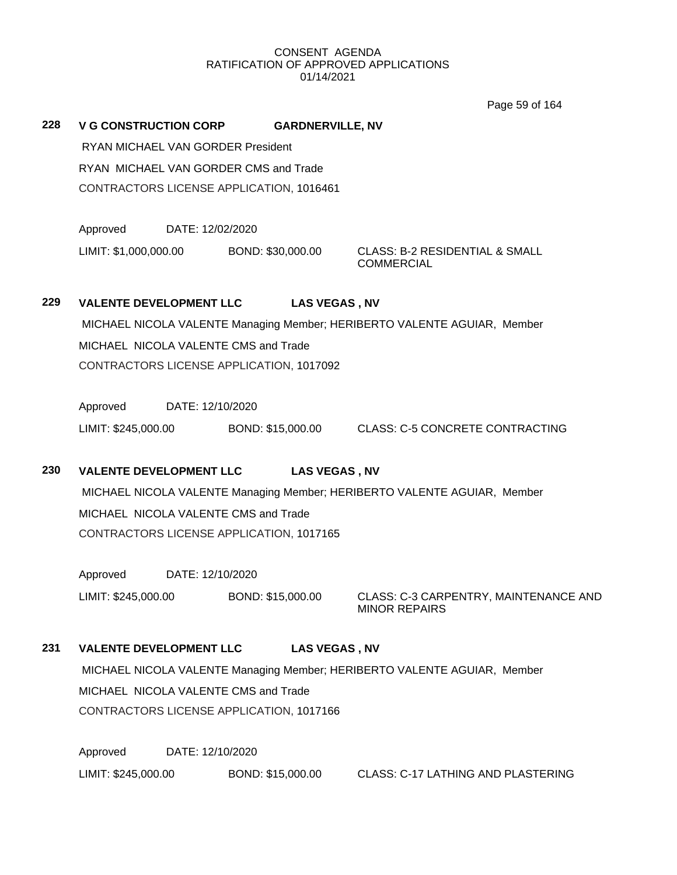Page 59 of 164

**228 V G CONSTRUCTION CORP GARDNERVILLE, NV**

RYAN MICHAEL VAN GORDER President RYAN MICHAEL VAN GORDER CMS and Trade CONTRACTORS LICENSE APPLICATION, 1016461

Approved DATE: 12/02/2020 LIMIT: \$1,000,000.00 BOND: \$30,000.00 CLASS: B-2 RESIDENTIAL & SMALL

**COMMERCIAL** 

# **229 VALENTE DEVELOPMENT LLC LAS VEGAS , NV**

MICHAEL NICOLA VALENTE Managing Member; HERIBERTO VALENTE AGUIAR, Member MICHAEL NICOLA VALENTE CMS and Trade CONTRACTORS LICENSE APPLICATION, 1017092

Approved DATE: 12/10/2020 LIMIT: \$245,000.00 BOND: \$15,000.00 CLASS: C-5 CONCRETE CONTRACTING

# **230 VALENTE DEVELOPMENT LLC LAS VEGAS , NV**

MICHAEL NICOLA VALENTE Managing Member; HERIBERTO VALENTE AGUIAR, Member MICHAEL NICOLA VALENTE CMS and Trade CONTRACTORS LICENSE APPLICATION, 1017165

Approved DATE: 12/10/2020

LIMIT: \$245,000.00 BOND: \$15,000.00 CLASS: C-3 CARPENTRY, MAINTENANCE AND MINOR REPAIRS

# **231 VALENTE DEVELOPMENT LLC LAS VEGAS , NV**

MICHAEL NICOLA VALENTE Managing Member; HERIBERTO VALENTE AGUIAR, Member MICHAEL NICOLA VALENTE CMS and Trade CONTRACTORS LICENSE APPLICATION, 1017166

Approved DATE: 12/10/2020 LIMIT: \$245,000.00 BOND: \$15,000.00 CLASS: C-17 LATHING AND PLASTERING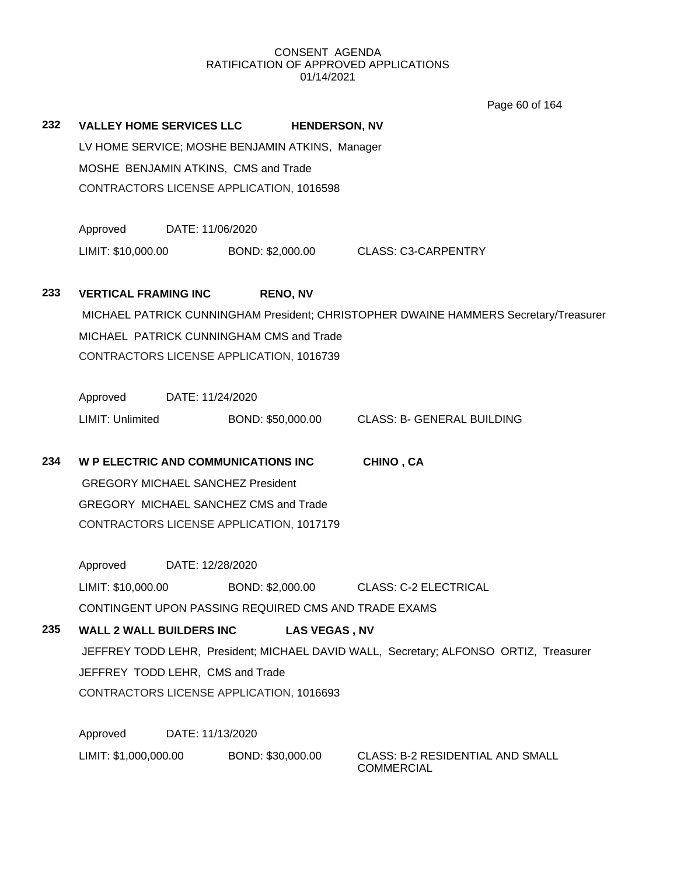Page 60 of 164

| 232 | <b>VALLEY HOME SERVICES LLC</b>          |                  |                                                      | <b>HENDERSON, NV</b>                                                                  |  |  |
|-----|------------------------------------------|------------------|------------------------------------------------------|---------------------------------------------------------------------------------------|--|--|
|     |                                          |                  | LV HOME SERVICE; MOSHE BENJAMIN ATKINS, Manager      |                                                                                       |  |  |
|     | MOSHE BENJAMIN ATKINS, CMS and Trade     |                  |                                                      |                                                                                       |  |  |
|     |                                          |                  | CONTRACTORS LICENSE APPLICATION, 1016598             |                                                                                       |  |  |
|     | Approved                                 | DATE: 11/06/2020 |                                                      |                                                                                       |  |  |
|     | LIMIT: \$10,000.00                       |                  |                                                      | BOND: \$2,000.00 CLASS: C3-CARPENTRY                                                  |  |  |
| 233 | <b>VERTICAL FRAMING INC</b>              |                  | <b>RENO, NV</b>                                      |                                                                                       |  |  |
|     |                                          |                  |                                                      | MICHAEL PATRICK CUNNINGHAM President; CHRISTOPHER DWAINE HAMMERS Secretary/Treasurer  |  |  |
|     |                                          |                  | MICHAEL PATRICK CUNNINGHAM CMS and Trade             |                                                                                       |  |  |
|     |                                          |                  | CONTRACTORS LICENSE APPLICATION, 1016739             |                                                                                       |  |  |
|     |                                          |                  |                                                      |                                                                                       |  |  |
|     | Approved DATE: 11/24/2020                |                  |                                                      |                                                                                       |  |  |
|     | LIMIT: Unlimited                         |                  | BOND: \$50,000.00                                    | <b>CLASS: B- GENERAL BUILDING</b>                                                     |  |  |
| 234 |                                          |                  | <b>W P ELECTRIC AND COMMUNICATIONS INC</b>           | CHINO, CA                                                                             |  |  |
|     | <b>GREGORY MICHAEL SANCHEZ President</b> |                  |                                                      |                                                                                       |  |  |
|     |                                          |                  | GREGORY MICHAEL SANCHEZ CMS and Trade                |                                                                                       |  |  |
|     |                                          |                  | CONTRACTORS LICENSE APPLICATION, 1017179             |                                                                                       |  |  |
|     | Approved                                 | DATE: 12/28/2020 |                                                      |                                                                                       |  |  |
|     |                                          |                  |                                                      |                                                                                       |  |  |
|     | LIMIT: \$10,000.00                       |                  |                                                      | BOND: \$2,000.00 CLASS: C-2 ELECTRICAL                                                |  |  |
|     |                                          |                  | CONTINGENT UPON PASSING REQUIRED CMS AND TRADE EXAMS |                                                                                       |  |  |
| 235 | <b>WALL 2 WALL BUILDERS INC</b>          |                  | LAS VEGAS, NV                                        |                                                                                       |  |  |
|     |                                          |                  |                                                      | JEFFREY TODD LEHR, President; MICHAEL DAVID WALL, Secretary; ALFONSO ORTIZ, Treasurer |  |  |
|     | JEFFREY TODD LEHR, CMS and Trade         |                  |                                                      |                                                                                       |  |  |
|     |                                          |                  | CONTRACTORS LICENSE APPLICATION, 1016693             |                                                                                       |  |  |
|     | Approved                                 | DATE: 11/13/2020 |                                                      |                                                                                       |  |  |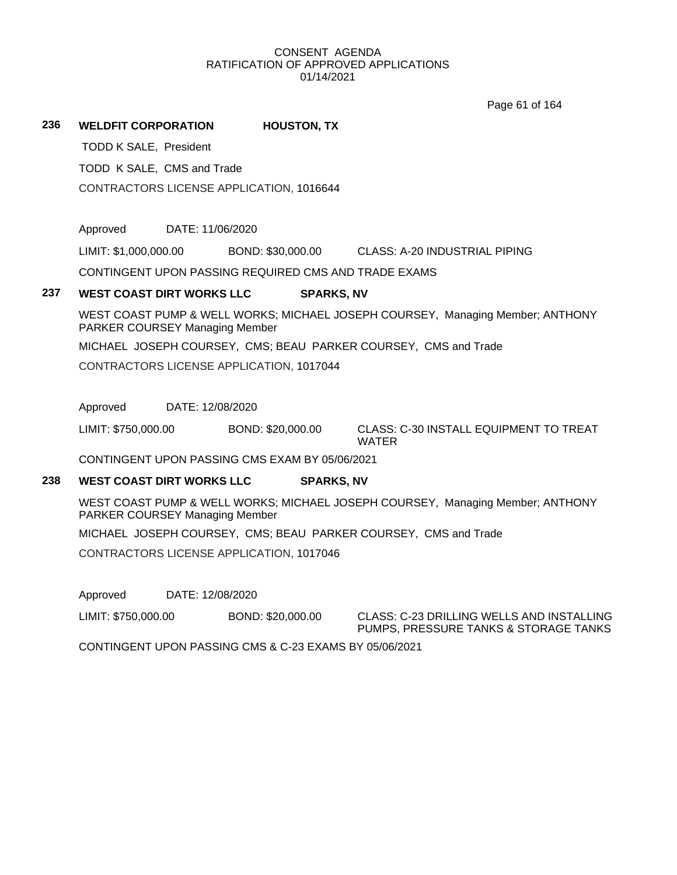Page 61 of 164

#### **236 WELDFIT CORPORATION HOUSTON, TX**

TODD K SALE, President

TODD K SALE, CMS and Trade

CONTRACTORS LICENSE APPLICATION, 1016644

Approved DATE: 11/06/2020

LIMIT: \$1,000,000.00 BOND: \$30,000.00 CLASS: A-20 INDUSTRIAL PIPING

CONTINGENT UPON PASSING REQUIRED CMS AND TRADE EXAMS

#### **237 WEST COAST DIRT WORKS LLC SPARKS, NV**

WEST COAST PUMP & WELL WORKS; MICHAEL JOSEPH COURSEY, Managing Member; ANTHONY PARKER COURSEY Managing Member

MICHAEL JOSEPH COURSEY, CMS; BEAU PARKER COURSEY, CMS and Trade

CONTRACTORS LICENSE APPLICATION, 1017044

Approved DATE: 12/08/2020

LIMIT: \$750,000.00 BOND: \$20,000.00 CLASS: C-30 INSTALL EQUIPMENT TO TREAT WATER

CONTINGENT UPON PASSING CMS EXAM BY 05/06/2021

# **238 WEST COAST DIRT WORKS LLC SPARKS, NV**

WEST COAST PUMP & WELL WORKS; MICHAEL JOSEPH COURSEY, Managing Member; ANTHONY PARKER COURSEY Managing Member

MICHAEL JOSEPH COURSEY, CMS; BEAU PARKER COURSEY, CMS and Trade

CONTRACTORS LICENSE APPLICATION, 1017046

Approved DATE: 12/08/2020

LIMIT: \$750,000.00 BOND: \$20,000.00 CLASS: C-23 DRILLING WELLS AND INSTALLING PUMPS, PRESSURE TANKS & STORAGE TANKS

CONTINGENT UPON PASSING CMS & C-23 EXAMS BY 05/06/2021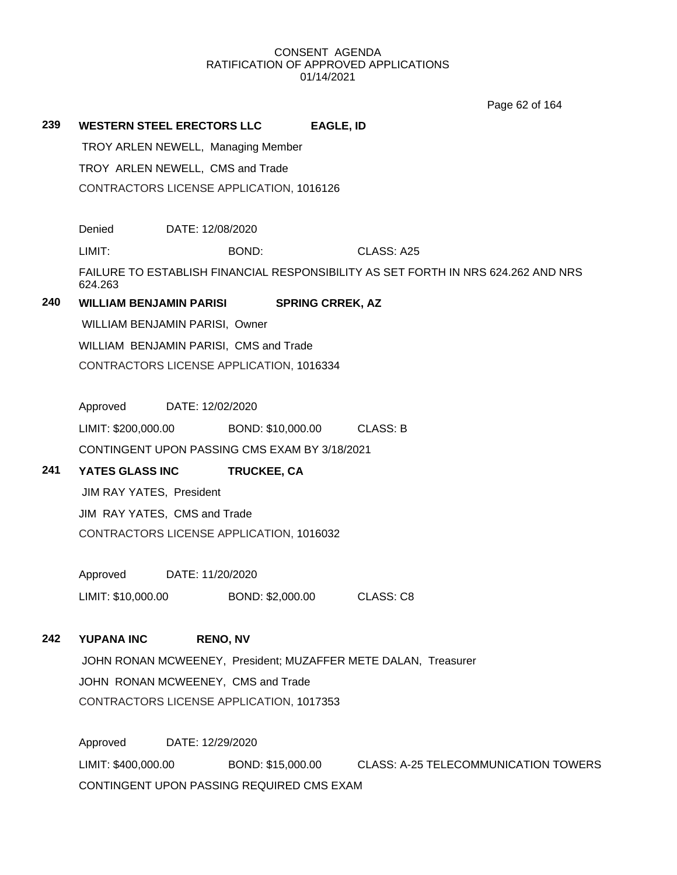Page 62 of 164

| 239<br><b>WESTERN STEEL ERECTORS LLC</b><br><b>EAGLE, ID</b><br>TROY ARLEN NEWELL, Managing Member<br>TROY ARLEN NEWELL, CMS and Trade<br>CONTRACTORS LICENSE APPLICATION, 1016126<br>Denied<br>DATE: 12/08/2020<br>LIMIT:<br>BOND:<br>CLASS: A25<br>FAILURE TO ESTABLISH FINANCIAL RESPONSIBILITY AS SET FORTH IN NRS 624.262 AND NRS<br>624.263<br>240<br><b>WILLIAM BENJAMIN PARISI</b><br><b>SPRING CRREK, AZ</b><br>WILLIAM BENJAMIN PARISI, Owner<br>WILLIAM BENJAMIN PARISI, CMS and Trade<br>CONTRACTORS LICENSE APPLICATION, 1016334<br>Approved<br>DATE: 12/02/2020<br>LIMIT: \$200,000.00<br>BOND: \$10,000.00<br><b>CLASS: B</b><br>CONTINGENT UPON PASSING CMS EXAM BY 3/18/2021<br>241<br>YATES GLASS INC<br>TRUCKEE, CA<br>JIM RAY YATES, President<br>JIM RAY YATES, CMS and Trade<br>CONTRACTORS LICENSE APPLICATION, 1016032<br>Approved<br>DATE: 11/20/2020<br>LIMIT: \$10,000.00<br>BOND: \$2,000.00<br>CLASS: C8<br>242<br><b>YUPANA INC</b><br><b>RENO, NV</b><br>JOHN RONAN MCWEENEY, President; MUZAFFER METE DALAN, Treasurer<br>JOHN RONAN MCWEENEY, CMS and Trade<br>CONTRACTORS LICENSE APPLICATION, 1017353<br>Approved<br>DATE: 12/29/2020 |  |
|--------------------------------------------------------------------------------------------------------------------------------------------------------------------------------------------------------------------------------------------------------------------------------------------------------------------------------------------------------------------------------------------------------------------------------------------------------------------------------------------------------------------------------------------------------------------------------------------------------------------------------------------------------------------------------------------------------------------------------------------------------------------------------------------------------------------------------------------------------------------------------------------------------------------------------------------------------------------------------------------------------------------------------------------------------------------------------------------------------------------------------------------------------------------------|--|
|                                                                                                                                                                                                                                                                                                                                                                                                                                                                                                                                                                                                                                                                                                                                                                                                                                                                                                                                                                                                                                                                                                                                                                          |  |
|                                                                                                                                                                                                                                                                                                                                                                                                                                                                                                                                                                                                                                                                                                                                                                                                                                                                                                                                                                                                                                                                                                                                                                          |  |
|                                                                                                                                                                                                                                                                                                                                                                                                                                                                                                                                                                                                                                                                                                                                                                                                                                                                                                                                                                                                                                                                                                                                                                          |  |
|                                                                                                                                                                                                                                                                                                                                                                                                                                                                                                                                                                                                                                                                                                                                                                                                                                                                                                                                                                                                                                                                                                                                                                          |  |
|                                                                                                                                                                                                                                                                                                                                                                                                                                                                                                                                                                                                                                                                                                                                                                                                                                                                                                                                                                                                                                                                                                                                                                          |  |
|                                                                                                                                                                                                                                                                                                                                                                                                                                                                                                                                                                                                                                                                                                                                                                                                                                                                                                                                                                                                                                                                                                                                                                          |  |
|                                                                                                                                                                                                                                                                                                                                                                                                                                                                                                                                                                                                                                                                                                                                                                                                                                                                                                                                                                                                                                                                                                                                                                          |  |
|                                                                                                                                                                                                                                                                                                                                                                                                                                                                                                                                                                                                                                                                                                                                                                                                                                                                                                                                                                                                                                                                                                                                                                          |  |
|                                                                                                                                                                                                                                                                                                                                                                                                                                                                                                                                                                                                                                                                                                                                                                                                                                                                                                                                                                                                                                                                                                                                                                          |  |
|                                                                                                                                                                                                                                                                                                                                                                                                                                                                                                                                                                                                                                                                                                                                                                                                                                                                                                                                                                                                                                                                                                                                                                          |  |
|                                                                                                                                                                                                                                                                                                                                                                                                                                                                                                                                                                                                                                                                                                                                                                                                                                                                                                                                                                                                                                                                                                                                                                          |  |
|                                                                                                                                                                                                                                                                                                                                                                                                                                                                                                                                                                                                                                                                                                                                                                                                                                                                                                                                                                                                                                                                                                                                                                          |  |
|                                                                                                                                                                                                                                                                                                                                                                                                                                                                                                                                                                                                                                                                                                                                                                                                                                                                                                                                                                                                                                                                                                                                                                          |  |
|                                                                                                                                                                                                                                                                                                                                                                                                                                                                                                                                                                                                                                                                                                                                                                                                                                                                                                                                                                                                                                                                                                                                                                          |  |
|                                                                                                                                                                                                                                                                                                                                                                                                                                                                                                                                                                                                                                                                                                                                                                                                                                                                                                                                                                                                                                                                                                                                                                          |  |
|                                                                                                                                                                                                                                                                                                                                                                                                                                                                                                                                                                                                                                                                                                                                                                                                                                                                                                                                                                                                                                                                                                                                                                          |  |
|                                                                                                                                                                                                                                                                                                                                                                                                                                                                                                                                                                                                                                                                                                                                                                                                                                                                                                                                                                                                                                                                                                                                                                          |  |
|                                                                                                                                                                                                                                                                                                                                                                                                                                                                                                                                                                                                                                                                                                                                                                                                                                                                                                                                                                                                                                                                                                                                                                          |  |
|                                                                                                                                                                                                                                                                                                                                                                                                                                                                                                                                                                                                                                                                                                                                                                                                                                                                                                                                                                                                                                                                                                                                                                          |  |
|                                                                                                                                                                                                                                                                                                                                                                                                                                                                                                                                                                                                                                                                                                                                                                                                                                                                                                                                                                                                                                                                                                                                                                          |  |
|                                                                                                                                                                                                                                                                                                                                                                                                                                                                                                                                                                                                                                                                                                                                                                                                                                                                                                                                                                                                                                                                                                                                                                          |  |
|                                                                                                                                                                                                                                                                                                                                                                                                                                                                                                                                                                                                                                                                                                                                                                                                                                                                                                                                                                                                                                                                                                                                                                          |  |
|                                                                                                                                                                                                                                                                                                                                                                                                                                                                                                                                                                                                                                                                                                                                                                                                                                                                                                                                                                                                                                                                                                                                                                          |  |
|                                                                                                                                                                                                                                                                                                                                                                                                                                                                                                                                                                                                                                                                                                                                                                                                                                                                                                                                                                                                                                                                                                                                                                          |  |
|                                                                                                                                                                                                                                                                                                                                                                                                                                                                                                                                                                                                                                                                                                                                                                                                                                                                                                                                                                                                                                                                                                                                                                          |  |
|                                                                                                                                                                                                                                                                                                                                                                                                                                                                                                                                                                                                                                                                                                                                                                                                                                                                                                                                                                                                                                                                                                                                                                          |  |
|                                                                                                                                                                                                                                                                                                                                                                                                                                                                                                                                                                                                                                                                                                                                                                                                                                                                                                                                                                                                                                                                                                                                                                          |  |
|                                                                                                                                                                                                                                                                                                                                                                                                                                                                                                                                                                                                                                                                                                                                                                                                                                                                                                                                                                                                                                                                                                                                                                          |  |
|                                                                                                                                                                                                                                                                                                                                                                                                                                                                                                                                                                                                                                                                                                                                                                                                                                                                                                                                                                                                                                                                                                                                                                          |  |
| LIMIT: \$400,000.00<br><b>CLASS: A-25 TELECOMMUNICATION TOWERS</b><br>BOND: \$15,000.00                                                                                                                                                                                                                                                                                                                                                                                                                                                                                                                                                                                                                                                                                                                                                                                                                                                                                                                                                                                                                                                                                  |  |

CONTINGENT UPON PASSING REQUIRED CMS EXAM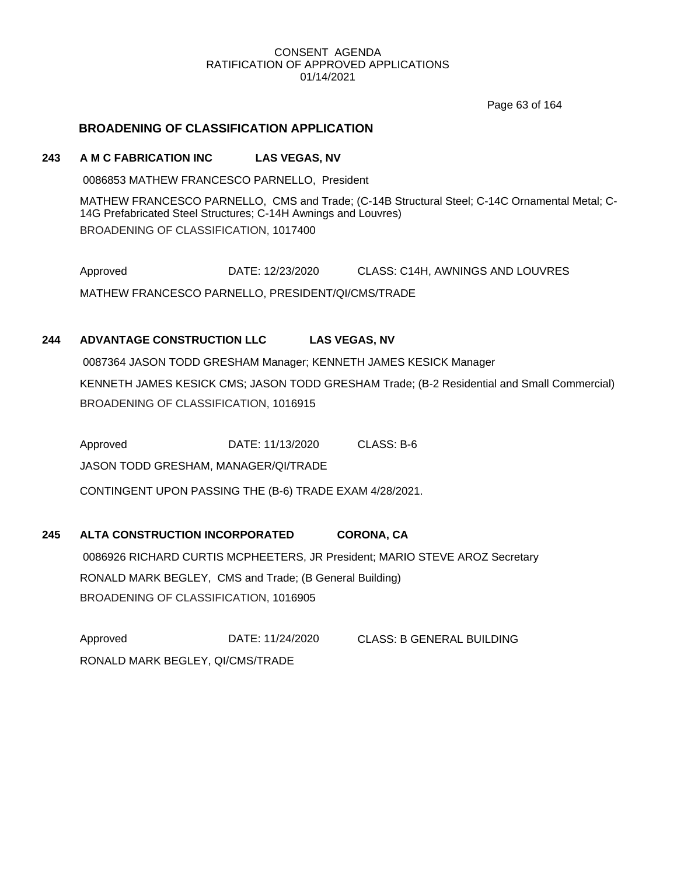Page 63 of 164

## **BROADENING OF CLASSIFICATION APPLICATION**

#### **243 A M C FABRICATION INC LAS VEGAS, NV**

0086853 MATHEW FRANCESCO PARNELLO, President

MATHEW FRANCESCO PARNELLO, CMS and Trade; (C-14B Structural Steel; C-14C Ornamental Metal; C-14G Prefabricated Steel Structures; C-14H Awnings and Louvres) BROADENING OF CLASSIFICATION, 1017400

Approved DATE: 12/23/2020 CLASS: C14H, AWNINGS AND LOUVRES MATHEW FRANCESCO PARNELLO, PRESIDENT/QI/CMS/TRADE

## **244 ADVANTAGE CONSTRUCTION LLC LAS VEGAS, NV**

0087364 JASON TODD GRESHAM Manager; KENNETH JAMES KESICK Manager KENNETH JAMES KESICK CMS; JASON TODD GRESHAM Trade; (B-2 Residential and Small Commercial) BROADENING OF CLASSIFICATION, 1016915

Approved **DATE: 11/13/2020** CLASS: B-6 JASON TODD GRESHAM, MANAGER/QI/TRADE CONTINGENT UPON PASSING THE (B-6) TRADE EXAM 4/28/2021.

**245 ALTA CONSTRUCTION INCORPORATED CORONA, CA** 0086926 RICHARD CURTIS MCPHEETERS, JR President; MARIO STEVE AROZ Secretary RONALD MARK BEGLEY, CMS and Trade; (B General Building) BROADENING OF CLASSIFICATION, 1016905

Approved DATE: 11/24/2020 CLASS: B GENERAL BUILDING RONALD MARK BEGLEY, QI/CMS/TRADE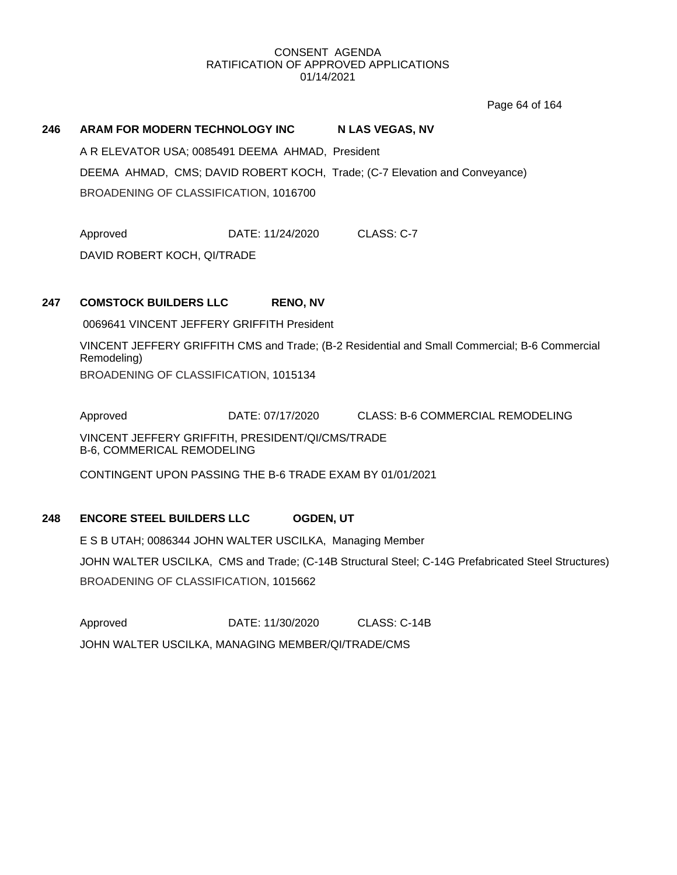Page 64 of 164

# **246 ARAM FOR MODERN TECHNOLOGY INC N LAS VEGAS, NV** A R ELEVATOR USA; 0085491 DEEMA AHMAD, President DEEMA AHMAD, CMS; DAVID ROBERT KOCH, Trade; (C-7 Elevation and Conveyance) BROADENING OF CLASSIFICATION, 1016700

Approved **DATE: 11/24/2020** CLASS: C-7

DAVID ROBERT KOCH, QI/TRADE

## **247 COMSTOCK BUILDERS LLC RENO, NV**

0069641 VINCENT JEFFERY GRIFFITH President

VINCENT JEFFERY GRIFFITH CMS and Trade; (B-2 Residential and Small Commercial; B-6 Commercial Remodeling) BROADENING OF CLASSIFICATION, 1015134

Approved DATE: 07/17/2020 CLASS: B-6 COMMERCIAL REMODELING VINCENT JEFFERY GRIFFITH, PRESIDENT/QI/CMS/TRADE B-6, COMMERICAL REMODELING

CONTINGENT UPON PASSING THE B-6 TRADE EXAM BY 01/01/2021

## **248 ENCORE STEEL BUILDERS LLC OGDEN, UT**

E S B UTAH; 0086344 JOHN WALTER USCILKA, Managing Member JOHN WALTER USCILKA, CMS and Trade; (C-14B Structural Steel; C-14G Prefabricated Steel Structures) BROADENING OF CLASSIFICATION, 1015662

Approved DATE: 11/30/2020 CLASS: C-14B JOHN WALTER USCILKA, MANAGING MEMBER/QI/TRADE/CMS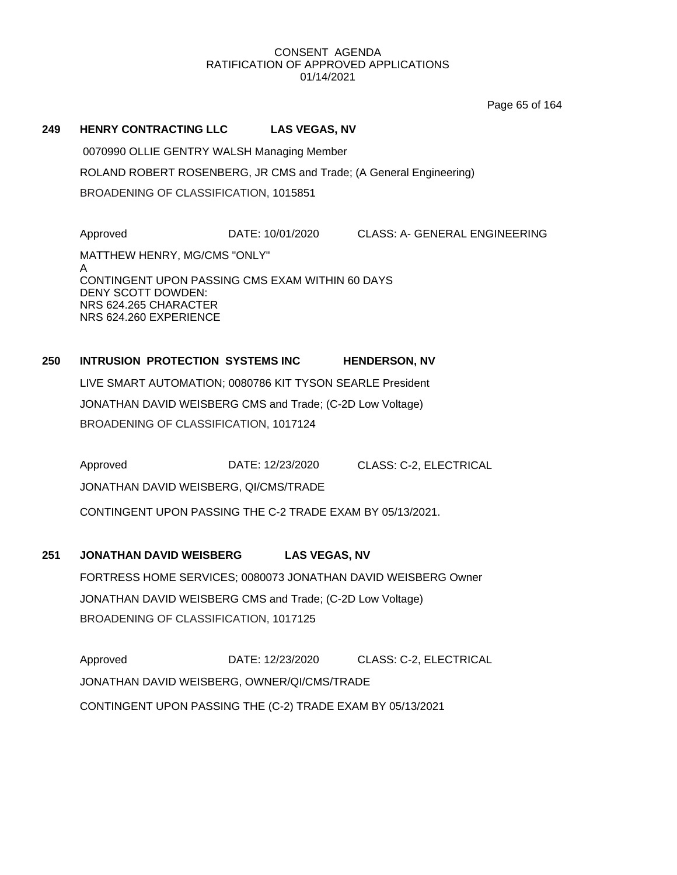Page 65 of 164

#### **249 HENRY CONTRACTING LLC LAS VEGAS, NV**

0070990 OLLIE GENTRY WALSH Managing Member ROLAND ROBERT ROSENBERG, JR CMS and Trade; (A General Engineering) BROADENING OF CLASSIFICATION, 1015851

Approved DATE: 10/01/2020 CLASS: A- GENERAL ENGINEERING MATTHEW HENRY, MG/CMS "ONLY" A CONTINGENT UPON PASSING CMS EXAM WITHIN 60 DAYS DENY SCOTT DOWDEN: NRS 624.265 CHARACTER NRS 624.260 EXPERIENCE

## **250 INTRUSION PROTECTION SYSTEMS INC HENDERSON, NV**

LIVE SMART AUTOMATION; 0080786 KIT TYSON SEARLE President JONATHAN DAVID WEISBERG CMS and Trade; (C-2D Low Voltage) BROADENING OF CLASSIFICATION, 1017124

Approved DATE: 12/23/2020 CLASS: C-2, ELECTRICAL JONATHAN DAVID WEISBERG, QI/CMS/TRADE CONTINGENT UPON PASSING THE C-2 TRADE EXAM BY 05/13/2021.

## **251 JONATHAN DAVID WEISBERG LAS VEGAS, NV**

FORTRESS HOME SERVICES; 0080073 JONATHAN DAVID WEISBERG Owner JONATHAN DAVID WEISBERG CMS and Trade; (C-2D Low Voltage) BROADENING OF CLASSIFICATION, 1017125

Approved **DATE: 12/23/2020** CLASS: C-2, ELECTRICAL JONATHAN DAVID WEISBERG, OWNER/QI/CMS/TRADE CONTINGENT UPON PASSING THE (C-2) TRADE EXAM BY 05/13/2021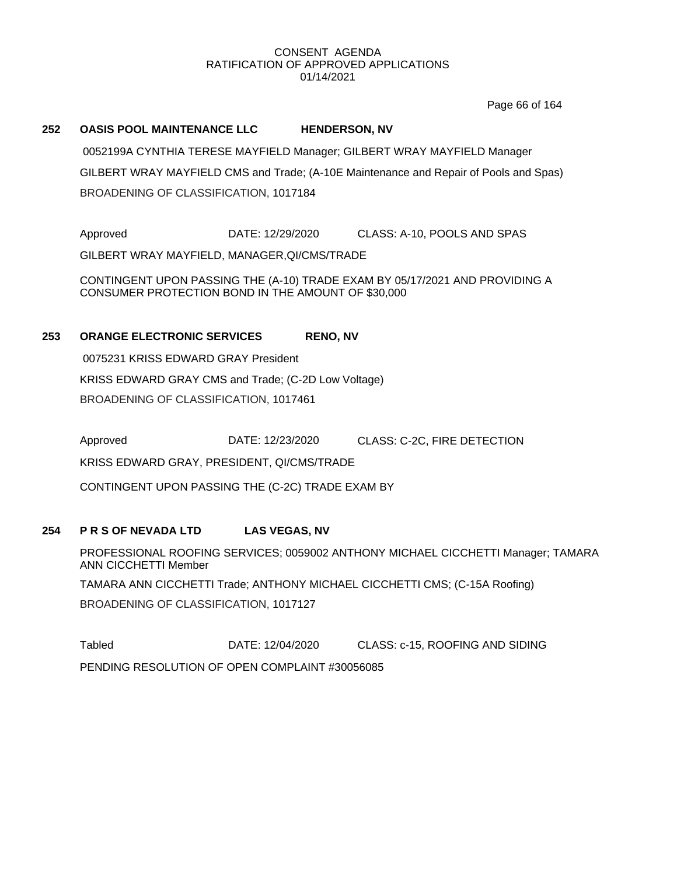Page 66 of 164

#### **252 OASIS POOL MAINTENANCE LLC HENDERSON, NV**

0052199A CYNTHIA TERESE MAYFIELD Manager; GILBERT WRAY MAYFIELD Manager GILBERT WRAY MAYFIELD CMS and Trade; (A-10E Maintenance and Repair of Pools and Spas) BROADENING OF CLASSIFICATION, 1017184

Approved DATE: 12/29/2020 CLASS: A-10, POOLS AND SPAS GILBERT WRAY MAYFIELD, MANAGER,QI/CMS/TRADE

CONTINGENT UPON PASSING THE (A-10) TRADE EXAM BY 05/17/2021 AND PROVIDING A CONSUMER PROTECTION BOND IN THE AMOUNT OF \$30,000

## **253 ORANGE ELECTRONIC SERVICES RENO, NV**

0075231 KRISS EDWARD GRAY President KRISS EDWARD GRAY CMS and Trade; (C-2D Low Voltage) BROADENING OF CLASSIFICATION, 1017461

Approved DATE: 12/23/2020 CLASS: C-2C, FIRE DETECTION KRISS EDWARD GRAY, PRESIDENT, QI/CMS/TRADE

CONTINGENT UPON PASSING THE (C-2C) TRADE EXAM BY

## **254 P R S OF NEVADA LTD LAS VEGAS, NV**

PROFESSIONAL ROOFING SERVICES; 0059002 ANTHONY MICHAEL CICCHETTI Manager; TAMARA ANN CICCHETTI Member TAMARA ANN CICCHETTI Trade; ANTHONY MICHAEL CICCHETTI CMS; (C-15A Roofing) BROADENING OF CLASSIFICATION, 1017127

Tabled DATE: 12/04/2020 CLASS: c-15, ROOFING AND SIDING PENDING RESOLUTION OF OPEN COMPLAINT #30056085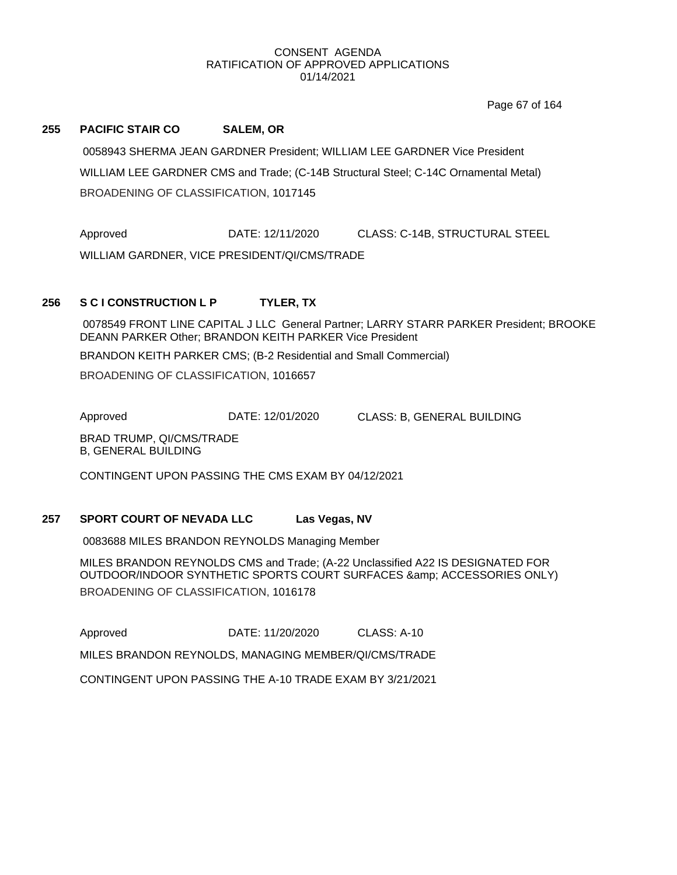Page 67 of 164

#### **255 PACIFIC STAIR CO SALEM, OR**

0058943 SHERMA JEAN GARDNER President; WILLIAM LEE GARDNER Vice President WILLIAM LEE GARDNER CMS and Trade; (C-14B Structural Steel; C-14C Ornamental Metal) BROADENING OF CLASSIFICATION, 1017145

Approved DATE: 12/11/2020 CLASS: C-14B, STRUCTURAL STEEL WILLIAM GARDNER, VICE PRESIDENT/QI/CMS/TRADE

### **256 S C I CONSTRUCTION L P TYLER, TX**

0078549 FRONT LINE CAPITAL J LLC General Partner; LARRY STARR PARKER President; BROOKE DEANN PARKER Other; BRANDON KEITH PARKER Vice President

BRANDON KEITH PARKER CMS; (B-2 Residential and Small Commercial)

BROADENING OF CLASSIFICATION, 1016657

Approved DATE: 12/01/2020 CLASS: B, GENERAL BUILDING

BRAD TRUMP, QI/CMS/TRADE B, GENERAL BUILDING

CONTINGENT UPON PASSING THE CMS EXAM BY 04/12/2021

#### **257 SPORT COURT OF NEVADA LLC Las Vegas, NV**

0083688 MILES BRANDON REYNOLDS Managing Member

MILES BRANDON REYNOLDS CMS and Trade; (A-22 Unclassified A22 IS DESIGNATED FOR OUTDOOR/INDOOR SYNTHETIC SPORTS COURT SURFACES & amp; ACCESSORIES ONLY) BROADENING OF CLASSIFICATION, 1016178

Approved **DATE: 11/20/2020** CLASS: A-10

MILES BRANDON REYNOLDS, MANAGING MEMBER/QI/CMS/TRADE

CONTINGENT UPON PASSING THE A-10 TRADE EXAM BY 3/21/2021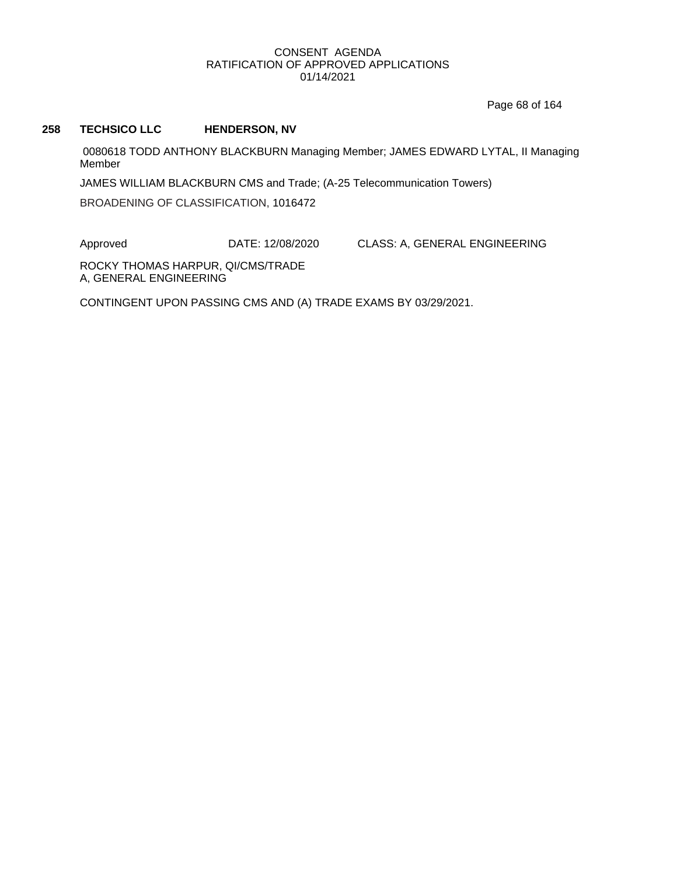Page 68 of 164

### **258 TECHSICO LLC HENDERSON, NV**

0080618 TODD ANTHONY BLACKBURN Managing Member; JAMES EDWARD LYTAL, II Managing Member

JAMES WILLIAM BLACKBURN CMS and Trade; (A-25 Telecommunication Towers)

BROADENING OF CLASSIFICATION, 1016472

Approved DATE: 12/08/2020 CLASS: A, GENERAL ENGINEERING

ROCKY THOMAS HARPUR, QI/CMS/TRADE A, GENERAL ENGINEERING

CONTINGENT UPON PASSING CMS AND (A) TRADE EXAMS BY 03/29/2021.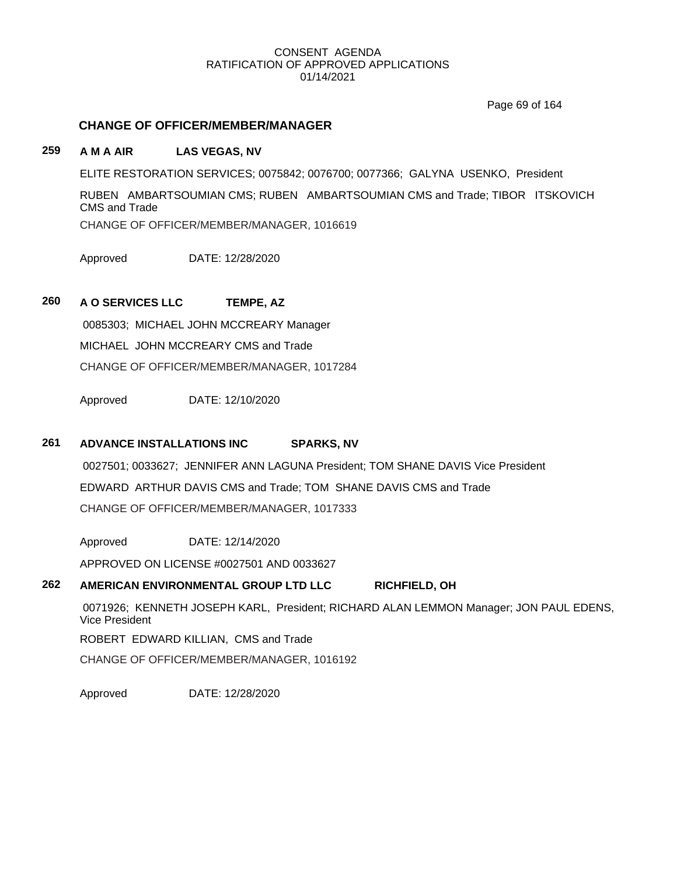Page 69 of 164

# **CHANGE OF OFFICER/MEMBER/MANAGER**

# **259 A M A AIR LAS VEGAS, NV**

ELITE RESTORATION SERVICES; 0075842; 0076700; 0077366; GALYNA USENKO, President

RUBEN AMBARTSOUMIAN CMS; RUBEN AMBARTSOUMIAN CMS and Trade; TIBOR ITSKOVICH CMS and Trade

CHANGE OF OFFICER/MEMBER/MANAGER, 1016619

Approved DATE: 12/28/2020

# **260 A O SERVICES LLC TEMPE, AZ**

0085303; MICHAEL JOHN MCCREARY Manager MICHAEL JOHN MCCREARY CMS and Trade CHANGE OF OFFICER/MEMBER/MANAGER, 1017284

Approved DATE: 12/10/2020

# **261 ADVANCE INSTALLATIONS INC SPARKS, NV**

0027501; 0033627; JENNIFER ANN LAGUNA President; TOM SHANE DAVIS Vice President EDWARD ARTHUR DAVIS CMS and Trade; TOM SHANE DAVIS CMS and Trade CHANGE OF OFFICER/MEMBER/MANAGER, 1017333

Approved DATE: 12/14/2020

APPROVED ON LICENSE #0027501 AND 0033627

### **262 AMERICAN ENVIRONMENTAL GROUP LTD LLC RICHFIELD, OH**

0071926; KENNETH JOSEPH KARL, President; RICHARD ALAN LEMMON Manager; JON PAUL EDENS, Vice President ROBERT EDWARD KILLIAN, CMS and Trade CHANGE OF OFFICER/MEMBER/MANAGER, 1016192

Approved DATE: 12/28/2020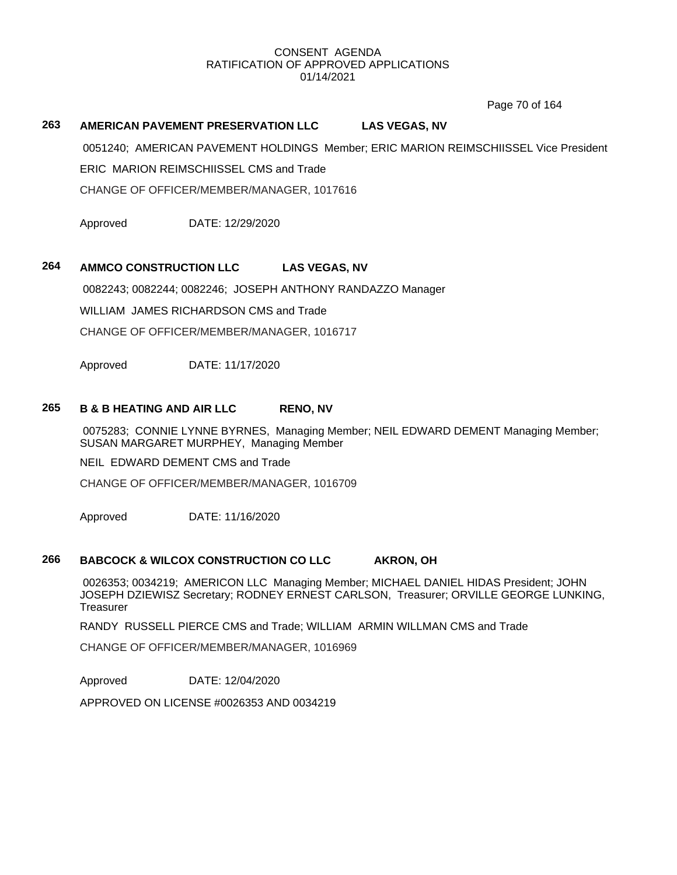Page 70 of 164

# **263 AMERICAN PAVEMENT PRESERVATION LLC LAS VEGAS, NV**

0051240; AMERICAN PAVEMENT HOLDINGS Member; ERIC MARION REIMSCHIISSEL Vice President

ERIC MARION REIMSCHIISSEL CMS and Trade

CHANGE OF OFFICER/MEMBER/MANAGER, 1017616

Approved DATE: 12/29/2020

# **264 AMMCO CONSTRUCTION LLC LAS VEGAS, NV**

0082243; 0082244; 0082246; JOSEPH ANTHONY RANDAZZO Manager

WILLIAM JAMES RICHARDSON CMS and Trade

CHANGE OF OFFICER/MEMBER/MANAGER, 1016717

Approved DATE: 11/17/2020

### **265 B & B HEATING AND AIR LLC RENO, NV**

0075283; CONNIE LYNNE BYRNES, Managing Member; NEIL EDWARD DEMENT Managing Member; SUSAN MARGARET MURPHEY, Managing Member

NEIL EDWARD DEMENT CMS and Trade

CHANGE OF OFFICER/MEMBER/MANAGER, 1016709

Approved DATE: 11/16/2020

# **266 BABCOCK & WILCOX CONSTRUCTION CO LLC AKRON, OH**

0026353; 0034219; AMERICON LLC Managing Member; MICHAEL DANIEL HIDAS President; JOHN JOSEPH DZIEWISZ Secretary; RODNEY ERNEST CARLSON, Treasurer; ORVILLE GEORGE LUNKING, **Treasurer** 

RANDY RUSSELL PIERCE CMS and Trade; WILLIAM ARMIN WILLMAN CMS and Trade

CHANGE OF OFFICER/MEMBER/MANAGER, 1016969

Approved DATE: 12/04/2020

APPROVED ON LICENSE #0026353 AND 0034219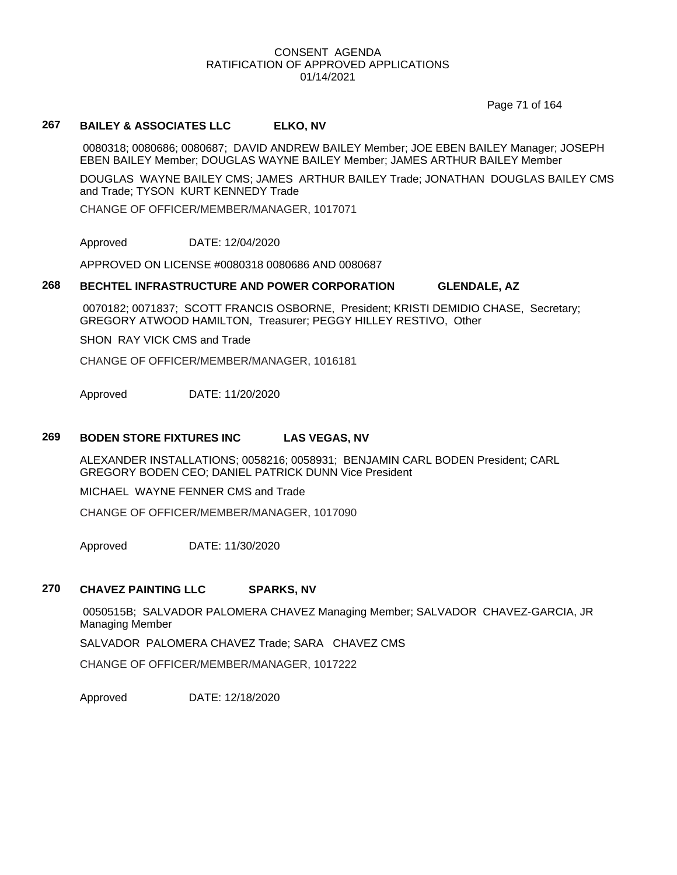Page 71 of 164

# **267 BAILEY & ASSOCIATES LLC ELKO, NV**

0080318; 0080686; 0080687; DAVID ANDREW BAILEY Member; JOE EBEN BAILEY Manager; JOSEPH EBEN BAILEY Member; DOUGLAS WAYNE BAILEY Member; JAMES ARTHUR BAILEY Member

DOUGLAS WAYNE BAILEY CMS; JAMES ARTHUR BAILEY Trade; JONATHAN DOUGLAS BAILEY CMS and Trade; TYSON KURT KENNEDY Trade

CHANGE OF OFFICER/MEMBER/MANAGER, 1017071

Approved DATE: 12/04/2020

APPROVED ON LICENSE #0080318 0080686 AND 0080687

# **268 BECHTEL INFRASTRUCTURE AND POWER CORPORATION GLENDALE, AZ**

0070182; 0071837; SCOTT FRANCIS OSBORNE, President; KRISTI DEMIDIO CHASE, Secretary; GREGORY ATWOOD HAMILTON, Treasurer; PEGGY HILLEY RESTIVO, Other

SHON RAY VICK CMS and Trade

CHANGE OF OFFICER/MEMBER/MANAGER, 1016181

Approved DATE: 11/20/2020

### **269 BODEN STORE FIXTURES INC LAS VEGAS, NV**

ALEXANDER INSTALLATIONS; 0058216; 0058931; BENJAMIN CARL BODEN President; CARL GREGORY BODEN CEO; DANIEL PATRICK DUNN Vice President

MICHAEL WAYNE FENNER CMS and Trade

CHANGE OF OFFICER/MEMBER/MANAGER, 1017090

Approved DATE: 11/30/2020

# **270 CHAVEZ PAINTING LLC SPARKS, NV**

0050515B; SALVADOR PALOMERA CHAVEZ Managing Member; SALVADOR CHAVEZ-GARCIA, JR Managing Member

SALVADOR PALOMERA CHAVEZ Trade; SARA CHAVEZ CMS

CHANGE OF OFFICER/MEMBER/MANAGER, 1017222

Approved DATE: 12/18/2020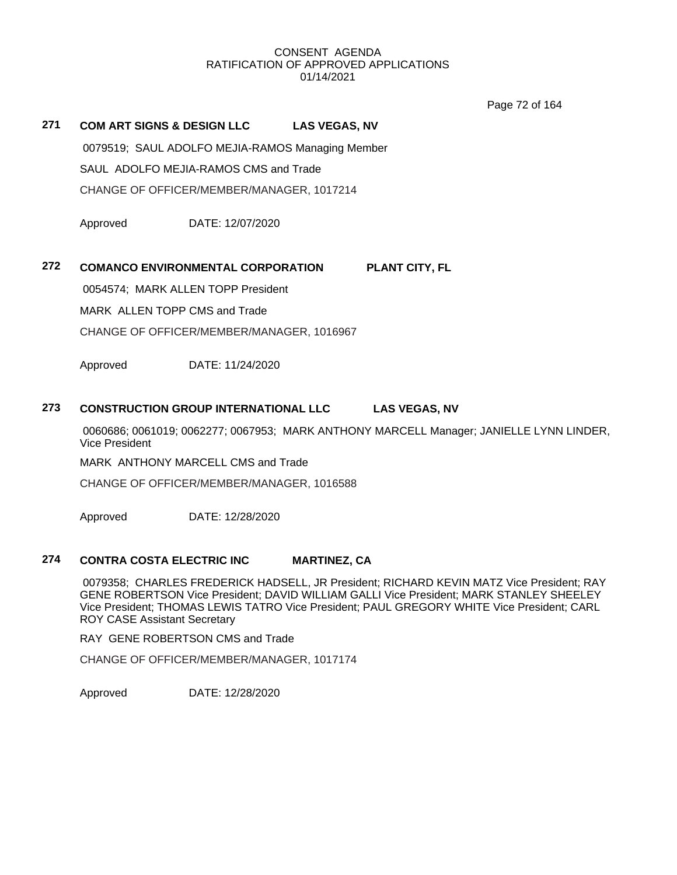Page 72 of 164

# **271 COM ART SIGNS & DESIGN LLC LAS VEGAS, NV**

0079519; SAUL ADOLFO MEJIA-RAMOS Managing Member SAUL ADOLFO MEJIA-RAMOS CMS and Trade CHANGE OF OFFICER/MEMBER/MANAGER, 1017214

Approved DATE: 12/07/2020

### **272 COMANCO ENVIRONMENTAL CORPORATION PLANT CITY, FL**

0054574; MARK ALLEN TOPP President

MARK ALLEN TOPP CMS and Trade

CHANGE OF OFFICER/MEMBER/MANAGER, 1016967

Approved DATE: 11/24/2020

### **273 CONSTRUCTION GROUP INTERNATIONAL LLC LAS VEGAS, NV**

0060686; 0061019; 0062277; 0067953; MARK ANTHONY MARCELL Manager; JANIELLE LYNN LINDER, Vice President

MARK ANTHONY MARCELL CMS and Trade

CHANGE OF OFFICER/MEMBER/MANAGER, 1016588

Approved DATE: 12/28/2020

# **274 CONTRA COSTA ELECTRIC INC MARTINEZ, CA**

0079358; CHARLES FREDERICK HADSELL, JR President; RICHARD KEVIN MATZ Vice President; RAY GENE ROBERTSON Vice President; DAVID WILLIAM GALLI Vice President; MARK STANLEY SHEELEY Vice President; THOMAS LEWIS TATRO Vice President; PAUL GREGORY WHITE Vice President; CARL ROY CASE Assistant Secretary

RAY GENE ROBERTSON CMS and Trade

CHANGE OF OFFICER/MEMBER/MANAGER, 1017174

Approved DATE: 12/28/2020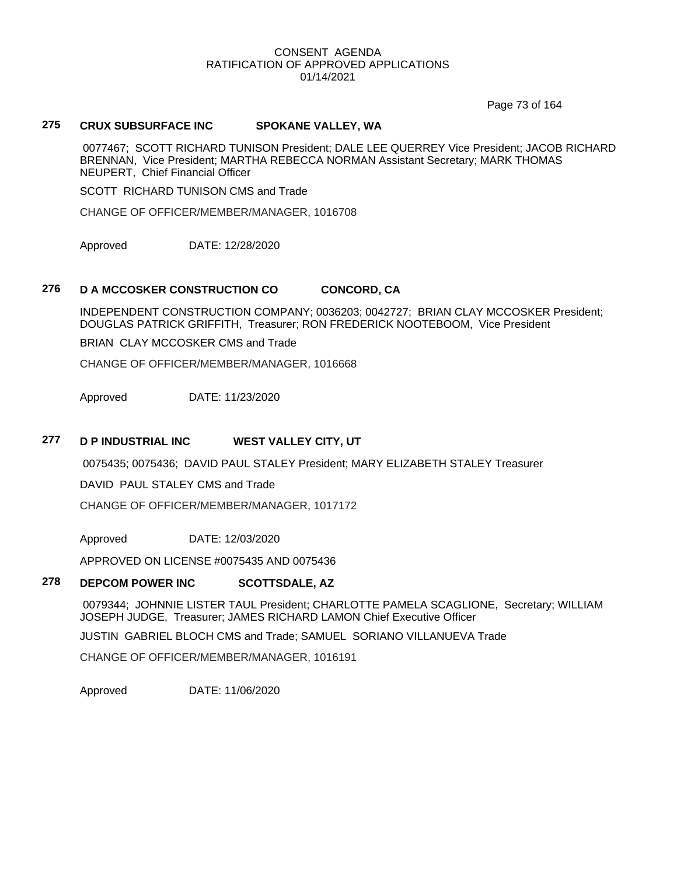Page 73 of 164

# **275 CRUX SUBSURFACE INC SPOKANE VALLEY, WA**

0077467; SCOTT RICHARD TUNISON President; DALE LEE QUERREY Vice President; JACOB RICHARD BRENNAN, Vice President; MARTHA REBECCA NORMAN Assistant Secretary; MARK THOMAS NEUPERT, Chief Financial Officer

SCOTT RICHARD TUNISON CMS and Trade

CHANGE OF OFFICER/MEMBER/MANAGER, 1016708

Approved DATE: 12/28/2020

#### **276 D A MCCOSKER CONSTRUCTION CO CONCORD, CA**

INDEPENDENT CONSTRUCTION COMPANY; 0036203; 0042727; BRIAN CLAY MCCOSKER President; DOUGLAS PATRICK GRIFFITH, Treasurer; RON FREDERICK NOOTEBOOM, Vice President

BRIAN CLAY MCCOSKER CMS and Trade

CHANGE OF OFFICER/MEMBER/MANAGER, 1016668

Approved DATE: 11/23/2020

# **277 D P INDUSTRIAL INC WEST VALLEY CITY, UT**

0075435; 0075436; DAVID PAUL STALEY President; MARY ELIZABETH STALEY Treasurer

DAVID PAUL STALEY CMS and Trade

CHANGE OF OFFICER/MEMBER/MANAGER, 1017172

Approved DATE: 12/03/2020

APPROVED ON LICENSE #0075435 AND 0075436

### **278 DEPCOM POWER INC SCOTTSDALE, AZ**

0079344; JOHNNIE LISTER TAUL President; CHARLOTTE PAMELA SCAGLIONE, Secretary; WILLIAM JOSEPH JUDGE, Treasurer; JAMES RICHARD LAMON Chief Executive Officer

JUSTIN GABRIEL BLOCH CMS and Trade; SAMUEL SORIANO VILLANUEVA Trade

CHANGE OF OFFICER/MEMBER/MANAGER, 1016191

Approved DATE: 11/06/2020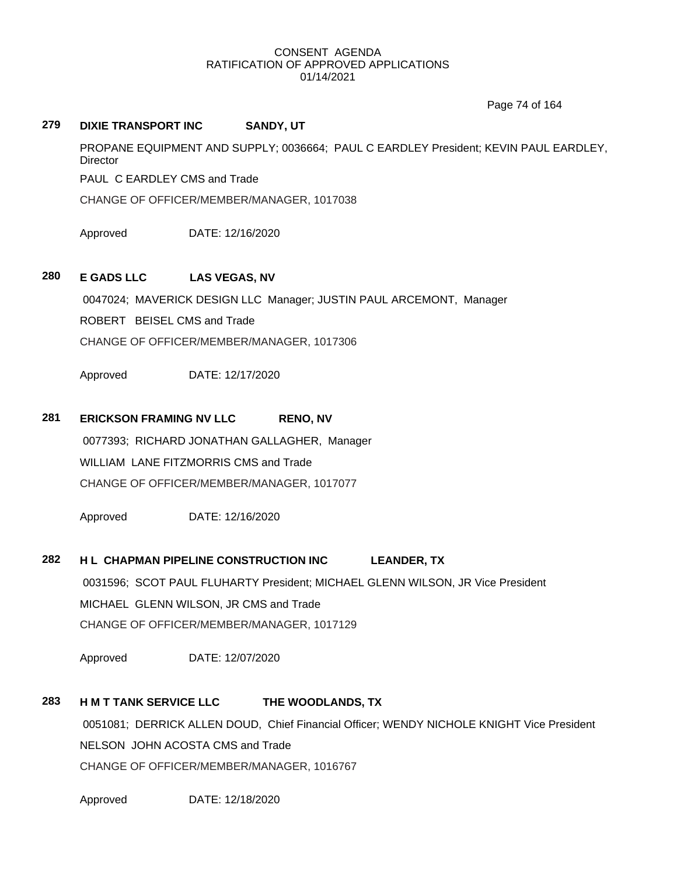Page 74 of 164

### **279 DIXIE TRANSPORT INC SANDY, UT**

PROPANE EQUIPMENT AND SUPPLY; 0036664; PAUL C EARDLEY President; KEVIN PAUL EARDLEY, **Director** 

PAUL C EARDLEY CMS and Trade

CHANGE OF OFFICER/MEMBER/MANAGER, 1017038

Approved DATE: 12/16/2020

# **280 E GADS LLC LAS VEGAS, NV**

0047024; MAVERICK DESIGN LLC Manager; JUSTIN PAUL ARCEMONT, Manager

ROBERT BEISEL CMS and Trade

CHANGE OF OFFICER/MEMBER/MANAGER, 1017306

Approved DATE: 12/17/2020

# **281 ERICKSON FRAMING NV LLC RENO, NV**

0077393; RICHARD JONATHAN GALLAGHER, Manager WILLIAM LANE FITZMORRIS CMS and Trade CHANGE OF OFFICER/MEMBER/MANAGER, 1017077

Approved DATE: 12/16/2020

### **282 H L CHAPMAN PIPELINE CONSTRUCTION INC LEANDER, TX**

0031596; SCOT PAUL FLUHARTY President; MICHAEL GLENN WILSON, JR Vice President MICHAEL GLENN WILSON, JR CMS and Trade CHANGE OF OFFICER/MEMBER/MANAGER, 1017129

Approved DATE: 12/07/2020

# **283 H M T TANK SERVICE LLC THE WOODLANDS, TX**

0051081; DERRICK ALLEN DOUD, Chief Financial Officer; WENDY NICHOLE KNIGHT Vice President NELSON JOHN ACOSTA CMS and Trade CHANGE OF OFFICER/MEMBER/MANAGER, 1016767

Approved DATE: 12/18/2020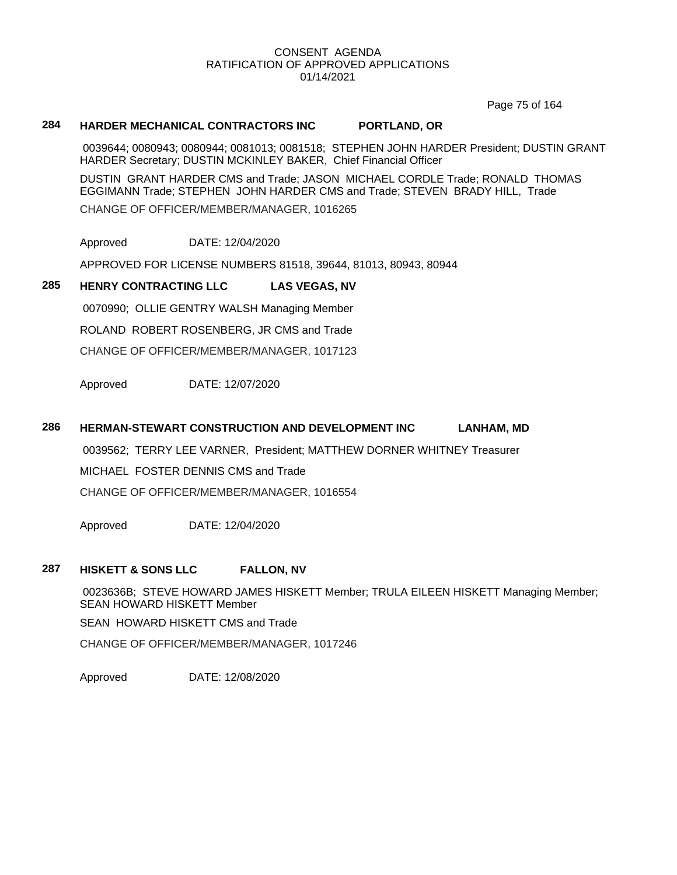Page 75 of 164

# **284 HARDER MECHANICAL CONTRACTORS INC PORTLAND, OR**

0039644; 0080943; 0080944; 0081013; 0081518; STEPHEN JOHN HARDER President; DUSTIN GRANT HARDER Secretary; DUSTIN MCKINLEY BAKER, Chief Financial Officer

DUSTIN GRANT HARDER CMS and Trade; JASON MICHAEL CORDLE Trade; RONALD THOMAS EGGIMANN Trade; STEPHEN JOHN HARDER CMS and Trade; STEVEN BRADY HILL, Trade CHANGE OF OFFICER/MEMBER/MANAGER, 1016265

Approved DATE: 12/04/2020

APPROVED FOR LICENSE NUMBERS 81518, 39644, 81013, 80943, 80944

# **285 HENRY CONTRACTING LLC LAS VEGAS, NV**

0070990; OLLIE GENTRY WALSH Managing Member ROLAND ROBERT ROSENBERG, JR CMS and Trade

CHANGE OF OFFICER/MEMBER/MANAGER, 1017123

Approved DATE: 12/07/2020

### **286 HERMAN-STEWART CONSTRUCTION AND DEVELOPMENT INC LANHAM, MD**

0039562; TERRY LEE VARNER, President; MATTHEW DORNER WHITNEY Treasurer MICHAEL FOSTER DENNIS CMS and Trade

CHANGE OF OFFICER/MEMBER/MANAGER, 1016554

Approved DATE: 12/04/2020

#### **287 HISKETT & SONS LLC FALLON, NV**

0023636B; STEVE HOWARD JAMES HISKETT Member; TRULA EILEEN HISKETT Managing Member; SEAN HOWARD HISKETT Member SEAN HOWARD HISKETT CMS and Trade CHANGE OF OFFICER/MEMBER/MANAGER, 1017246

Approved DATE: 12/08/2020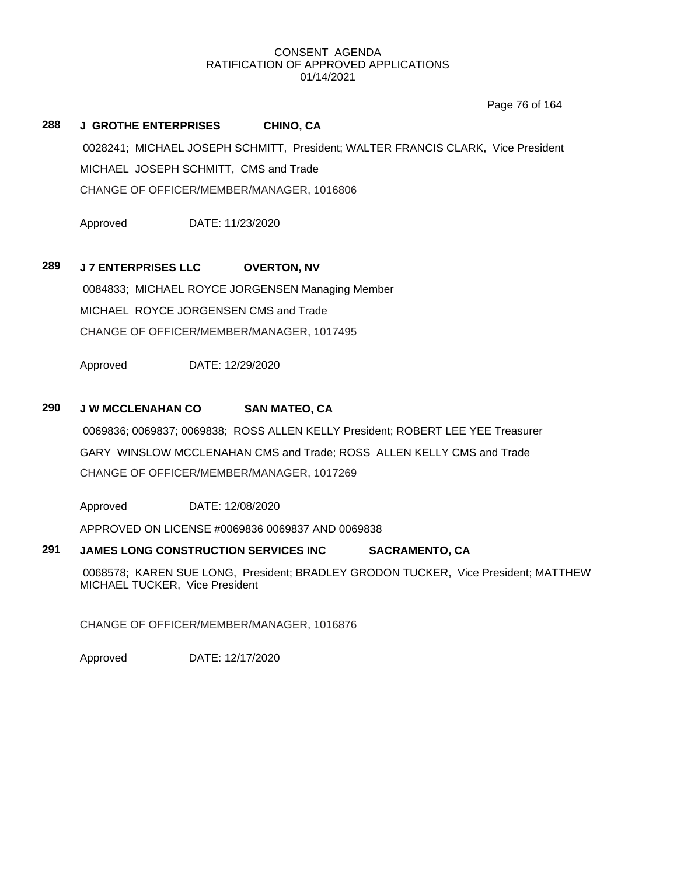Page 76 of 164

# **288 J GROTHE ENTERPRISES CHINO, CA** 0028241; MICHAEL JOSEPH SCHMITT, President; WALTER FRANCIS CLARK, Vice President MICHAEL JOSEPH SCHMITT, CMS and Trade CHANGE OF OFFICER/MEMBER/MANAGER, 1016806

Approved DATE: 11/23/2020

# **289 J 7 ENTERPRISES LLC OVERTON, NV**

0084833; MICHAEL ROYCE JORGENSEN Managing Member MICHAEL ROYCE JORGENSEN CMS and Trade CHANGE OF OFFICER/MEMBER/MANAGER, 1017495

Approved DATE: 12/29/2020

# **290 J W MCCLENAHAN CO SAN MATEO, CA**

0069836; 0069837; 0069838; ROSS ALLEN KELLY President; ROBERT LEE YEE Treasurer GARY WINSLOW MCCLENAHAN CMS and Trade; ROSS ALLEN KELLY CMS and Trade CHANGE OF OFFICER/MEMBER/MANAGER, 1017269

Approved DATE: 12/08/2020

APPROVED ON LICENSE #0069836 0069837 AND 0069838

# **291 JAMES LONG CONSTRUCTION SERVICES INC SACRAMENTO, CA**

0068578; KAREN SUE LONG, President; BRADLEY GRODON TUCKER, Vice President; MATTHEW MICHAEL TUCKER, Vice President

CHANGE OF OFFICER/MEMBER/MANAGER, 1016876

Approved DATE: 12/17/2020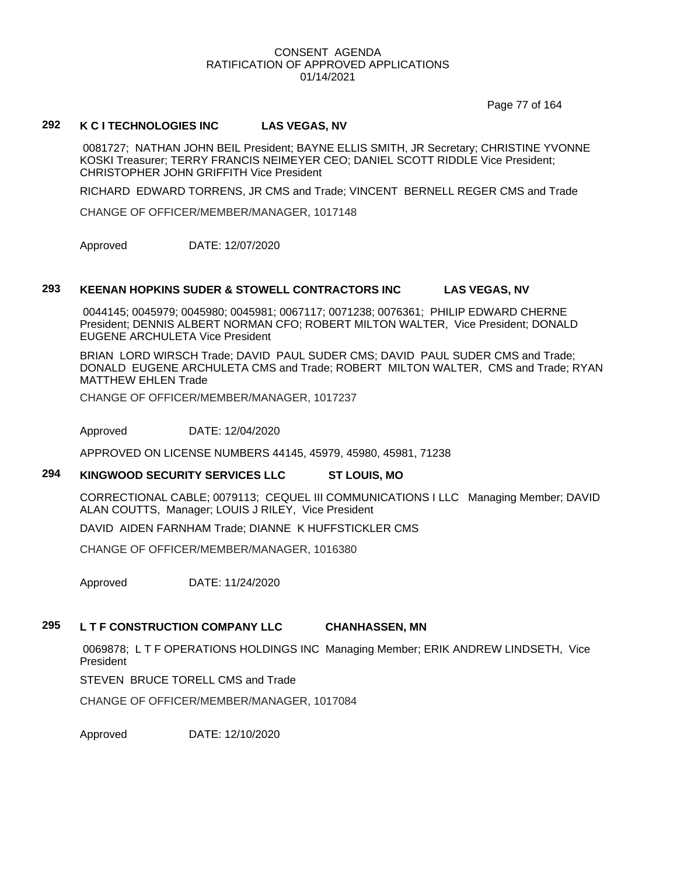Page 77 of 164

# **292 K C I TECHNOLOGIES INC LAS VEGAS, NV**

0081727; NATHAN JOHN BEIL President; BAYNE ELLIS SMITH, JR Secretary; CHRISTINE YVONNE KOSKI Treasurer; TERRY FRANCIS NEIMEYER CEO; DANIEL SCOTT RIDDLE Vice President; CHRISTOPHER JOHN GRIFFITH Vice President

RICHARD EDWARD TORRENS, JR CMS and Trade; VINCENT BERNELL REGER CMS and Trade

CHANGE OF OFFICER/MEMBER/MANAGER, 1017148

Approved DATE: 12/07/2020

#### **293 KEENAN HOPKINS SUDER & STOWELL CONTRACTORS INC LAS VEGAS, NV**

0044145; 0045979; 0045980; 0045981; 0067117; 0071238; 0076361; PHILIP EDWARD CHERNE President; DENNIS ALBERT NORMAN CFO; ROBERT MILTON WALTER, Vice President; DONALD EUGENE ARCHULETA Vice President

BRIAN LORD WIRSCH Trade; DAVID PAUL SUDER CMS; DAVID PAUL SUDER CMS and Trade; DONALD EUGENE ARCHULETA CMS and Trade; ROBERT MILTON WALTER, CMS and Trade; RYAN MATTHEW EHLEN Trade

CHANGE OF OFFICER/MEMBER/MANAGER, 1017237

Approved DATE: 12/04/2020

APPROVED ON LICENSE NUMBERS 44145, 45979, 45980, 45981, 71238

# **294 KINGWOOD SECURITY SERVICES LLC ST LOUIS, MO**

CORRECTIONAL CABLE; 0079113; CEQUEL III COMMUNICATIONS I LLC Managing Member; DAVID ALAN COUTTS, Manager; LOUIS J RILEY, Vice President

DAVID AIDEN FARNHAM Trade; DIANNE K HUFFSTICKLER CMS

CHANGE OF OFFICER/MEMBER/MANAGER, 1016380

Approved DATE: 11/24/2020

# **295 L T F CONSTRUCTION COMPANY LLC CHANHASSEN, MN**

0069878; L T F OPERATIONS HOLDINGS INC Managing Member; ERIK ANDREW LINDSETH, Vice President

STEVEN BRUCE TORELL CMS and Trade

CHANGE OF OFFICER/MEMBER/MANAGER, 1017084

Approved DATE: 12/10/2020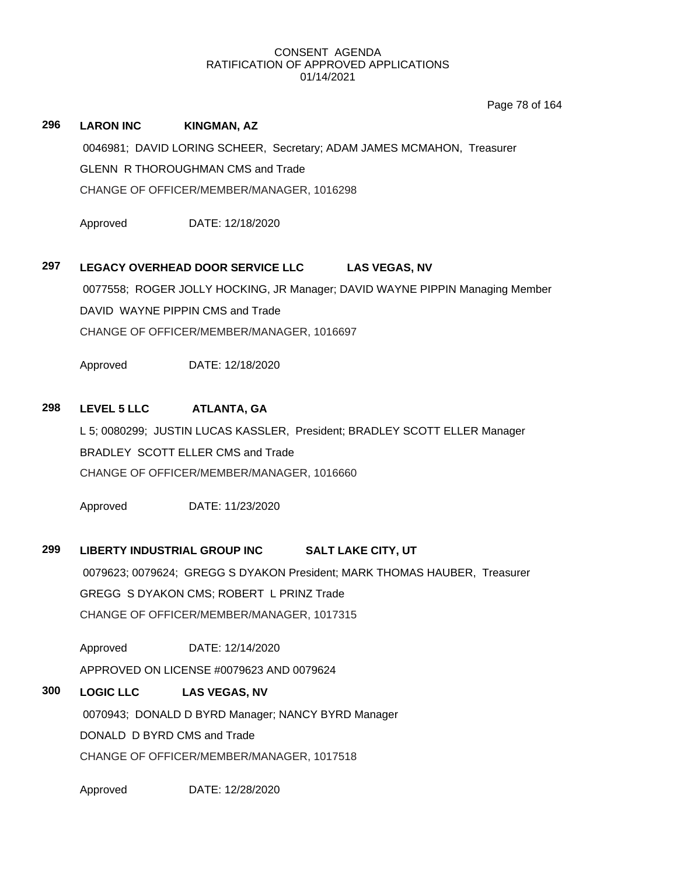Page 78 of 164

# **296 LARON INC KINGMAN, AZ**

0046981; DAVID LORING SCHEER, Secretary; ADAM JAMES MCMAHON, Treasurer GLENN R THOROUGHMAN CMS and Trade

CHANGE OF OFFICER/MEMBER/MANAGER, 1016298

Approved DATE: 12/18/2020

# **297 LEGACY OVERHEAD DOOR SERVICE LLC LAS VEGAS, NV**

0077558; ROGER JOLLY HOCKING, JR Manager; DAVID WAYNE PIPPIN Managing Member DAVID WAYNE PIPPIN CMS and Trade CHANGE OF OFFICER/MEMBER/MANAGER, 1016697

Approved DATE: 12/18/2020

# **298 LEVEL 5 LLC ATLANTA, GA**

L 5; 0080299; JUSTIN LUCAS KASSLER, President; BRADLEY SCOTT ELLER Manager BRADLEY SCOTT ELLER CMS and Trade CHANGE OF OFFICER/MEMBER/MANAGER, 1016660

Approved DATE: 11/23/2020

# **299 LIBERTY INDUSTRIAL GROUP INC SALT LAKE CITY, UT**

0079623; 0079624; GREGG S DYAKON President; MARK THOMAS HAUBER, Treasurer GREGG S DYAKON CMS; ROBERT L PRINZ Trade CHANGE OF OFFICER/MEMBER/MANAGER, 1017315

Approved DATE: 12/14/2020 APPROVED ON LICENSE #0079623 AND 0079624

# **300 LOGIC LLC LAS VEGAS, NV**

0070943; DONALD D BYRD Manager; NANCY BYRD Manager DONALD D BYRD CMS and Trade

CHANGE OF OFFICER/MEMBER/MANAGER, 1017518

Approved DATE: 12/28/2020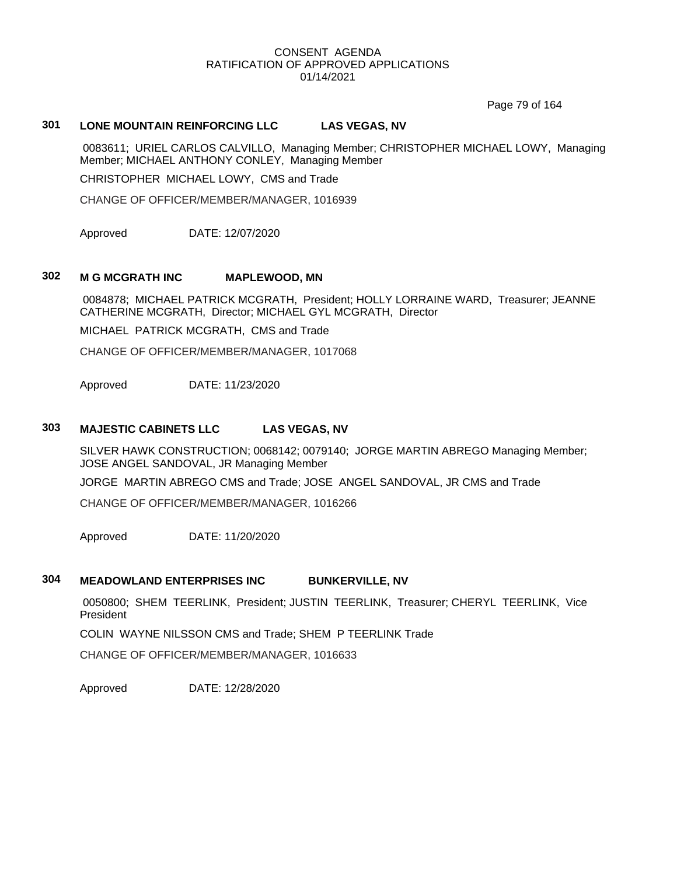Page 79 of 164

# **301 LONE MOUNTAIN REINFORCING LLC LAS VEGAS, NV**

0083611; URIEL CARLOS CALVILLO, Managing Member; CHRISTOPHER MICHAEL LOWY, Managing Member; MICHAEL ANTHONY CONLEY, Managing Member

CHRISTOPHER MICHAEL LOWY, CMS and Trade

CHANGE OF OFFICER/MEMBER/MANAGER, 1016939

Approved DATE: 12/07/2020

### **302 M G MCGRATH INC MAPLEWOOD, MN**

0084878; MICHAEL PATRICK MCGRATH, President; HOLLY LORRAINE WARD, Treasurer; JEANNE CATHERINE MCGRATH, Director; MICHAEL GYL MCGRATH, Director

MICHAEL PATRICK MCGRATH, CMS and Trade

CHANGE OF OFFICER/MEMBER/MANAGER, 1017068

Approved DATE: 11/23/2020

### **303 MAJESTIC CABINETS LLC LAS VEGAS, NV**

SILVER HAWK CONSTRUCTION; 0068142; 0079140; JORGE MARTIN ABREGO Managing Member; JOSE ANGEL SANDOVAL, JR Managing Member

JORGE MARTIN ABREGO CMS and Trade; JOSE ANGEL SANDOVAL, JR CMS and Trade

CHANGE OF OFFICER/MEMBER/MANAGER, 1016266

Approved DATE: 11/20/2020

# **304 MEADOWLAND ENTERPRISES INC BUNKERVILLE, NV**

0050800; SHEM TEERLINK, President; JUSTIN TEERLINK, Treasurer; CHERYL TEERLINK, Vice President

COLIN WAYNE NILSSON CMS and Trade; SHEM P TEERLINK Trade

CHANGE OF OFFICER/MEMBER/MANAGER, 1016633

Approved DATE: 12/28/2020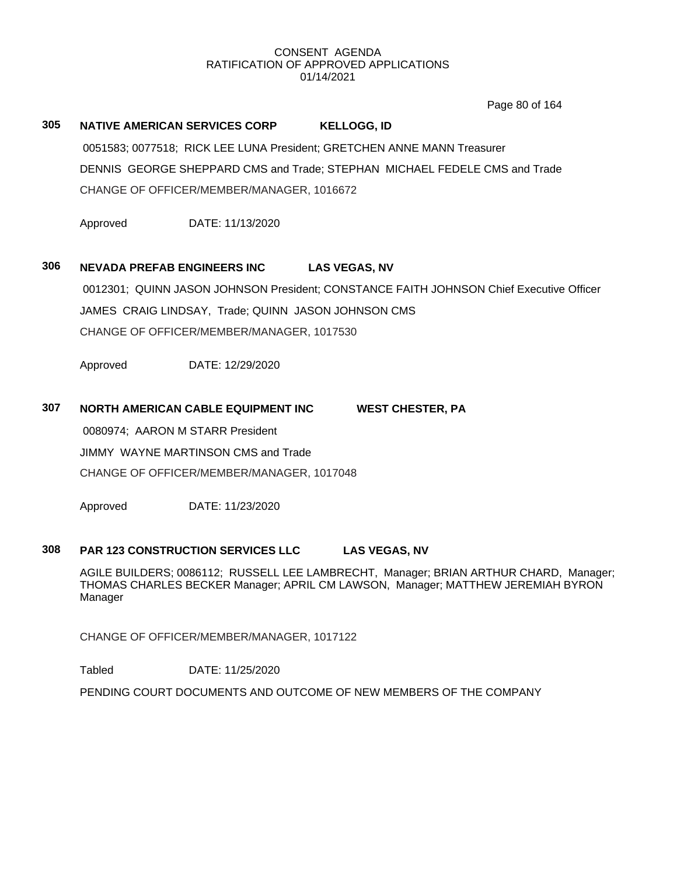Page 80 of 164

# **305 NATIVE AMERICAN SERVICES CORP KELLOGG, ID** 0051583; 0077518; RICK LEE LUNA President; GRETCHEN ANNE MANN Treasurer DENNIS GEORGE SHEPPARD CMS and Trade; STEPHAN MICHAEL FEDELE CMS and Trade

CHANGE OF OFFICER/MEMBER/MANAGER, 1016672

Approved DATE: 11/13/2020

### **306 NEVADA PREFAB ENGINEERS INC LAS VEGAS, NV**

0012301; QUINN JASON JOHNSON President; CONSTANCE FAITH JOHNSON Chief Executive Officer JAMES CRAIG LINDSAY, Trade; QUINN JASON JOHNSON CMS CHANGE OF OFFICER/MEMBER/MANAGER, 1017530

Approved DATE: 12/29/2020

### **307 NORTH AMERICAN CABLE EQUIPMENT INC WEST CHESTER, PA**

0080974; AARON M STARR President

JIMMY WAYNE MARTINSON CMS and Trade

CHANGE OF OFFICER/MEMBER/MANAGER, 1017048

Approved DATE: 11/23/2020

#### **308 PAR 123 CONSTRUCTION SERVICES LLC LAS VEGAS, NV**

AGILE BUILDERS; 0086112; RUSSELL LEE LAMBRECHT, Manager; BRIAN ARTHUR CHARD, Manager; THOMAS CHARLES BECKER Manager; APRIL CM LAWSON, Manager; MATTHEW JEREMIAH BYRON Manager

CHANGE OF OFFICER/MEMBER/MANAGER, 1017122

Tabled DATE: 11/25/2020

PENDING COURT DOCUMENTS AND OUTCOME OF NEW MEMBERS OF THE COMPANY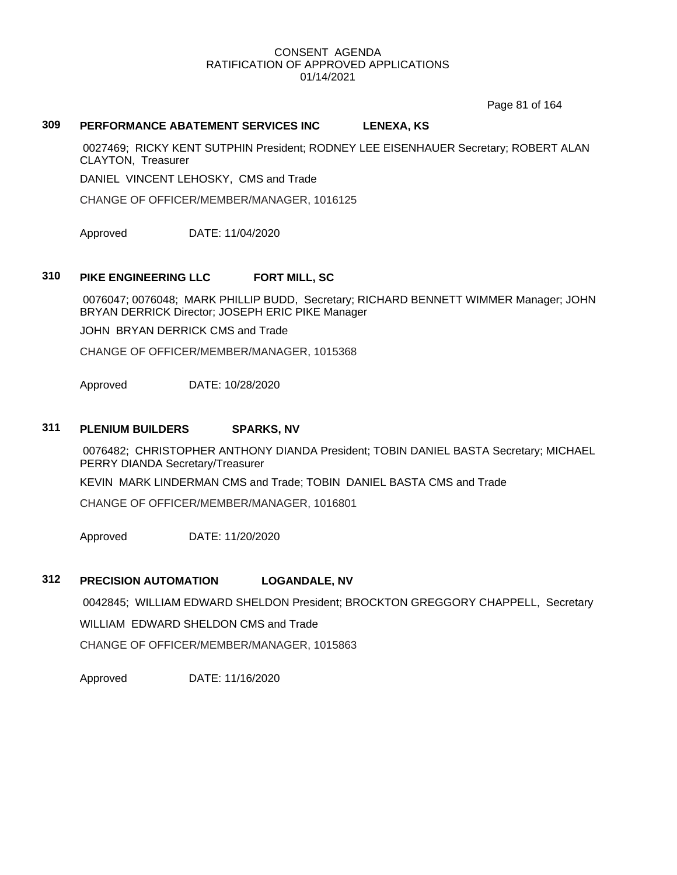Page 81 of 164

# **309 PERFORMANCE ABATEMENT SERVICES INC LENEXA, KS**

0027469; RICKY KENT SUTPHIN President; RODNEY LEE EISENHAUER Secretary; ROBERT ALAN CLAYTON, Treasurer

DANIEL VINCENT LEHOSKY, CMS and Trade

CHANGE OF OFFICER/MEMBER/MANAGER, 1016125

Approved DATE: 11/04/2020

### **310 PIKE ENGINEERING LLC FORT MILL, SC**

0076047; 0076048; MARK PHILLIP BUDD, Secretary; RICHARD BENNETT WIMMER Manager; JOHN BRYAN DERRICK Director; JOSEPH ERIC PIKE Manager

JOHN BRYAN DERRICK CMS and Trade

CHANGE OF OFFICER/MEMBER/MANAGER, 1015368

Approved DATE: 10/28/2020

#### **311 PLENIUM BUILDERS SPARKS, NV**

0076482; CHRISTOPHER ANTHONY DIANDA President; TOBIN DANIEL BASTA Secretary; MICHAEL PERRY DIANDA Secretary/Treasurer

KEVIN MARK LINDERMAN CMS and Trade; TOBIN DANIEL BASTA CMS and Trade

CHANGE OF OFFICER/MEMBER/MANAGER, 1016801

Approved DATE: 11/20/2020

#### **312 PRECISION AUTOMATION LOGANDALE, NV**

0042845; WILLIAM EDWARD SHELDON President; BROCKTON GREGGORY CHAPPELL, Secretary WILLIAM EDWARD SHELDON CMS and Trade

CHANGE OF OFFICER/MEMBER/MANAGER, 1015863

Approved DATE: 11/16/2020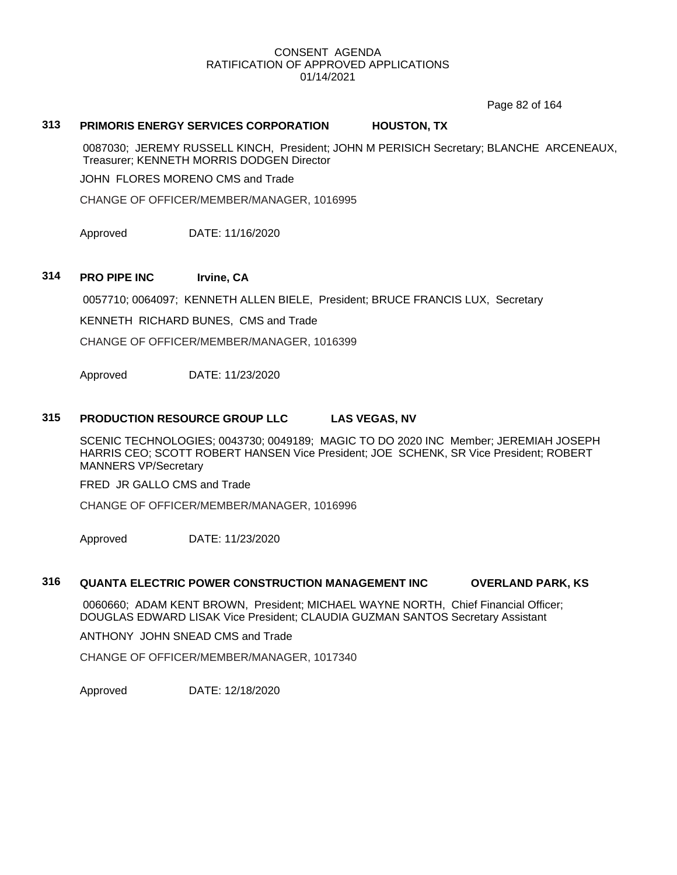Page 82 of 164

### **313 PRIMORIS ENERGY SERVICES CORPORATION HOUSTON, TX**

0087030; JEREMY RUSSELL KINCH, President; JOHN M PERISICH Secretary; BLANCHE ARCENEAUX, Treasurer; KENNETH MORRIS DODGEN Director

JOHN FLORES MORENO CMS and Trade

CHANGE OF OFFICER/MEMBER/MANAGER, 1016995

Approved DATE: 11/16/2020

### **314 PRO PIPE INC Irvine, CA**

0057710; 0064097; KENNETH ALLEN BIELE, President; BRUCE FRANCIS LUX, Secretary

KENNETH RICHARD BUNES, CMS and Trade

CHANGE OF OFFICER/MEMBER/MANAGER, 1016399

Approved DATE: 11/23/2020

#### **315 PRODUCTION RESOURCE GROUP LLC LAS VEGAS, NV**

SCENIC TECHNOLOGIES; 0043730; 0049189; MAGIC TO DO 2020 INC Member; JEREMIAH JOSEPH HARRIS CEO; SCOTT ROBERT HANSEN Vice President; JOE SCHENK, SR Vice President; ROBERT MANNERS VP/Secretary

FRED JR GALLO CMS and Trade

CHANGE OF OFFICER/MEMBER/MANAGER, 1016996

Approved DATE: 11/23/2020

#### **316 QUANTA ELECTRIC POWER CONSTRUCTION MANAGEMENT INC OVERLAND PARK, KS**

0060660; ADAM KENT BROWN, President; MICHAEL WAYNE NORTH, Chief Financial Officer; DOUGLAS EDWARD LISAK Vice President; CLAUDIA GUZMAN SANTOS Secretary Assistant

ANTHONY JOHN SNEAD CMS and Trade

CHANGE OF OFFICER/MEMBER/MANAGER, 1017340

Approved DATE: 12/18/2020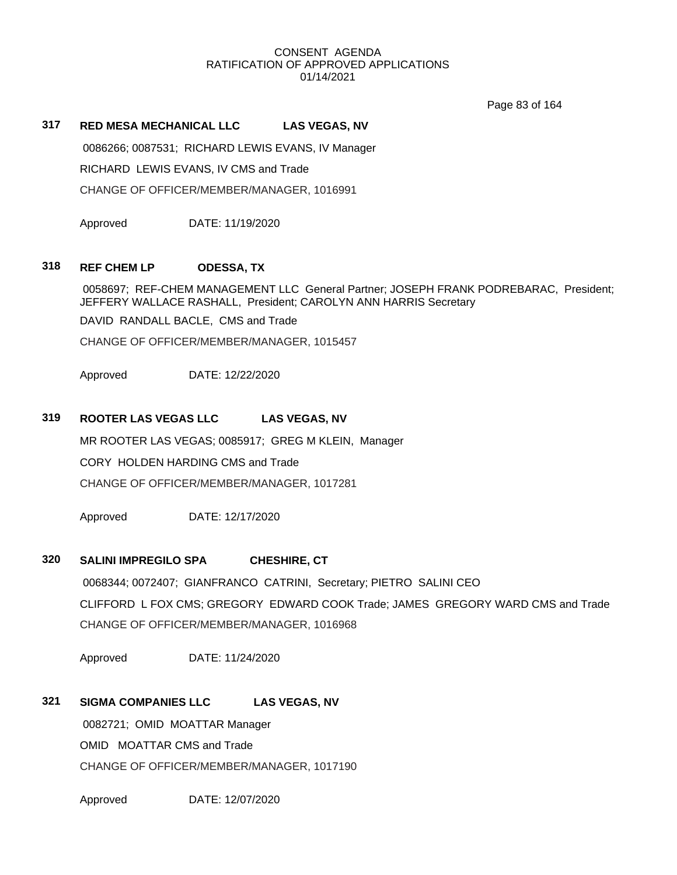Page 83 of 164

#### **317 RED MESA MECHANICAL LLC LAS VEGAS, NV**

0086266; 0087531; RICHARD LEWIS EVANS, IV Manager RICHARD LEWIS EVANS, IV CMS and Trade CHANGE OF OFFICER/MEMBER/MANAGER, 1016991

Approved DATE: 11/19/2020

### **318 REF CHEM LP ODESSA, TX**

0058697; REF-CHEM MANAGEMENT LLC General Partner; JOSEPH FRANK PODREBARAC, President; JEFFERY WALLACE RASHALL, President; CAROLYN ANN HARRIS Secretary

DAVID RANDALL BACLE, CMS and Trade

CHANGE OF OFFICER/MEMBER/MANAGER, 1015457

Approved DATE: 12/22/2020

# **319 ROOTER LAS VEGAS LLC LAS VEGAS, NV**

MR ROOTER LAS VEGAS; 0085917; GREG M KLEIN, Manager

CORY HOLDEN HARDING CMS and Trade

CHANGE OF OFFICER/MEMBER/MANAGER, 1017281

Approved DATE: 12/17/2020

### **320 SALINI IMPREGILO SPA CHESHIRE, CT**

0068344; 0072407; GIANFRANCO CATRINI, Secretary; PIETRO SALINI CEO CLIFFORD L FOX CMS; GREGORY EDWARD COOK Trade; JAMES GREGORY WARD CMS and Trade CHANGE OF OFFICER/MEMBER/MANAGER, 1016968

Approved DATE: 11/24/2020

# **321 SIGMA COMPANIES LLC LAS VEGAS, NV**

0082721; OMID MOATTAR Manager OMID MOATTAR CMS and Trade CHANGE OF OFFICER/MEMBER/MANAGER, 1017190

Approved DATE: 12/07/2020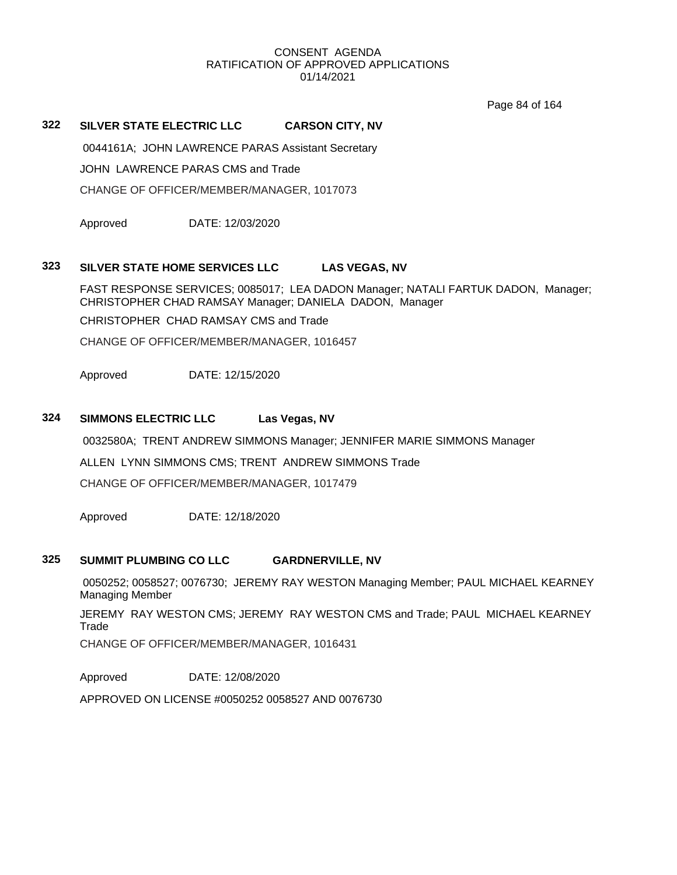Page 84 of 164

# **322 SILVER STATE ELECTRIC LLC CARSON CITY, NV**

0044161A; JOHN LAWRENCE PARAS Assistant Secretary

JOHN LAWRENCE PARAS CMS and Trade

CHANGE OF OFFICER/MEMBER/MANAGER, 1017073

Approved DATE: 12/03/2020

### **323 SILVER STATE HOME SERVICES LLC LAS VEGAS, NV**

FAST RESPONSE SERVICES; 0085017; LEA DADON Manager; NATALI FARTUK DADON, Manager; CHRISTOPHER CHAD RAMSAY Manager; DANIELA DADON, Manager

CHRISTOPHER CHAD RAMSAY CMS and Trade

CHANGE OF OFFICER/MEMBER/MANAGER, 1016457

Approved DATE: 12/15/2020

# **324 SIMMONS ELECTRIC LLC Las Vegas, NV**

0032580A; TRENT ANDREW SIMMONS Manager; JENNIFER MARIE SIMMONS Manager

ALLEN LYNN SIMMONS CMS; TRENT ANDREW SIMMONS Trade

CHANGE OF OFFICER/MEMBER/MANAGER, 1017479

Approved DATE: 12/18/2020

# **325 SUMMIT PLUMBING CO LLC GARDNERVILLE, NV**

0050252; 0058527; 0076730; JEREMY RAY WESTON Managing Member; PAUL MICHAEL KEARNEY Managing Member

JEREMY RAY WESTON CMS; JEREMY RAY WESTON CMS and Trade; PAUL MICHAEL KEARNEY Trade

CHANGE OF OFFICER/MEMBER/MANAGER, 1016431

Approved DATE: 12/08/2020

APPROVED ON LICENSE #0050252 0058527 AND 0076730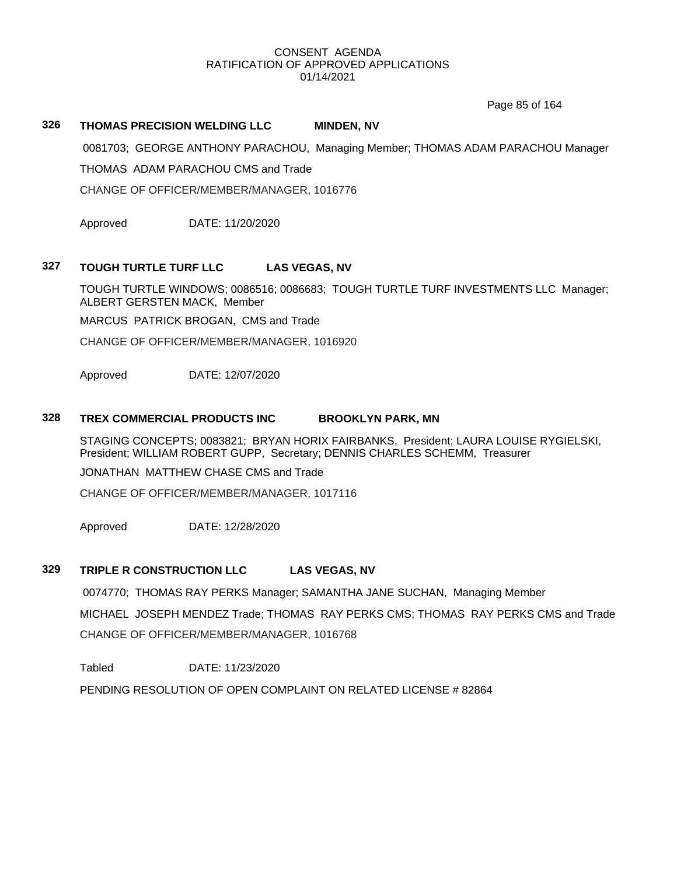Page 85 of 164

# **326 THOMAS PRECISION WELDING LLC MINDEN, NV**

0081703; GEORGE ANTHONY PARACHOU, Managing Member; THOMAS ADAM PARACHOU Manager

THOMAS ADAM PARACHOU CMS and Trade

CHANGE OF OFFICER/MEMBER/MANAGER, 1016776

Approved DATE: 11/20/2020

# **327 TOUGH TURTLE TURF LLC LAS VEGAS, NV**

TOUGH TURTLE WINDOWS; 0086516; 0086683; TOUGH TURTLE TURF INVESTMENTS LLC Manager; ALBERT GERSTEN MACK, Member

MARCUS PATRICK BROGAN, CMS and Trade

CHANGE OF OFFICER/MEMBER/MANAGER, 1016920

Approved DATE: 12/07/2020

### **328 TREX COMMERCIAL PRODUCTS INC BROOKLYN PARK, MN**

STAGING CONCEPTS; 0083821; BRYAN HORIX FAIRBANKS, President; LAURA LOUISE RYGIELSKI, President; WILLIAM ROBERT GUPP, Secretary; DENNIS CHARLES SCHEMM, Treasurer

JONATHAN MATTHEW CHASE CMS and Trade

CHANGE OF OFFICER/MEMBER/MANAGER, 1017116

Approved DATE: 12/28/2020

# **329 TRIPLE R CONSTRUCTION LLC LAS VEGAS, NV**

0074770; THOMAS RAY PERKS Manager; SAMANTHA JANE SUCHAN, Managing Member MICHAEL JOSEPH MENDEZ Trade; THOMAS RAY PERKS CMS; THOMAS RAY PERKS CMS and Trade CHANGE OF OFFICER/MEMBER/MANAGER, 1016768

Tabled DATE: 11/23/2020

PENDING RESOLUTION OF OPEN COMPLAINT ON RELATED LICENSE # 82864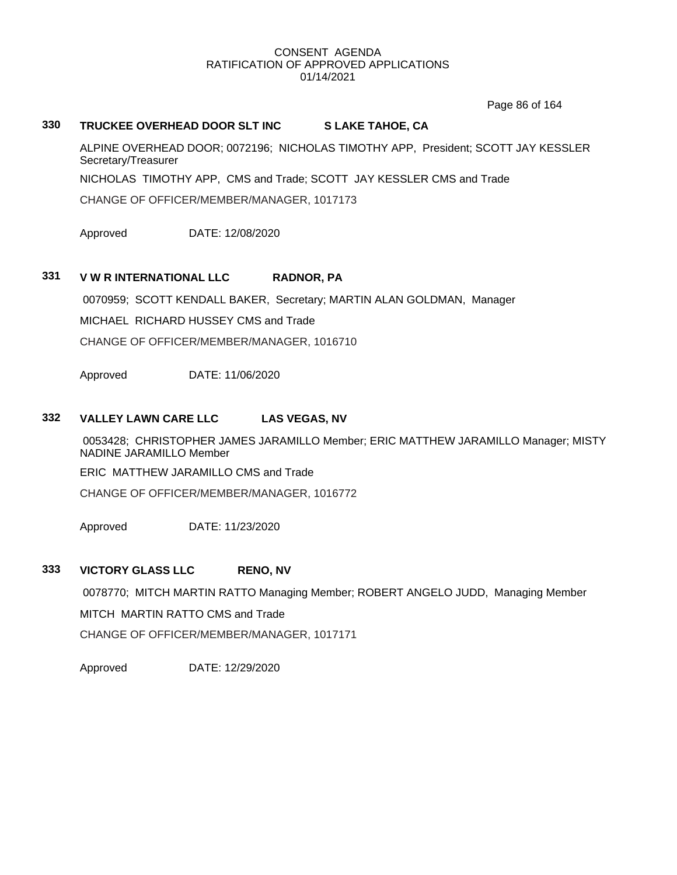Page 86 of 164

# **330 TRUCKEE OVERHEAD DOOR SLT INC S LAKE TAHOE, CA**

ALPINE OVERHEAD DOOR; 0072196; NICHOLAS TIMOTHY APP, President; SCOTT JAY KESSLER Secretary/Treasurer

NICHOLAS TIMOTHY APP, CMS and Trade; SCOTT JAY KESSLER CMS and Trade

CHANGE OF OFFICER/MEMBER/MANAGER, 1017173

Approved DATE: 12/08/2020

# **331 V W R INTERNATIONAL LLC RADNOR, PA**

0070959; SCOTT KENDALL BAKER, Secretary; MARTIN ALAN GOLDMAN, Manager

MICHAEL RICHARD HUSSEY CMS and Trade

CHANGE OF OFFICER/MEMBER/MANAGER, 1016710

Approved DATE: 11/06/2020

# **332 VALLEY LAWN CARE LLC LAS VEGAS, NV**

0053428; CHRISTOPHER JAMES JARAMILLO Member; ERIC MATTHEW JARAMILLO Manager; MISTY NADINE JARAMILLO Member

ERIC MATTHEW JARAMILLO CMS and Trade

CHANGE OF OFFICER/MEMBER/MANAGER, 1016772

Approved DATE: 11/23/2020

### **333 VICTORY GLASS LLC RENO, NV**

0078770; MITCH MARTIN RATTO Managing Member; ROBERT ANGELO JUDD, Managing Member MITCH MARTIN RATTO CMS and Trade

CHANGE OF OFFICER/MEMBER/MANAGER, 1017171

Approved DATE: 12/29/2020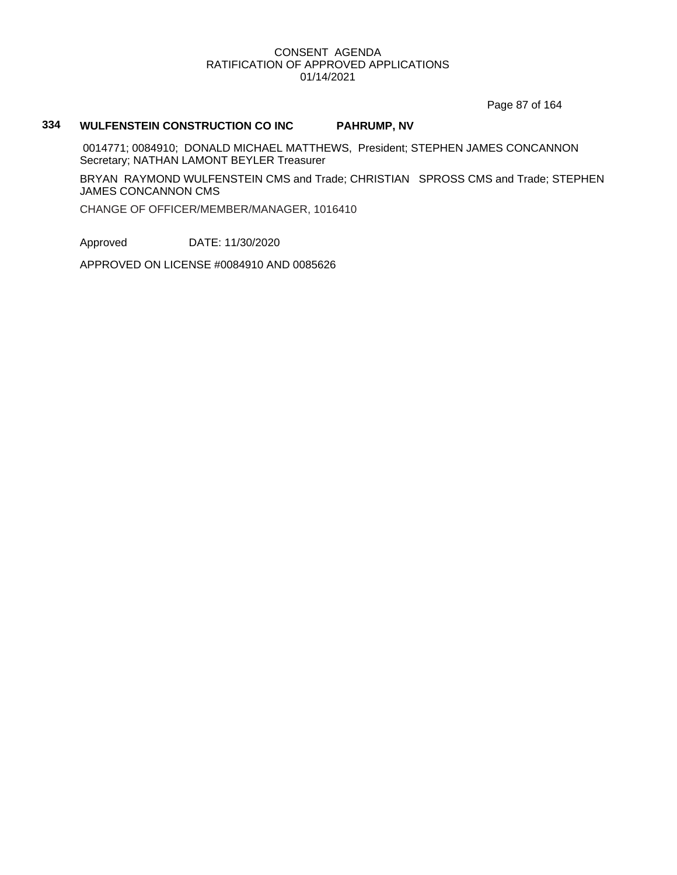Page 87 of 164

# **334 WULFENSTEIN CONSTRUCTION CO INC PAHRUMP, NV**

0014771; 0084910; DONALD MICHAEL MATTHEWS, President; STEPHEN JAMES CONCANNON Secretary; NATHAN LAMONT BEYLER Treasurer

BRYAN RAYMOND WULFENSTEIN CMS and Trade; CHRISTIAN SPROSS CMS and Trade; STEPHEN JAMES CONCANNON CMS

CHANGE OF OFFICER/MEMBER/MANAGER, 1016410

Approved DATE: 11/30/2020

APPROVED ON LICENSE #0084910 AND 0085626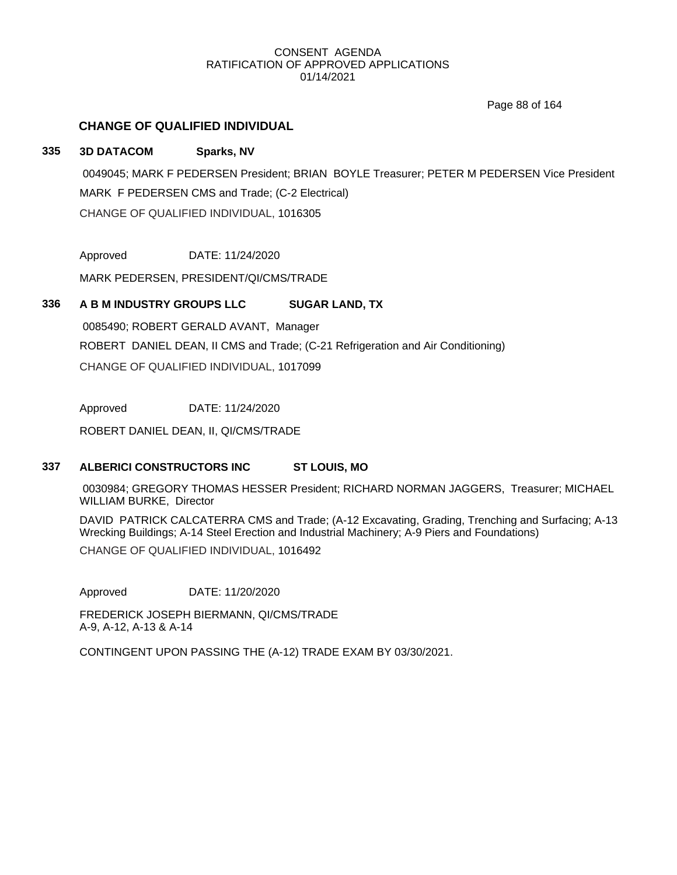Page 88 of 164

# **CHANGE OF QUALIFIED INDIVIDUAL**

# **335 3D DATACOM Sparks, NV**

0049045; MARK F PEDERSEN President; BRIAN BOYLE Treasurer; PETER M PEDERSEN Vice President MARK F PEDERSEN CMS and Trade; (C-2 Electrical) CHANGE OF QUALIFIED INDIVIDUAL, 1016305

Approved DATE: 11/24/2020

MARK PEDERSEN, PRESIDENT/QI/CMS/TRADE

# **336 A B M INDUSTRY GROUPS LLC SUGAR LAND, TX**

0085490; ROBERT GERALD AVANT, Manager ROBERT DANIEL DEAN, II CMS and Trade; (C-21 Refrigeration and Air Conditioning) CHANGE OF QUALIFIED INDIVIDUAL, 1017099

Approved DATE: 11/24/2020

ROBERT DANIEL DEAN, II, QI/CMS/TRADE

# **337 ALBERICI CONSTRUCTORS INC ST LOUIS, MO**

0030984; GREGORY THOMAS HESSER President; RICHARD NORMAN JAGGERS, Treasurer; MICHAEL WILLIAM BURKE, Director

DAVID PATRICK CALCATERRA CMS and Trade; (A-12 Excavating, Grading, Trenching and Surfacing; A-13 Wrecking Buildings; A-14 Steel Erection and Industrial Machinery; A-9 Piers and Foundations)

CHANGE OF QUALIFIED INDIVIDUAL, 1016492

Approved DATE: 11/20/2020

FREDERICK JOSEPH BIERMANN, QI/CMS/TRADE A-9, A-12, A-13 & A-14

CONTINGENT UPON PASSING THE (A-12) TRADE EXAM BY 03/30/2021.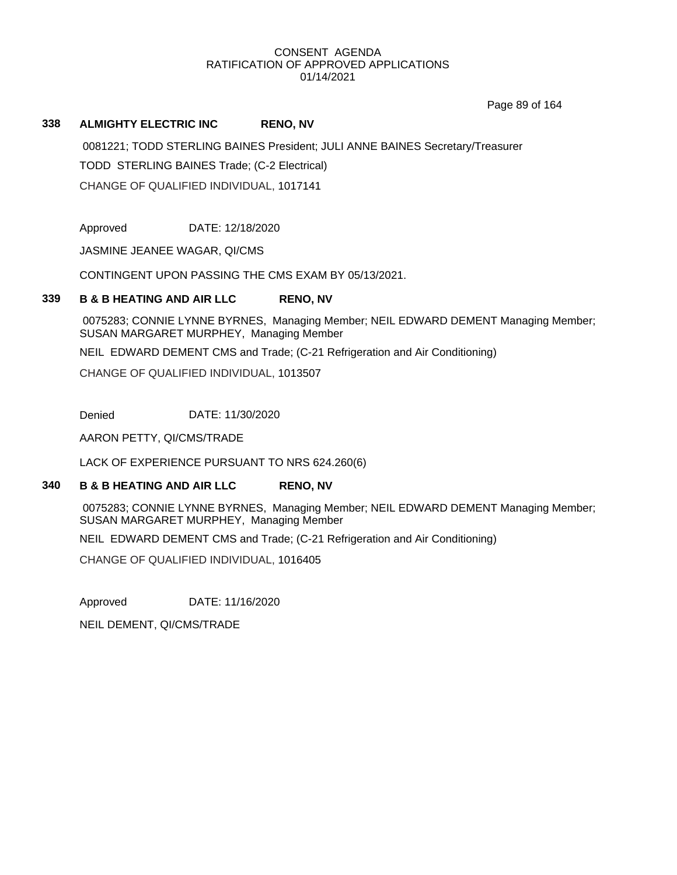Page 89 of 164

# **338 ALMIGHTY ELECTRIC INC RENO, NV**

0081221; TODD STERLING BAINES President; JULI ANNE BAINES Secretary/Treasurer TODD STERLING BAINES Trade; (C-2 Electrical) CHANGE OF QUALIFIED INDIVIDUAL, 1017141

Approved DATE: 12/18/2020

JASMINE JEANEE WAGAR, QI/CMS

CONTINGENT UPON PASSING THE CMS EXAM BY 05/13/2021.

# **339 B & B HEATING AND AIR LLC RENO, NV**

0075283; CONNIE LYNNE BYRNES, Managing Member; NEIL EDWARD DEMENT Managing Member; SUSAN MARGARET MURPHEY, Managing Member

NEIL EDWARD DEMENT CMS and Trade; (C-21 Refrigeration and Air Conditioning)

CHANGE OF QUALIFIED INDIVIDUAL, 1013507

Denied DATE: 11/30/2020

AARON PETTY, QI/CMS/TRADE

LACK OF EXPERIENCE PURSUANT TO NRS 624.260(6)

### **340 B & B HEATING AND AIR LLC RENO, NV**

0075283; CONNIE LYNNE BYRNES, Managing Member; NEIL EDWARD DEMENT Managing Member; SUSAN MARGARET MURPHEY, Managing Member

NEIL EDWARD DEMENT CMS and Trade; (C-21 Refrigeration and Air Conditioning)

CHANGE OF QUALIFIED INDIVIDUAL, 1016405

Approved DATE: 11/16/2020

NEIL DEMENT, QI/CMS/TRADE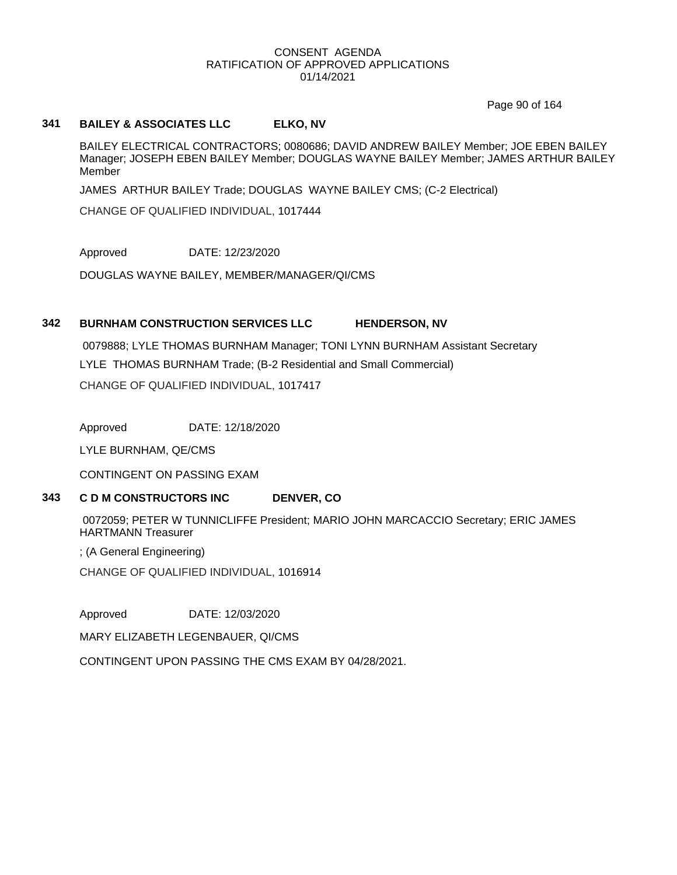Page 90 of 164

# **341 BAILEY & ASSOCIATES LLC ELKO, NV**

BAILEY ELECTRICAL CONTRACTORS; 0080686; DAVID ANDREW BAILEY Member; JOE EBEN BAILEY Manager; JOSEPH EBEN BAILEY Member; DOUGLAS WAYNE BAILEY Member; JAMES ARTHUR BAILEY Member

JAMES ARTHUR BAILEY Trade; DOUGLAS WAYNE BAILEY CMS; (C-2 Electrical)

CHANGE OF QUALIFIED INDIVIDUAL, 1017444

Approved DATE: 12/23/2020

DOUGLAS WAYNE BAILEY, MEMBER/MANAGER/QI/CMS

### **342 BURNHAM CONSTRUCTION SERVICES LLC HENDERSON, NV**

0079888; LYLE THOMAS BURNHAM Manager; TONI LYNN BURNHAM Assistant Secretary LYLE THOMAS BURNHAM Trade; (B-2 Residential and Small Commercial) CHANGE OF QUALIFIED INDIVIDUAL, 1017417

Approved DATE: 12/18/2020

LYLE BURNHAM, QE/CMS

CONTINGENT ON PASSING EXAM

# **343 C D M CONSTRUCTORS INC DENVER, CO**

0072059; PETER W TUNNICLIFFE President; MARIO JOHN MARCACCIO Secretary; ERIC JAMES HARTMANN Treasurer

; (A General Engineering)

CHANGE OF QUALIFIED INDIVIDUAL, 1016914

Approved DATE: 12/03/2020

MARY ELIZABETH LEGENBAUER, QI/CMS

CONTINGENT UPON PASSING THE CMS EXAM BY 04/28/2021.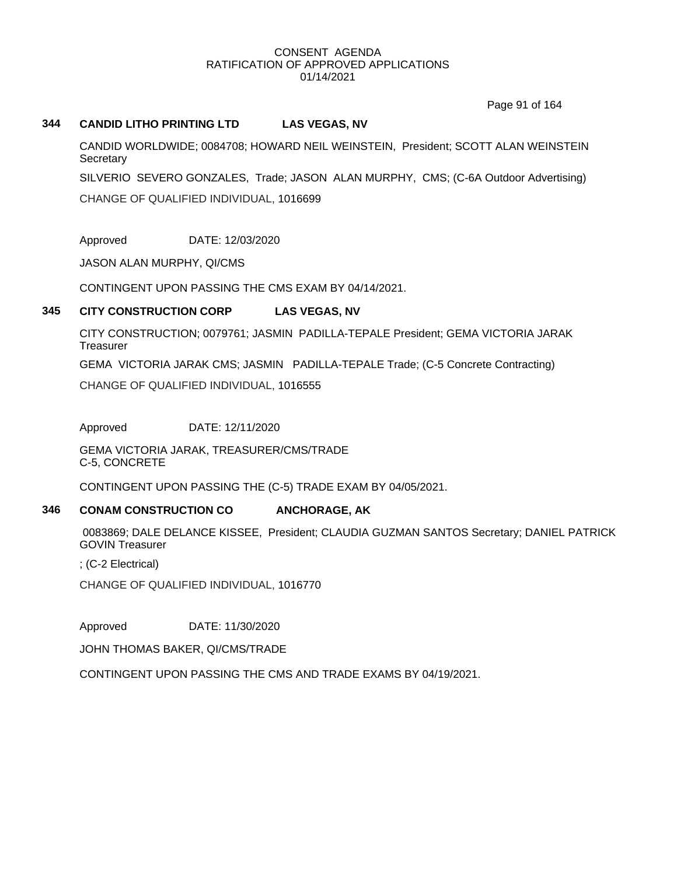Page 91 of 164

#### **344 CANDID LITHO PRINTING LTD LAS VEGAS, NV**

CANDID WORLDWIDE; 0084708; HOWARD NEIL WEINSTEIN, President; SCOTT ALAN WEINSTEIN **Secretary** 

SILVERIO SEVERO GONZALES, Trade; JASON ALAN MURPHY, CMS; (C-6A Outdoor Advertising) CHANGE OF QUALIFIED INDIVIDUAL, 1016699

Approved DATE: 12/03/2020

JASON ALAN MURPHY, QI/CMS

CONTINGENT UPON PASSING THE CMS EXAM BY 04/14/2021.

### **345 CITY CONSTRUCTION CORP LAS VEGAS, NV**

CITY CONSTRUCTION; 0079761; JASMIN PADILLA-TEPALE President; GEMA VICTORIA JARAK **Treasurer** 

GEMA VICTORIA JARAK CMS; JASMIN PADILLA-TEPALE Trade; (C-5 Concrete Contracting)

CHANGE OF QUALIFIED INDIVIDUAL, 1016555

Approved DATE: 12/11/2020

GEMA VICTORIA JARAK, TREASURER/CMS/TRADE C-5, CONCRETE

CONTINGENT UPON PASSING THE (C-5) TRADE EXAM BY 04/05/2021.

### **346 CONAM CONSTRUCTION CO ANCHORAGE, AK**

0083869; DALE DELANCE KISSEE, President; CLAUDIA GUZMAN SANTOS Secretary; DANIEL PATRICK GOVIN Treasurer

; (C-2 Electrical)

CHANGE OF QUALIFIED INDIVIDUAL, 1016770

Approved DATE: 11/30/2020

JOHN THOMAS BAKER, QI/CMS/TRADE

CONTINGENT UPON PASSING THE CMS AND TRADE EXAMS BY 04/19/2021.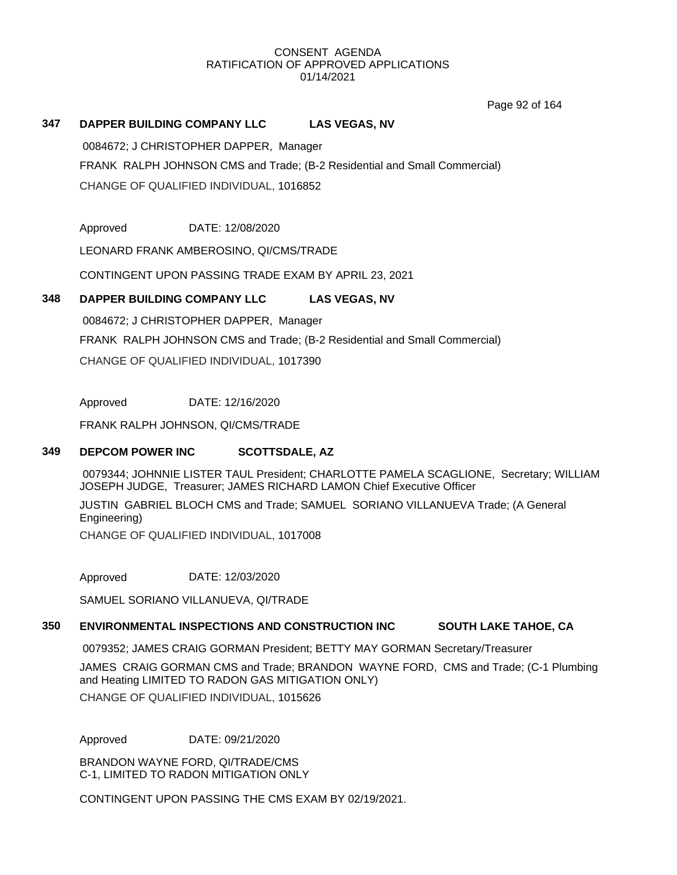Page 92 of 164

# **347 DAPPER BUILDING COMPANY LLC LAS VEGAS, NV**

0084672; J CHRISTOPHER DAPPER, Manager

FRANK RALPH JOHNSON CMS and Trade; (B-2 Residential and Small Commercial) CHANGE OF QUALIFIED INDIVIDUAL, 1016852

Approved DATE: 12/08/2020

LEONARD FRANK AMBEROSINO, QI/CMS/TRADE

CONTINGENT UPON PASSING TRADE EXAM BY APRIL 23, 2021

### **348 DAPPER BUILDING COMPANY LLC LAS VEGAS, NV**

0084672; J CHRISTOPHER DAPPER, Manager FRANK RALPH JOHNSON CMS and Trade; (B-2 Residential and Small Commercial) CHANGE OF QUALIFIED INDIVIDUAL, 1017390

Approved DATE: 12/16/2020

FRANK RALPH JOHNSON, QI/CMS/TRADE

### **349 DEPCOM POWER INC SCOTTSDALE, AZ**

0079344; JOHNNIE LISTER TAUL President; CHARLOTTE PAMELA SCAGLIONE, Secretary; WILLIAM JOSEPH JUDGE, Treasurer; JAMES RICHARD LAMON Chief Executive Officer

JUSTIN GABRIEL BLOCH CMS and Trade; SAMUEL SORIANO VILLANUEVA Trade; (A General Engineering)

CHANGE OF QUALIFIED INDIVIDUAL, 1017008

Approved DATE: 12/03/2020

SAMUEL SORIANO VILLANUEVA, QI/TRADE

# **350 ENVIRONMENTAL INSPECTIONS AND CONSTRUCTION INC SOUTH LAKE TAHOE, CA**

0079352; JAMES CRAIG GORMAN President; BETTY MAY GORMAN Secretary/Treasurer

JAMES CRAIG GORMAN CMS and Trade; BRANDON WAYNE FORD, CMS and Trade; (C-1 Plumbing and Heating LIMITED TO RADON GAS MITIGATION ONLY)

CHANGE OF QUALIFIED INDIVIDUAL, 1015626

Approved DATE: 09/21/2020

BRANDON WAYNE FORD, QI/TRADE/CMS C-1, LIMITED TO RADON MITIGATION ONLY

CONTINGENT UPON PASSING THE CMS EXAM BY 02/19/2021.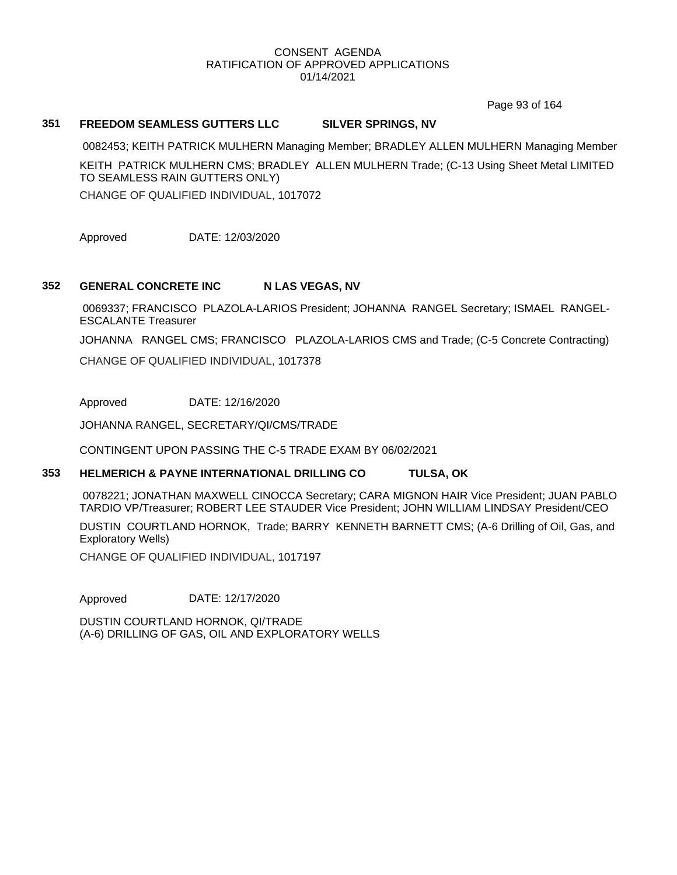Page 93 of 164

### **351 FREEDOM SEAMLESS GUTTERS LLC SILVER SPRINGS, NV**

0082453; KEITH PATRICK MULHERN Managing Member; BRADLEY ALLEN MULHERN Managing Member KEITH PATRICK MULHERN CMS; BRADLEY ALLEN MULHERN Trade; (C-13 Using Sheet Metal LIMITED TO SEAMLESS RAIN GUTTERS ONLY)

CHANGE OF QUALIFIED INDIVIDUAL, 1017072

Approved DATE: 12/03/2020

# **352 GENERAL CONCRETE INC N LAS VEGAS, NV**

0069337; FRANCISCO PLAZOLA-LARIOS President; JOHANNA RANGEL Secretary; ISMAEL RANGEL-ESCALANTE Treasurer

JOHANNA RANGEL CMS; FRANCISCO PLAZOLA-LARIOS CMS and Trade; (C-5 Concrete Contracting)

CHANGE OF QUALIFIED INDIVIDUAL, 1017378

Approved DATE: 12/16/2020

JOHANNA RANGEL, SECRETARY/QI/CMS/TRADE

CONTINGENT UPON PASSING THE C-5 TRADE EXAM BY 06/02/2021

### **353 HELMERICH & PAYNE INTERNATIONAL DRILLING CO TULSA, OK**

0078221; JONATHAN MAXWELL CINOCCA Secretary; CARA MIGNON HAIR Vice President; JUAN PABLO TARDIO VP/Treasurer; ROBERT LEE STAUDER Vice President; JOHN WILLIAM LINDSAY President/CEO

DUSTIN COURTLAND HORNOK, Trade; BARRY KENNETH BARNETT CMS; (A-6 Drilling of Oil, Gas, and Exploratory Wells)

CHANGE OF QUALIFIED INDIVIDUAL, 1017197

Approved DATE: 12/17/2020

DUSTIN COURTLAND HORNOK, QI/TRADE (A-6) DRILLING OF GAS, OIL AND EXPLORATORY WELLS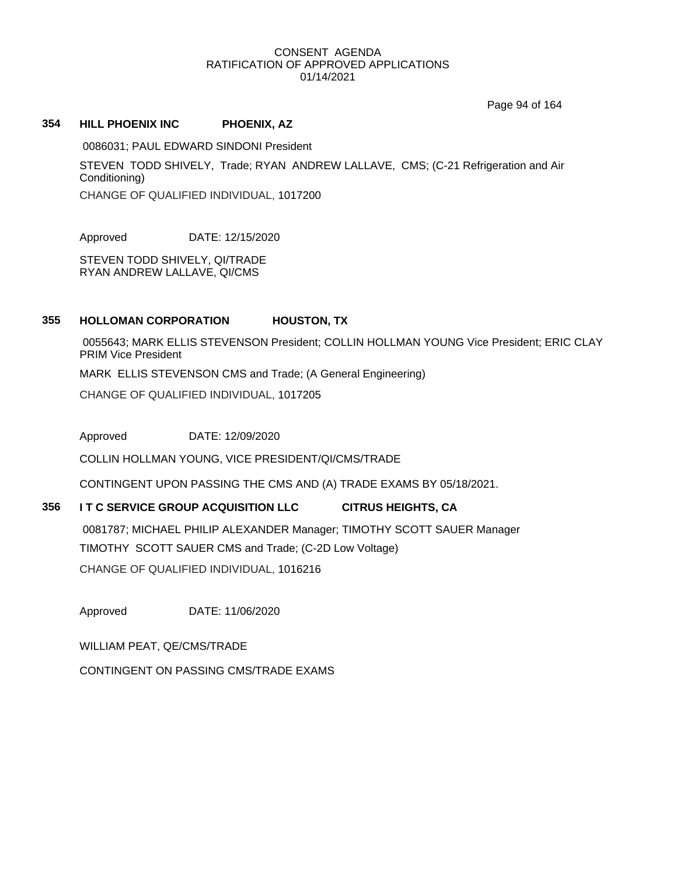Page 94 of 164

### **354 HILL PHOENIX INC PHOENIX, AZ**

0086031; PAUL EDWARD SINDONI President STEVEN TODD SHIVELY, Trade; RYAN ANDREW LALLAVE, CMS; (C-21 Refrigeration and Air Conditioning) CHANGE OF QUALIFIED INDIVIDUAL, 1017200

Approved DATE: 12/15/2020

STEVEN TODD SHIVELY, QI/TRADE RYAN ANDREW LALLAVE, QI/CMS

# **355 HOLLOMAN CORPORATION HOUSTON, TX**

0055643; MARK ELLIS STEVENSON President; COLLIN HOLLMAN YOUNG Vice President; ERIC CLAY PRIM Vice President MARK ELLIS STEVENSON CMS and Trade; (A General Engineering) CHANGE OF QUALIFIED INDIVIDUAL, 1017205

Approved DATE: 12/09/2020

COLLIN HOLLMAN YOUNG, VICE PRESIDENT/QI/CMS/TRADE

CONTINGENT UPON PASSING THE CMS AND (A) TRADE EXAMS BY 05/18/2021.

# **356 I T C SERVICE GROUP ACQUISITION LLC CITRUS HEIGHTS, CA**

0081787; MICHAEL PHILIP ALEXANDER Manager; TIMOTHY SCOTT SAUER Manager TIMOTHY SCOTT SAUER CMS and Trade; (C-2D Low Voltage) CHANGE OF QUALIFIED INDIVIDUAL, 1016216

Approved DATE: 11/06/2020

WILLIAM PEAT, QE/CMS/TRADE

CONTINGENT ON PASSING CMS/TRADE EXAMS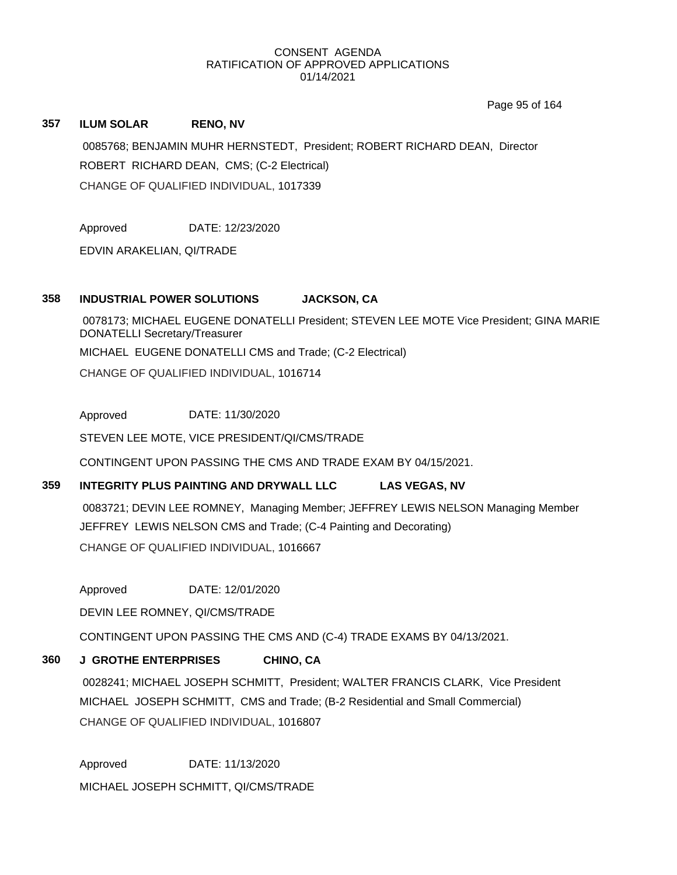Page 95 of 164

### **357 ILUM SOLAR RENO, NV**

0085768; BENJAMIN MUHR HERNSTEDT, President; ROBERT RICHARD DEAN, Director ROBERT RICHARD DEAN, CMS; (C-2 Electrical) CHANGE OF QUALIFIED INDIVIDUAL, 1017339

Approved DATE: 12/23/2020

EDVIN ARAKELIAN, QI/TRADE

# **358 INDUSTRIAL POWER SOLUTIONS JACKSON, CA**

0078173; MICHAEL EUGENE DONATELLI President; STEVEN LEE MOTE Vice President; GINA MARIE DONATELLI Secretary/Treasurer MICHAEL EUGENE DONATELLI CMS and Trade; (C-2 Electrical) CHANGE OF QUALIFIED INDIVIDUAL, 1016714

Approved DATE: 11/30/2020

STEVEN LEE MOTE, VICE PRESIDENT/QI/CMS/TRADE

CONTINGENT UPON PASSING THE CMS AND TRADE EXAM BY 04/15/2021.

# **359 INTEGRITY PLUS PAINTING AND DRYWALL LLC LAS VEGAS, NV**

0083721; DEVIN LEE ROMNEY, Managing Member; JEFFREY LEWIS NELSON Managing Member JEFFREY LEWIS NELSON CMS and Trade; (C-4 Painting and Decorating) CHANGE OF QUALIFIED INDIVIDUAL, 1016667

Approved DATE: 12/01/2020

DEVIN LEE ROMNEY, QI/CMS/TRADE

CONTINGENT UPON PASSING THE CMS AND (C-4) TRADE EXAMS BY 04/13/2021.

# **360 J GROTHE ENTERPRISES CHINO, CA**

0028241; MICHAEL JOSEPH SCHMITT, President; WALTER FRANCIS CLARK, Vice President MICHAEL JOSEPH SCHMITT, CMS and Trade; (B-2 Residential and Small Commercial) CHANGE OF QUALIFIED INDIVIDUAL, 1016807

Approved DATE: 11/13/2020 MICHAEL JOSEPH SCHMITT, QI/CMS/TRADE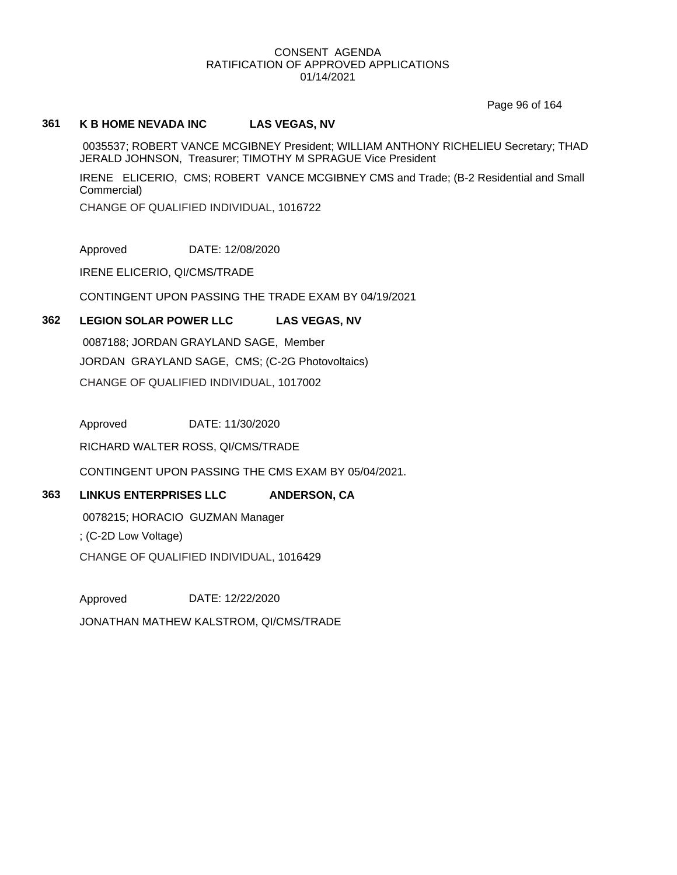Page 96 of 164

# **361 K B HOME NEVADA INC LAS VEGAS, NV**

0035537; ROBERT VANCE MCGIBNEY President; WILLIAM ANTHONY RICHELIEU Secretary; THAD JERALD JOHNSON, Treasurer; TIMOTHY M SPRAGUE Vice President

IRENE ELICERIO, CMS; ROBERT VANCE MCGIBNEY CMS and Trade; (B-2 Residential and Small Commercial)

CHANGE OF QUALIFIED INDIVIDUAL, 1016722

Approved DATE: 12/08/2020

IRENE ELICERIO, QI/CMS/TRADE

CONTINGENT UPON PASSING THE TRADE EXAM BY 04/19/2021

# **362 LEGION SOLAR POWER LLC LAS VEGAS, NV**

0087188; JORDAN GRAYLAND SAGE, Member JORDAN GRAYLAND SAGE, CMS; (C-2G Photovoltaics) CHANGE OF QUALIFIED INDIVIDUAL, 1017002

Approved DATE: 11/30/2020

RICHARD WALTER ROSS, QI/CMS/TRADE

CONTINGENT UPON PASSING THE CMS EXAM BY 05/04/2021.

# **363 LINKUS ENTERPRISES LLC ANDERSON, CA**

0078215; HORACIO GUZMAN Manager ; (C-2D Low Voltage) CHANGE OF QUALIFIED INDIVIDUAL, 1016429

Approved DATE: 12/22/2020 JONATHAN MATHEW KALSTROM, QI/CMS/TRADE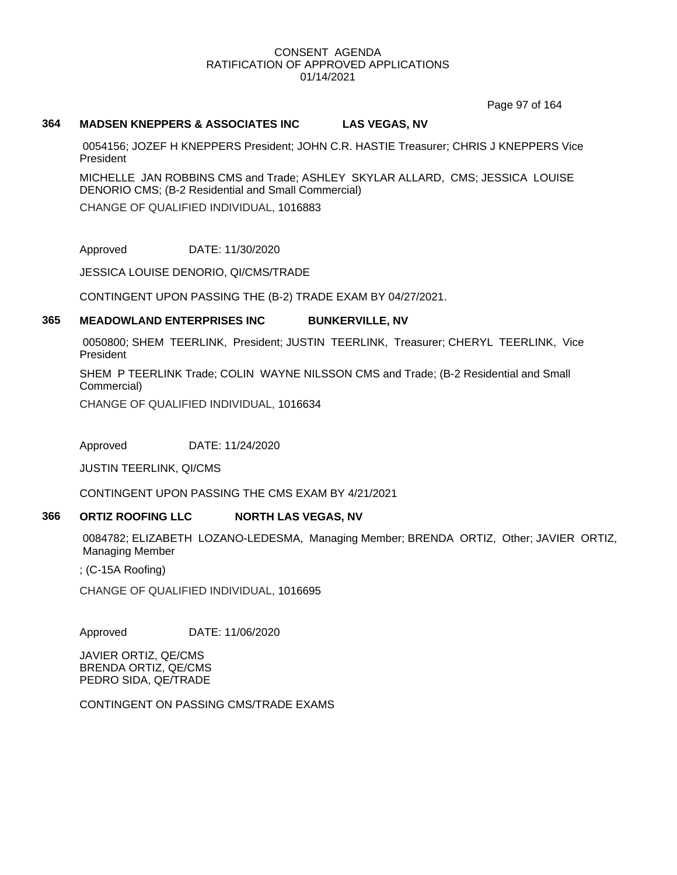Page 97 of 164

### **364 MADSEN KNEPPERS & ASSOCIATES INC LAS VEGAS, NV**

0054156; JOZEF H KNEPPERS President; JOHN C.R. HASTIE Treasurer; CHRIS J KNEPPERS Vice President

MICHELLE JAN ROBBINS CMS and Trade; ASHLEY SKYLAR ALLARD, CMS; JESSICA LOUISE DENORIO CMS; (B-2 Residential and Small Commercial)

CHANGE OF QUALIFIED INDIVIDUAL, 1016883

Approved DATE: 11/30/2020

JESSICA LOUISE DENORIO, QI/CMS/TRADE

CONTINGENT UPON PASSING THE (B-2) TRADE EXAM BY 04/27/2021.

### **365 MEADOWLAND ENTERPRISES INC BUNKERVILLE, NV**

0050800; SHEM TEERLINK, President; JUSTIN TEERLINK, Treasurer; CHERYL TEERLINK, Vice President

SHEM P TEERLINK Trade; COLIN WAYNE NILSSON CMS and Trade; (B-2 Residential and Small Commercial)

CHANGE OF QUALIFIED INDIVIDUAL, 1016634

Approved DATE: 11/24/2020

JUSTIN TEERLINK, QI/CMS

CONTINGENT UPON PASSING THE CMS EXAM BY 4/21/2021

# **366 ORTIZ ROOFING LLC NORTH LAS VEGAS, NV**

0084782; ELIZABETH LOZANO-LEDESMA, Managing Member; BRENDA ORTIZ, Other; JAVIER ORTIZ, Managing Member

; (C-15A Roofing)

CHANGE OF QUALIFIED INDIVIDUAL, 1016695

Approved DATE: 11/06/2020

JAVIER ORTIZ, QE/CMS BRENDA ORTIZ, QE/CMS PEDRO SIDA, QE/TRADE

CONTINGENT ON PASSING CMS/TRADE EXAMS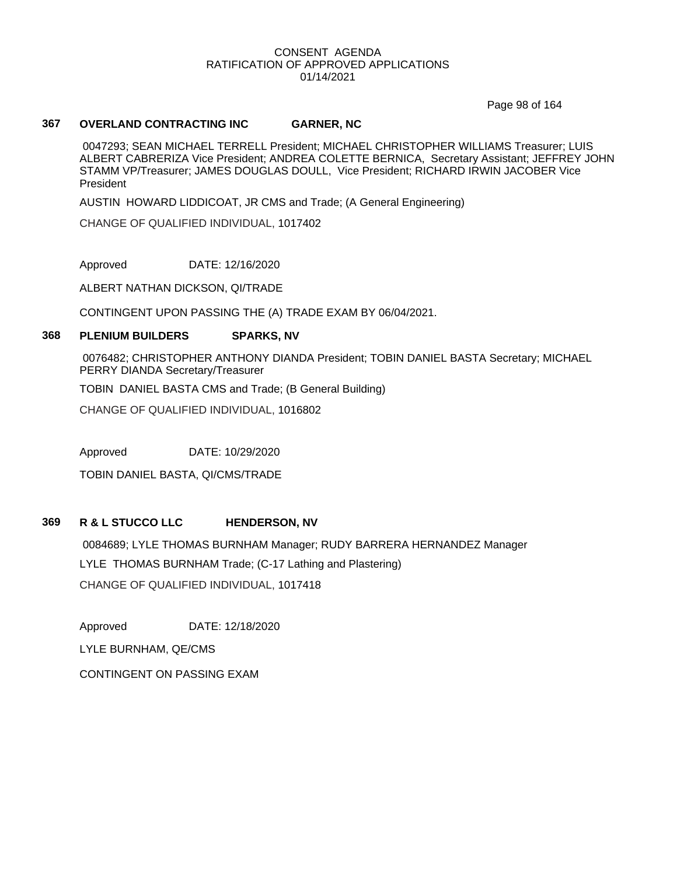Page 98 of 164

### **367 OVERLAND CONTRACTING INC GARNER, NC**

0047293; SEAN MICHAEL TERRELL President; MICHAEL CHRISTOPHER WILLIAMS Treasurer; LUIS ALBERT CABRERIZA Vice President; ANDREA COLETTE BERNICA, Secretary Assistant; JEFFREY JOHN STAMM VP/Treasurer; JAMES DOUGLAS DOULL, Vice President; RICHARD IRWIN JACOBER Vice President

AUSTIN HOWARD LIDDICOAT, JR CMS and Trade; (A General Engineering)

CHANGE OF QUALIFIED INDIVIDUAL, 1017402

Approved DATE: 12/16/2020

ALBERT NATHAN DICKSON, QI/TRADE

CONTINGENT UPON PASSING THE (A) TRADE EXAM BY 06/04/2021.

### **368 PLENIUM BUILDERS SPARKS, NV**

0076482; CHRISTOPHER ANTHONY DIANDA President; TOBIN DANIEL BASTA Secretary; MICHAEL PERRY DIANDA Secretary/Treasurer

TOBIN DANIEL BASTA CMS and Trade; (B General Building)

CHANGE OF QUALIFIED INDIVIDUAL, 1016802

Approved DATE: 10/29/2020

TOBIN DANIEL BASTA, QI/CMS/TRADE

# **369 R & L STUCCO LLC HENDERSON, NV**

0084689; LYLE THOMAS BURNHAM Manager; RUDY BARRERA HERNANDEZ Manager LYLE THOMAS BURNHAM Trade; (C-17 Lathing and Plastering) CHANGE OF QUALIFIED INDIVIDUAL, 1017418

Approved DATE: 12/18/2020 LYLE BURNHAM, QE/CMS CONTINGENT ON PASSING EXAM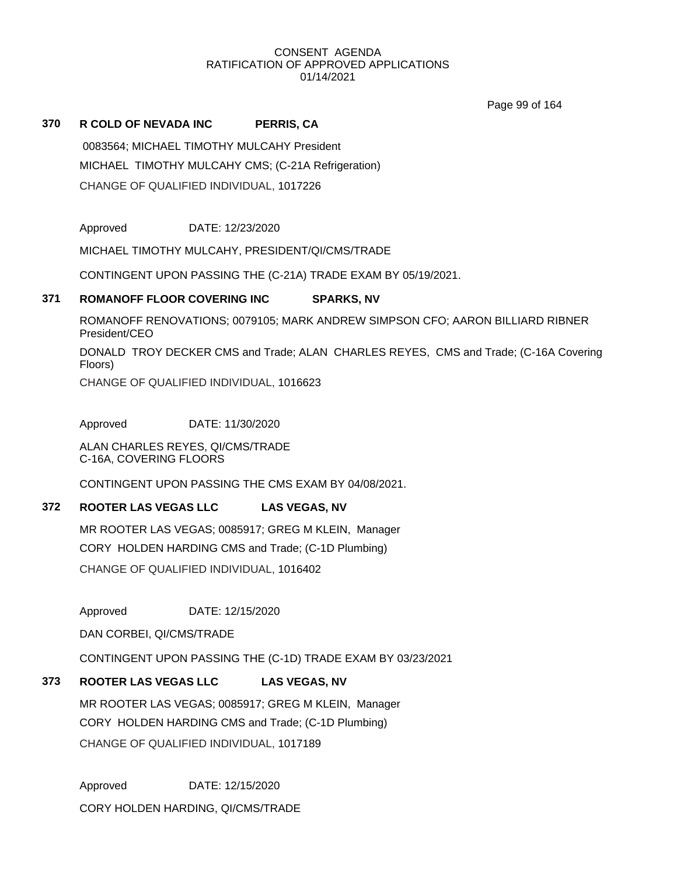Page 99 of 164

# **370 R COLD OF NEVADA INC PERRIS, CA**

0083564; MICHAEL TIMOTHY MULCAHY President MICHAEL TIMOTHY MULCAHY CMS; (C-21A Refrigeration) CHANGE OF QUALIFIED INDIVIDUAL, 1017226

Approved DATE: 12/23/2020

MICHAEL TIMOTHY MULCAHY, PRESIDENT/QI/CMS/TRADE

CONTINGENT UPON PASSING THE (C-21A) TRADE EXAM BY 05/19/2021.

# **371 ROMANOFF FLOOR COVERING INC SPARKS, NV**

ROMANOFF RENOVATIONS; 0079105; MARK ANDREW SIMPSON CFO; AARON BILLIARD RIBNER President/CEO

DONALD TROY DECKER CMS and Trade; ALAN CHARLES REYES, CMS and Trade; (C-16A Covering Floors)

CHANGE OF QUALIFIED INDIVIDUAL, 1016623

Approved DATE: 11/30/2020

ALAN CHARLES REYES, QI/CMS/TRADE C-16A, COVERING FLOORS

CONTINGENT UPON PASSING THE CMS EXAM BY 04/08/2021.

# **372 ROOTER LAS VEGAS LLC LAS VEGAS, NV**

MR ROOTER LAS VEGAS; 0085917; GREG M KLEIN, Manager CORY HOLDEN HARDING CMS and Trade; (C-1D Plumbing)

CHANGE OF QUALIFIED INDIVIDUAL, 1016402

Approved DATE: 12/15/2020

DAN CORBEI, QI/CMS/TRADE

CONTINGENT UPON PASSING THE (C-1D) TRADE EXAM BY 03/23/2021

# **373 ROOTER LAS VEGAS LLC LAS VEGAS, NV**

MR ROOTER LAS VEGAS; 0085917; GREG M KLEIN, Manager CORY HOLDEN HARDING CMS and Trade; (C-1D Plumbing) CHANGE OF QUALIFIED INDIVIDUAL, 1017189

Approved DATE: 12/15/2020 CORY HOLDEN HARDING, QI/CMS/TRADE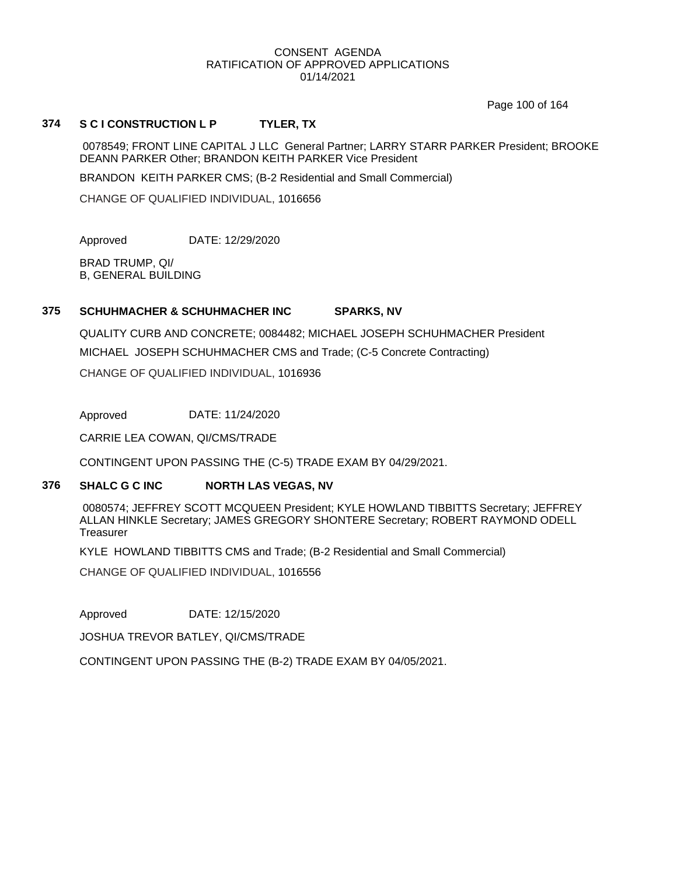Page 100 of 164

### **374 S C I CONSTRUCTION L P TYLER, TX**

0078549; FRONT LINE CAPITAL J LLC General Partner; LARRY STARR PARKER President; BROOKE DEANN PARKER Other; BRANDON KEITH PARKER Vice President

BRANDON KEITH PARKER CMS; (B-2 Residential and Small Commercial)

CHANGE OF QUALIFIED INDIVIDUAL, 1016656

Approved DATE: 12/29/2020

BRAD TRUMP, QI/ B, GENERAL BUILDING

### **375 SCHUHMACHER & SCHUHMACHER INC SPARKS, NV**

QUALITY CURB AND CONCRETE; 0084482; MICHAEL JOSEPH SCHUHMACHER President MICHAEL JOSEPH SCHUHMACHER CMS and Trade; (C-5 Concrete Contracting) CHANGE OF QUALIFIED INDIVIDUAL, 1016936

Approved DATE: 11/24/2020

CARRIE LEA COWAN, QI/CMS/TRADE

CONTINGENT UPON PASSING THE (C-5) TRADE EXAM BY 04/29/2021.

#### **376 SHALC G C INC NORTH LAS VEGAS, NV**

0080574; JEFFREY SCOTT MCQUEEN President; KYLE HOWLAND TIBBITTS Secretary; JEFFREY ALLAN HINKLE Secretary; JAMES GREGORY SHONTERE Secretary; ROBERT RAYMOND ODELL **Treasurer** 

KYLE HOWLAND TIBBITTS CMS and Trade; (B-2 Residential and Small Commercial)

CHANGE OF QUALIFIED INDIVIDUAL, 1016556

Approved DATE: 12/15/2020

JOSHUA TREVOR BATLEY, QI/CMS/TRADE

CONTINGENT UPON PASSING THE (B-2) TRADE EXAM BY 04/05/2021.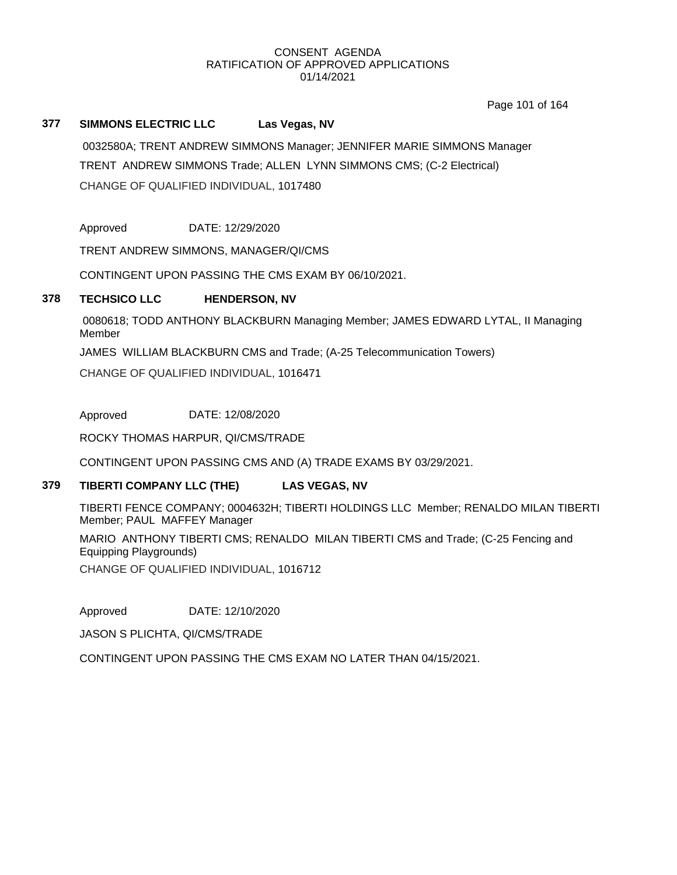Page 101 of 164

# **377 SIMMONS ELECTRIC LLC Las Vegas, NV**

0032580A; TRENT ANDREW SIMMONS Manager; JENNIFER MARIE SIMMONS Manager TRENT ANDREW SIMMONS Trade; ALLEN LYNN SIMMONS CMS; (C-2 Electrical) CHANGE OF QUALIFIED INDIVIDUAL, 1017480

Approved DATE: 12/29/2020

TRENT ANDREW SIMMONS, MANAGER/QI/CMS

CONTINGENT UPON PASSING THE CMS EXAM BY 06/10/2021.

# **378 TECHSICO LLC HENDERSON, NV**

0080618; TODD ANTHONY BLACKBURN Managing Member; JAMES EDWARD LYTAL, II Managing Member

JAMES WILLIAM BLACKBURN CMS and Trade; (A-25 Telecommunication Towers)

CHANGE OF QUALIFIED INDIVIDUAL, 1016471

Approved DATE: 12/08/2020

ROCKY THOMAS HARPUR, QI/CMS/TRADE

CONTINGENT UPON PASSING CMS AND (A) TRADE EXAMS BY 03/29/2021.

### **379 TIBERTI COMPANY LLC (THE) LAS VEGAS, NV**

TIBERTI FENCE COMPANY; 0004632H; TIBERTI HOLDINGS LLC Member; RENALDO MILAN TIBERTI Member; PAUL MAFFEY Manager

MARIO ANTHONY TIBERTI CMS; RENALDO MILAN TIBERTI CMS and Trade; (C-25 Fencing and Equipping Playgrounds)

CHANGE OF QUALIFIED INDIVIDUAL, 1016712

Approved DATE: 12/10/2020

JASON S PLICHTA, QI/CMS/TRADE

CONTINGENT UPON PASSING THE CMS EXAM NO LATER THAN 04/15/2021.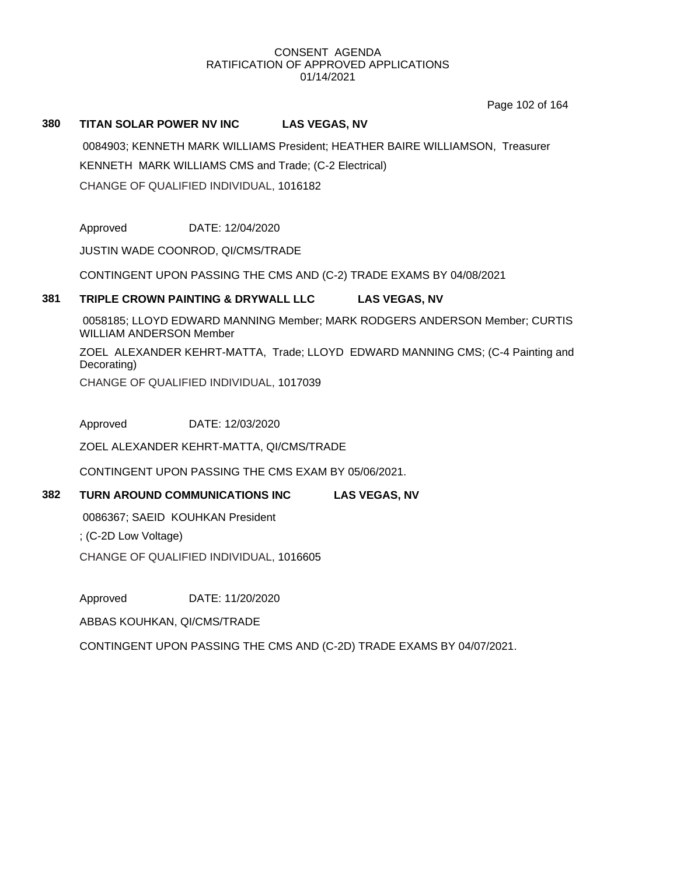Page 102 of 164

# **380 TITAN SOLAR POWER NV INC LAS VEGAS, NV**

0084903; KENNETH MARK WILLIAMS President; HEATHER BAIRE WILLIAMSON, Treasurer KENNETH MARK WILLIAMS CMS and Trade; (C-2 Electrical) CHANGE OF QUALIFIED INDIVIDUAL, 1016182

Approved DATE: 12/04/2020

JUSTIN WADE COONROD, QI/CMS/TRADE

CONTINGENT UPON PASSING THE CMS AND (C-2) TRADE EXAMS BY 04/08/2021

# **381 TRIPLE CROWN PAINTING & DRYWALL LLC LAS VEGAS, NV**

0058185; LLOYD EDWARD MANNING Member; MARK RODGERS ANDERSON Member; CURTIS WILLIAM ANDERSON Member

ZOEL ALEXANDER KEHRT-MATTA, Trade; LLOYD EDWARD MANNING CMS; (C-4 Painting and Decorating)

CHANGE OF QUALIFIED INDIVIDUAL, 1017039

Approved DATE: 12/03/2020

ZOEL ALEXANDER KEHRT-MATTA, QI/CMS/TRADE

CONTINGENT UPON PASSING THE CMS EXAM BY 05/06/2021.

# **382 TURN AROUND COMMUNICATIONS INC LAS VEGAS, NV**

0086367; SAEID KOUHKAN President

; (C-2D Low Voltage)

CHANGE OF QUALIFIED INDIVIDUAL, 1016605

Approved DATE: 11/20/2020

ABBAS KOUHKAN, QI/CMS/TRADE

CONTINGENT UPON PASSING THE CMS AND (C-2D) TRADE EXAMS BY 04/07/2021.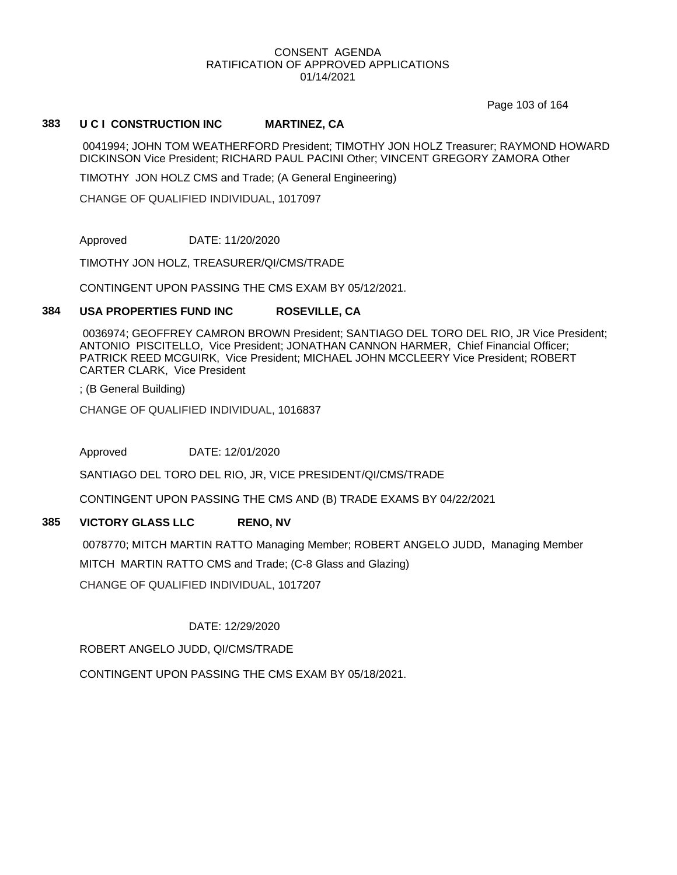Page 103 of 164

### **383 U C I CONSTRUCTION INC MARTINEZ, CA**

0041994; JOHN TOM WEATHERFORD President; TIMOTHY JON HOLZ Treasurer; RAYMOND HOWARD DICKINSON Vice President; RICHARD PAUL PACINI Other; VINCENT GREGORY ZAMORA Other

TIMOTHY JON HOLZ CMS and Trade; (A General Engineering)

CHANGE OF QUALIFIED INDIVIDUAL, 1017097

Approved DATE: 11/20/2020

TIMOTHY JON HOLZ, TREASURER/QI/CMS/TRADE

CONTINGENT UPON PASSING THE CMS EXAM BY 05/12/2021.

### **384 USA PROPERTIES FUND INC ROSEVILLE, CA**

0036974; GEOFFREY CAMRON BROWN President; SANTIAGO DEL TORO DEL RIO, JR Vice President; ANTONIO PISCITELLO, Vice President; JONATHAN CANNON HARMER, Chief Financial Officer; PATRICK REED MCGUIRK, Vice President; MICHAEL JOHN MCCLEERY Vice President; ROBERT CARTER CLARK, Vice President

; (B General Building)

CHANGE OF QUALIFIED INDIVIDUAL, 1016837

Approved DATE: 12/01/2020

SANTIAGO DEL TORO DEL RIO, JR, VICE PRESIDENT/QI/CMS/TRADE

CONTINGENT UPON PASSING THE CMS AND (B) TRADE EXAMS BY 04/22/2021

# **385 VICTORY GLASS LLC RENO, NV**

0078770; MITCH MARTIN RATTO Managing Member; ROBERT ANGELO JUDD, Managing Member MITCH MARTIN RATTO CMS and Trade; (C-8 Glass and Glazing) CHANGE OF QUALIFIED INDIVIDUAL, 1017207

DATE: 12/29/2020

ROBERT ANGELO JUDD, QI/CMS/TRADE

CONTINGENT UPON PASSING THE CMS EXAM BY 05/18/2021.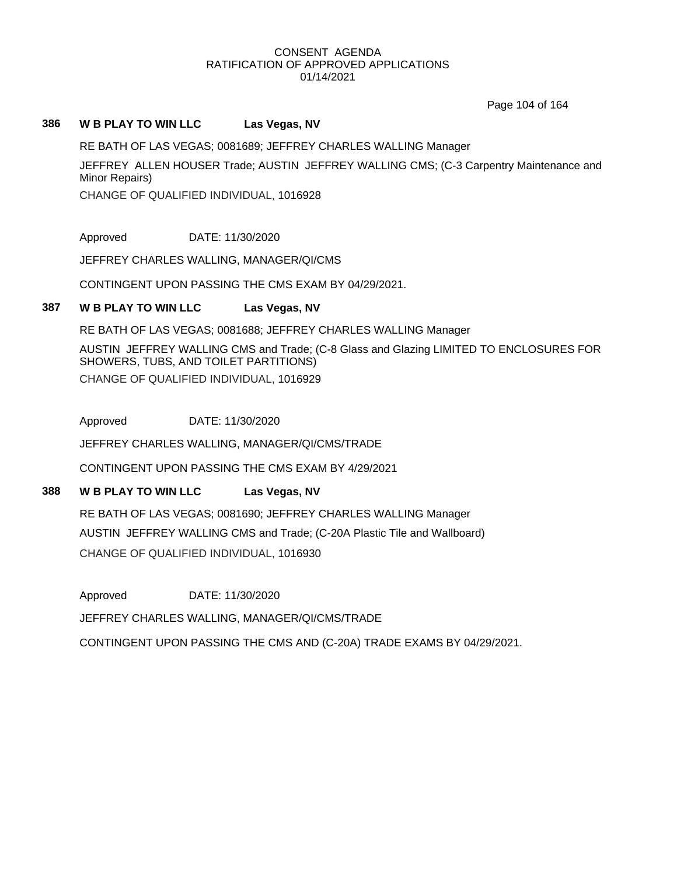Page 104 of 164

#### **386 W B PLAY TO WIN LLC Las Vegas, NV**

RE BATH OF LAS VEGAS; 0081689; JEFFREY CHARLES WALLING Manager

JEFFREY ALLEN HOUSER Trade; AUSTIN JEFFREY WALLING CMS; (C-3 Carpentry Maintenance and Minor Repairs)

CHANGE OF QUALIFIED INDIVIDUAL, 1016928

Approved DATE: 11/30/2020

JEFFREY CHARLES WALLING, MANAGER/QI/CMS

CONTINGENT UPON PASSING THE CMS EXAM BY 04/29/2021.

### **387 W B PLAY TO WIN LLC Las Vegas, NV**

RE BATH OF LAS VEGAS; 0081688; JEFFREY CHARLES WALLING Manager

AUSTIN JEFFREY WALLING CMS and Trade; (C-8 Glass and Glazing LIMITED TO ENCLOSURES FOR SHOWERS, TUBS, AND TOILET PARTITIONS) CHANGE OF QUALIFIED INDIVIDUAL, 1016929

Approved DATE: 11/30/2020

JEFFREY CHARLES WALLING, MANAGER/QI/CMS/TRADE

CONTINGENT UPON PASSING THE CMS EXAM BY 4/29/2021

# **388 W B PLAY TO WIN LLC Las Vegas, NV**

RE BATH OF LAS VEGAS; 0081690; JEFFREY CHARLES WALLING Manager AUSTIN JEFFREY WALLING CMS and Trade; (C-20A Plastic Tile and Wallboard) CHANGE OF QUALIFIED INDIVIDUAL, 1016930

Approved DATE: 11/30/2020

JEFFREY CHARLES WALLING, MANAGER/QI/CMS/TRADE

CONTINGENT UPON PASSING THE CMS AND (C-20A) TRADE EXAMS BY 04/29/2021.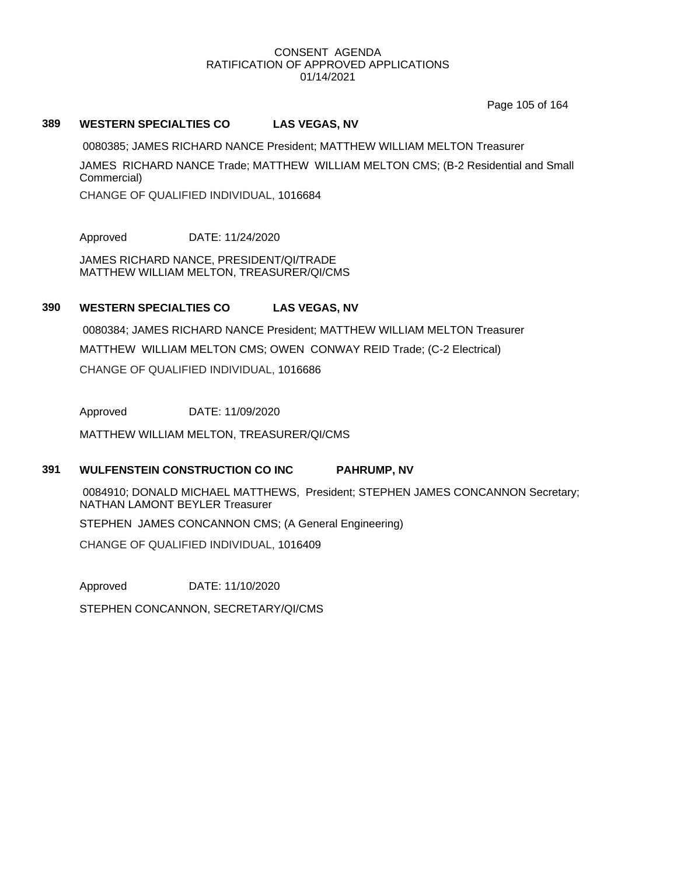Page 105 of 164

### **389 WESTERN SPECIALTIES CO LAS VEGAS, NV**

0080385; JAMES RICHARD NANCE President; MATTHEW WILLIAM MELTON Treasurer

JAMES RICHARD NANCE Trade; MATTHEW WILLIAM MELTON CMS; (B-2 Residential and Small Commercial)

CHANGE OF QUALIFIED INDIVIDUAL, 1016684

Approved DATE: 11/24/2020

JAMES RICHARD NANCE, PRESIDENT/QI/TRADE MATTHEW WILLIAM MELTON, TREASURER/QI/CMS

# **390 WESTERN SPECIALTIES CO LAS VEGAS, NV**

0080384; JAMES RICHARD NANCE President; MATTHEW WILLIAM MELTON Treasurer MATTHEW WILLIAM MELTON CMS; OWEN CONWAY REID Trade; (C-2 Electrical) CHANGE OF QUALIFIED INDIVIDUAL, 1016686

Approved DATE: 11/09/2020

MATTHEW WILLIAM MELTON, TREASURER/QI/CMS

### **391 WULFENSTEIN CONSTRUCTION CO INC PAHRUMP, NV**

0084910; DONALD MICHAEL MATTHEWS, President; STEPHEN JAMES CONCANNON Secretary; NATHAN LAMONT BEYLER Treasurer

STEPHEN JAMES CONCANNON CMS; (A General Engineering)

CHANGE OF QUALIFIED INDIVIDUAL, 1016409

Approved DATE: 11/10/2020

STEPHEN CONCANNON, SECRETARY/QI/CMS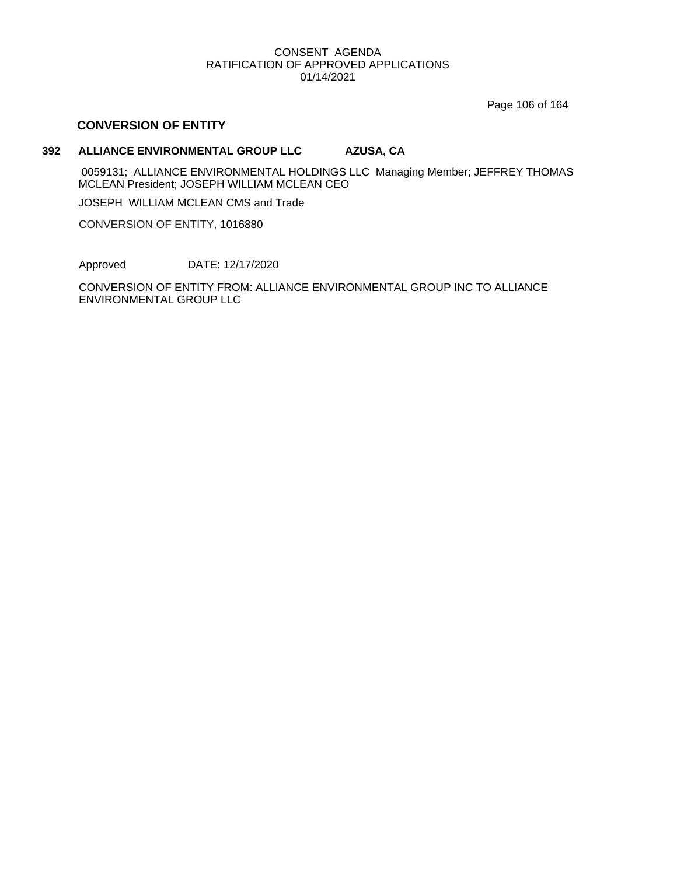Page 106 of 164

# **CONVERSION OF ENTITY**

# **392 ALLIANCE ENVIRONMENTAL GROUP LLC AZUSA, CA**

0059131; ALLIANCE ENVIRONMENTAL HOLDINGS LLC Managing Member; JEFFREY THOMAS MCLEAN President; JOSEPH WILLIAM MCLEAN CEO

JOSEPH WILLIAM MCLEAN CMS and Trade

CONVERSION OF ENTITY, 1016880

Approved DATE: 12/17/2020

CONVERSION OF ENTITY FROM: ALLIANCE ENVIRONMENTAL GROUP INC TO ALLIANCE ENVIRONMENTAL GROUP LLC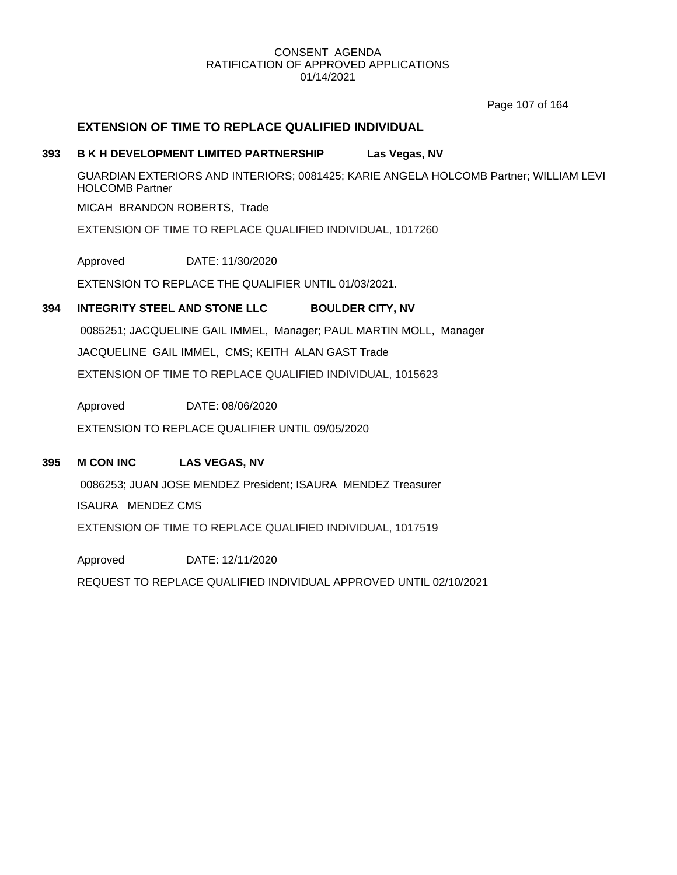Page 107 of 164

# **EXTENSION OF TIME TO REPLACE QUALIFIED INDIVIDUAL**

# **393 B K H DEVELOPMENT LIMITED PARTNERSHIP Las Vegas, NV**

GUARDIAN EXTERIORS AND INTERIORS; 0081425; KARIE ANGELA HOLCOMB Partner; WILLIAM LEVI HOLCOMB Partner

MICAH BRANDON ROBERTS, Trade

EXTENSION OF TIME TO REPLACE QUALIFIED INDIVIDUAL, 1017260

Approved DATE: 11/30/2020

EXTENSION TO REPLACE THE QUALIFIER UNTIL 01/03/2021.

### **394 INTEGRITY STEEL AND STONE LLC BOULDER CITY, NV**

0085251; JACQUELINE GAIL IMMEL, Manager; PAUL MARTIN MOLL, Manager JACQUELINE GAIL IMMEL, CMS; KEITH ALAN GAST Trade EXTENSION OF TIME TO REPLACE QUALIFIED INDIVIDUAL, 1015623

Approved DATE: 08/06/2020

EXTENSION TO REPLACE QUALIFIER UNTIL 09/05/2020

# **395 M CON INC LAS VEGAS, NV**

0086253; JUAN JOSE MENDEZ President; ISAURA MENDEZ Treasurer ISAURA MENDEZ CMS EXTENSION OF TIME TO REPLACE QUALIFIED INDIVIDUAL, 1017519

Approved DATE: 12/11/2020

REQUEST TO REPLACE QUALIFIED INDIVIDUAL APPROVED UNTIL 02/10/2021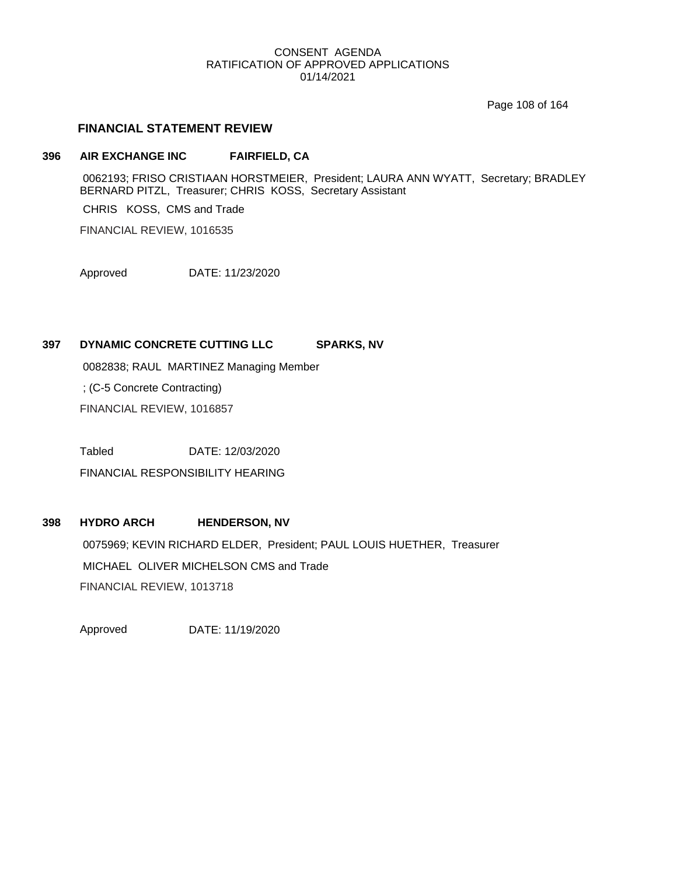Page 108 of 164

# **FINANCIAL STATEMENT REVIEW**

# **396 AIR EXCHANGE INC FAIRFIELD, CA**

0062193; FRISO CRISTIAAN HORSTMEIER, President; LAURA ANN WYATT, Secretary; BRADLEY BERNARD PITZL, Treasurer; CHRIS KOSS, Secretary Assistant

CHRIS KOSS, CMS and Trade

FINANCIAL REVIEW, 1016535

Approved DATE: 11/23/2020

# **397 DYNAMIC CONCRETE CUTTING LLC SPARKS, NV**

0082838; RAUL MARTINEZ Managing Member

; (C-5 Concrete Contracting)

FINANCIAL REVIEW, 1016857

Tabled DATE: 12/03/2020

FINANCIAL RESPONSIBILITY HEARING

# **398 HYDRO ARCH HENDERSON, NV**

0075969; KEVIN RICHARD ELDER, President; PAUL LOUIS HUETHER, Treasurer MICHAEL OLIVER MICHELSON CMS and Trade FINANCIAL REVIEW, 1013718

Approved DATE: 11/19/2020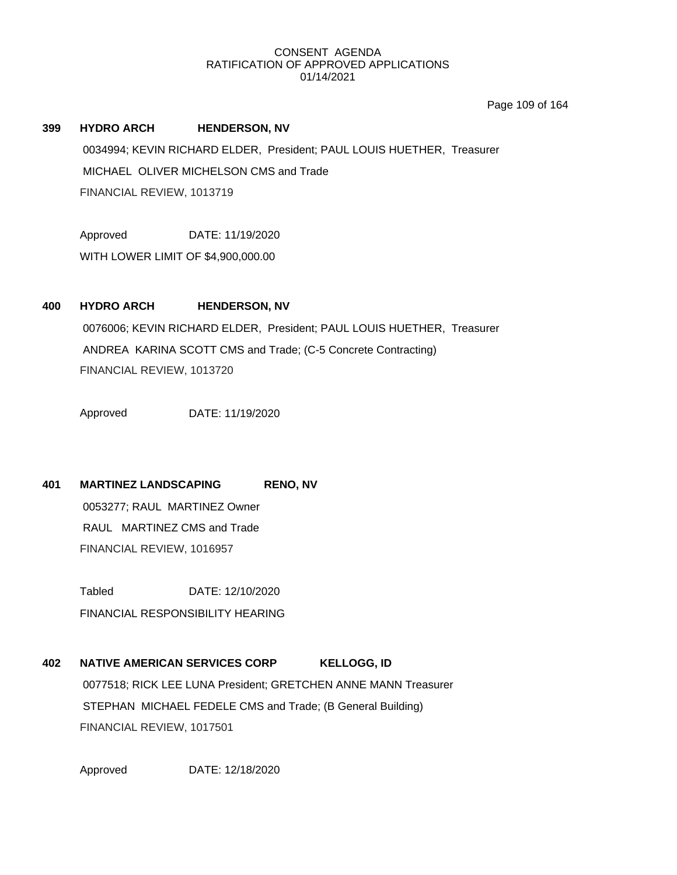Page 109 of 164

**399 HYDRO ARCH HENDERSON, NV** 0034994; KEVIN RICHARD ELDER, President; PAUL LOUIS HUETHER, Treasurer MICHAEL OLIVER MICHELSON CMS and Trade FINANCIAL REVIEW, 1013719

Approved DATE: 11/19/2020

WITH LOWER LIMIT OF \$4,900,000.00

**400 HYDRO ARCH HENDERSON, NV** 0076006; KEVIN RICHARD ELDER, President; PAUL LOUIS HUETHER, Treasurer ANDREA KARINA SCOTT CMS and Trade; (C-5 Concrete Contracting) FINANCIAL REVIEW, 1013720

Approved DATE: 11/19/2020

**401 MARTINEZ LANDSCAPING RENO, NV**

0053277; RAUL MARTINEZ Owner RAUL MARTINEZ CMS and Trade FINANCIAL REVIEW, 1016957

Tabled DATE: 12/10/2020 FINANCIAL RESPONSIBILITY HEARING

**402 NATIVE AMERICAN SERVICES CORP KELLOGG, ID** 0077518; RICK LEE LUNA President; GRETCHEN ANNE MANN Treasurer STEPHAN MICHAEL FEDELE CMS and Trade; (B General Building) FINANCIAL REVIEW, 1017501

Approved DATE: 12/18/2020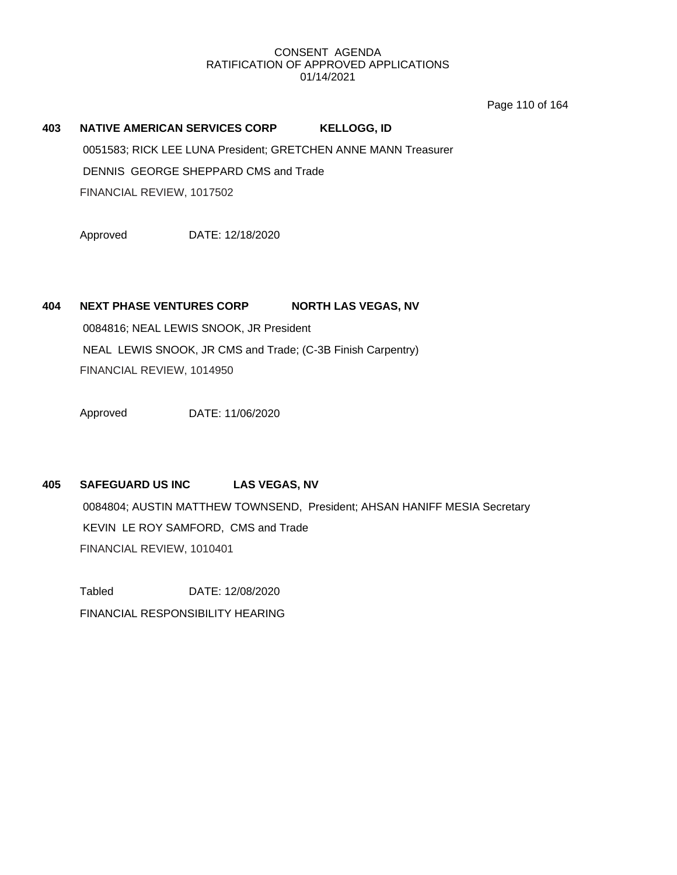Page 110 of 164

# **403 NATIVE AMERICAN SERVICES CORP KELLOGG, ID** 0051583; RICK LEE LUNA President; GRETCHEN ANNE MANN Treasurer DENNIS GEORGE SHEPPARD CMS and Trade FINANCIAL REVIEW, 1017502

Approved DATE: 12/18/2020

# **404 NEXT PHASE VENTURES CORP NORTH LAS VEGAS, NV**

0084816; NEAL LEWIS SNOOK, JR President NEAL LEWIS SNOOK, JR CMS and Trade; (C-3B Finish Carpentry) FINANCIAL REVIEW, 1014950

Approved DATE: 11/06/2020

# **405 SAFEGUARD US INC LAS VEGAS, NV**

0084804; AUSTIN MATTHEW TOWNSEND, President; AHSAN HANIFF MESIA Secretary KEVIN LE ROY SAMFORD, CMS and Trade FINANCIAL REVIEW, 1010401

Tabled DATE: 12/08/2020 FINANCIAL RESPONSIBILITY HEARING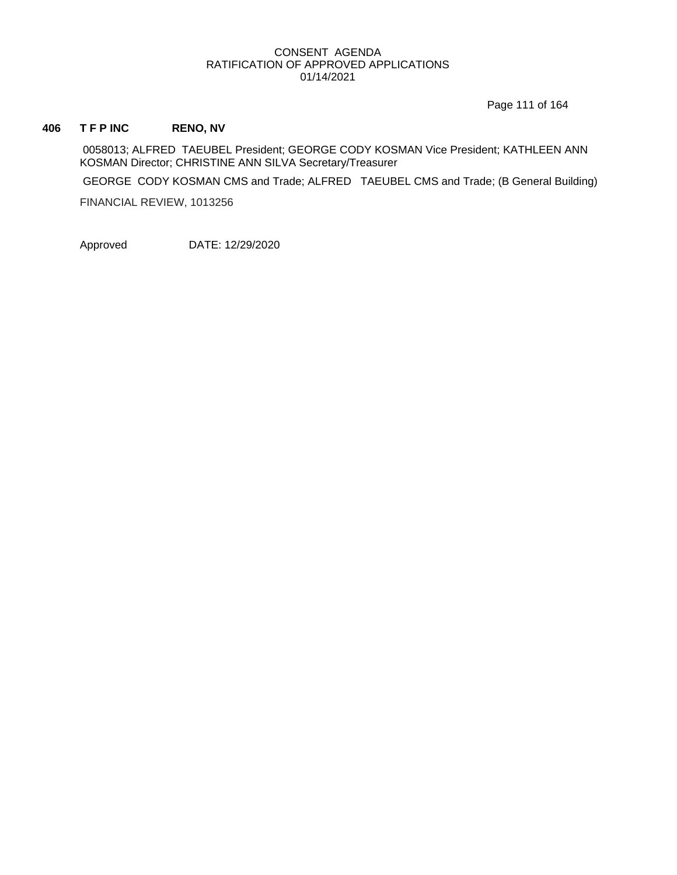Page 111 of 164

# **406 T F P INC RENO, NV**

0058013; ALFRED TAEUBEL President; GEORGE CODY KOSMAN Vice President; KATHLEEN ANN KOSMAN Director; CHRISTINE ANN SILVA Secretary/Treasurer

GEORGE CODY KOSMAN CMS and Trade; ALFRED TAEUBEL CMS and Trade; (B General Building)

FINANCIAL REVIEW, 1013256

Approved DATE: 12/29/2020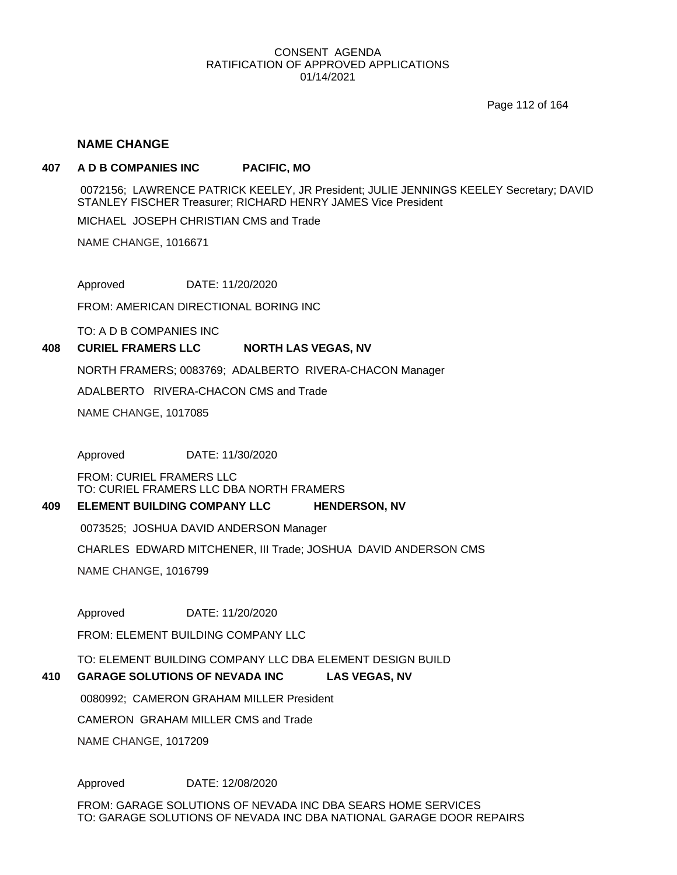Page 112 of 164

### **NAME CHANGE**

#### **407 A D B COMPANIES INC PACIFIC, MO**

0072156; LAWRENCE PATRICK KEELEY, JR President; JULIE JENNINGS KEELEY Secretary; DAVID STANLEY FISCHER Treasurer; RICHARD HENRY JAMES Vice President

MICHAEL JOSEPH CHRISTIAN CMS and Trade

NAME CHANGE, 1016671

Approved DATE: 11/20/2020

FROM: AMERICAN DIRECTIONAL BORING INC

TO: A D B COMPANIES INC

#### **408 CURIEL FRAMERS LLC NORTH LAS VEGAS, NV**

NORTH FRAMERS; 0083769; ADALBERTO RIVERA-CHACON Manager

ADALBERTO RIVERA-CHACON CMS and Trade

NAME CHANGE, 1017085

Approved DATE: 11/30/2020

FROM: CURIEL FRAMERS LLC TO: CURIEL FRAMERS LLC DBA NORTH FRAMERS

#### **409 ELEMENT BUILDING COMPANY LLC HENDERSON, NV**

0073525; JOSHUA DAVID ANDERSON Manager

CHARLES EDWARD MITCHENER, III Trade; JOSHUA DAVID ANDERSON CMS

NAME CHANGE, 1016799

Approved DATE: 11/20/2020

FROM: ELEMENT BUILDING COMPANY LLC

TO: ELEMENT BUILDING COMPANY LLC DBA ELEMENT DESIGN BUILD

#### **410 GARAGE SOLUTIONS OF NEVADA INC LAS VEGAS, NV**

0080992; CAMERON GRAHAM MILLER President

CAMERON GRAHAM MILLER CMS and Trade

NAME CHANGE, 1017209

Approved DATE: 12/08/2020

FROM: GARAGE SOLUTIONS OF NEVADA INC DBA SEARS HOME SERVICES TO: GARAGE SOLUTIONS OF NEVADA INC DBA NATIONAL GARAGE DOOR REPAIRS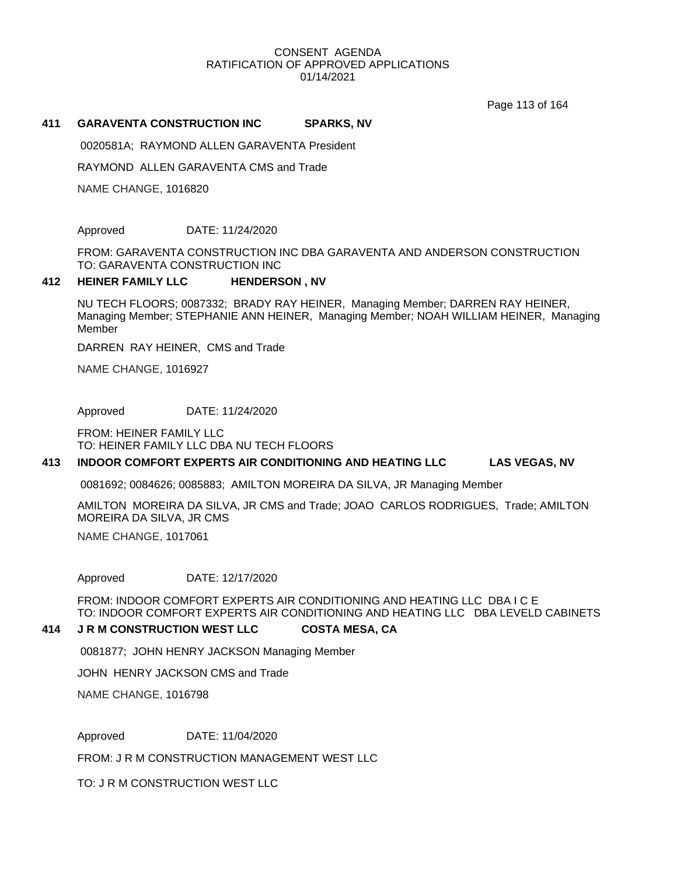Page 113 of 164

#### **411 GARAVENTA CONSTRUCTION INC SPARKS, NV**

0020581A; RAYMOND ALLEN GARAVENTA President

RAYMOND ALLEN GARAVENTA CMS and Trade

NAME CHANGE, 1016820

Approved DATE: 11/24/2020

FROM: GARAVENTA CONSTRUCTION INC DBA GARAVENTA AND ANDERSON CONSTRUCTION TO: GARAVENTA CONSTRUCTION INC

#### **412 HEINER FAMILY LLC HENDERSON , NV**

NU TECH FLOORS; 0087332; BRADY RAY HEINER, Managing Member; DARREN RAY HEINER, Managing Member; STEPHANIE ANN HEINER, Managing Member; NOAH WILLIAM HEINER, Managing Member

DARREN RAY HEINER, CMS and Trade

NAME CHANGE, 1016927

Approved DATE: 11/24/2020

FROM: HEINER FAMILY LLC TO: HEINER FAMILY LLC DBA NU TECH FLOORS

#### **413 INDOOR COMFORT EXPERTS AIR CONDITIONING AND HEATING LLC LAS VEGAS, NV**

0081692; 0084626; 0085883; AMILTON MOREIRA DA SILVA, JR Managing Member

AMILTON MOREIRA DA SILVA, JR CMS and Trade; JOAO CARLOS RODRIGUES, Trade; AMILTON MOREIRA DA SILVA, JR CMS

NAME CHANGE, 1017061

Approved DATE: 12/17/2020

FROM: INDOOR COMFORT EXPERTS AIR CONDITIONING AND HEATING LLC DBA I C E TO: INDOOR COMFORT EXPERTS AIR CONDITIONING AND HEATING LLC DBA LEVELD CABINETS

#### **414 J R M CONSTRUCTION WEST LLC COSTA MESA, CA**

0081877; JOHN HENRY JACKSON Managing Member

JOHN HENRY JACKSON CMS and Trade

NAME CHANGE, 1016798

Approved DATE: 11/04/2020

FROM: J R M CONSTRUCTION MANAGEMENT WEST LLC

TO: J R M CONSTRUCTION WEST LLC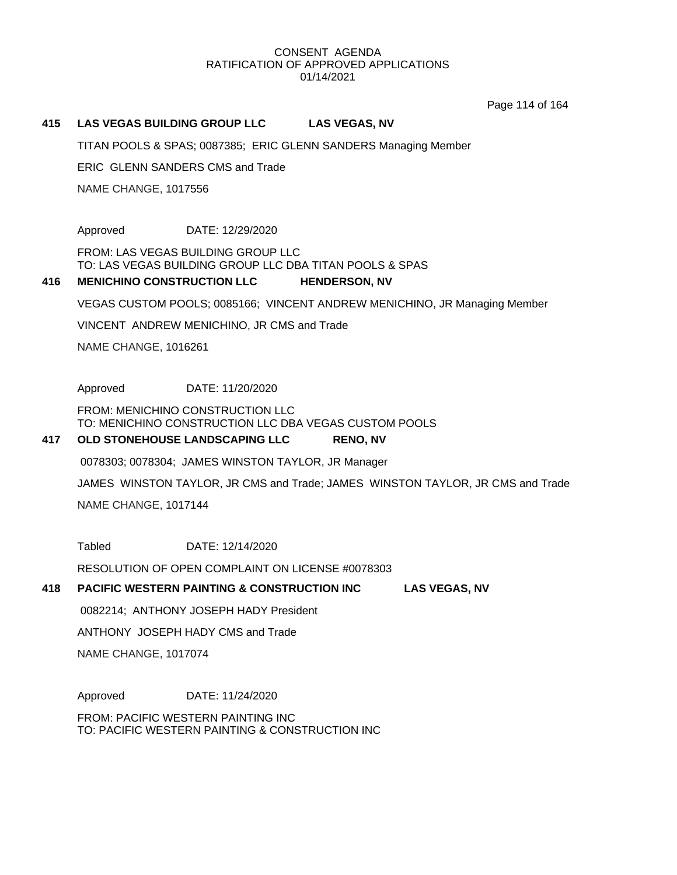Page 114 of 164

#### **415 LAS VEGAS BUILDING GROUP LLC LAS VEGAS, NV**

TITAN POOLS & SPAS; 0087385; ERIC GLENN SANDERS Managing Member

ERIC GLENN SANDERS CMS and Trade

NAME CHANGE, 1017556

Approved DATE: 12/29/2020

FROM: LAS VEGAS BUILDING GROUP LLC TO: LAS VEGAS BUILDING GROUP LLC DBA TITAN POOLS & SPAS

#### **416 MENICHINO CONSTRUCTION LLC HENDERSON, NV**

VEGAS CUSTOM POOLS; 0085166; VINCENT ANDREW MENICHINO, JR Managing Member

VINCENT ANDREW MENICHINO, JR CMS and Trade

NAME CHANGE, 1016261

Approved DATE: 11/20/2020

FROM: MENICHINO CONSTRUCTION LLC TO: MENICHINO CONSTRUCTION LLC DBA VEGAS CUSTOM POOLS

#### **417 OLD STONEHOUSE LANDSCAPING LLC RENO, NV**

0078303; 0078304; JAMES WINSTON TAYLOR, JR Manager

JAMES WINSTON TAYLOR, JR CMS and Trade; JAMES WINSTON TAYLOR, JR CMS and Trade

NAME CHANGE, 1017144

Tabled DATE: 12/14/2020

RESOLUTION OF OPEN COMPLAINT ON LICENSE #0078303

#### **418 PACIFIC WESTERN PAINTING & CONSTRUCTION INC LAS VEGAS, NV**

0082214; ANTHONY JOSEPH HADY President

ANTHONY JOSEPH HADY CMS and Trade

NAME CHANGE, 1017074

Approved DATE: 11/24/2020

FROM: PACIFIC WESTERN PAINTING INC TO: PACIFIC WESTERN PAINTING & CONSTRUCTION INC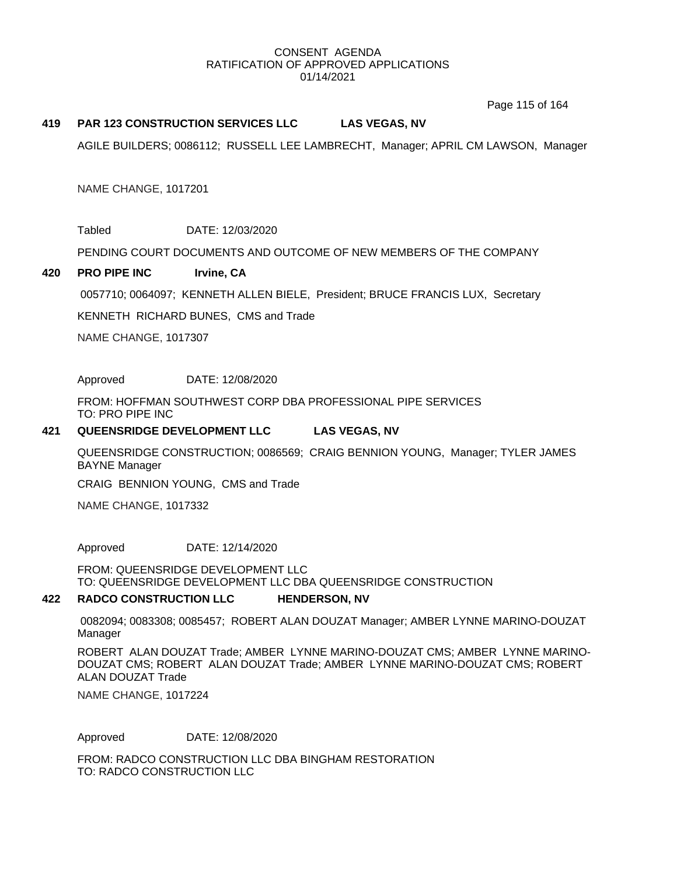Page 115 of 164

#### **419 PAR 123 CONSTRUCTION SERVICES LLC LAS VEGAS, NV**

AGILE BUILDERS; 0086112; RUSSELL LEE LAMBRECHT, Manager; APRIL CM LAWSON, Manager

NAME CHANGE, 1017201

Tabled DATE: 12/03/2020

PENDING COURT DOCUMENTS AND OUTCOME OF NEW MEMBERS OF THE COMPANY

#### **420 PRO PIPE INC Irvine, CA**

0057710; 0064097; KENNETH ALLEN BIELE, President; BRUCE FRANCIS LUX, Secretary

KENNETH RICHARD BUNES, CMS and Trade

NAME CHANGE, 1017307

Approved DATE: 12/08/2020

FROM: HOFFMAN SOUTHWEST CORP DBA PROFESSIONAL PIPE SERVICES TO: PRO PIPE INC

#### **421 QUEENSRIDGE DEVELOPMENT LLC LAS VEGAS, NV**

QUEENSRIDGE CONSTRUCTION; 0086569; CRAIG BENNION YOUNG, Manager; TYLER JAMES BAYNE Manager

CRAIG BENNION YOUNG, CMS and Trade

NAME CHANGE, 1017332

Approved DATE: 12/14/2020

FROM: QUEENSRIDGE DEVELOPMENT LLC TO: QUEENSRIDGE DEVELOPMENT LLC DBA QUEENSRIDGE CONSTRUCTION

#### **422 RADCO CONSTRUCTION LLC HENDERSON, NV**

0082094; 0083308; 0085457; ROBERT ALAN DOUZAT Manager; AMBER LYNNE MARINO-DOUZAT Manager

ROBERT ALAN DOUZAT Trade; AMBER LYNNE MARINO-DOUZAT CMS; AMBER LYNNE MARINO-DOUZAT CMS; ROBERT ALAN DOUZAT Trade; AMBER LYNNE MARINO-DOUZAT CMS; ROBERT ALAN DOUZAT Trade

NAME CHANGE, 1017224

Approved DATE: 12/08/2020

FROM: RADCO CONSTRUCTION LLC DBA BINGHAM RESTORATION TO: RADCO CONSTRUCTION LLC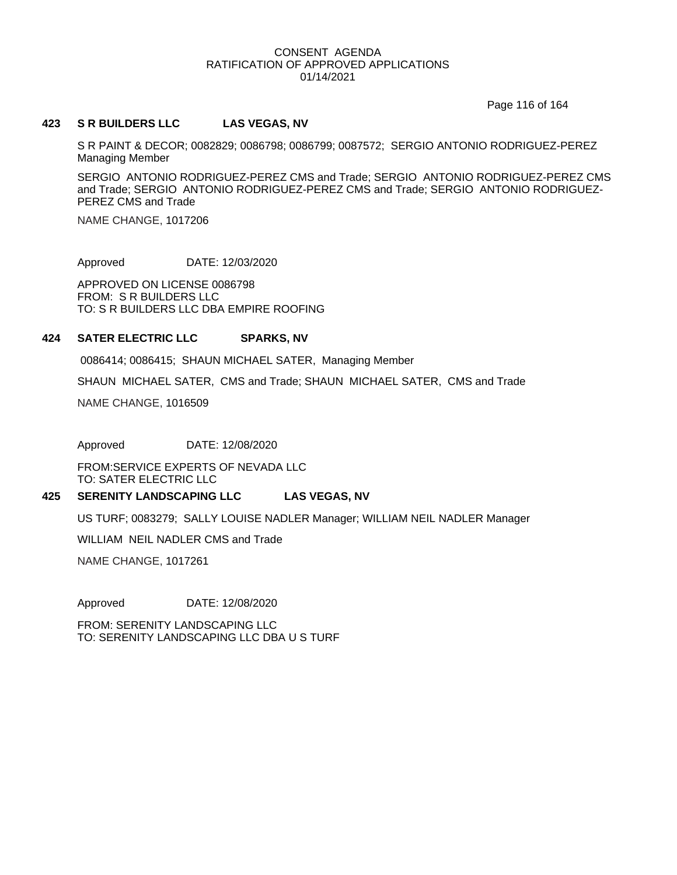Page 116 of 164

#### **423 S R BUILDERS LLC LAS VEGAS, NV**

S R PAINT & DECOR; 0082829; 0086798; 0086799; 0087572; SERGIO ANTONIO RODRIGUEZ-PEREZ Managing Member

SERGIO ANTONIO RODRIGUEZ-PEREZ CMS and Trade; SERGIO ANTONIO RODRIGUEZ-PEREZ CMS and Trade; SERGIO ANTONIO RODRIGUEZ-PEREZ CMS and Trade; SERGIO ANTONIO RODRIGUEZ-PEREZ CMS and Trade

NAME CHANGE, 1017206

Approved DATE: 12/03/2020

APPROVED ON LICENSE 0086798 FROM: S R BUILDERS LLC TO: S R BUILDERS LLC DBA EMPIRE ROOFING

#### **424 SATER ELECTRIC LLC SPARKS, NV**

0086414; 0086415; SHAUN MICHAEL SATER, Managing Member

SHAUN MICHAEL SATER, CMS and Trade; SHAUN MICHAEL SATER, CMS and Trade

NAME CHANGE, 1016509

Approved DATE: 12/08/2020

FROM:SERVICE EXPERTS OF NEVADA LLC TO: SATER ELECTRIC LLC

#### **425 SERENITY LANDSCAPING LLC LAS VEGAS, NV**

US TURF; 0083279; SALLY LOUISE NADLER Manager; WILLIAM NEIL NADLER Manager

WILLIAM NEIL NADLER CMS and Trade

NAME CHANGE, 1017261

Approved DATE: 12/08/2020

FROM: SERENITY LANDSCAPING LLC TO: SERENITY LANDSCAPING LLC DBA U S TURF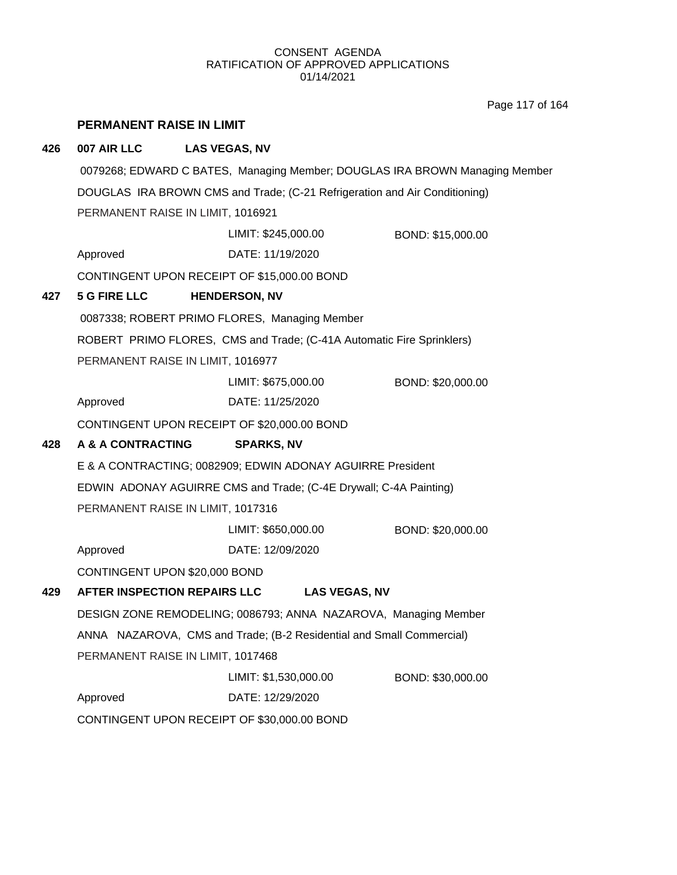Page 117 of 164

|     | PERMANENT RAISE IN LIMIT |                                                                            |                                                                             |
|-----|--------------------------|----------------------------------------------------------------------------|-----------------------------------------------------------------------------|
| 426 | 007 AIR LLC              | <b>LAS VEGAS, NV</b>                                                       |                                                                             |
|     |                          |                                                                            | 0079268; EDWARD C BATES, Managing Member; DOUGLAS IRA BROWN Managing Member |
|     |                          | DOUGLAS IRA BROWN CMS and Trade; (C-21 Refrigeration and Air Conditioning) |                                                                             |
|     |                          | PERMANENT RAISE IN LIMIT, 1016921                                          |                                                                             |
|     |                          | LIMIT: \$245,000.00                                                        | BOND: \$15,000.00                                                           |
|     | Approved                 | DATE: 11/19/2020                                                           |                                                                             |
|     |                          | CONTINGENT UPON RECEIPT OF \$15,000.00 BOND                                |                                                                             |
| 427 | <b>5 G FIRE LLC</b>      | <b>HENDERSON, NV</b>                                                       |                                                                             |
|     |                          | 0087338; ROBERT PRIMO FLORES, Managing Member                              |                                                                             |
|     |                          | ROBERT PRIMO FLORES, CMS and Trade; (C-41A Automatic Fire Sprinklers)      |                                                                             |
|     |                          | PERMANENT RAISE IN LIMIT, 1016977                                          |                                                                             |
|     |                          | LIMIT: \$675,000.00                                                        | BOND: \$20,000.00                                                           |
|     | Approved                 | DATE: 11/25/2020                                                           |                                                                             |
|     |                          | CONTINGENT UPON RECEIPT OF \$20,000.00 BOND                                |                                                                             |
| 428 | A & A CONTRACTING        | <b>SPARKS, NV</b>                                                          |                                                                             |
|     |                          | E & A CONTRACTING; 0082909; EDWIN ADONAY AGUIRRE President                 |                                                                             |
|     |                          | EDWIN ADONAY AGUIRRE CMS and Trade; (C-4E Drywall; C-4A Painting)          |                                                                             |
|     |                          | PERMANENT RAISE IN LIMIT, 1017316                                          |                                                                             |
|     |                          | LIMIT: \$650,000.00                                                        | BOND: \$20,000.00                                                           |
|     | Approved                 | DATE: 12/09/2020                                                           |                                                                             |
|     |                          | CONTINGENT UPON \$20,000 BOND                                              |                                                                             |
| 429 |                          | AFTER INSPECTION REPAIRS LLC                                               | <b>LAS VEGAS, NV</b>                                                        |
|     |                          | DESIGN ZONE REMODELING; 0086793; ANNA NAZAROVA, Managing Member            |                                                                             |
|     |                          | ANNA NAZAROVA, CMS and Trade; (B-2 Residential and Small Commercial)       |                                                                             |
|     |                          | PERMANENT RAISE IN LIMIT, 1017468                                          |                                                                             |
|     |                          | LIMIT: \$1,530,000.00                                                      | BOND: \$30,000.00                                                           |
|     | Approved                 | DATE: 12/29/2020                                                           |                                                                             |
|     |                          | CONTINGENT UPON RECEIPT OF \$30,000.00 BOND                                |                                                                             |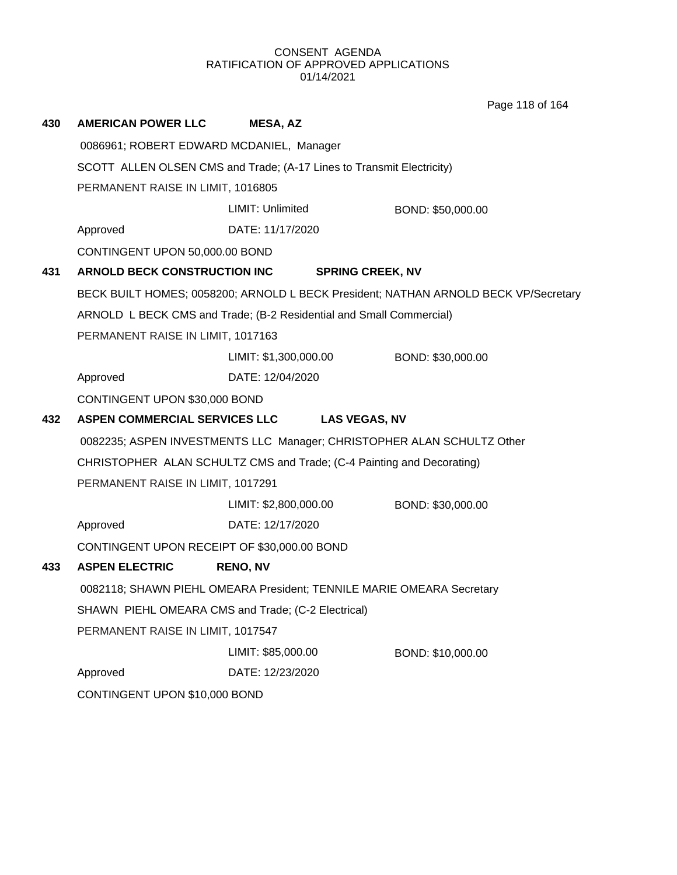Page 118 of 164

| 430 | <b>AMERICAN POWER LLC</b>                                             | <b>MESA, AZ</b>                                                        |                                                                                     |  |  |
|-----|-----------------------------------------------------------------------|------------------------------------------------------------------------|-------------------------------------------------------------------------------------|--|--|
|     | 0086961; ROBERT EDWARD MCDANIEL, Manager                              |                                                                        |                                                                                     |  |  |
|     | SCOTT ALLEN OLSEN CMS and Trade; (A-17 Lines to Transmit Electricity) |                                                                        |                                                                                     |  |  |
|     | PERMANENT RAISE IN LIMIT, 1016805                                     |                                                                        |                                                                                     |  |  |
|     |                                                                       | LIMIT: Unlimited                                                       | BOND: \$50,000.00                                                                   |  |  |
|     | Approved                                                              | DATE: 11/17/2020                                                       |                                                                                     |  |  |
|     | CONTINGENT UPON 50,000.00 BOND                                        |                                                                        |                                                                                     |  |  |
| 431 | ARNOLD BECK CONSTRUCTION INC                                          | <b>SPRING CREEK, NV</b>                                                |                                                                                     |  |  |
|     |                                                                       |                                                                        | BECK BUILT HOMES; 0058200; ARNOLD L BECK President; NATHAN ARNOLD BECK VP/Secretary |  |  |
|     |                                                                       | ARNOLD L BECK CMS and Trade; (B-2 Residential and Small Commercial)    |                                                                                     |  |  |
|     | PERMANENT RAISE IN LIMIT, 1017163                                     |                                                                        |                                                                                     |  |  |
|     |                                                                       | LIMIT: \$1,300,000.00                                                  | BOND: \$30,000.00                                                                   |  |  |
|     | Approved                                                              | DATE: 12/04/2020                                                       |                                                                                     |  |  |
|     | CONTINGENT UPON \$30,000 BOND                                         |                                                                        |                                                                                     |  |  |
| 432 | <b>ASPEN COMMERCIAL SERVICES LLC</b>                                  | <b>LAS VEGAS, NV</b>                                                   |                                                                                     |  |  |
|     |                                                                       | 0082235; ASPEN INVESTMENTS LLC Manager; CHRISTOPHER ALAN SCHULTZ Other |                                                                                     |  |  |
|     |                                                                       | CHRISTOPHER ALAN SCHULTZ CMS and Trade; (C-4 Painting and Decorating)  |                                                                                     |  |  |
|     | PERMANENT RAISE IN LIMIT, 1017291                                     |                                                                        |                                                                                     |  |  |
|     |                                                                       | LIMIT: \$2,800,000.00                                                  | BOND: \$30,000.00                                                                   |  |  |
|     | Approved                                                              | DATE: 12/17/2020                                                       |                                                                                     |  |  |
|     | CONTINGENT UPON RECEIPT OF \$30,000.00 BOND                           |                                                                        |                                                                                     |  |  |
| 433 | <b>ASPEN ELECTRIC</b>                                                 | <b>RENO, NV</b>                                                        |                                                                                     |  |  |
|     |                                                                       | 0082118; SHAWN PIEHL OMEARA President; TENNILE MARIE OMEARA Secretary  |                                                                                     |  |  |
|     | SHAWN PIEHL OMEARA CMS and Trade; (C-2 Electrical)                    |                                                                        |                                                                                     |  |  |
|     | PERMANENT RAISE IN LIMIT, 1017547                                     |                                                                        |                                                                                     |  |  |
|     |                                                                       | LIMIT: \$85,000.00                                                     | BOND: \$10,000.00                                                                   |  |  |
|     | Approved                                                              | DATE: 12/23/2020                                                       |                                                                                     |  |  |
|     | CONTINGENT UPON \$10,000 BOND                                         |                                                                        |                                                                                     |  |  |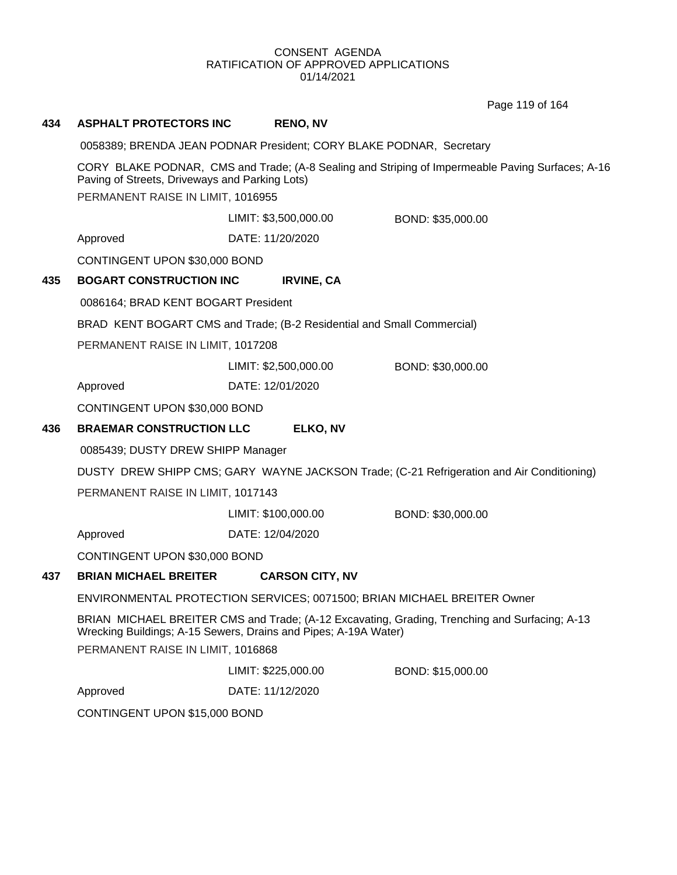Page 119 of 164

# **434 ASPHALT PROTECTORS INC RENO, NV**

0058389; BRENDA JEAN PODNAR President; CORY BLAKE PODNAR, Secretary

CORY BLAKE PODNAR, CMS and Trade; (A-8 Sealing and Striping of Impermeable Paving Surfaces; A-16 Paving of Streets, Driveways and Parking Lots)

PERMANENT RAISE IN LIMIT, 1016955

LIMIT: \$3,500,000.00 BOND: \$35,000.00

Approved DATE: 11/20/2020

CONTINGENT UPON \$30,000 BOND

### **435 BOGART CONSTRUCTION INC IRVINE, CA**

0086164; BRAD KENT BOGART President

BRAD KENT BOGART CMS and Trade; (B-2 Residential and Small Commercial)

PERMANENT RAISE IN LIMIT, 1017208

LIMIT: \$2,500,000.00 BOND: \$30,000.00

Approved DATE: 12/01/2020

CONTINGENT UPON \$30,000 BOND

### **436 BRAEMAR CONSTRUCTION LLC ELKO, NV**

0085439; DUSTY DREW SHIPP Manager

DUSTY DREW SHIPP CMS; GARY WAYNE JACKSON Trade; (C-21 Refrigeration and Air Conditioning)

PERMANENT RAISE IN LIMIT, 1017143

LIMIT: \$100,000.00 BOND: \$30,000.00

Approved DATE: 12/04/2020

CONTINGENT UPON \$30,000 BOND

### **437 BRIAN MICHAEL BREITER CARSON CITY, NV**

ENVIRONMENTAL PROTECTION SERVICES; 0071500; BRIAN MICHAEL BREITER Owner

BRIAN MICHAEL BREITER CMS and Trade; (A-12 Excavating, Grading, Trenching and Surfacing; A-13 Wrecking Buildings; A-15 Sewers, Drains and Pipes; A-19A Water)

PERMANENT RAISE IN LIMIT, 1016868

LIMIT: \$225,000.00 BOND: \$15,000.00

Approved DATE: 11/12/2020

CONTINGENT UPON \$15,000 BOND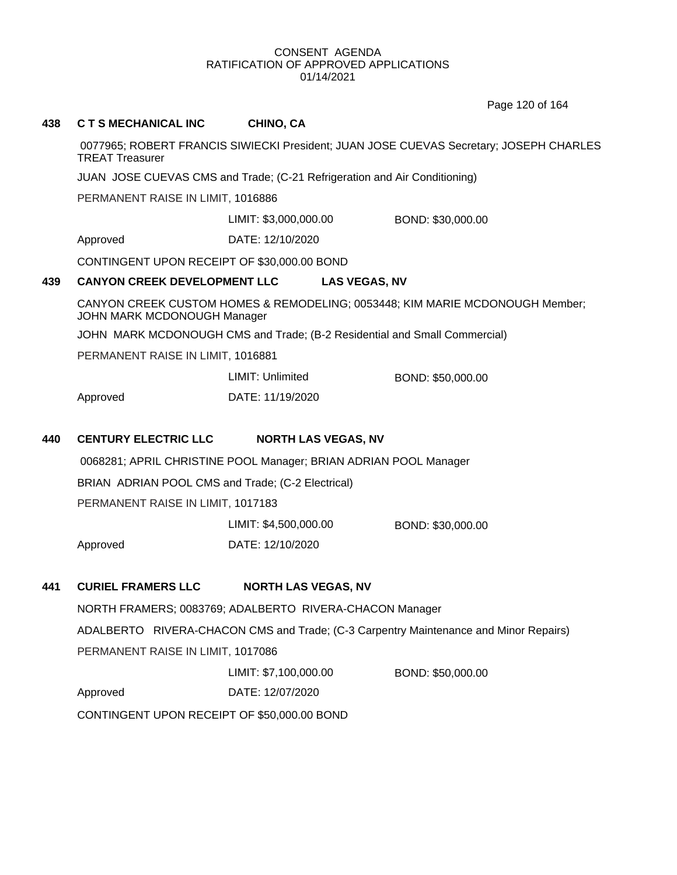Page 120 of 164

| 438 | <b>C T S MECHANICAL INC</b>                                               | CHINO, CA                                                                              |                                                                                      |  |  |
|-----|---------------------------------------------------------------------------|----------------------------------------------------------------------------------------|--------------------------------------------------------------------------------------|--|--|
|     | <b>TREAT Treasurer</b>                                                    | 0077965; ROBERT FRANCIS SIWIECKI President; JUAN JOSE CUEVAS Secretary; JOSEPH CHARLES |                                                                                      |  |  |
|     | JUAN JOSE CUEVAS CMS and Trade; (C-21 Refrigeration and Air Conditioning) |                                                                                        |                                                                                      |  |  |
|     | PERMANENT RAISE IN LIMIT, 1016886                                         |                                                                                        |                                                                                      |  |  |
|     |                                                                           | LIMIT: \$3,000,000.00                                                                  | BOND: \$30,000.00                                                                    |  |  |
|     | Approved                                                                  | DATE: 12/10/2020                                                                       |                                                                                      |  |  |
|     | CONTINGENT UPON RECEIPT OF \$30,000.00 BOND                               |                                                                                        |                                                                                      |  |  |
| 439 | <b>CANYON CREEK DEVELOPMENT LLC</b>                                       | <b>LAS VEGAS, NV</b>                                                                   |                                                                                      |  |  |
|     | JOHN MARK MCDONOUGH Manager                                               |                                                                                        | CANYON CREEK CUSTOM HOMES & REMODELING; 0053448; KIM MARIE MCDONOUGH Member;         |  |  |
|     |                                                                           | JOHN MARK MCDONOUGH CMS and Trade; (B-2 Residential and Small Commercial)              |                                                                                      |  |  |
|     | PERMANENT RAISE IN LIMIT, 1016881                                         |                                                                                        |                                                                                      |  |  |
|     |                                                                           | LIMIT: Unlimited                                                                       | BOND: \$50,000.00                                                                    |  |  |
|     | Approved                                                                  | DATE: 11/19/2020                                                                       |                                                                                      |  |  |
| 440 | <b>CENTURY ELECTRIC LLC</b>                                               | <b>NORTH LAS VEGAS, NV</b>                                                             |                                                                                      |  |  |
|     |                                                                           | 0068281; APRIL CHRISTINE POOL Manager; BRIAN ADRIAN POOL Manager                       |                                                                                      |  |  |
|     | BRIAN ADRIAN POOL CMS and Trade; (C-2 Electrical)                         |                                                                                        |                                                                                      |  |  |
|     | PERMANENT RAISE IN LIMIT, 1017183                                         |                                                                                        |                                                                                      |  |  |
|     |                                                                           | LIMIT: \$4,500,000.00                                                                  | BOND: \$30,000.00                                                                    |  |  |
|     | Approved                                                                  | DATE: 12/10/2020                                                                       |                                                                                      |  |  |
| 441 | <b>CURIEL FRAMERS LLC</b>                                                 | <b>NORTH LAS VEGAS, NV</b>                                                             |                                                                                      |  |  |
|     |                                                                           | NORTH FRAMERS; 0083769; ADALBERTO RIVERA-CHACON Manager                                |                                                                                      |  |  |
|     |                                                                           |                                                                                        | ADALBERTO RIVERA-CHACON CMS and Trade; (C-3 Carpentry Maintenance and Minor Repairs) |  |  |
|     | PERMANENT RAISE IN LIMIT, 1017086                                         |                                                                                        |                                                                                      |  |  |
|     |                                                                           | LIMIT: \$7,100,000.00                                                                  | BOND: \$50,000.00                                                                    |  |  |
|     | Approved                                                                  | DATE: 12/07/2020                                                                       |                                                                                      |  |  |
|     | CONTINGENT UPON RECEIPT OF \$50,000.00 BOND                               |                                                                                        |                                                                                      |  |  |
|     |                                                                           |                                                                                        |                                                                                      |  |  |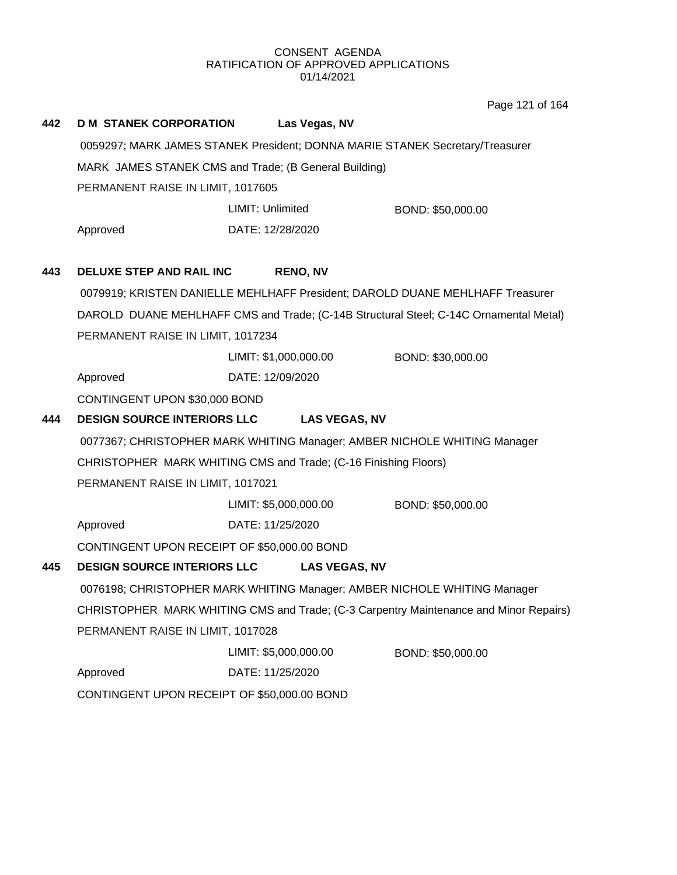Page 121 of 164

| 442 | <b>D M STANEK CORPORATION</b>                                   |                       | Las Vegas, NV         |                                                                                       |  |  |
|-----|-----------------------------------------------------------------|-----------------------|-----------------------|---------------------------------------------------------------------------------------|--|--|
|     |                                                                 |                       |                       | 0059297; MARK JAMES STANEK President; DONNA MARIE STANEK Secretary/Treasurer          |  |  |
|     | MARK JAMES STANEK CMS and Trade; (B General Building)           |                       |                       |                                                                                       |  |  |
|     | PERMANENT RAISE IN LIMIT, 1017605                               |                       |                       |                                                                                       |  |  |
|     |                                                                 | LIMIT: Unlimited      |                       | BOND: \$50,000.00                                                                     |  |  |
|     | Approved                                                        | DATE: 12/28/2020      |                       |                                                                                       |  |  |
| 443 | <b>DELUXE STEP AND RAIL INC</b>                                 |                       | <b>RENO, NV</b>       |                                                                                       |  |  |
|     |                                                                 |                       |                       | 0079919; KRISTEN DANIELLE MEHLHAFF President; DAROLD DUANE MEHLHAFF Treasurer         |  |  |
|     |                                                                 |                       |                       | DAROLD DUANE MEHLHAFF CMS and Trade; (C-14B Structural Steel; C-14C Ornamental Metal) |  |  |
|     | PERMANENT RAISE IN LIMIT, 1017234                               |                       |                       |                                                                                       |  |  |
|     |                                                                 | LIMIT: \$1,000,000.00 |                       | BOND: \$30,000.00                                                                     |  |  |
|     | Approved                                                        | DATE: 12/09/2020      |                       |                                                                                       |  |  |
|     | CONTINGENT UPON \$30,000 BOND                                   |                       |                       |                                                                                       |  |  |
| 444 | <b>DESIGN SOURCE INTERIORS LLC</b>                              |                       | <b>LAS VEGAS, NV</b>  |                                                                                       |  |  |
|     |                                                                 |                       |                       | 0077367; CHRISTOPHER MARK WHITING Manager; AMBER NICHOLE WHITING Manager              |  |  |
|     | CHRISTOPHER MARK WHITING CMS and Trade; (C-16 Finishing Floors) |                       |                       |                                                                                       |  |  |
|     | PERMANENT RAISE IN LIMIT, 1017021                               |                       |                       |                                                                                       |  |  |
|     |                                                                 |                       | LIMIT: \$5,000,000.00 | BOND: \$50,000.00                                                                     |  |  |
|     | Approved                                                        | DATE: 11/25/2020      |                       |                                                                                       |  |  |
|     | CONTINGENT UPON RECEIPT OF \$50,000.00 BOND                     |                       |                       |                                                                                       |  |  |
| 445 | <b>DESIGN SOURCE INTERIORS LLC</b>                              |                       | <b>LAS VEGAS, NV</b>  |                                                                                       |  |  |
|     |                                                                 |                       |                       | 0076198; CHRISTOPHER MARK WHITING Manager; AMBER NICHOLE WHITING Manager              |  |  |
|     |                                                                 |                       |                       | CHRISTOPHER MARK WHITING CMS and Trade; (C-3 Carpentry Maintenance and Minor Repairs) |  |  |
|     | PERMANENT RAISE IN LIMIT, 1017028                               |                       |                       |                                                                                       |  |  |
|     |                                                                 | LIMIT: \$5,000,000.00 |                       | BOND: \$50,000.00                                                                     |  |  |
|     | Approved                                                        | DATE: 11/25/2020      |                       |                                                                                       |  |  |
|     | CONTINGENT UPON RECEIPT OF \$50,000.00 BOND                     |                       |                       |                                                                                       |  |  |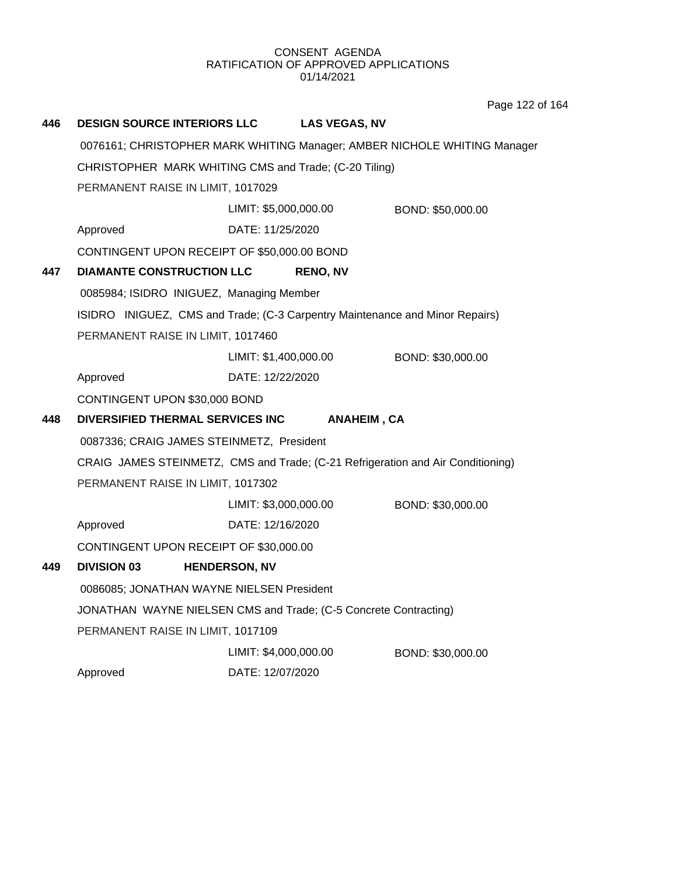Page 122 of 164

| 446  | <b>DESIGN SOURCE INTERIORS LLC</b>                                              |                       | <b>LAS VEGAS, NV</b> |                                                                          |
|------|---------------------------------------------------------------------------------|-----------------------|----------------------|--------------------------------------------------------------------------|
|      |                                                                                 |                       |                      | 0076161; CHRISTOPHER MARK WHITING Manager; AMBER NICHOLE WHITING Manager |
|      | CHRISTOPHER MARK WHITING CMS and Trade; (C-20 Tiling)                           |                       |                      |                                                                          |
|      | PERMANENT RAISE IN LIMIT, 1017029                                               |                       |                      |                                                                          |
|      |                                                                                 | LIMIT: \$5,000,000.00 |                      | BOND: \$50,000.00                                                        |
|      | Approved                                                                        | DATE: 11/25/2020      |                      |                                                                          |
|      | CONTINGENT UPON RECEIPT OF \$50,000.00 BOND                                     |                       |                      |                                                                          |
| 447  | <b>DIAMANTE CONSTRUCTION LLC</b>                                                |                       | <b>RENO, NV</b>      |                                                                          |
|      | 0085984; ISIDRO INIGUEZ, Managing Member                                        |                       |                      |                                                                          |
|      | ISIDRO INIGUEZ, CMS and Trade; (C-3 Carpentry Maintenance and Minor Repairs)    |                       |                      |                                                                          |
|      | PERMANENT RAISE IN LIMIT, 1017460                                               |                       |                      |                                                                          |
|      |                                                                                 | LIMIT: \$1,400,000.00 |                      | BOND: \$30,000.00                                                        |
|      | Approved                                                                        | DATE: 12/22/2020      |                      |                                                                          |
|      | CONTINGENT UPON \$30,000 BOND                                                   |                       |                      |                                                                          |
| 448. | DIVERSIFIED THERMAL SERVICES INC                                                |                       | <b>ANAHEIM, CA</b>   |                                                                          |
|      | 0087336; CRAIG JAMES STEINMETZ, President                                       |                       |                      |                                                                          |
|      | CRAIG JAMES STEINMETZ, CMS and Trade; (C-21 Refrigeration and Air Conditioning) |                       |                      |                                                                          |
|      | PERMANENT RAISE IN LIMIT, 1017302                                               |                       |                      |                                                                          |
|      |                                                                                 | LIMIT: \$3,000,000.00 |                      | BOND: \$30,000.00                                                        |
|      | Approved                                                                        | DATE: 12/16/2020      |                      |                                                                          |
|      | CONTINGENT UPON RECEIPT OF \$30,000.00                                          |                       |                      |                                                                          |
| 449. | <b>DIVISION 03</b>                                                              | <b>HENDERSON, NV</b>  |                      |                                                                          |
|      | 0086085; JONATHAN WAYNE NIELSEN President                                       |                       |                      |                                                                          |
|      | JONATHAN WAYNE NIELSEN CMS and Trade; (C-5 Concrete Contracting)                |                       |                      |                                                                          |
|      | PERMANENT RAISE IN LIMIT, 1017109                                               |                       |                      |                                                                          |
|      |                                                                                 | LIMIT: \$4,000,000.00 |                      | BOND: \$30,000.00                                                        |
|      | Approved                                                                        | DATE: 12/07/2020      |                      |                                                                          |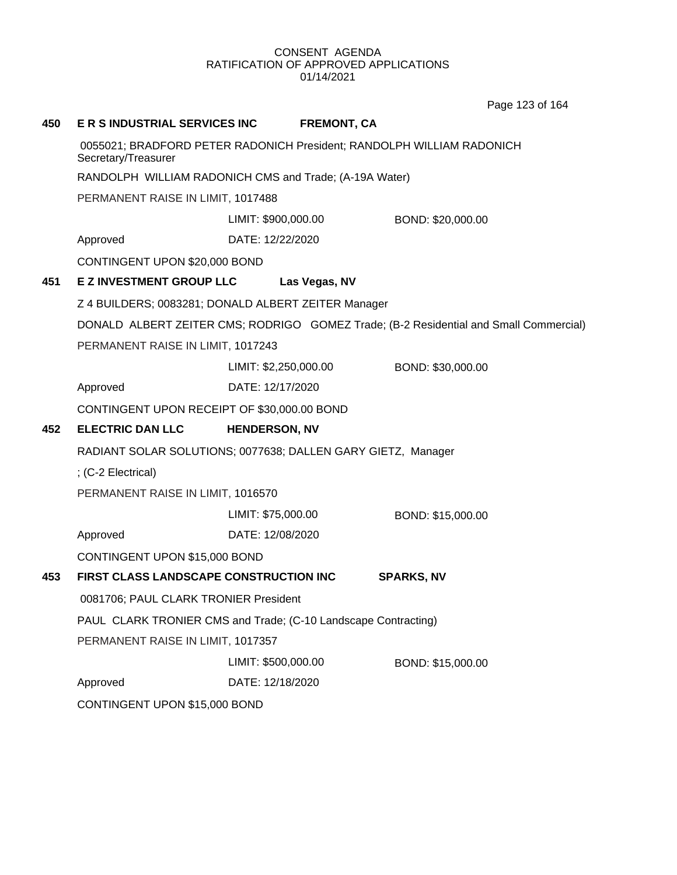Page 123 of 164

| 450 | E R S INDUSTRIAL SERVICES INC                                                                |                       | <b>FREMONT, CA</b> |                                                                                       |
|-----|----------------------------------------------------------------------------------------------|-----------------------|--------------------|---------------------------------------------------------------------------------------|
|     | 0055021; BRADFORD PETER RADONICH President; RANDOLPH WILLIAM RADONICH<br>Secretary/Treasurer |                       |                    |                                                                                       |
|     | RANDOLPH WILLIAM RADONICH CMS and Trade; (A-19A Water)                                       |                       |                    |                                                                                       |
|     | PERMANENT RAISE IN LIMIT, 1017488                                                            |                       |                    |                                                                                       |
|     |                                                                                              | LIMIT: \$900,000.00   |                    | BOND: \$20,000.00                                                                     |
|     | Approved                                                                                     | DATE: 12/22/2020      |                    |                                                                                       |
|     | CONTINGENT UPON \$20,000 BOND                                                                |                       |                    |                                                                                       |
| 451 | EZ INVESTMENT GROUP LLC Las Vegas, NV                                                        |                       |                    |                                                                                       |
|     | Z 4 BUILDERS; 0083281; DONALD ALBERT ZEITER Manager                                          |                       |                    |                                                                                       |
|     |                                                                                              |                       |                    | DONALD ALBERT ZEITER CMS; RODRIGO GOMEZ Trade; (B-2 Residential and Small Commercial) |
|     | PERMANENT RAISE IN LIMIT, 1017243                                                            |                       |                    |                                                                                       |
|     |                                                                                              | LIMIT: \$2,250,000.00 |                    | BOND: \$30,000.00                                                                     |
|     | Approved                                                                                     | DATE: 12/17/2020      |                    |                                                                                       |
|     | CONTINGENT UPON RECEIPT OF \$30,000.00 BOND                                                  |                       |                    |                                                                                       |
| 452 | <b>ELECTRIC DAN LLC</b>                                                                      | <b>HENDERSON, NV</b>  |                    |                                                                                       |
|     | RADIANT SOLAR SOLUTIONS; 0077638; DALLEN GARY GIETZ, Manager                                 |                       |                    |                                                                                       |
|     | ; (C-2 Electrical)                                                                           |                       |                    |                                                                                       |
|     | PERMANENT RAISE IN LIMIT, 1016570                                                            |                       |                    |                                                                                       |
|     |                                                                                              | LIMIT: \$75,000.00    |                    | BOND: \$15,000.00                                                                     |
|     | Approved                                                                                     | DATE: 12/08/2020      |                    |                                                                                       |
|     | CONTINGENT UPON \$15,000 BOND                                                                |                       |                    |                                                                                       |
| 453 | FIRST CLASS LANDSCAPE CONSTRUCTION INC                                                       |                       |                    | <b>SPARKS, NV</b>                                                                     |
|     | 0081706; PAUL CLARK TRONIER President                                                        |                       |                    |                                                                                       |
|     | PAUL CLARK TRONIER CMS and Trade; (C-10 Landscape Contracting)                               |                       |                    |                                                                                       |
|     | PERMANENT RAISE IN LIMIT, 1017357                                                            |                       |                    |                                                                                       |
|     |                                                                                              | LIMIT: \$500,000.00   |                    | BOND: \$15,000.00                                                                     |
|     | Approved                                                                                     | DATE: 12/18/2020      |                    |                                                                                       |
|     | CONTINGENT UPON \$15,000 BOND                                                                |                       |                    |                                                                                       |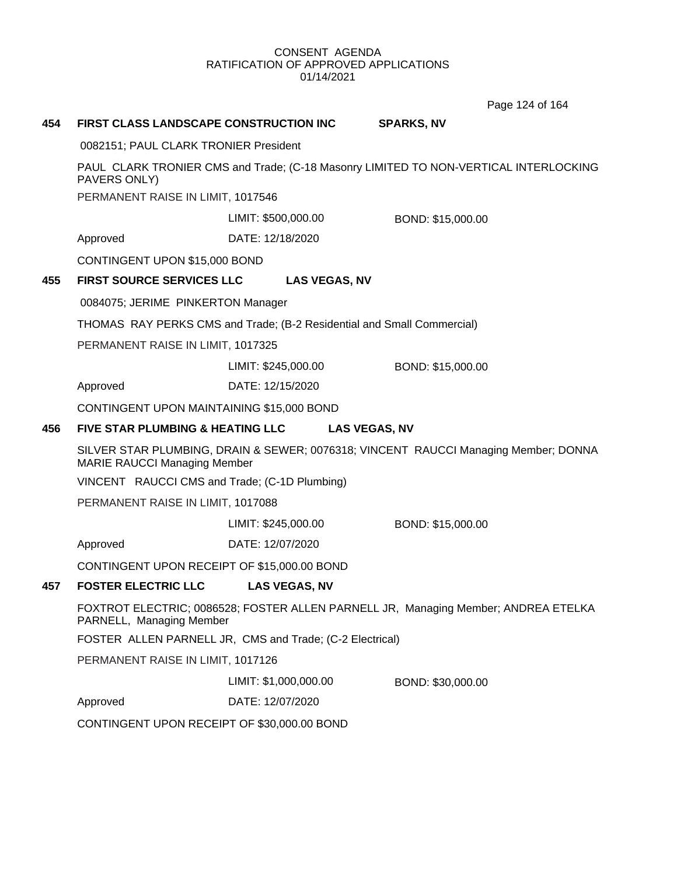Page 124 of 164

# **454 FIRST CLASS LANDSCAPE CONSTRUCTION INC SPARKS, NV** 0082151; PAUL CLARK TRONIER President PAUL CLARK TRONIER CMS and Trade; (C-18 Masonry LIMITED TO NON-VERTICAL INTERLOCKING PAVERS ONLY) PERMANENT RAISE IN LIMIT, 1017546 Approved DATE: 12/18/2020 LIMIT: \$500,000.00 BOND: \$15,000.00 CONTINGENT UPON \$15,000 BOND **455 FIRST SOURCE SERVICES LLC LAS VEGAS, NV** 0084075; JERIME PINKERTON Manager THOMAS RAY PERKS CMS and Trade; (B-2 Residential and Small Commercial) PERMANENT RAISE IN LIMIT, 1017325 Approved DATE: 12/15/2020 LIMIT: \$245,000.00 BOND: \$15,000.00 CONTINGENT UPON MAINTAINING \$15,000 BOND **456 FIVE STAR PLUMBING & HEATING LLC LAS VEGAS, NV** SILVER STAR PLUMBING, DRAIN & SEWER; 0076318; VINCENT RAUCCI Managing Member; DONNA MARIE RAUCCI Managing Member VINCENT RAUCCI CMS and Trade; (C-1D Plumbing) PERMANENT RAISE IN LIMIT, 1017088 Approved DATE: 12/07/2020 LIMIT: \$245,000.00 BOND: \$15,000.00 CONTINGENT UPON RECEIPT OF \$15,000.00 BOND **457 FOSTER ELECTRIC LLC LAS VEGAS, NV** FOXTROT ELECTRIC; 0086528; FOSTER ALLEN PARNELL JR, Managing Member; ANDREA ETELKA PARNELL, Managing Member FOSTER ALLEN PARNELL JR, CMS and Trade; (C-2 Electrical) PERMANENT RAISE IN LIMIT, 1017126 Approved DATE: 12/07/2020 LIMIT: \$1,000,000.00 BOND: \$30,000.00 CONTINGENT UPON RECEIPT OF \$30,000.00 BOND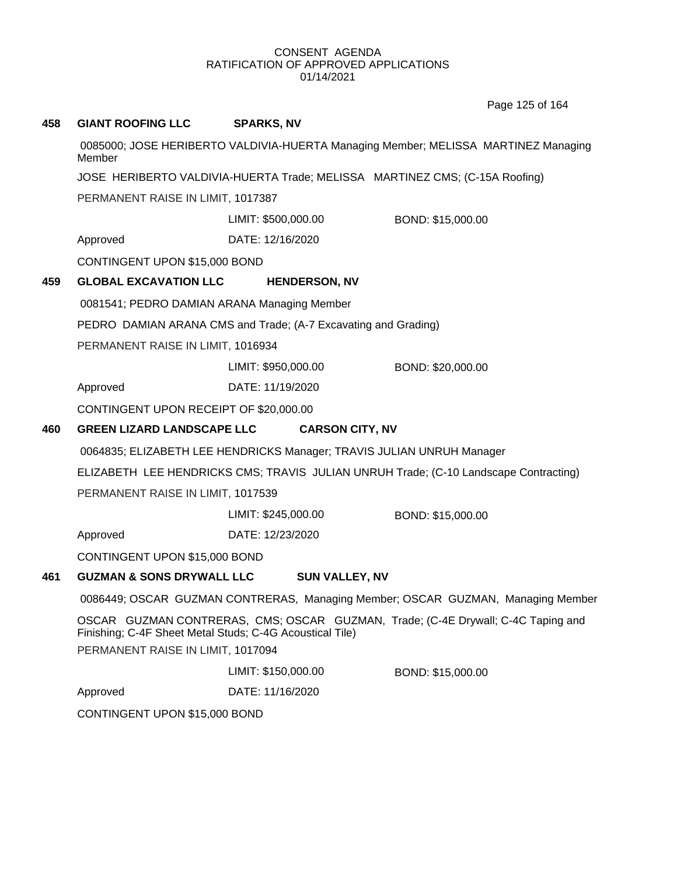Page 125 of 164

| 458 | <b>GIANT ROOFING LLC</b>                                                                      | <b>SPARKS, NV</b>                                                     |                                                                                      |  |  |
|-----|-----------------------------------------------------------------------------------------------|-----------------------------------------------------------------------|--------------------------------------------------------------------------------------|--|--|
|     | Member                                                                                        |                                                                       | 0085000; JOSE HERIBERTO VALDIVIA-HUERTA Managing Member; MELISSA MARTINEZ Managing   |  |  |
|     | JOSE HERIBERTO VALDIVIA-HUERTA Trade; MELISSA MARTINEZ CMS; (C-15A Roofing)                   |                                                                       |                                                                                      |  |  |
|     | PERMANENT RAISE IN LIMIT, 1017387                                                             |                                                                       |                                                                                      |  |  |
|     |                                                                                               | LIMIT: \$500,000.00                                                   | BOND: \$15,000.00                                                                    |  |  |
|     | Approved                                                                                      | DATE: 12/16/2020                                                      |                                                                                      |  |  |
|     | CONTINGENT UPON \$15,000 BOND                                                                 |                                                                       |                                                                                      |  |  |
| 459 | <b>GLOBAL EXCAVATION LLC</b>                                                                  | <b>HENDERSON, NV</b>                                                  |                                                                                      |  |  |
|     | 0081541; PEDRO DAMIAN ARANA Managing Member                                                   |                                                                       |                                                                                      |  |  |
|     |                                                                                               | PEDRO DAMIAN ARANA CMS and Trade; (A-7 Excavating and Grading)        |                                                                                      |  |  |
|     | PERMANENT RAISE IN LIMIT, 1016934                                                             |                                                                       |                                                                                      |  |  |
|     |                                                                                               | LIMIT: \$950,000.00                                                   | BOND: \$20,000.00                                                                    |  |  |
|     | Approved                                                                                      | DATE: 11/19/2020                                                      |                                                                                      |  |  |
|     | CONTINGENT UPON RECEIPT OF \$20,000.00                                                        |                                                                       |                                                                                      |  |  |
| 460 | <b>GREEN LIZARD LANDSCAPE LLC</b>                                                             | <b>CARSON CITY, NV</b>                                                |                                                                                      |  |  |
|     |                                                                                               | 0064835; ELIZABETH LEE HENDRICKS Manager; TRAVIS JULIAN UNRUH Manager |                                                                                      |  |  |
|     |                                                                                               |                                                                       | ELIZABETH LEE HENDRICKS CMS; TRAVIS JULIAN UNRUH Trade; (C-10 Landscape Contracting) |  |  |
|     | PERMANENT RAISE IN LIMIT, 1017539                                                             |                                                                       |                                                                                      |  |  |
|     |                                                                                               | LIMIT: \$245,000.00                                                   | BOND: \$15,000.00                                                                    |  |  |
|     | Approved                                                                                      | DATE: 12/23/2020                                                      |                                                                                      |  |  |
|     | CONTINGENT UPON \$15,000 BOND                                                                 |                                                                       |                                                                                      |  |  |
| 461 | <b>GUZMAN &amp; SONS DRYWALL LLC</b>                                                          | <b>SUN VALLEY, NV</b>                                                 |                                                                                      |  |  |
|     |                                                                                               |                                                                       | 0086449; OSCAR GUZMAN CONTRERAS, Managing Member; OSCAR GUZMAN, Managing Member      |  |  |
|     | Finishing; C-4F Sheet Metal Studs; C-4G Acoustical Tile)<br>PERMANENT RAISE IN LIMIT, 1017094 |                                                                       | OSCAR GUZMAN CONTRERAS, CMS; OSCAR GUZMAN, Trade; (C-4E Drywall; C-4C Taping and     |  |  |
|     |                                                                                               | LIMIT: \$150,000.00                                                   | BOND: \$15,000.00                                                                    |  |  |
|     | Approved                                                                                      | DATE: 11/16/2020                                                      |                                                                                      |  |  |
|     | CONTINGENT UPON \$15,000 BOND                                                                 |                                                                       |                                                                                      |  |  |
|     |                                                                                               |                                                                       |                                                                                      |  |  |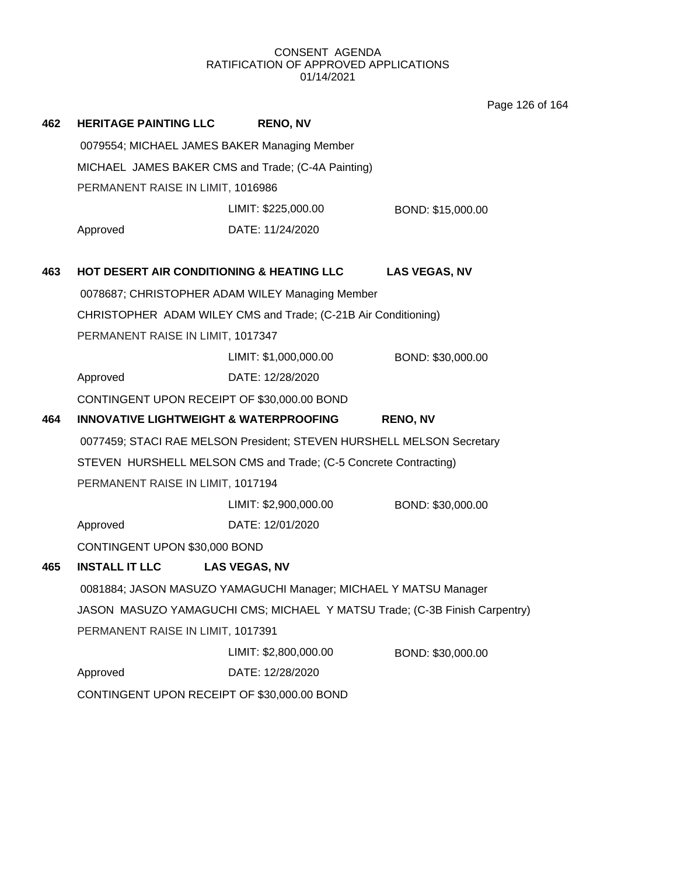Page 126 of 164

| 462 | <b>HERITAGE PAINTING LLC</b>                                               | <b>RENO, NV</b>                                                  |                      |  |  |  |
|-----|----------------------------------------------------------------------------|------------------------------------------------------------------|----------------------|--|--|--|
|     | 0079554; MICHAEL JAMES BAKER Managing Member                               |                                                                  |                      |  |  |  |
|     |                                                                            | MICHAEL JAMES BAKER CMS and Trade; (C-4A Painting)               |                      |  |  |  |
|     | PERMANENT RAISE IN LIMIT, 1016986                                          |                                                                  |                      |  |  |  |
|     |                                                                            | LIMIT: \$225,000.00                                              | BOND: \$15,000.00    |  |  |  |
|     | Approved                                                                   | DATE: 11/24/2020                                                 |                      |  |  |  |
| 463 | HOT DESERT AIR CONDITIONING & HEATING LLC                                  |                                                                  | <b>LAS VEGAS, NV</b> |  |  |  |
|     |                                                                            | 0078687; CHRISTOPHER ADAM WILEY Managing Member                  |                      |  |  |  |
|     |                                                                            | CHRISTOPHER ADAM WILEY CMS and Trade; (C-21B Air Conditioning)   |                      |  |  |  |
|     | PERMANENT RAISE IN LIMIT, 1017347                                          |                                                                  |                      |  |  |  |
|     |                                                                            | LIMIT: \$1,000,000.00                                            | BOND: \$30,000.00    |  |  |  |
|     | Approved                                                                   | DATE: 12/28/2020                                                 |                      |  |  |  |
|     | CONTINGENT UPON RECEIPT OF \$30,000.00 BOND                                |                                                                  |                      |  |  |  |
| 464 | <b>INNOVATIVE LIGHTWEIGHT &amp; WATERPROOFING</b>                          |                                                                  | <b>RENO, NV</b>      |  |  |  |
|     | 0077459; STACI RAE MELSON President; STEVEN HURSHELL MELSON Secretary      |                                                                  |                      |  |  |  |
|     |                                                                            | STEVEN HURSHELL MELSON CMS and Trade; (C-5 Concrete Contracting) |                      |  |  |  |
|     | PERMANENT RAISE IN LIMIT, 1017194                                          |                                                                  |                      |  |  |  |
|     |                                                                            | LIMIT: \$2,900,000.00                                            | BOND: \$30,000.00    |  |  |  |
|     | Approved                                                                   | DATE: 12/01/2020                                                 |                      |  |  |  |
|     | CONTINGENT UPON \$30,000 BOND                                              |                                                                  |                      |  |  |  |
| 465 | <b>INSTALL IT LLC</b>                                                      | <b>LAS VEGAS, NV</b>                                             |                      |  |  |  |
|     | 0081884; JASON MASUZO YAMAGUCHI Manager; MICHAEL Y MATSU Manager           |                                                                  |                      |  |  |  |
|     | JASON MASUZO YAMAGUCHI CMS; MICHAEL Y MATSU Trade; (C-3B Finish Carpentry) |                                                                  |                      |  |  |  |
|     | PERMANENT RAISE IN LIMIT, 1017391                                          |                                                                  |                      |  |  |  |
|     |                                                                            | LIMIT: \$2,800,000.00                                            | BOND: \$30,000.00    |  |  |  |
|     | Approved                                                                   | DATE: 12/28/2020                                                 |                      |  |  |  |
|     | CONTINGENT UPON RECEIPT OF \$30,000.00 BOND                                |                                                                  |                      |  |  |  |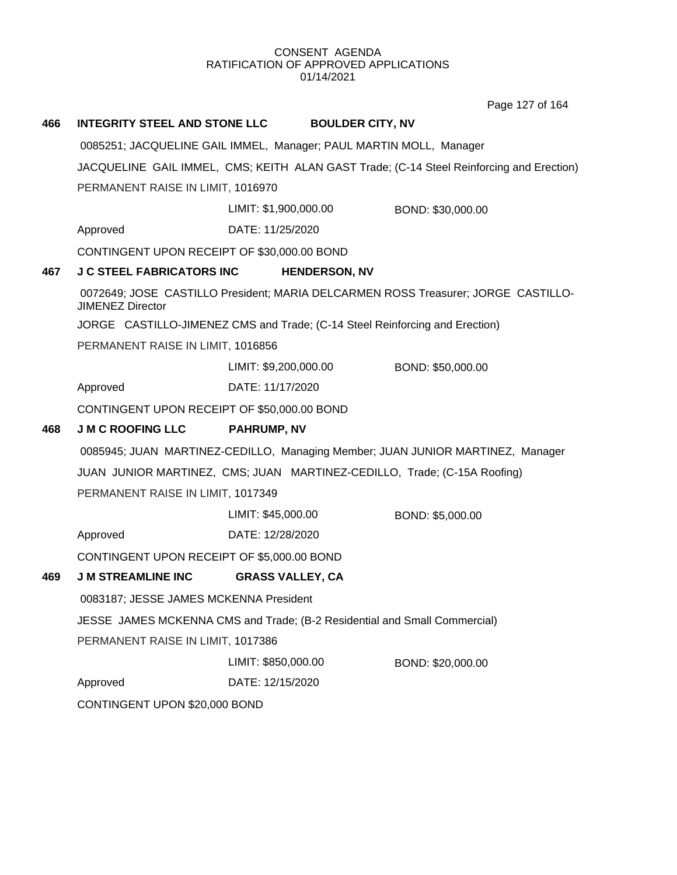Page 127 of 164

| 466 | <b>INTEGRITY STEEL AND STONE LLC</b>                                                     | <b>BOULDER CITY, NV</b>                                                     |                                                                                   |  |
|-----|------------------------------------------------------------------------------------------|-----------------------------------------------------------------------------|-----------------------------------------------------------------------------------|--|
|     |                                                                                          | 0085251; JACQUELINE GAIL IMMEL, Manager; PAUL MARTIN MOLL, Manager          |                                                                                   |  |
|     | JACQUELINE GAIL IMMEL, CMS; KEITH ALAN GAST Trade; (C-14 Steel Reinforcing and Erection) |                                                                             |                                                                                   |  |
|     | PERMANENT RAISE IN LIMIT, 1016970                                                        |                                                                             |                                                                                   |  |
|     |                                                                                          | LIMIT: \$1,900,000.00                                                       | BOND: \$30,000.00                                                                 |  |
|     | Approved                                                                                 | DATE: 11/25/2020                                                            |                                                                                   |  |
|     | CONTINGENT UPON RECEIPT OF \$30,000.00 BOND                                              |                                                                             |                                                                                   |  |
| 467 | <b>J C STEEL FABRICATORS INC</b>                                                         | <b>HENDERSON, NV</b>                                                        |                                                                                   |  |
|     | <b>JIMENEZ Director</b>                                                                  |                                                                             | 0072649; JOSE CASTILLO President; MARIA DELCARMEN ROSS Treasurer; JORGE CASTILLO- |  |
|     |                                                                                          | JORGE CASTILLO-JIMENEZ CMS and Trade; (C-14 Steel Reinforcing and Erection) |                                                                                   |  |
|     | PERMANENT RAISE IN LIMIT, 1016856                                                        |                                                                             |                                                                                   |  |
|     |                                                                                          | LIMIT: \$9,200,000.00                                                       | BOND: \$50,000.00                                                                 |  |
|     | Approved                                                                                 | DATE: 11/17/2020                                                            |                                                                                   |  |
|     | CONTINGENT UPON RECEIPT OF \$50,000.00 BOND                                              |                                                                             |                                                                                   |  |
| 468 | <b>J M C ROOFING LLC</b>                                                                 | <b>PAHRUMP, NV</b>                                                          |                                                                                   |  |
|     |                                                                                          |                                                                             | 0085945; JUAN MARTINEZ-CEDILLO, Managing Member; JUAN JUNIOR MARTINEZ, Manager    |  |
|     |                                                                                          | JUAN JUNIOR MARTINEZ, CMS; JUAN MARTINEZ-CEDILLO, Trade; (C-15A Roofing)    |                                                                                   |  |
|     | PERMANENT RAISE IN LIMIT, 1017349                                                        |                                                                             |                                                                                   |  |
|     |                                                                                          | LIMIT: \$45,000.00                                                          | BOND: \$5,000.00                                                                  |  |
|     | Approved                                                                                 | DATE: 12/28/2020                                                            |                                                                                   |  |
|     | CONTINGENT UPON RECEIPT OF \$5,000.00 BOND                                               |                                                                             |                                                                                   |  |
| 469 | <b>J M STREAMLINE INC</b>                                                                | <b>GRASS VALLEY, CA</b>                                                     |                                                                                   |  |
|     | 0083187; JESSE JAMES MCKENNA President                                                   |                                                                             |                                                                                   |  |
|     |                                                                                          | JESSE JAMES MCKENNA CMS and Trade; (B-2 Residential and Small Commercial)   |                                                                                   |  |
|     | PERMANENT RAISE IN LIMIT, 1017386                                                        |                                                                             |                                                                                   |  |
|     |                                                                                          | LIMIT: \$850,000.00                                                         | BOND: \$20,000.00                                                                 |  |
|     | Approved                                                                                 | DATE: 12/15/2020                                                            |                                                                                   |  |
|     | CONTINGENT UPON \$20,000 BOND                                                            |                                                                             |                                                                                   |  |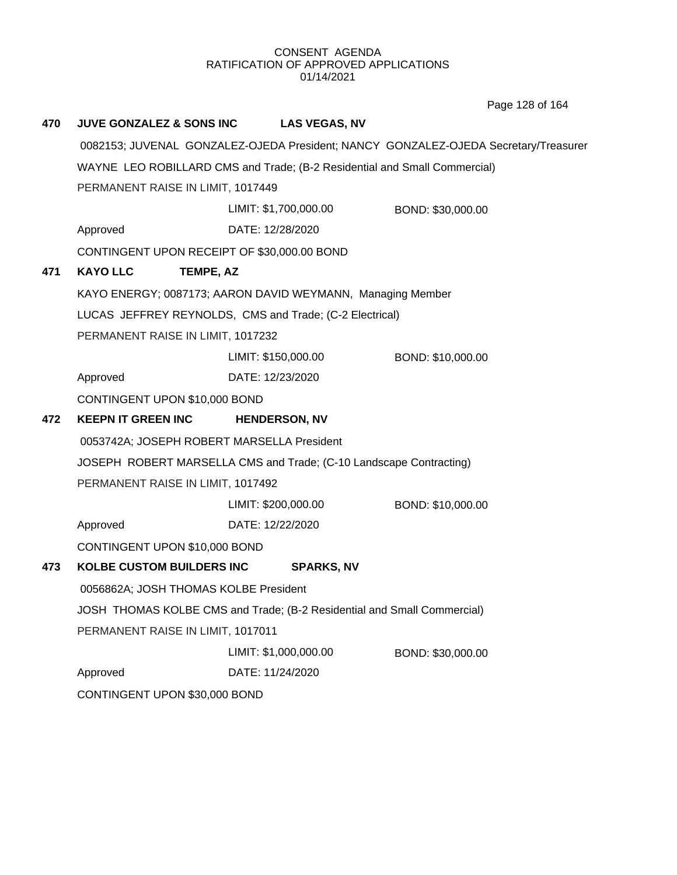Page 128 of 164

| 470 | <b>JUVE GONZALEZ &amp; SONS INC</b>                                       |                       | <b>LAS VEGAS, NV</b> |                                                                                     |
|-----|---------------------------------------------------------------------------|-----------------------|----------------------|-------------------------------------------------------------------------------------|
|     |                                                                           |                       |                      | 0082153; JUVENAL GONZALEZ-OJEDA President; NANCY GONZALEZ-OJEDA Secretary/Treasurer |
|     | WAYNE LEO ROBILLARD CMS and Trade; (B-2 Residential and Small Commercial) |                       |                      |                                                                                     |
|     | PERMANENT RAISE IN LIMIT, 1017449                                         |                       |                      |                                                                                     |
|     |                                                                           | LIMIT: \$1,700,000.00 |                      | BOND: \$30,000.00                                                                   |
|     | Approved                                                                  | DATE: 12/28/2020      |                      |                                                                                     |
|     | CONTINGENT UPON RECEIPT OF \$30,000.00 BOND                               |                       |                      |                                                                                     |
| 471 | <b>KAYO LLC</b><br>TEMPE, AZ                                              |                       |                      |                                                                                     |
|     | KAYO ENERGY; 0087173; AARON DAVID WEYMANN, Managing Member                |                       |                      |                                                                                     |
|     | LUCAS JEFFREY REYNOLDS, CMS and Trade; (C-2 Electrical)                   |                       |                      |                                                                                     |
|     | PERMANENT RAISE IN LIMIT, 1017232                                         |                       |                      |                                                                                     |
|     |                                                                           | LIMIT: \$150,000.00   |                      | BOND: \$10,000.00                                                                   |
|     | Approved                                                                  | DATE: 12/23/2020      |                      |                                                                                     |
|     | CONTINGENT UPON \$10,000 BOND                                             |                       |                      |                                                                                     |
| 472 | <b>KEEPN IT GREEN INC</b>                                                 | <b>HENDERSON, NV</b>  |                      |                                                                                     |
|     | 0053742A; JOSEPH ROBERT MARSELLA President                                |                       |                      |                                                                                     |
|     | JOSEPH ROBERT MARSELLA CMS and Trade; (C-10 Landscape Contracting)        |                       |                      |                                                                                     |
|     | PERMANENT RAISE IN LIMIT, 1017492                                         |                       |                      |                                                                                     |
|     |                                                                           | LIMIT: \$200,000.00   |                      | BOND: \$10,000.00                                                                   |
|     | Approved                                                                  | DATE: 12/22/2020      |                      |                                                                                     |
|     | CONTINGENT UPON \$10,000 BOND                                             |                       |                      |                                                                                     |
| 473 | KOLBE CUSTOM BUILDERS INC                                                 |                       | <b>SPARKS, NV</b>    |                                                                                     |
|     | 0056862A; JOSH THOMAS KOLBE President                                     |                       |                      |                                                                                     |
|     | JOSH THOMAS KOLBE CMS and Trade; (B-2 Residential and Small Commercial)   |                       |                      |                                                                                     |
|     | PERMANENT RAISE IN LIMIT, 1017011                                         |                       |                      |                                                                                     |
|     |                                                                           | LIMIT: \$1,000,000.00 |                      | BOND: \$30,000.00                                                                   |
|     | Approved                                                                  | DATE: 11/24/2020      |                      |                                                                                     |
|     | CONTINGENT UPON \$30,000 BOND                                             |                       |                      |                                                                                     |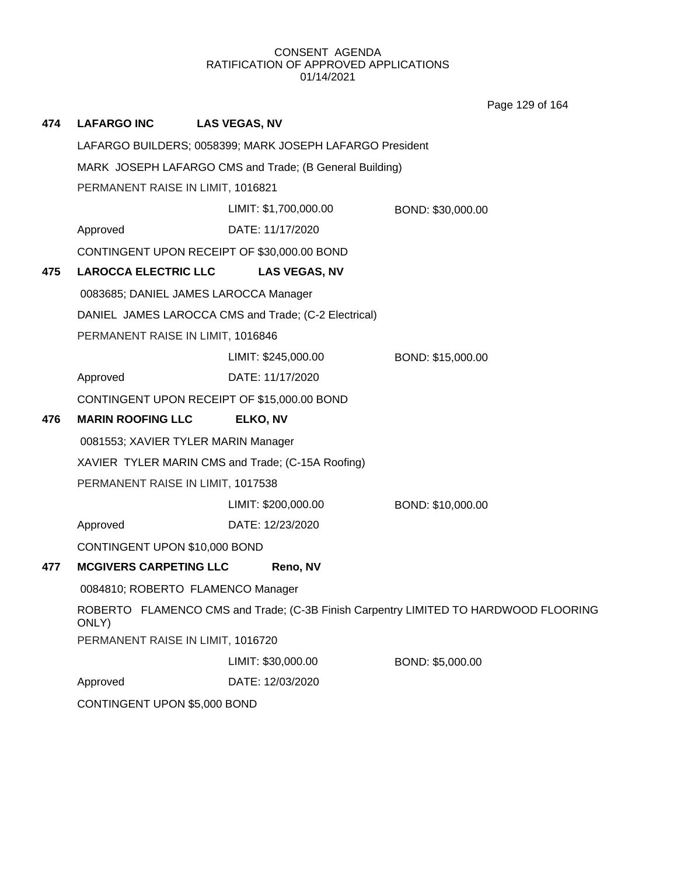**474 LAFARGO INC LAS VEGAS, NV** LAFARGO BUILDERS; 0058399; MARK JOSEPH LAFARGO President MARK JOSEPH LAFARGO CMS and Trade; (B General Building) PERMANENT RAISE IN LIMIT, 1016821 Approved DATE: 11/17/2020 LIMIT: \$1,700,000.00 BOND: \$30,000.00 CONTINGENT UPON RECEIPT OF \$30,000.00 BOND **475 LAROCCA ELECTRIC LLC LAS VEGAS, NV** 0083685; DANIEL JAMES LAROCCA Manager DANIEL JAMES LAROCCA CMS and Trade; (C-2 Electrical) PERMANENT RAISE IN LIMIT, 1016846 Approved DATE: 11/17/2020 LIMIT: \$245,000.00 BOND: \$15,000.00 CONTINGENT UPON RECEIPT OF \$15,000.00 BOND **476 MARIN ROOFING LLC ELKO, NV** 0081553; XAVIER TYLER MARIN Manager XAVIER TYLER MARIN CMS and Trade; (C-15A Roofing) PERMANENT RAISE IN LIMIT, 1017538 Approved DATE: 12/23/2020 LIMIT: \$200,000.00 BOND: \$10,000.00 CONTINGENT UPON \$10,000 BOND **477 MCGIVERS CARPETING LLC Reno, NV** 0084810; ROBERTO FLAMENCO Manager ROBERTO FLAMENCO CMS and Trade; (C-3B Finish Carpentry LIMITED TO HARDWOOD FLOORING ONLY) PERMANENT RAISE IN LIMIT, 1016720 Approved DATE: 12/03/2020 LIMIT: \$30,000.00 BOND: \$5,000.00 CONTINGENT UPON \$5,000 BOND Page 129 of 164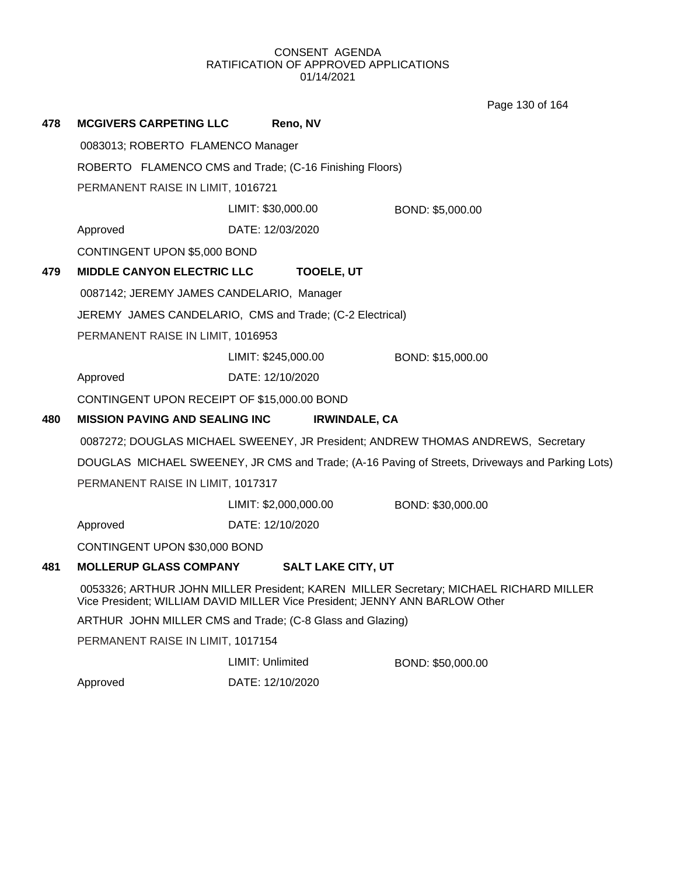Page 130 of 164

| 478 | <b>MCGIVERS CARPETING LLC</b>               | Reno, NV                                                                    |                                                                                                 |
|-----|---------------------------------------------|-----------------------------------------------------------------------------|-------------------------------------------------------------------------------------------------|
|     | 0083013; ROBERTO FLAMENCO Manager           |                                                                             |                                                                                                 |
|     |                                             | ROBERTO FLAMENCO CMS and Trade; (C-16 Finishing Floors)                     |                                                                                                 |
|     | PERMANENT RAISE IN LIMIT, 1016721           |                                                                             |                                                                                                 |
|     |                                             | LIMIT: \$30,000.00                                                          | BOND: \$5,000.00                                                                                |
|     | Approved                                    | DATE: 12/03/2020                                                            |                                                                                                 |
|     | CONTINGENT UPON \$5,000 BOND                |                                                                             |                                                                                                 |
| 479 | <b>MIDDLE CANYON ELECTRIC LLC</b>           | <b>TOOELE, UT</b>                                                           |                                                                                                 |
|     | 0087142; JEREMY JAMES CANDELARIO, Manager   |                                                                             |                                                                                                 |
|     |                                             | JEREMY JAMES CANDELARIO, CMS and Trade; (C-2 Electrical)                    |                                                                                                 |
|     | PERMANENT RAISE IN LIMIT, 1016953           |                                                                             |                                                                                                 |
|     |                                             | LIMIT: \$245,000.00                                                         | BOND: \$15,000.00                                                                               |
|     | Approved                                    | DATE: 12/10/2020                                                            |                                                                                                 |
|     | CONTINGENT UPON RECEIPT OF \$15,000.00 BOND |                                                                             |                                                                                                 |
| 480 | <b>MISSION PAVING AND SEALING INC</b>       | <b>IRWINDALE, CA</b>                                                        |                                                                                                 |
|     |                                             |                                                                             | 0087272; DOUGLAS MICHAEL SWEENEY, JR President; ANDREW THOMAS ANDREWS, Secretary                |
|     |                                             |                                                                             | DOUGLAS MICHAEL SWEENEY, JR CMS and Trade; (A-16 Paving of Streets, Driveways and Parking Lots) |
|     | PERMANENT RAISE IN LIMIT, 1017317           |                                                                             |                                                                                                 |
|     |                                             | LIMIT: \$2,000,000.00                                                       | BOND: \$30,000.00                                                                               |
|     | Approved                                    | DATE: 12/10/2020                                                            |                                                                                                 |
|     | CONTINGENT UPON \$30,000 BOND               |                                                                             |                                                                                                 |
| 481 | <b>MOLLERUP GLASS COMPANY</b>               | <b>SALT LAKE CITY, UT</b>                                                   |                                                                                                 |
|     |                                             | Vice President; WILLIAM DAVID MILLER Vice President; JENNY ANN BARLOW Other | 0053326; ARTHUR JOHN MILLER President; KAREN MILLER Secretary; MICHAEL RICHARD MILLER           |
|     |                                             | ARTHUR JOHN MILLER CMS and Trade; (C-8 Glass and Glazing)                   |                                                                                                 |
|     | PERMANENT RAISE IN LIMIT, 1017154           |                                                                             |                                                                                                 |
|     |                                             | LIMIT: Unlimited                                                            | BOND: \$50,000.00                                                                               |
|     | Approved                                    | DATE: 12/10/2020                                                            |                                                                                                 |
|     |                                             |                                                                             |                                                                                                 |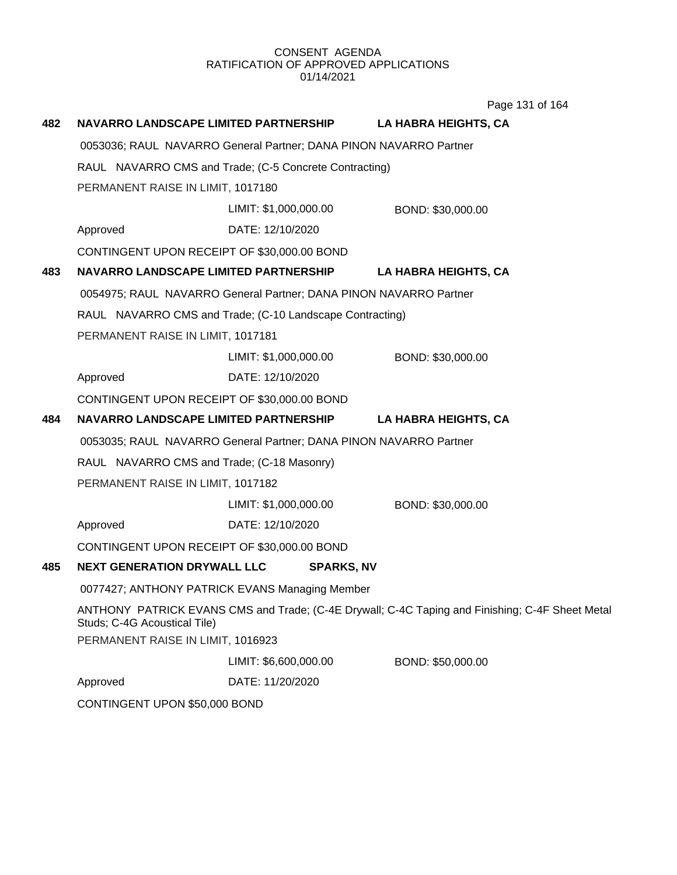| 482                                                      |                                             | NAVARRO LANDSCAPE LIMITED PARTNERSHIP                             | <b>LA HABRA HEIGHTS, CA</b>                                                                     |  |
|----------------------------------------------------------|---------------------------------------------|-------------------------------------------------------------------|-------------------------------------------------------------------------------------------------|--|
|                                                          |                                             | 0053036; RAUL NAVARRO General Partner; DANA PINON NAVARRO Partner |                                                                                                 |  |
|                                                          |                                             | RAUL NAVARRO CMS and Trade; (C-5 Concrete Contracting)            |                                                                                                 |  |
|                                                          | PERMANENT RAISE IN LIMIT, 1017180           |                                                                   |                                                                                                 |  |
|                                                          |                                             | LIMIT: \$1,000,000.00                                             | BOND: \$30,000.00                                                                               |  |
|                                                          | Approved                                    | DATE: 12/10/2020                                                  |                                                                                                 |  |
|                                                          | CONTINGENT UPON RECEIPT OF \$30,000.00 BOND |                                                                   |                                                                                                 |  |
| 483                                                      | NAVARRO LANDSCAPE LIMITED PARTNERSHIP       |                                                                   | <b>LA HABRA HEIGHTS, CA</b>                                                                     |  |
|                                                          |                                             | 0054975; RAUL NAVARRO General Partner; DANA PINON NAVARRO Partner |                                                                                                 |  |
| RAUL NAVARRO CMS and Trade; (C-10 Landscape Contracting) |                                             |                                                                   |                                                                                                 |  |
| PERMANENT RAISE IN LIMIT, 1017181                        |                                             |                                                                   |                                                                                                 |  |
|                                                          |                                             | LIMIT: \$1,000,000.00                                             | BOND: \$30,000.00                                                                               |  |
|                                                          | Approved                                    | DATE: 12/10/2020                                                  |                                                                                                 |  |
|                                                          | CONTINGENT UPON RECEIPT OF \$30,000.00 BOND |                                                                   |                                                                                                 |  |
| 484                                                      | NAVARRO LANDSCAPE LIMITED PARTNERSHIP       |                                                                   | <b>LA HABRA HEIGHTS, CA</b>                                                                     |  |
|                                                          |                                             | 0053035; RAUL NAVARRO General Partner; DANA PINON NAVARRO Partner |                                                                                                 |  |
|                                                          | RAUL NAVARRO CMS and Trade; (C-18 Masonry)  |                                                                   |                                                                                                 |  |
|                                                          | PERMANENT RAISE IN LIMIT, 1017182           |                                                                   |                                                                                                 |  |
|                                                          |                                             | LIMIT: \$1,000,000.00                                             | BOND: \$30,000.00                                                                               |  |
|                                                          | Approved                                    | DATE: 12/10/2020                                                  |                                                                                                 |  |
|                                                          | CONTINGENT UPON RECEIPT OF \$30,000.00 BOND |                                                                   |                                                                                                 |  |
| 485                                                      | <b>NEXT GENERATION DRYWALL LLC</b>          | <b>SPARKS, NV</b>                                                 |                                                                                                 |  |
|                                                          |                                             | 0077427; ANTHONY PATRICK EVANS Managing Member                    |                                                                                                 |  |
|                                                          | Studs; C-4G Acoustical Tile)                |                                                                   | ANTHONY PATRICK EVANS CMS and Trade; (C-4E Drywall; C-4C Taping and Finishing; C-4F Sheet Metal |  |
|                                                          | PERMANENT RAISE IN LIMIT, 1016923           |                                                                   |                                                                                                 |  |
|                                                          |                                             | LIMIT: \$6,600,000.00                                             | BOND: \$50,000.00                                                                               |  |
|                                                          | Approved                                    | DATE: 11/20/2020                                                  |                                                                                                 |  |
|                                                          | CONTINGENT UPON \$50,000 BOND               |                                                                   |                                                                                                 |  |

Page 131 of 164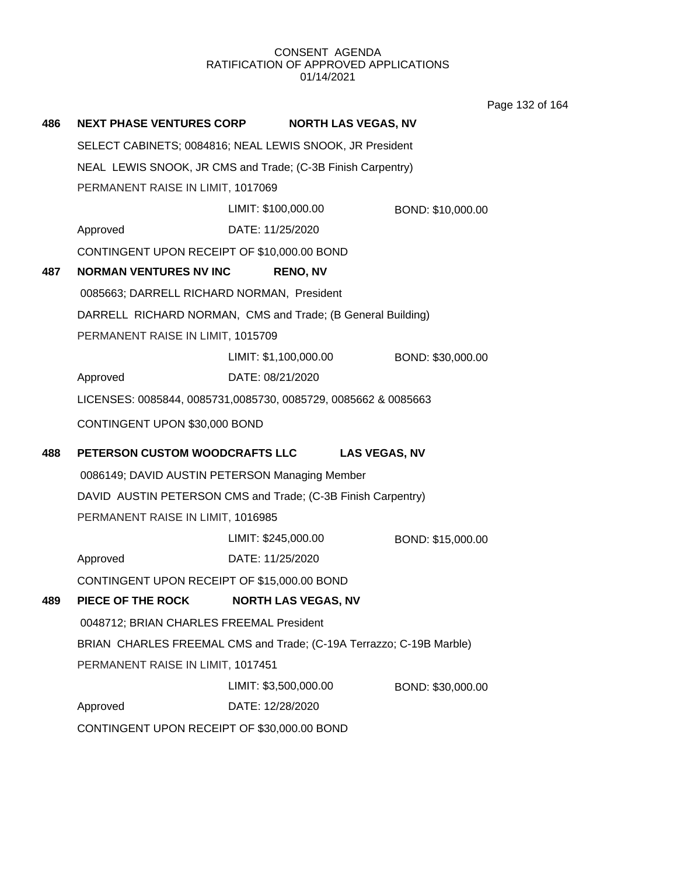Page 132 of 164

| 486                               | <b>NEXT PHASE VENTURES CORP</b>                                                                  | <b>NORTH LAS VEGAS, NV</b>                                          |                   |  |  |
|-----------------------------------|--------------------------------------------------------------------------------------------------|---------------------------------------------------------------------|-------------------|--|--|
|                                   | SELECT CABINETS; 0084816; NEAL LEWIS SNOOK, JR President                                         |                                                                     |                   |  |  |
|                                   | NEAL LEWIS SNOOK, JR CMS and Trade; (C-3B Finish Carpentry)<br>PERMANENT RAISE IN LIMIT, 1017069 |                                                                     |                   |  |  |
|                                   |                                                                                                  |                                                                     |                   |  |  |
|                                   |                                                                                                  | LIMIT: \$100,000.00                                                 | BOND: \$10,000.00 |  |  |
|                                   | Approved                                                                                         | DATE: 11/25/2020                                                    |                   |  |  |
|                                   | CONTINGENT UPON RECEIPT OF \$10,000.00 BOND                                                      |                                                                     |                   |  |  |
| 487                               | <b>NORMAN VENTURES NV INC</b>                                                                    | <b>RENO, NV</b>                                                     |                   |  |  |
|                                   | 0085663; DARRELL RICHARD NORMAN, President                                                       |                                                                     |                   |  |  |
|                                   | DARRELL RICHARD NORMAN, CMS and Trade; (B General Building)                                      |                                                                     |                   |  |  |
| PERMANENT RAISE IN LIMIT, 1015709 |                                                                                                  |                                                                     |                   |  |  |
|                                   |                                                                                                  | LIMIT: \$1,100,000.00                                               | BOND: \$30,000.00 |  |  |
|                                   | Approved                                                                                         | DATE: 08/21/2020                                                    |                   |  |  |
|                                   | LICENSES: 0085844, 0085731,0085730, 0085729, 0085662 & 0085663                                   |                                                                     |                   |  |  |
|                                   | CONTINGENT UPON \$30,000 BOND                                                                    |                                                                     |                   |  |  |
|                                   |                                                                                                  |                                                                     |                   |  |  |
| 488                               | PETERSON CUSTOM WOODCRAFTS LLC                                                                   | <b>LAS VEGAS, NV</b>                                                |                   |  |  |
|                                   |                                                                                                  | 0086149; DAVID AUSTIN PETERSON Managing Member                      |                   |  |  |
|                                   |                                                                                                  | DAVID AUSTIN PETERSON CMS and Trade; (C-3B Finish Carpentry)        |                   |  |  |
|                                   | PERMANENT RAISE IN LIMIT, 1016985                                                                |                                                                     |                   |  |  |
|                                   |                                                                                                  | LIMIT: \$245,000.00                                                 | BOND: \$15,000.00 |  |  |
|                                   | Approved                                                                                         | DATE: 11/25/2020                                                    |                   |  |  |
|                                   | CONTINGENT UPON RECEIPT OF \$15,000.00 BOND                                                      |                                                                     |                   |  |  |
| 489                               | PIECE OF THE ROCK                                                                                | <b>NORTH LAS VEGAS, NV</b>                                          |                   |  |  |
|                                   | 0048712; BRIAN CHARLES FREEMAL President                                                         |                                                                     |                   |  |  |
|                                   |                                                                                                  | BRIAN CHARLES FREEMAL CMS and Trade; (C-19A Terrazzo; C-19B Marble) |                   |  |  |
|                                   | PERMANENT RAISE IN LIMIT, 1017451                                                                |                                                                     |                   |  |  |
|                                   |                                                                                                  | LIMIT: \$3,500,000.00                                               | BOND: \$30,000.00 |  |  |
|                                   | Approved                                                                                         | DATE: 12/28/2020                                                    |                   |  |  |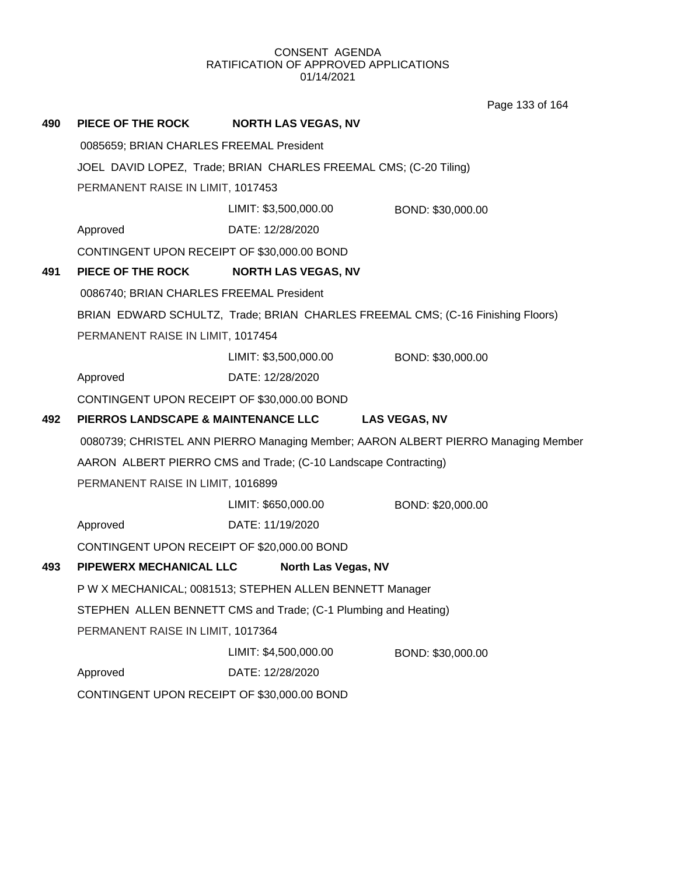Page 133 of 164

| 490                               | PIECE OF THE ROCK                                                 | <b>NORTH LAS VEGAS, NV</b>                                      |                                                                                   |  |
|-----------------------------------|-------------------------------------------------------------------|-----------------------------------------------------------------|-----------------------------------------------------------------------------------|--|
|                                   | 0085659; BRIAN CHARLES FREEMAL President                          |                                                                 |                                                                                   |  |
|                                   | JOEL DAVID LOPEZ, Trade; BRIAN CHARLES FREEMAL CMS; (C-20 Tiling) |                                                                 |                                                                                   |  |
|                                   | PERMANENT RAISE IN LIMIT, 1017453                                 |                                                                 |                                                                                   |  |
|                                   |                                                                   | LIMIT: \$3,500,000.00                                           | BOND: \$30,000.00                                                                 |  |
|                                   | Approved                                                          | DATE: 12/28/2020                                                |                                                                                   |  |
|                                   | CONTINGENT UPON RECEIPT OF \$30,000.00 BOND                       |                                                                 |                                                                                   |  |
| 491                               | PIECE OF THE ROCK                                                 | <b>NORTH LAS VEGAS, NV</b>                                      |                                                                                   |  |
|                                   | 0086740; BRIAN CHARLES FREEMAL President                          |                                                                 |                                                                                   |  |
|                                   |                                                                   |                                                                 | BRIAN EDWARD SCHULTZ, Trade; BRIAN CHARLES FREEMAL CMS; (C-16 Finishing Floors)   |  |
| PERMANENT RAISE IN LIMIT, 1017454 |                                                                   |                                                                 |                                                                                   |  |
|                                   |                                                                   | LIMIT: \$3,500,000.00                                           | BOND: \$30,000.00                                                                 |  |
|                                   | Approved                                                          | DATE: 12/28/2020                                                |                                                                                   |  |
|                                   | CONTINGENT UPON RECEIPT OF \$30,000.00 BOND                       |                                                                 |                                                                                   |  |
|                                   |                                                                   |                                                                 |                                                                                   |  |
| 492                               | <b>PIERROS LANDSCAPE &amp; MAINTENANCE LLC</b>                    |                                                                 | <b>LAS VEGAS, NV</b>                                                              |  |
|                                   |                                                                   |                                                                 | 0080739; CHRISTEL ANN PIERRO Managing Member; AARON ALBERT PIERRO Managing Member |  |
|                                   |                                                                   | AARON ALBERT PIERRO CMS and Trade; (C-10 Landscape Contracting) |                                                                                   |  |
|                                   | PERMANENT RAISE IN LIMIT, 1016899                                 |                                                                 |                                                                                   |  |
|                                   |                                                                   | LIMIT: \$650,000.00                                             | BOND: \$20,000.00                                                                 |  |
|                                   | Approved                                                          | DATE: 11/19/2020                                                |                                                                                   |  |
|                                   | CONTINGENT UPON RECEIPT OF \$20,000.00 BOND                       |                                                                 |                                                                                   |  |
| 493                               | PIPEWERX MECHANICAL LLC                                           | North Las Vegas, NV                                             |                                                                                   |  |
|                                   |                                                                   | P W X MECHANICAL; 0081513; STEPHEN ALLEN BENNETT Manager        |                                                                                   |  |
|                                   |                                                                   | STEPHEN ALLEN BENNETT CMS and Trade; (C-1 Plumbing and Heating) |                                                                                   |  |
|                                   | PERMANENT RAISE IN LIMIT, 1017364                                 |                                                                 |                                                                                   |  |
|                                   |                                                                   | LIMIT: \$4,500,000.00                                           | BOND: \$30,000.00                                                                 |  |
|                                   | Approved                                                          | DATE: 12/28/2020                                                |                                                                                   |  |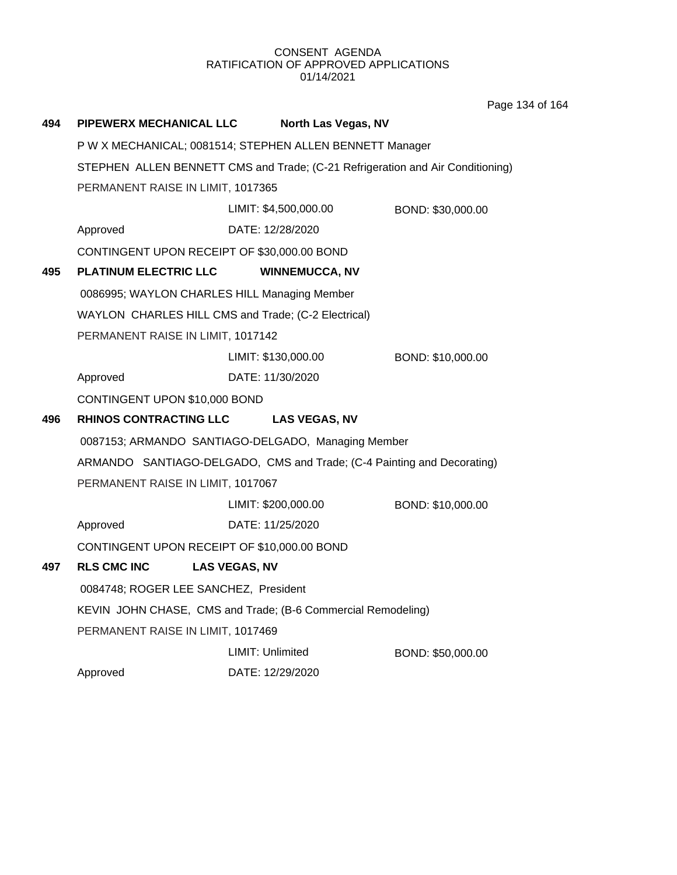Page 134 of 164

| 494 | PIPEWERX MECHANICAL LLC                      | North Las Vegas, NV                                                            |                   |
|-----|----------------------------------------------|--------------------------------------------------------------------------------|-------------------|
|     |                                              | P W X MECHANICAL; 0081514; STEPHEN ALLEN BENNETT Manager                       |                   |
|     |                                              | STEPHEN ALLEN BENNETT CMS and Trade; (C-21 Refrigeration and Air Conditioning) |                   |
|     | PERMANENT RAISE IN LIMIT, 1017365            |                                                                                |                   |
|     |                                              | LIMIT: \$4,500,000.00                                                          | BOND: \$30,000.00 |
|     | Approved                                     | DATE: 12/28/2020                                                               |                   |
|     | CONTINGENT UPON RECEIPT OF \$30,000.00 BOND  |                                                                                |                   |
| 495 | <b>PLATINUM ELECTRIC LLC</b>                 | <b>WINNEMUCCA, NV</b>                                                          |                   |
|     | 0086995; WAYLON CHARLES HILL Managing Member |                                                                                |                   |
|     |                                              | WAYLON CHARLES HILL CMS and Trade; (C-2 Electrical)                            |                   |
|     | PERMANENT RAISE IN LIMIT, 1017142            |                                                                                |                   |
|     |                                              | LIMIT: \$130,000.00                                                            | BOND: \$10,000.00 |
|     | Approved                                     | DATE: 11/30/2020                                                               |                   |
|     | CONTINGENT UPON \$10,000 BOND                |                                                                                |                   |
| 496 | <b>RHINOS CONTRACTING LLC</b>                | <b>LAS VEGAS, NV</b>                                                           |                   |
|     |                                              | 0087153; ARMANDO SANTIAGO-DELGADO, Managing Member                             |                   |
|     |                                              | ARMANDO SANTIAGO-DELGADO, CMS and Trade; (C-4 Painting and Decorating)         |                   |
|     | PERMANENT RAISE IN LIMIT, 1017067            |                                                                                |                   |
|     |                                              | LIMIT: \$200,000.00                                                            | BOND: \$10,000.00 |
|     | Approved                                     | DATE: 11/25/2020                                                               |                   |
|     | CONTINGENT UPON RECEIPT OF \$10,000.00 BOND  |                                                                                |                   |
| 497 | <b>RLS CMC INC</b>                           | <b>LAS VEGAS, NV</b>                                                           |                   |
|     | 0084748; ROGER LEE SANCHEZ, President        |                                                                                |                   |
|     |                                              | KEVIN JOHN CHASE, CMS and Trade; (B-6 Commercial Remodeling)                   |                   |
|     | PERMANENT RAISE IN LIMIT, 1017469            |                                                                                |                   |
|     |                                              | LIMIT: Unlimited                                                               | BOND: \$50,000.00 |
|     | Approved                                     | DATE: 12/29/2020                                                               |                   |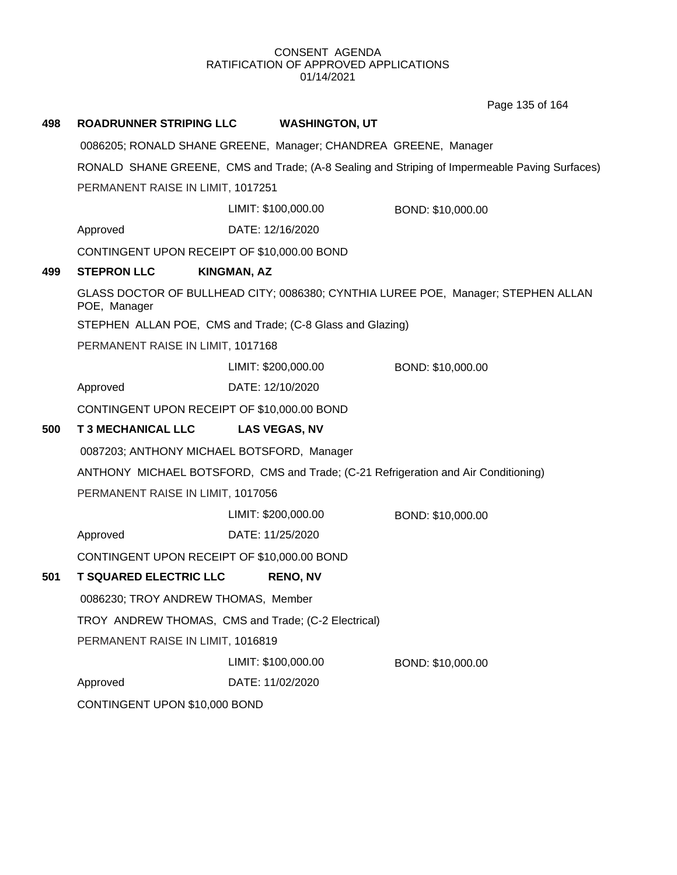Page 135 of 164

| 498 | <b>ROADRUNNER STRIPING LLC</b>              | <b>WASHINGTON, UT</b>                                                              |                                                                                               |  |
|-----|---------------------------------------------|------------------------------------------------------------------------------------|-----------------------------------------------------------------------------------------------|--|
|     |                                             | 0086205; RONALD SHANE GREENE, Manager; CHANDREA GREENE, Manager                    |                                                                                               |  |
|     |                                             |                                                                                    | RONALD SHANE GREENE, CMS and Trade; (A-8 Sealing and Striping of Impermeable Paving Surfaces) |  |
|     | PERMANENT RAISE IN LIMIT, 1017251           |                                                                                    |                                                                                               |  |
|     |                                             | LIMIT: \$100,000.00                                                                | BOND: \$10,000.00                                                                             |  |
|     | Approved                                    | DATE: 12/16/2020                                                                   |                                                                                               |  |
|     | CONTINGENT UPON RECEIPT OF \$10,000.00 BOND |                                                                                    |                                                                                               |  |
| 499 | <b>STEPRON LLC</b>                          | <b>KINGMAN, AZ</b>                                                                 |                                                                                               |  |
|     | POE, Manager                                |                                                                                    | GLASS DOCTOR OF BULLHEAD CITY; 0086380; CYNTHIA LUREE POE, Manager; STEPHEN ALLAN             |  |
|     |                                             | STEPHEN ALLAN POE, CMS and Trade; (C-8 Glass and Glazing)                          |                                                                                               |  |
|     | PERMANENT RAISE IN LIMIT, 1017168           |                                                                                    |                                                                                               |  |
|     |                                             | LIMIT: \$200,000.00                                                                | BOND: \$10,000.00                                                                             |  |
|     | Approved                                    | DATE: 12/10/2020                                                                   |                                                                                               |  |
|     | CONTINGENT UPON RECEIPT OF \$10,000.00 BOND |                                                                                    |                                                                                               |  |
| 500 | <b>T 3 MECHANICAL LLC</b>                   | <b>LAS VEGAS, NV</b>                                                               |                                                                                               |  |
|     | 0087203; ANTHONY MICHAEL BOTSFORD, Manager  |                                                                                    |                                                                                               |  |
|     |                                             | ANTHONY MICHAEL BOTSFORD, CMS and Trade; (C-21 Refrigeration and Air Conditioning) |                                                                                               |  |
|     | PERMANENT RAISE IN LIMIT, 1017056           |                                                                                    |                                                                                               |  |
|     |                                             | LIMIT: \$200,000.00                                                                | BOND: \$10,000.00                                                                             |  |
|     | Approved                                    | DATE: 11/25/2020                                                                   |                                                                                               |  |
|     | CONTINGENT UPON RECEIPT OF \$10,000.00 BOND |                                                                                    |                                                                                               |  |
| 501 | <b>T SQUARED ELECTRIC LLC</b>               | <b>RENO, NV</b>                                                                    |                                                                                               |  |
|     | 0086230; TROY ANDREW THOMAS, Member         |                                                                                    |                                                                                               |  |
|     |                                             | TROY ANDREW THOMAS, CMS and Trade; (C-2 Electrical)                                |                                                                                               |  |
|     | PERMANENT RAISE IN LIMIT, 1016819           |                                                                                    |                                                                                               |  |
|     |                                             | LIMIT: \$100,000.00                                                                | BOND: \$10,000.00                                                                             |  |
|     | Approved                                    | DATE: 11/02/2020                                                                   |                                                                                               |  |
|     | CONTINGENT UPON \$10,000 BOND               |                                                                                    |                                                                                               |  |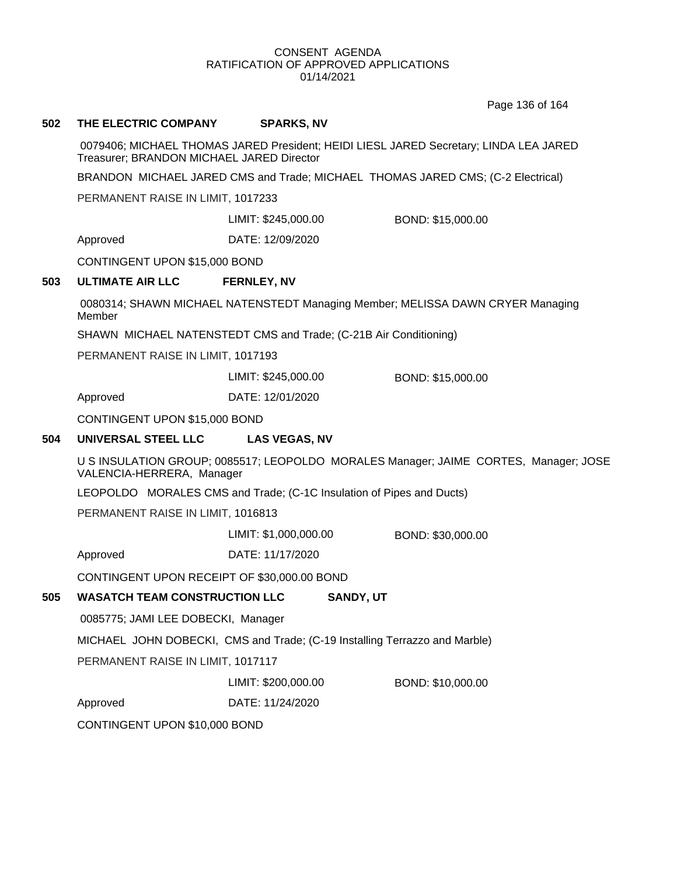Page 136 of 164

### **502 THE ELECTRIC COMPANY SPARKS, NV**

0079406; MICHAEL THOMAS JARED President; HEIDI LIESL JARED Secretary; LINDA LEA JARED Treasurer; BRANDON MICHAEL JARED Director

BRANDON MICHAEL JARED CMS and Trade; MICHAEL THOMAS JARED CMS; (C-2 Electrical)

PERMANENT RAISE IN LIMIT, 1017233

LIMIT: \$245,000.00 BOND: \$15,000.00

Approved DATE: 12/09/2020

CONTINGENT UPON \$15,000 BOND

### **503 ULTIMATE AIR LLC FERNLEY, NV**

0080314; SHAWN MICHAEL NATENSTEDT Managing Member; MELISSA DAWN CRYER Managing Member

SHAWN MICHAEL NATENSTEDT CMS and Trade; (C-21B Air Conditioning)

PERMANENT RAISE IN LIMIT, 1017193

LIMIT: \$245,000.00 BOND: \$15,000.00

Approved DATE: 12/01/2020

CONTINGENT UPON \$15,000 BOND

# **504 UNIVERSAL STEEL LLC LAS VEGAS, NV**

U S INSULATION GROUP; 0085517; LEOPOLDO MORALES Manager; JAIME CORTES, Manager; JOSE VALENCIA-HERRERA, Manager

LEOPOLDO MORALES CMS and Trade; (C-1C Insulation of Pipes and Ducts)

PERMANENT RAISE IN LIMIT, 1016813

LIMIT: \$1,000,000.00 BOND: \$30,000.00

Approved DATE: 11/17/2020

CONTINGENT UPON RECEIPT OF \$30,000.00 BOND

# **505 WASATCH TEAM CONSTRUCTION LLC SANDY, UT**

0085775; JAMI LEE DOBECKI, Manager

MICHAEL JOHN DOBECKI, CMS and Trade; (C-19 Installing Terrazzo and Marble)

PERMANENT RAISE IN LIMIT, 1017117

LIMIT: \$200,000.00 BOND: \$10,000.00

Approved DATE: 11/24/2020

CONTINGENT UPON \$10,000 BOND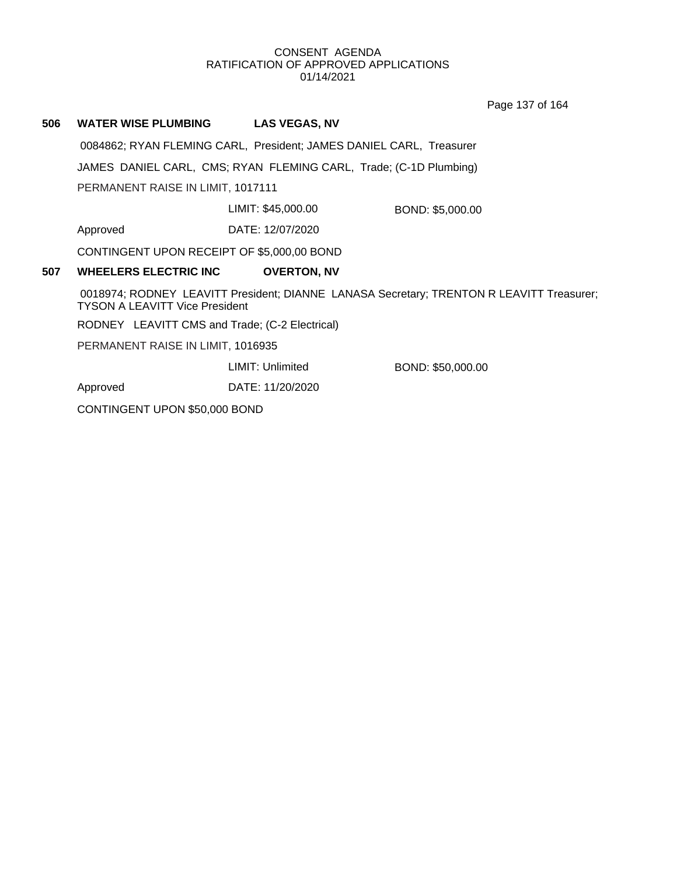Page 137 of 164

# **506 WATER WISE PLUMBING LAS VEGAS, NV**

0084862; RYAN FLEMING CARL, President; JAMES DANIEL CARL, Treasurer

JAMES DANIEL CARL, CMS; RYAN FLEMING CARL, Trade; (C-1D Plumbing)

PERMANENT RAISE IN LIMIT, 1017111

LIMIT: \$45,000.00 BOND: \$5,000.00

Approved DATE: 12/07/2020

CONTINGENT UPON RECEIPT OF \$5,000,00 BOND

### **507 WHEELERS ELECTRIC INC OVERTON, NV**

0018974; RODNEY LEAVITT President; DIANNE LANASA Secretary; TRENTON R LEAVITT Treasurer; TYSON A LEAVITT Vice President

RODNEY LEAVITT CMS and Trade; (C-2 Electrical)

PERMANENT RAISE IN LIMIT, 1016935

LIMIT: Unlimited BOND: \$50,000.00

Approved DATE: 11/20/2020

CONTINGENT UPON \$50,000 BOND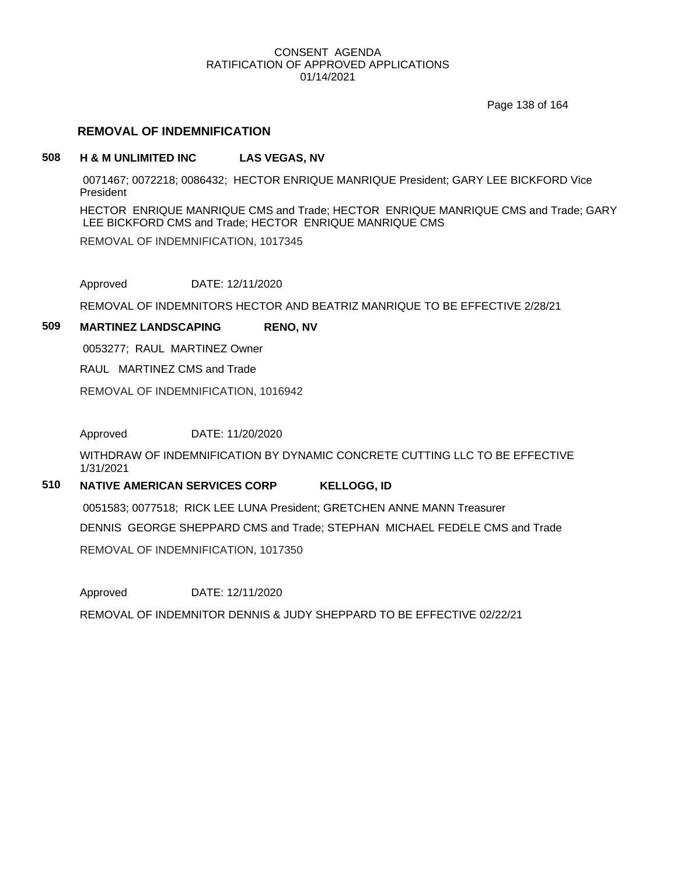Page 138 of 164

# **REMOVAL OF INDEMNIFICATION**

# **508 H & M UNLIMITED INC LAS VEGAS, NV**

0071467; 0072218; 0086432; HECTOR ENRIQUE MANRIQUE President; GARY LEE BICKFORD Vice President

HECTOR ENRIQUE MANRIQUE CMS and Trade; HECTOR ENRIQUE MANRIQUE CMS and Trade; GARY LEE BICKFORD CMS and Trade; HECTOR ENRIQUE MANRIQUE CMS

REMOVAL OF INDEMNIFICATION, 1017345

Approved DATE: 12/11/2020

REMOVAL OF INDEMNITORS HECTOR AND BEATRIZ MANRIQUE TO BE EFFECTIVE 2/28/21

# **509 MARTINEZ LANDSCAPING RENO, NV**

0053277; RAUL MARTINEZ Owner

RAUL MARTINEZ CMS and Trade

REMOVAL OF INDEMNIFICATION, 1016942

Approved DATE: 11/20/2020

WITHDRAW OF INDEMNIFICATION BY DYNAMIC CONCRETE CUTTING LLC TO BE EFFECTIVE 1/31/2021

# **510 NATIVE AMERICAN SERVICES CORP KELLOGG, ID**

0051583; 0077518; RICK LEE LUNA President; GRETCHEN ANNE MANN Treasurer DENNIS GEORGE SHEPPARD CMS and Trade; STEPHAN MICHAEL FEDELE CMS and Trade REMOVAL OF INDEMNIFICATION, 1017350

Approved DATE: 12/11/2020 REMOVAL OF INDEMNITOR DENNIS & JUDY SHEPPARD TO BE EFFECTIVE 02/22/21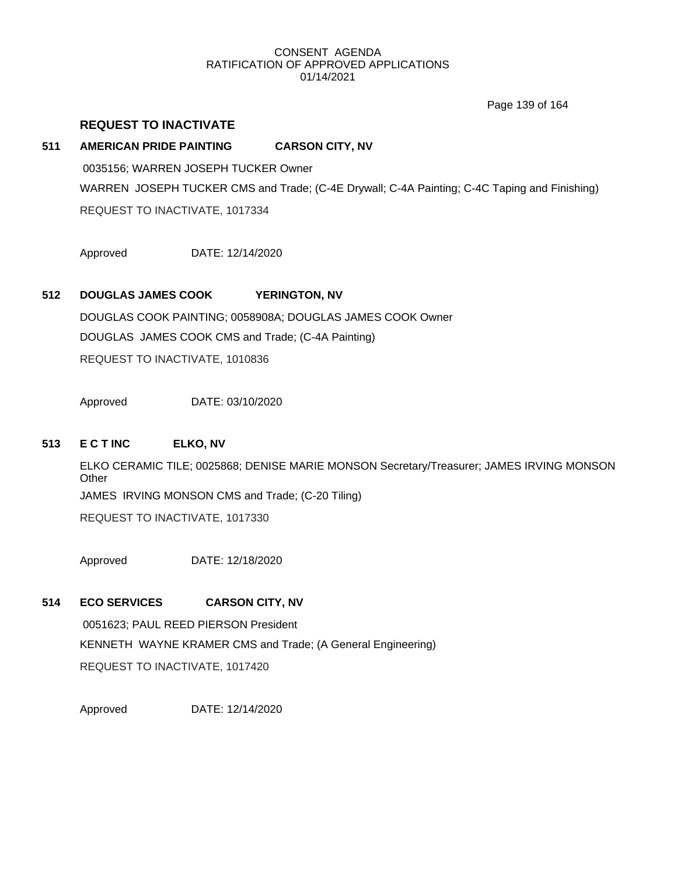Page 139 of 164

# **REQUEST TO INACTIVATE**

# **511 AMERICAN PRIDE PAINTING CARSON CITY, NV**

0035156; WARREN JOSEPH TUCKER Owner WARREN JOSEPH TUCKER CMS and Trade; (C-4E Drywall; C-4A Painting; C-4C Taping and Finishing) REQUEST TO INACTIVATE, 1017334

Approved DATE: 12/14/2020

# **512 DOUGLAS JAMES COOK YERINGTON, NV**

DOUGLAS COOK PAINTING; 0058908A; DOUGLAS JAMES COOK Owner DOUGLAS JAMES COOK CMS and Trade; (C-4A Painting) REQUEST TO INACTIVATE, 1010836

Approved DATE: 03/10/2020

# **513 E C T INC ELKO, NV**

ELKO CERAMIC TILE; 0025868; DENISE MARIE MONSON Secretary/Treasurer; JAMES IRVING MONSON **Other** JAMES IRVING MONSON CMS and Trade; (C-20 Tiling)

REQUEST TO INACTIVATE, 1017330

Approved DATE: 12/18/2020

# **514 ECO SERVICES CARSON CITY, NV**

0051623; PAUL REED PIERSON President KENNETH WAYNE KRAMER CMS and Trade; (A General Engineering) REQUEST TO INACTIVATE, 1017420

Approved DATE: 12/14/2020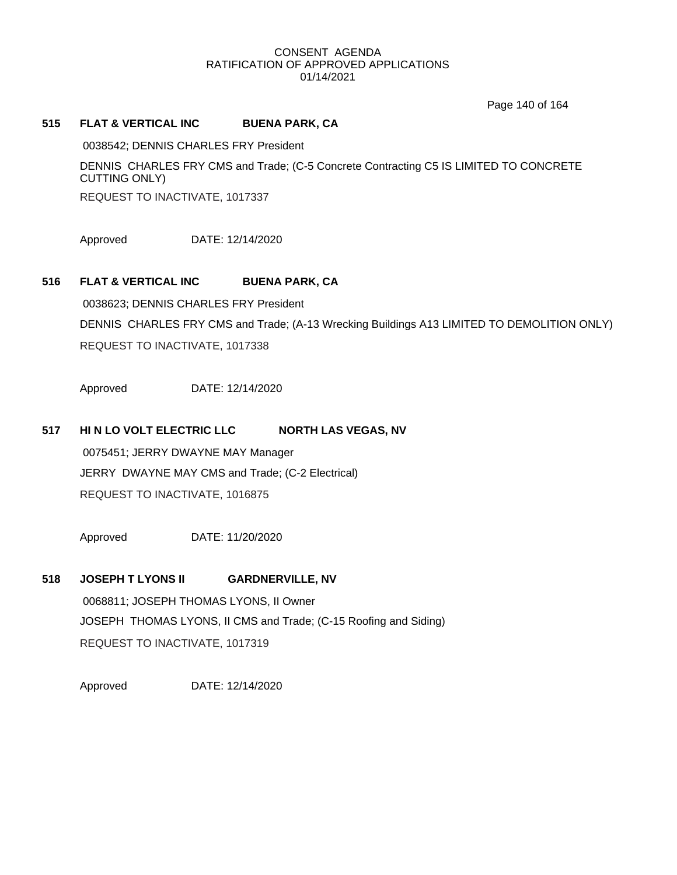Page 140 of 164

# **515 FLAT & VERTICAL INC BUENA PARK, CA**

0038542; DENNIS CHARLES FRY President

DENNIS CHARLES FRY CMS and Trade; (C-5 Concrete Contracting C5 IS LIMITED TO CONCRETE CUTTING ONLY)

REQUEST TO INACTIVATE, 1017337

Approved DATE: 12/14/2020

# **516 FLAT & VERTICAL INC BUENA PARK, CA**

0038623; DENNIS CHARLES FRY President DENNIS CHARLES FRY CMS and Trade; (A-13 Wrecking Buildings A13 LIMITED TO DEMOLITION ONLY) REQUEST TO INACTIVATE, 1017338

Approved DATE: 12/14/2020

# **517 HI N LO VOLT ELECTRIC LLC NORTH LAS VEGAS, NV**

0075451; JERRY DWAYNE MAY Manager JERRY DWAYNE MAY CMS and Trade; (C-2 Electrical) REQUEST TO INACTIVATE, 1016875

Approved DATE: 11/20/2020

# **518 JOSEPH T LYONS II GARDNERVILLE, NV**

0068811; JOSEPH THOMAS LYONS, II Owner JOSEPH THOMAS LYONS, II CMS and Trade; (C-15 Roofing and Siding) REQUEST TO INACTIVATE, 1017319

Approved DATE: 12/14/2020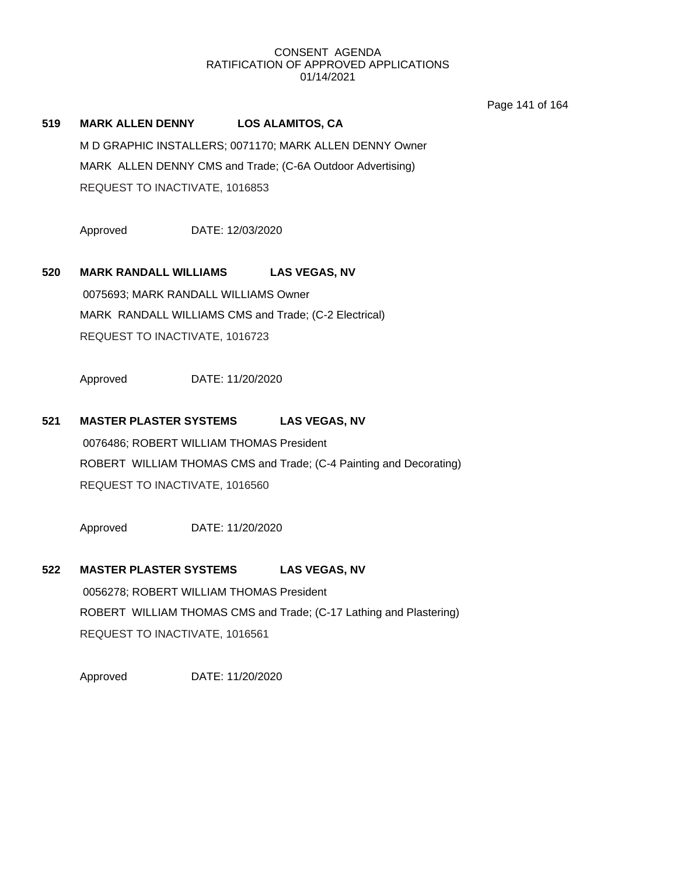Page 141 of 164

# **519 MARK ALLEN DENNY LOS ALAMITOS, CA**

M D GRAPHIC INSTALLERS; 0071170; MARK ALLEN DENNY Owner MARK ALLEN DENNY CMS and Trade; (C-6A Outdoor Advertising) REQUEST TO INACTIVATE, 1016853

Approved DATE: 12/03/2020

# **520 MARK RANDALL WILLIAMS LAS VEGAS, NV**

0075693; MARK RANDALL WILLIAMS Owner MARK RANDALL WILLIAMS CMS and Trade; (C-2 Electrical) REQUEST TO INACTIVATE, 1016723

Approved DATE: 11/20/2020

# **521 MASTER PLASTER SYSTEMS LAS VEGAS, NV**

0076486; ROBERT WILLIAM THOMAS President ROBERT WILLIAM THOMAS CMS and Trade; (C-4 Painting and Decorating) REQUEST TO INACTIVATE, 1016560

Approved DATE: 11/20/2020

#### **522 MASTER PLASTER SYSTEMS LAS VEGAS, NV**

0056278; ROBERT WILLIAM THOMAS President ROBERT WILLIAM THOMAS CMS and Trade; (C-17 Lathing and Plastering) REQUEST TO INACTIVATE, 1016561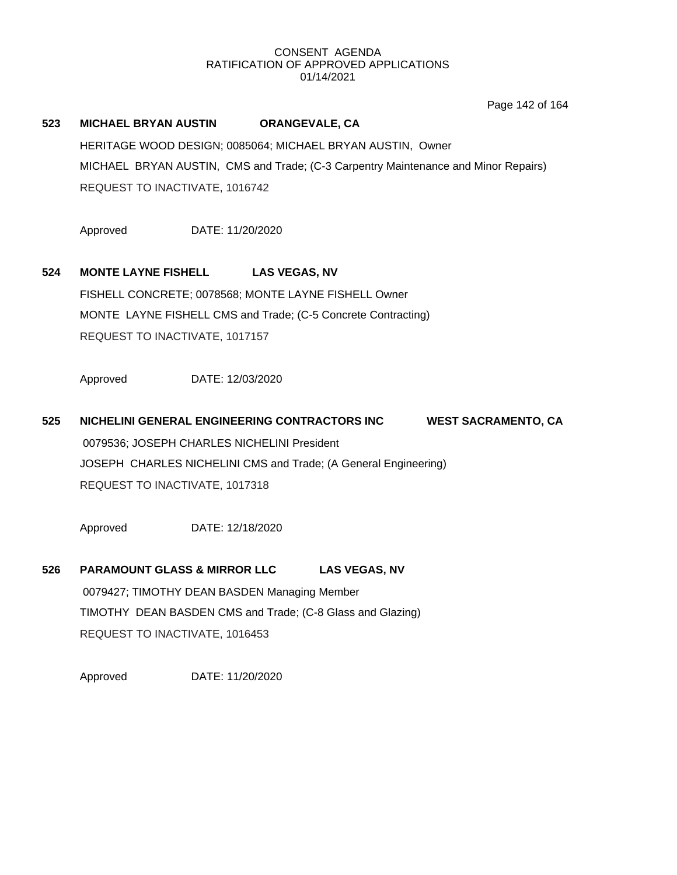Page 142 of 164

# **523 MICHAEL BRYAN AUSTIN ORANGEVALE, CA** HERITAGE WOOD DESIGN; 0085064; MICHAEL BRYAN AUSTIN, Owner MICHAEL BRYAN AUSTIN, CMS and Trade; (C-3 Carpentry Maintenance and Minor Repairs) REQUEST TO INACTIVATE, 1016742 Approved DATE: 11/20/2020 **524 MONTE LAYNE FISHELL LAS VEGAS, NV** FISHELL CONCRETE; 0078568; MONTE LAYNE FISHELL Owner MONTE LAYNE FISHELL CMS and Trade; (C-5 Concrete Contracting) REQUEST TO INACTIVATE, 1017157 Approved DATE: 12/03/2020

# **525 NICHELINI GENERAL ENGINEERING CONTRACTORS INC WEST SACRAMENTO, CA** 0079536; JOSEPH CHARLES NICHELINI President JOSEPH CHARLES NICHELINI CMS and Trade; (A General Engineering) REQUEST TO INACTIVATE, 1017318

Approved DATE: 12/18/2020

# **526 PARAMOUNT GLASS & MIRROR LLC LAS VEGAS, NV** 0079427; TIMOTHY DEAN BASDEN Managing Member TIMOTHY DEAN BASDEN CMS and Trade; (C-8 Glass and Glazing) REQUEST TO INACTIVATE, 1016453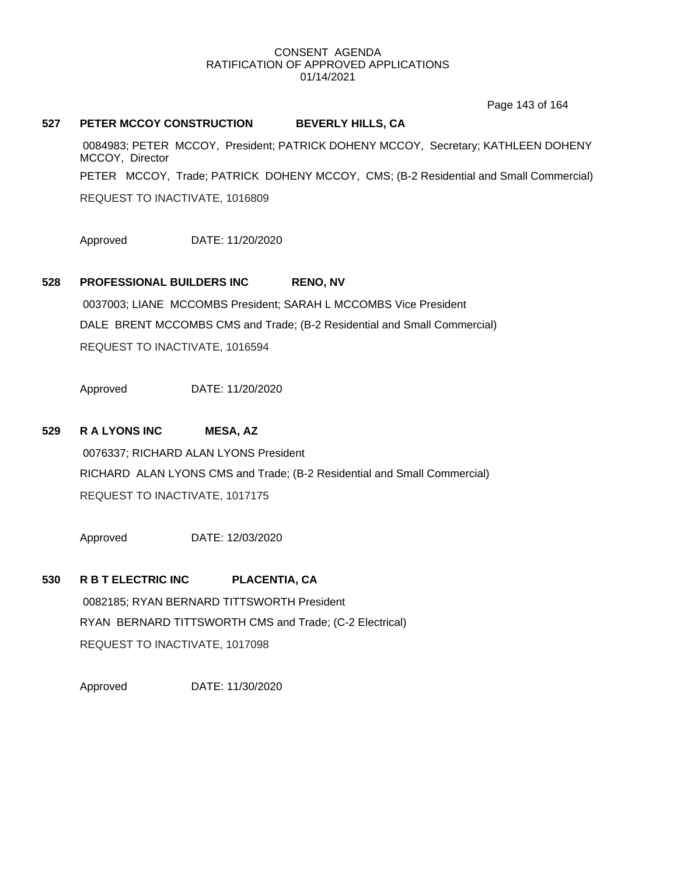Page 143 of 164

### **527 PETER MCCOY CONSTRUCTION BEVERLY HILLS, CA**

0084983; PETER MCCOY, President; PATRICK DOHENY MCCOY, Secretary; KATHLEEN DOHENY MCCOY, Director PETER MCCOY, Trade; PATRICK DOHENY MCCOY, CMS; (B-2 Residential and Small Commercial) REQUEST TO INACTIVATE, 1016809

Approved DATE: 11/20/2020

# **528 PROFESSIONAL BUILDERS INC RENO, NV**

0037003; LIANE MCCOMBS President; SARAH L MCCOMBS Vice President DALE BRENT MCCOMBS CMS and Trade; (B-2 Residential and Small Commercial) REQUEST TO INACTIVATE, 1016594

Approved DATE: 11/20/2020

# **529 R A LYONS INC MESA, AZ**

0076337; RICHARD ALAN LYONS President RICHARD ALAN LYONS CMS and Trade; (B-2 Residential and Small Commercial) REQUEST TO INACTIVATE, 1017175

Approved DATE: 12/03/2020

# **530 R B T ELECTRIC INC PLACENTIA, CA**

0082185; RYAN BERNARD TITTSWORTH President RYAN BERNARD TITTSWORTH CMS and Trade; (C-2 Electrical) REQUEST TO INACTIVATE, 1017098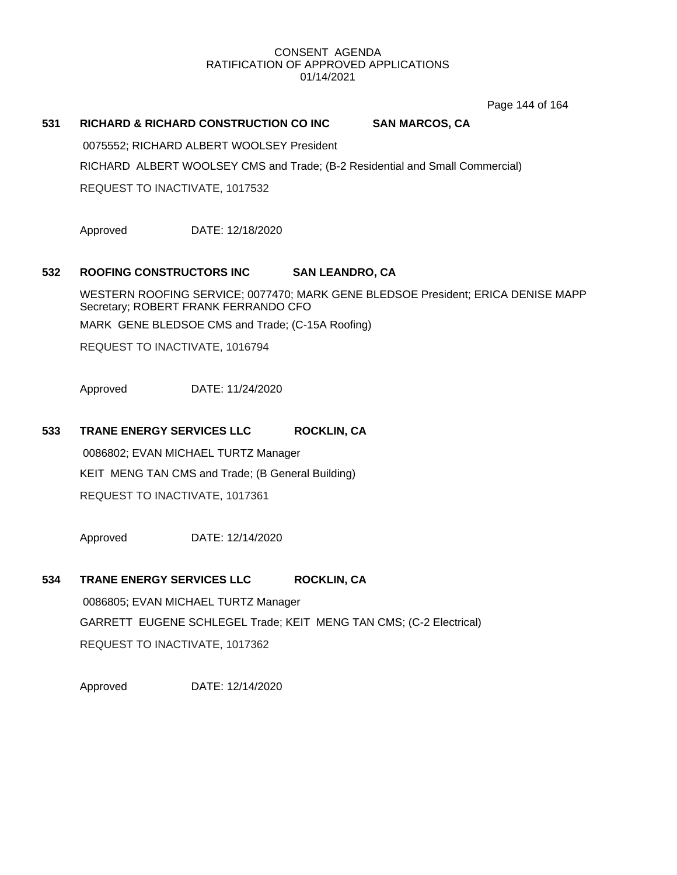Page 144 of 164

# **531 RICHARD & RICHARD CONSTRUCTION CO INC SAN MARCOS, CA**

0075552; RICHARD ALBERT WOOLSEY President

RICHARD ALBERT WOOLSEY CMS and Trade; (B-2 Residential and Small Commercial)

REQUEST TO INACTIVATE, 1017532

Approved DATE: 12/18/2020

# **532 ROOFING CONSTRUCTORS INC SAN LEANDRO, CA**

WESTERN ROOFING SERVICE; 0077470; MARK GENE BLEDSOE President; ERICA DENISE MAPP Secretary; ROBERT FRANK FERRANDO CFO

MARK GENE BLEDSOE CMS and Trade; (C-15A Roofing)

REQUEST TO INACTIVATE, 1016794

Approved DATE: 11/24/2020

# **533 TRANE ENERGY SERVICES LLC ROCKLIN, CA**

0086802; EVAN MICHAEL TURTZ Manager KEIT MENG TAN CMS and Trade; (B General Building) REQUEST TO INACTIVATE, 1017361

Approved DATE: 12/14/2020

# **534 TRANE ENERGY SERVICES LLC ROCKLIN, CA**

0086805; EVAN MICHAEL TURTZ Manager GARRETT EUGENE SCHLEGEL Trade; KEIT MENG TAN CMS; (C-2 Electrical) REQUEST TO INACTIVATE, 1017362

Approved DATE: 12/14/2020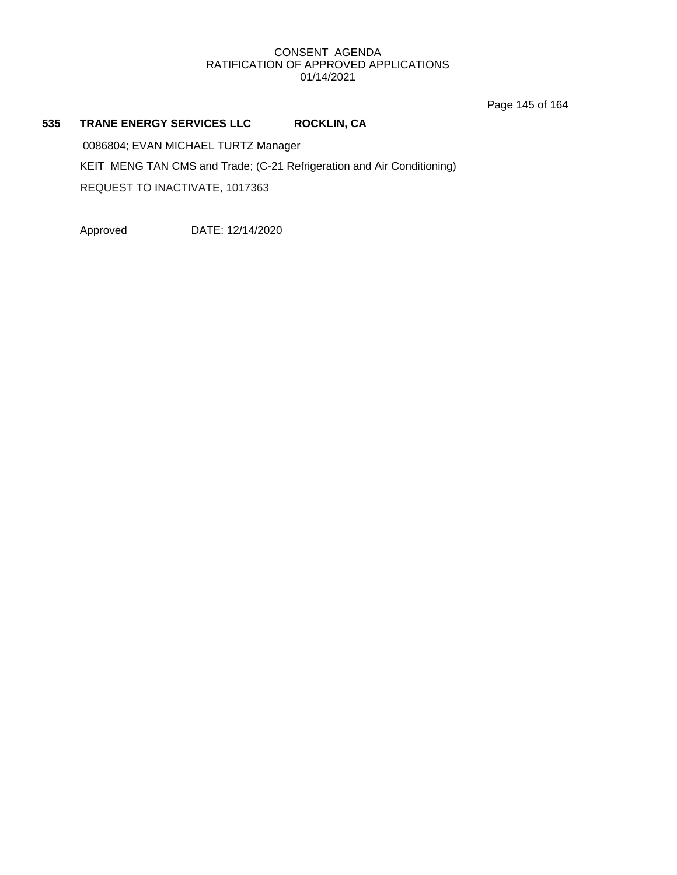Page 145 of 164

# **535 TRANE ENERGY SERVICES LLC ROCKLIN, CA**

0086804; EVAN MICHAEL TURTZ Manager KEIT MENG TAN CMS and Trade; (C-21 Refrigeration and Air Conditioning) REQUEST TO INACTIVATE, 1017363

Approved DATE: 12/14/2020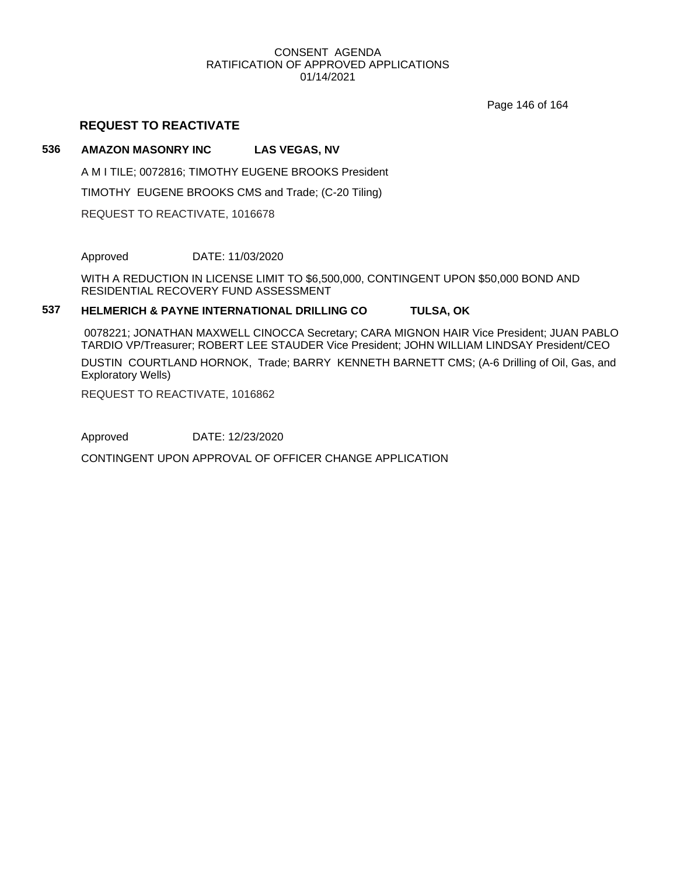Page 146 of 164

# **REQUEST TO REACTIVATE**

# **536 AMAZON MASONRY INC LAS VEGAS, NV**

A M I TILE; 0072816; TIMOTHY EUGENE BROOKS President

TIMOTHY EUGENE BROOKS CMS and Trade; (C-20 Tiling)

REQUEST TO REACTIVATE, 1016678

Approved DATE: 11/03/2020

WITH A REDUCTION IN LICENSE LIMIT TO \$6,500,000, CONTINGENT UPON \$50,000 BOND AND RESIDENTIAL RECOVERY FUND ASSESSMENT

# **537 HELMERICH & PAYNE INTERNATIONAL DRILLING CO TULSA, OK**

0078221; JONATHAN MAXWELL CINOCCA Secretary; CARA MIGNON HAIR Vice President; JUAN PABLO TARDIO VP/Treasurer; ROBERT LEE STAUDER Vice President; JOHN WILLIAM LINDSAY President/CEO

DUSTIN COURTLAND HORNOK, Trade; BARRY KENNETH BARNETT CMS; (A-6 Drilling of Oil, Gas, and Exploratory Wells)

REQUEST TO REACTIVATE, 1016862

Approved DATE: 12/23/2020

CONTINGENT UPON APPROVAL OF OFFICER CHANGE APPLICATION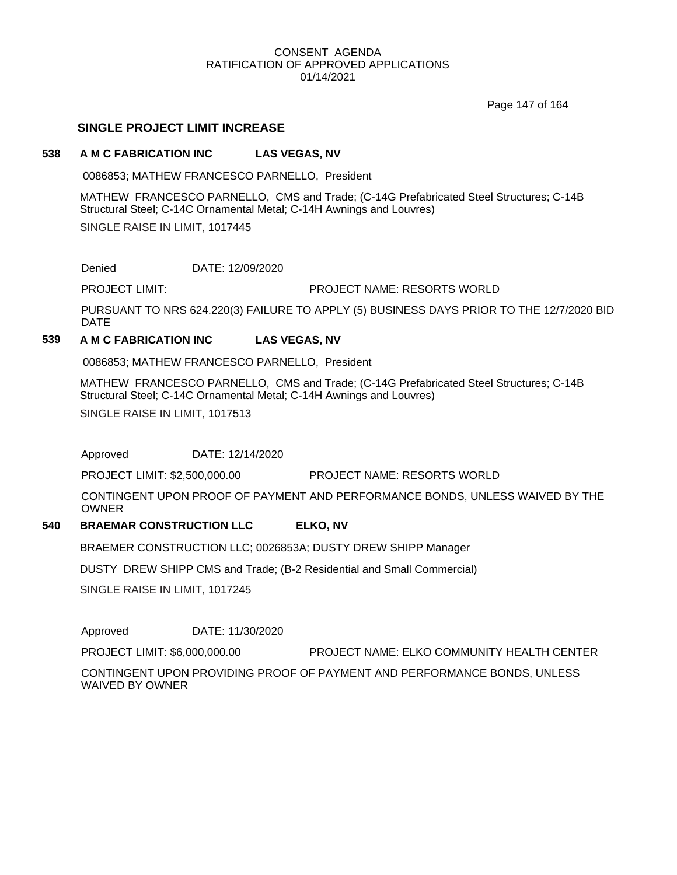Page 147 of 164

# **SINGLE PROJECT LIMIT INCREASE**

#### **538 A M C FABRICATION INC LAS VEGAS, NV**

0086853; MATHEW FRANCESCO PARNELLO, President

MATHEW FRANCESCO PARNELLO, CMS and Trade; (C-14G Prefabricated Steel Structures; C-14B Structural Steel; C-14C Ornamental Metal; C-14H Awnings and Louvres) SINGLE RAISE IN LIMIT, 1017445

Denied DATE: 12/09/2020

PROJECT LIMIT: PROJECT NAME: RESORTS WORLD

PURSUANT TO NRS 624.220(3) FAILURE TO APPLY (5) BUSINESS DAYS PRIOR TO THE 12/7/2020 BID DATE

# **539 A M C FABRICATION INC LAS VEGAS, NV**

0086853; MATHEW FRANCESCO PARNELLO, President

MATHEW FRANCESCO PARNELLO, CMS and Trade; (C-14G Prefabricated Steel Structures; C-14B Structural Steel; C-14C Ornamental Metal; C-14H Awnings and Louvres) SINGLE RAISE IN LIMIT, 1017513

Approved DATE: 12/14/2020

PROJECT LIMIT: \$2,500,000.00 PROJECT NAME: RESORTS WORLD

CONTINGENT UPON PROOF OF PAYMENT AND PERFORMANCE BONDS, UNLESS WAIVED BY THE OWNER

#### **540 BRAEMAR CONSTRUCTION LLC ELKO, NV**

BRAEMER CONSTRUCTION LLC; 0026853A; DUSTY DREW SHIPP Manager

DUSTY DREW SHIPP CMS and Trade; (B-2 Residential and Small Commercial)

SINGLE RAISE IN LIMIT, 1017245

Approved DATE: 11/30/2020

PROJECT LIMIT: \$6,000,000.00 PROJECT NAME: ELKO COMMUNITY HEALTH CENTER

CONTINGENT UPON PROVIDING PROOF OF PAYMENT AND PERFORMANCE BONDS, UNLESS WAIVED BY OWNER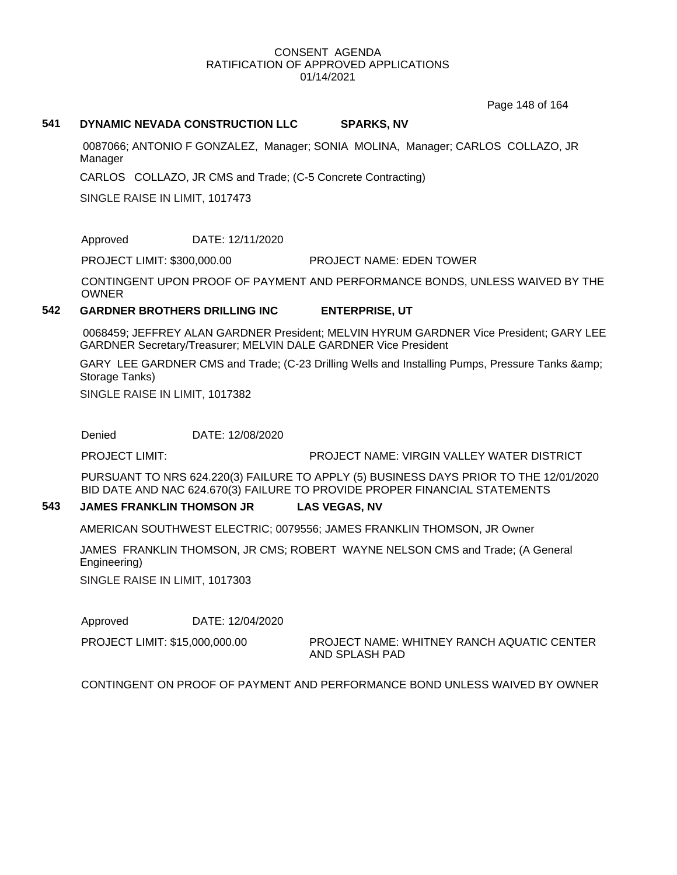Page 148 of 164

#### **541 DYNAMIC NEVADA CONSTRUCTION LLC SPARKS, NV**

0087066; ANTONIO F GONZALEZ, Manager; SONIA MOLINA, Manager; CARLOS COLLAZO, JR Manager

CARLOS COLLAZO, JR CMS and Trade; (C-5 Concrete Contracting)

SINGLE RAISE IN LIMIT, 1017473

Approved DATE: 12/11/2020

PROJECT LIMIT: \$300,000.00 PROJECT NAME: EDEN TOWER

CONTINGENT UPON PROOF OF PAYMENT AND PERFORMANCE BONDS, UNLESS WAIVED BY THE OWNER

# **542 GARDNER BROTHERS DRILLING INC ENTERPRISE, UT**

0068459; JEFFREY ALAN GARDNER President; MELVIN HYRUM GARDNER Vice President; GARY LEE GARDNER Secretary/Treasurer; MELVIN DALE GARDNER Vice President

GARY LEE GARDNER CMS and Trade; (C-23 Drilling Wells and Installing Pumps, Pressure Tanks & Storage Tanks)

SINGLE RAISE IN LIMIT, 1017382

Denied DATE: 12/08/2020

PROJECT LIMIT: PROJECT NAME: VIRGIN VALLEY WATER DISTRICT

PURSUANT TO NRS 624.220(3) FAILURE TO APPLY (5) BUSINESS DAYS PRIOR TO THE 12/01/2020 BID DATE AND NAC 624.670(3) FAILURE TO PROVIDE PROPER FINANCIAL STATEMENTS

# **543 JAMES FRANKLIN THOMSON JR LAS VEGAS, NV**

AMERICAN SOUTHWEST ELECTRIC; 0079556; JAMES FRANKLIN THOMSON, JR Owner

JAMES FRANKLIN THOMSON, JR CMS; ROBERT WAYNE NELSON CMS and Trade; (A General Engineering)

SINGLE RAISE IN LIMIT, 1017303

Approved DATE: 12/04/2020

PROJECT LIMIT: \$15,000,000.00

PROJECT NAME: WHITNEY RANCH AQUATIC CENTER AND SPLASH PAD

CONTINGENT ON PROOF OF PAYMENT AND PERFORMANCE BOND UNLESS WAIVED BY OWNER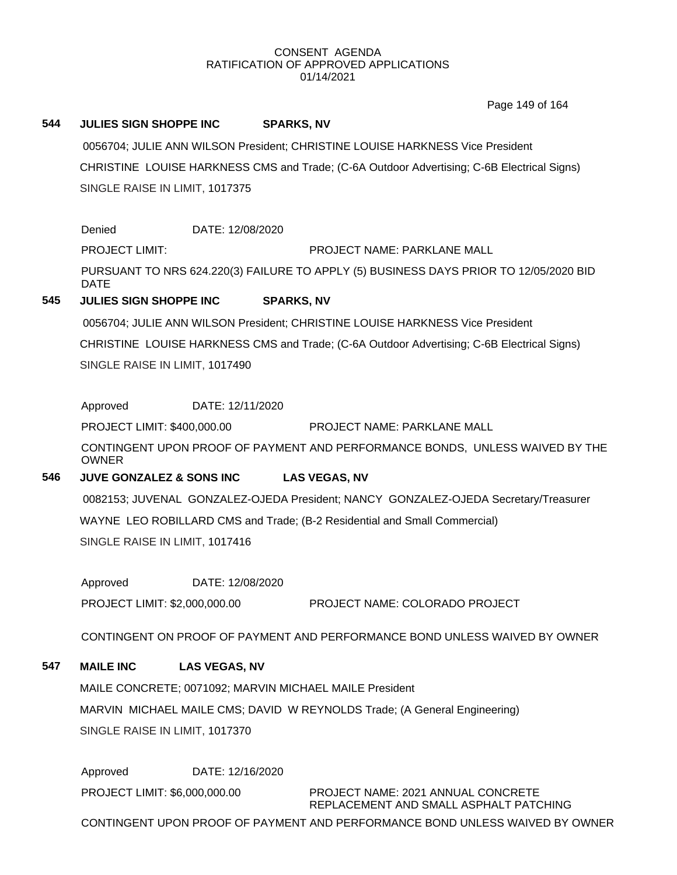Page 149 of 164

# **544 JULIES SIGN SHOPPE INC SPARKS, NV**

0056704; JULIE ANN WILSON President; CHRISTINE LOUISE HARKNESS Vice President CHRISTINE LOUISE HARKNESS CMS and Trade; (C-6A Outdoor Advertising; C-6B Electrical Signs) SINGLE RAISE IN LIMIT, 1017375

Denied DATE: 12/08/2020

PROJECT LIMIT: PROJECT NAME: PARKLANE MALL

PURSUANT TO NRS 624.220(3) FAILURE TO APPLY (5) BUSINESS DAYS PRIOR TO 12/05/2020 BID DATE

# **545 JULIES SIGN SHOPPE INC SPARKS, NV**

0056704; JULIE ANN WILSON President; CHRISTINE LOUISE HARKNESS Vice President CHRISTINE LOUISE HARKNESS CMS and Trade; (C-6A Outdoor Advertising; C-6B Electrical Signs) SINGLE RAISE IN LIMIT, 1017490

Approved DATE: 12/11/2020

PROJECT LIMIT: \$400,000.00 PROJECT NAME: PARKLANE MALL

CONTINGENT UPON PROOF OF PAYMENT AND PERFORMANCE BONDS, UNLESS WAIVED BY THE OWNER

# **546 JUVE GONZALEZ & SONS INC LAS VEGAS, NV**

0082153; JUVENAL GONZALEZ-OJEDA President; NANCY GONZALEZ-OJEDA Secretary/Treasurer WAYNE LEO ROBILLARD CMS and Trade; (B-2 Residential and Small Commercial) SINGLE RAISE IN LIMIT, 1017416

Approved DATE: 12/08/2020 PROJECT LIMIT: \$2,000,000.00 PROJECT NAME: COLORADO PROJECT

CONTINGENT ON PROOF OF PAYMENT AND PERFORMANCE BOND UNLESS WAIVED BY OWNER

# **547 MAILE INC LAS VEGAS, NV**

MAILE CONCRETE; 0071092; MARVIN MICHAEL MAILE President MARVIN MICHAEL MAILE CMS; DAVID W REYNOLDS Trade; (A General Engineering) SINGLE RAISE IN LIMIT, 1017370

Approved DATE: 12/16/2020 PROJECT NAME: 2021 ANNUAL CONCRETE REPLACEMENT AND SMALL ASPHALT PATCHING PROJECT LIMIT: \$6,000,000.00 CONTINGENT UPON PROOF OF PAYMENT AND PERFORMANCE BOND UNLESS WAIVED BY OWNER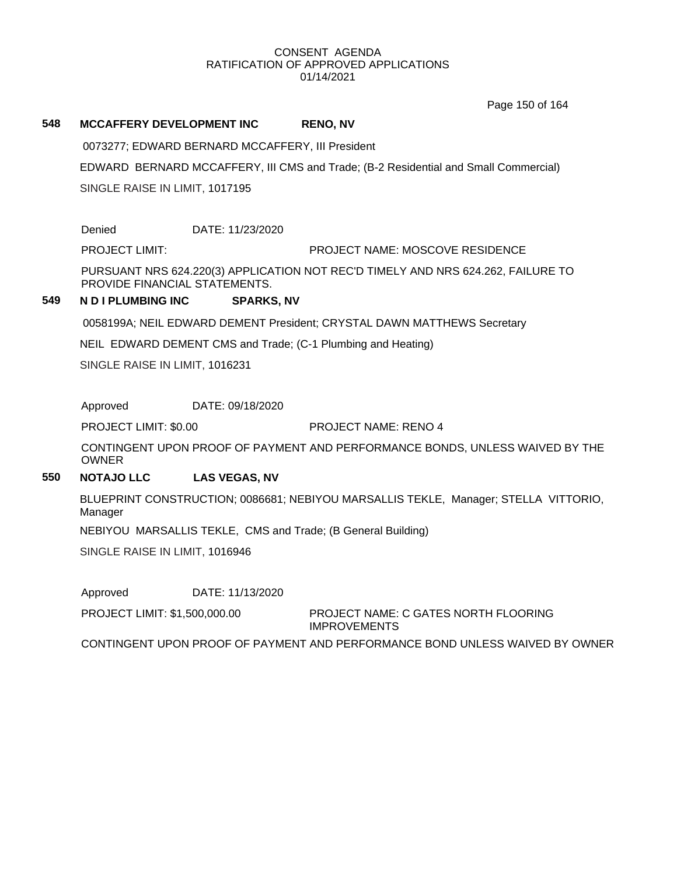Page 150 of 164

# **548 MCCAFFERY DEVELOPMENT INC RENO, NV**

0073277; EDWARD BERNARD MCCAFFERY, III President

EDWARD BERNARD MCCAFFERY, III CMS and Trade; (B-2 Residential and Small Commercial)

SINGLE RAISE IN LIMIT, 1017195

Denied DATE: 11/23/2020

PROJECT LIMIT: PROJECT NAME: MOSCOVE RESIDENCE

PURSUANT NRS 624.220(3) APPLICATION NOT REC'D TIMELY AND NRS 624.262, FAILURE TO PROVIDE FINANCIAL STATEMENTS.

# **549 N D I PLUMBING INC SPARKS, NV**

0058199A; NEIL EDWARD DEMENT President; CRYSTAL DAWN MATTHEWS Secretary

NEIL EDWARD DEMENT CMS and Trade; (C-1 Plumbing and Heating)

SINGLE RAISE IN LIMIT, 1016231

Approved DATE: 09/18/2020

PROJECT LIMIT: \$0.00 PROJECT NAME: RENO 4

CONTINGENT UPON PROOF OF PAYMENT AND PERFORMANCE BONDS, UNLESS WAIVED BY THE OWNER

# **550 NOTAJO LLC LAS VEGAS, NV**

BLUEPRINT CONSTRUCTION; 0086681; NEBIYOU MARSALLIS TEKLE, Manager; STELLA VITTORIO, Manager

NEBIYOU MARSALLIS TEKLE, CMS and Trade; (B General Building)

SINGLE RAISE IN LIMIT, 1016946

Approved DATE: 11/13/2020

PROJECT LIMIT: \$1,500,000.00

PROJECT NAME: C GATES NORTH FLOORING IMPROVEMENTS

CONTINGENT UPON PROOF OF PAYMENT AND PERFORMANCE BOND UNLESS WAIVED BY OWNER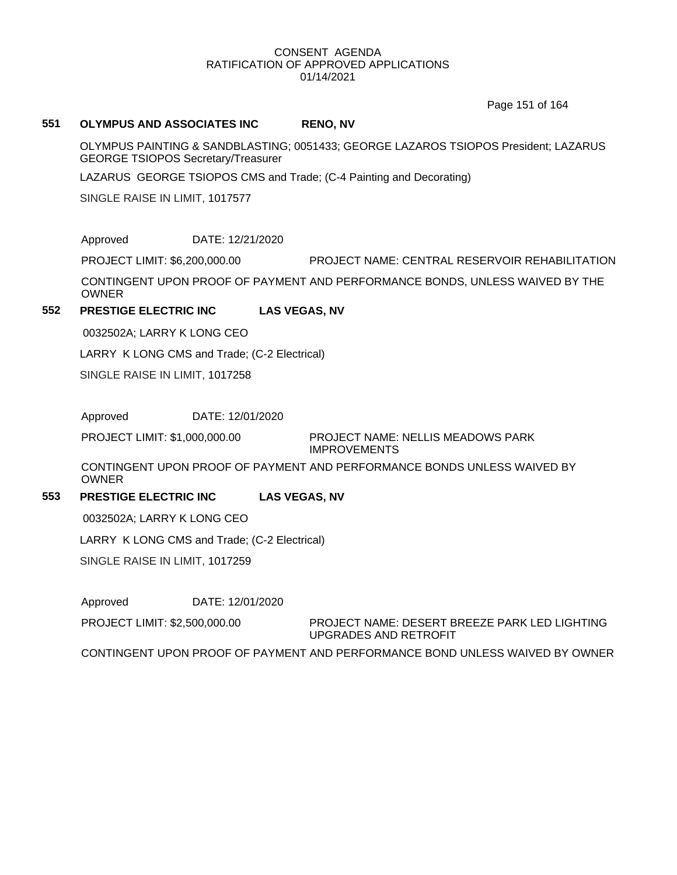Page 151 of 164

### **551 OLYMPUS AND ASSOCIATES INC RENO, NV**

OLYMPUS PAINTING & SANDBLASTING; 0051433; GEORGE LAZAROS TSIOPOS President; LAZARUS GEORGE TSIOPOS Secretary/Treasurer

LAZARUS GEORGE TSIOPOS CMS and Trade; (C-4 Painting and Decorating)

SINGLE RAISE IN LIMIT, 1017577

Approved DATE: 12/21/2020

PROJECT LIMIT: \$6,200,000.00 PROJECT NAME: CENTRAL RESERVOIR REHABILITATION

CONTINGENT UPON PROOF OF PAYMENT AND PERFORMANCE BONDS, UNLESS WAIVED BY THE OWNER

# **552 PRESTIGE ELECTRIC INC LAS VEGAS, NV**

0032502A; LARRY K LONG CEO

LARRY K LONG CMS and Trade; (C-2 Electrical)

SINGLE RAISE IN LIMIT, 1017258

Approved DATE: 12/01/2020

PROJECT LIMIT: \$1,000,000.00

PROJECT NAME: NELLIS MEADOWS PARK IMPROVEMENTS

CONTINGENT UPON PROOF OF PAYMENT AND PERFORMANCE BONDS UNLESS WAIVED BY OWNER

#### **553 PRESTIGE ELECTRIC INC LAS VEGAS, NV**

0032502A; LARRY K LONG CEO

LARRY K LONG CMS and Trade; (C-2 Electrical)

SINGLE RAISE IN LIMIT, 1017259

Approved DATE: 12/01/2020

PROJECT LIMIT: \$2,500,000.00

PROJECT NAME: DESERT BREEZE PARK LED LIGHTING UPGRADES AND RETROFIT

CONTINGENT UPON PROOF OF PAYMENT AND PERFORMANCE BOND UNLESS WAIVED BY OWNER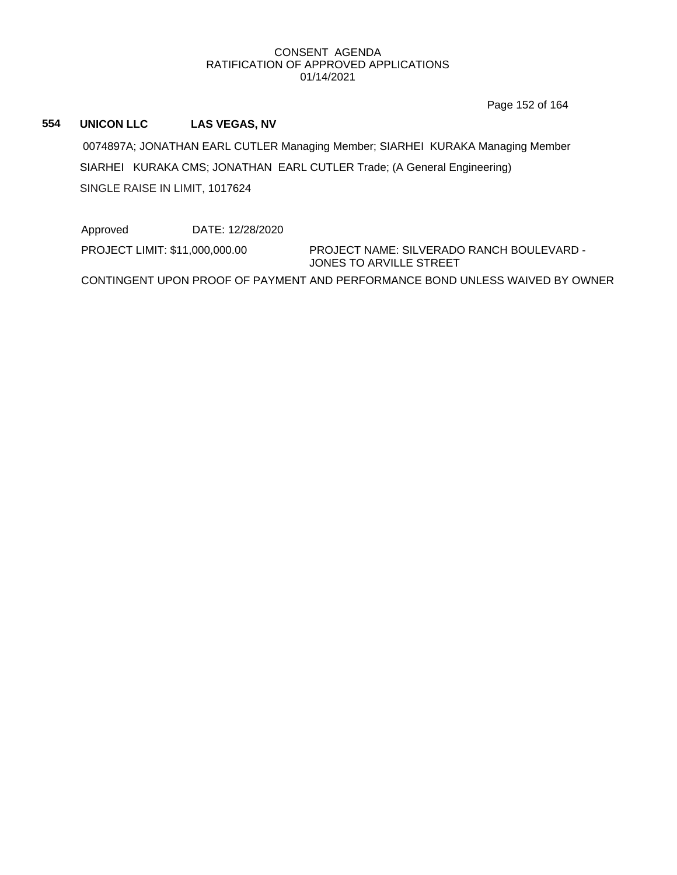Page 152 of 164

# **554 UNICON LLC LAS VEGAS, NV**

0074897A; JONATHAN EARL CUTLER Managing Member; SIARHEI KURAKA Managing Member SIARHEI KURAKA CMS; JONATHAN EARL CUTLER Trade; (A General Engineering) SINGLE RAISE IN LIMIT, 1017624

Approved DATE: 12/28/2020 PROJECT LIMIT: \$11,000,000.00

PROJECT NAME: SILVERADO RANCH BOULEVARD - JONES TO ARVILLE STREET

CONTINGENT UPON PROOF OF PAYMENT AND PERFORMANCE BOND UNLESS WAIVED BY OWNER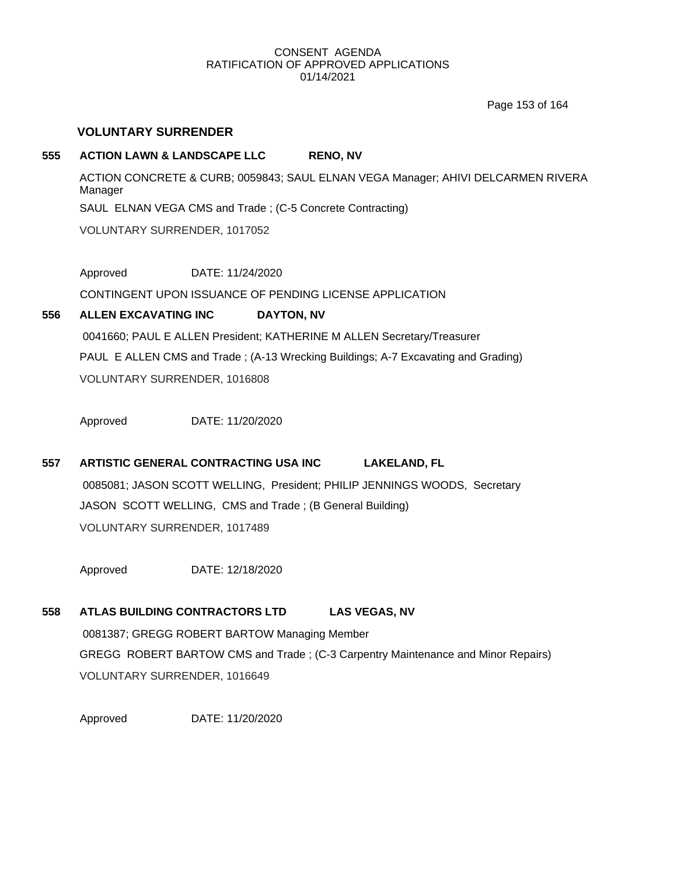Page 153 of 164

# **VOLUNTARY SURRENDER**

# **555 ACTION LAWN & LANDSCAPE LLC RENO, NV**

ACTION CONCRETE & CURB; 0059843; SAUL ELNAN VEGA Manager; AHIVI DELCARMEN RIVERA Manager SAUL ELNAN VEGA CMS and Trade ; (C-5 Concrete Contracting) VOLUNTARY SURRENDER, 1017052

Approved DATE: 11/24/2020

CONTINGENT UPON ISSUANCE OF PENDING LICENSE APPLICATION

# **556 ALLEN EXCAVATING INC DAYTON, NV**

0041660; PAUL E ALLEN President; KATHERINE M ALLEN Secretary/Treasurer PAUL E ALLEN CMS and Trade ; (A-13 Wrecking Buildings; A-7 Excavating and Grading) VOLUNTARY SURRENDER, 1016808

Approved DATE: 11/20/2020

# **557 ARTISTIC GENERAL CONTRACTING USA INC LAKELAND, FL**

0085081; JASON SCOTT WELLING, President; PHILIP JENNINGS WOODS, Secretary JASON SCOTT WELLING, CMS and Trade ; (B General Building) VOLUNTARY SURRENDER, 1017489

Approved DATE: 12/18/2020

# **558 ATLAS BUILDING CONTRACTORS LTD LAS VEGAS, NV** 0081387; GREGG ROBERT BARTOW Managing Member GREGG ROBERT BARTOW CMS and Trade ; (C-3 Carpentry Maintenance and Minor Repairs) VOLUNTARY SURRENDER, 1016649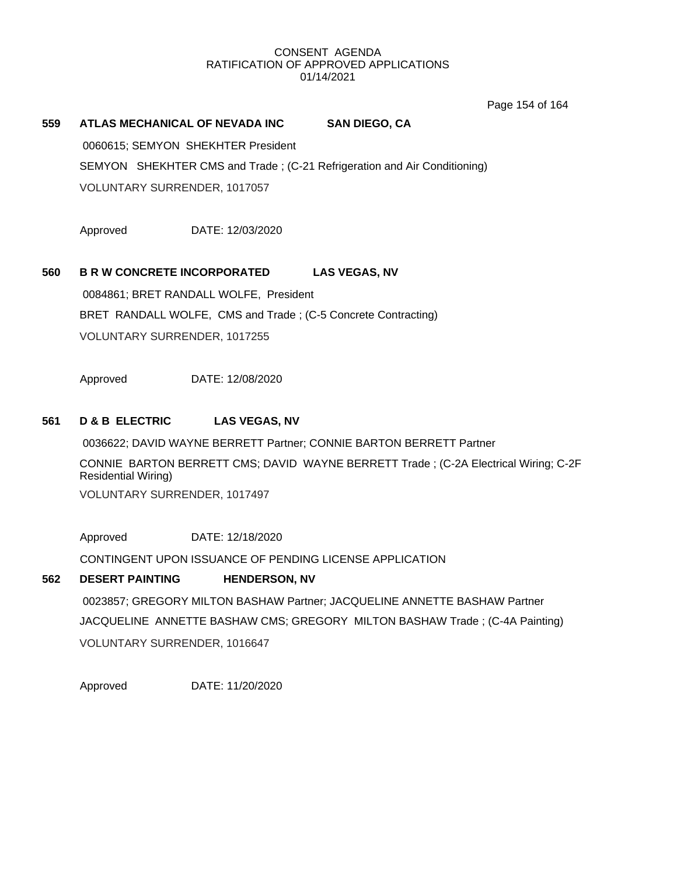Page 154 of 164

# **559 ATLAS MECHANICAL OF NEVADA INC SAN DIEGO, CA** 0060615; SEMYON SHEKHTER President SEMYON SHEKHTER CMS and Trade ; (C-21 Refrigeration and Air Conditioning) VOLUNTARY SURRENDER, 1017057

Approved DATE: 12/03/2020

# **560 B R W CONCRETE INCORPORATED LAS VEGAS, NV**

0084861; BRET RANDALL WOLFE, President BRET RANDALL WOLFE, CMS and Trade ; (C-5 Concrete Contracting) VOLUNTARY SURRENDER, 1017255

Approved DATE: 12/08/2020

# **561 D & B ELECTRIC LAS VEGAS, NV**

0036622; DAVID WAYNE BERRETT Partner; CONNIE BARTON BERRETT Partner CONNIE BARTON BERRETT CMS; DAVID WAYNE BERRETT Trade ; (C-2A Electrical Wiring; C-2F Residential Wiring) VOLUNTARY SURRENDER, 1017497

Approved DATE: 12/18/2020

CONTINGENT UPON ISSUANCE OF PENDING LICENSE APPLICATION

# **562 DESERT PAINTING HENDERSON, NV**

0023857; GREGORY MILTON BASHAW Partner; JACQUELINE ANNETTE BASHAW Partner JACQUELINE ANNETTE BASHAW CMS; GREGORY MILTON BASHAW Trade ; (C-4A Painting) VOLUNTARY SURRENDER, 1016647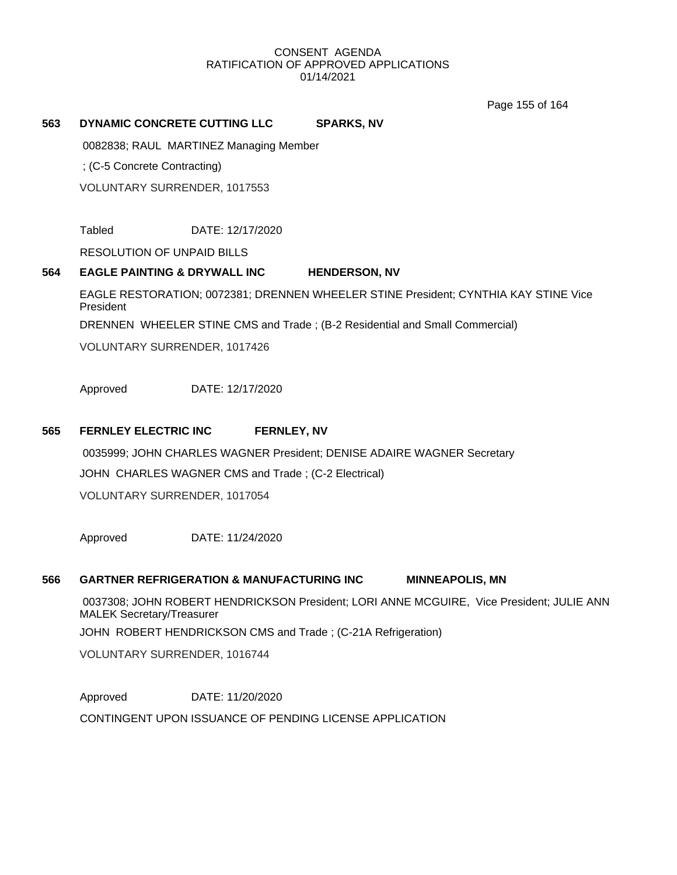Page 155 of 164

# **563 DYNAMIC CONCRETE CUTTING LLC SPARKS, NV**

0082838; RAUL MARTINEZ Managing Member

; (C-5 Concrete Contracting)

VOLUNTARY SURRENDER, 1017553

Tabled DATE: 12/17/2020

RESOLUTION OF UNPAID BILLS

# **564 EAGLE PAINTING & DRYWALL INC HENDERSON, NV**

EAGLE RESTORATION; 0072381; DRENNEN WHEELER STINE President; CYNTHIA KAY STINE Vice President

DRENNEN WHEELER STINE CMS and Trade ; (B-2 Residential and Small Commercial)

VOLUNTARY SURRENDER, 1017426

Approved DATE: 12/17/2020

# **565 FERNLEY ELECTRIC INC FERNLEY, NV**

0035999; JOHN CHARLES WAGNER President; DENISE ADAIRE WAGNER Secretary JOHN CHARLES WAGNER CMS and Trade ; (C-2 Electrical) VOLUNTARY SURRENDER, 1017054

Approved DATE: 11/24/2020

#### **566 GARTNER REFRIGERATION & MANUFACTURING INC MINNEAPOLIS, MN**

0037308; JOHN ROBERT HENDRICKSON President; LORI ANNE MCGUIRE, Vice President; JULIE ANN MALEK Secretary/Treasurer

JOHN ROBERT HENDRICKSON CMS and Trade ; (C-21A Refrigeration)

VOLUNTARY SURRENDER, 1016744

Approved DATE: 11/20/2020

CONTINGENT UPON ISSUANCE OF PENDING LICENSE APPLICATION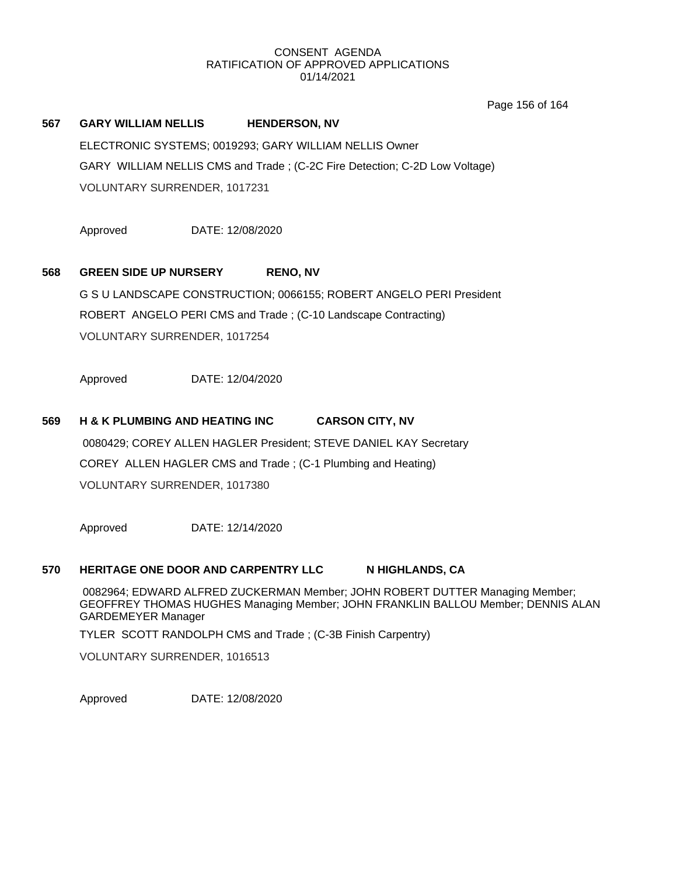Page 156 of 164

# **567 GARY WILLIAM NELLIS HENDERSON, NV**

ELECTRONIC SYSTEMS; 0019293; GARY WILLIAM NELLIS Owner GARY WILLIAM NELLIS CMS and Trade ; (C-2C Fire Detection; C-2D Low Voltage) VOLUNTARY SURRENDER, 1017231

Approved DATE: 12/08/2020

# **568 GREEN SIDE UP NURSERY RENO, NV**

G S U LANDSCAPE CONSTRUCTION; 0066155; ROBERT ANGELO PERI President ROBERT ANGELO PERI CMS and Trade ; (C-10 Landscape Contracting) VOLUNTARY SURRENDER, 1017254

Approved DATE: 12/04/2020

# **569 H & K PLUMBING AND HEATING INC CARSON CITY, NV**

0080429; COREY ALLEN HAGLER President; STEVE DANIEL KAY Secretary COREY ALLEN HAGLER CMS and Trade ; (C-1 Plumbing and Heating) VOLUNTARY SURRENDER, 1017380

Approved DATE: 12/14/2020

#### **570 HERITAGE ONE DOOR AND CARPENTRY LLC N HIGHLANDS, CA**

0082964; EDWARD ALFRED ZUCKERMAN Member; JOHN ROBERT DUTTER Managing Member; GEOFFREY THOMAS HUGHES Managing Member; JOHN FRANKLIN BALLOU Member; DENNIS ALAN GARDEMEYER Manager

TYLER SCOTT RANDOLPH CMS and Trade ; (C-3B Finish Carpentry)

VOLUNTARY SURRENDER, 1016513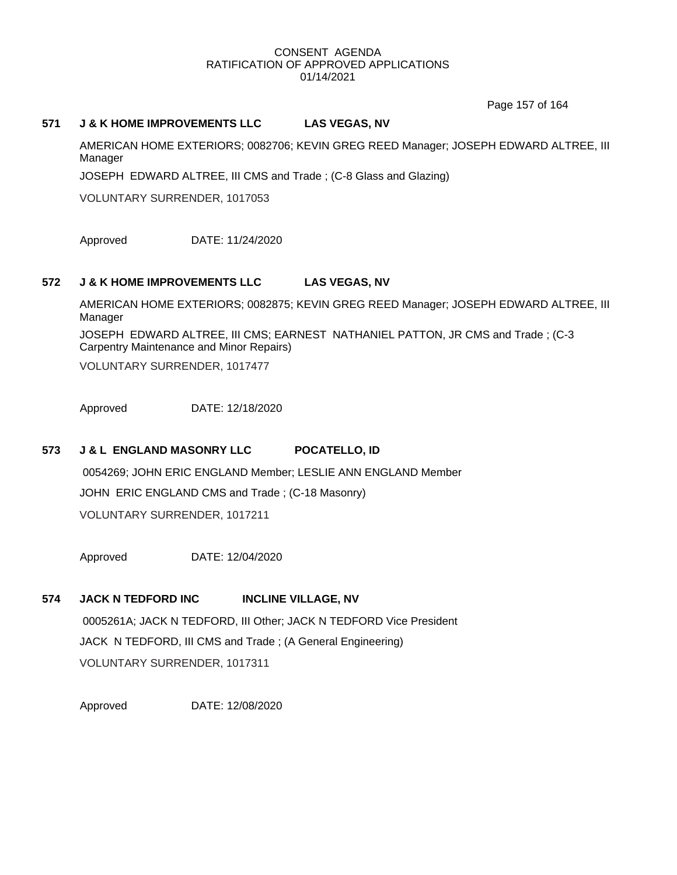Page 157 of 164

### **571 J & K HOME IMPROVEMENTS LLC LAS VEGAS, NV**

AMERICAN HOME EXTERIORS; 0082706; KEVIN GREG REED Manager; JOSEPH EDWARD ALTREE, III Manager

JOSEPH EDWARD ALTREE, III CMS and Trade ; (C-8 Glass and Glazing)

VOLUNTARY SURRENDER, 1017053

Approved DATE: 11/24/2020

# **572 J & K HOME IMPROVEMENTS LLC LAS VEGAS, NV**

AMERICAN HOME EXTERIORS; 0082875; KEVIN GREG REED Manager; JOSEPH EDWARD ALTREE, III Manager

JOSEPH EDWARD ALTREE, III CMS; EARNEST NATHANIEL PATTON, JR CMS and Trade ; (C-3 Carpentry Maintenance and Minor Repairs)

VOLUNTARY SURRENDER, 1017477

Approved DATE: 12/18/2020

# **573 J & L ENGLAND MASONRY LLC POCATELLO, ID**

0054269; JOHN ERIC ENGLAND Member; LESLIE ANN ENGLAND Member JOHN ERIC ENGLAND CMS and Trade ; (C-18 Masonry) VOLUNTARY SURRENDER, 1017211

Approved DATE: 12/04/2020

# **574 JACK N TEDFORD INC INCLINE VILLAGE, NV**

0005261A; JACK N TEDFORD, III Other; JACK N TEDFORD Vice President JACK N TEDFORD, III CMS and Trade ; (A General Engineering) VOLUNTARY SURRENDER, 1017311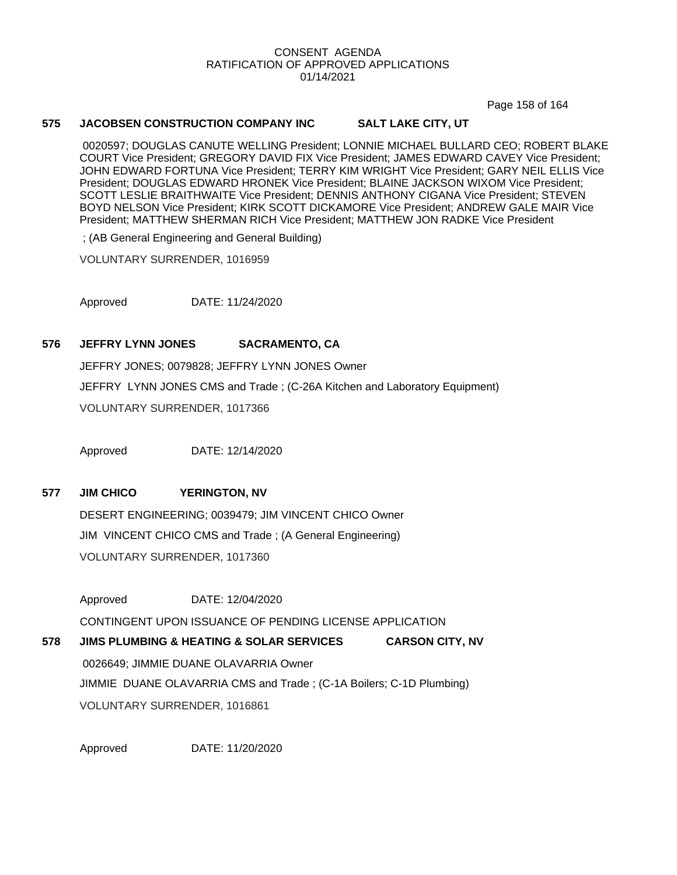Page 158 of 164

### **575 JACOBSEN CONSTRUCTION COMPANY INC SALT LAKE CITY, UT**

0020597; DOUGLAS CANUTE WELLING President; LONNIE MICHAEL BULLARD CEO; ROBERT BLAKE COURT Vice President; GREGORY DAVID FIX Vice President; JAMES EDWARD CAVEY Vice President; JOHN EDWARD FORTUNA Vice President; TERRY KIM WRIGHT Vice President; GARY NEIL ELLIS Vice President; DOUGLAS EDWARD HRONEK Vice President; BLAINE JACKSON WIXOM Vice President; SCOTT LESLIE BRAITHWAITE Vice President; DENNIS ANTHONY CIGANA Vice President; STEVEN BOYD NELSON Vice President; KIRK SCOTT DICKAMORE Vice President; ANDREW GALE MAIR Vice President; MATTHEW SHERMAN RICH Vice President; MATTHEW JON RADKE Vice President

; (AB General Engineering and General Building)

VOLUNTARY SURRENDER, 1016959

Approved DATE: 11/24/2020

# **576 JEFFRY LYNN JONES SACRAMENTO, CA**

JEFFRY JONES; 0079828; JEFFRY LYNN JONES Owner JEFFRY LYNN JONES CMS and Trade ; (C-26A Kitchen and Laboratory Equipment) VOLUNTARY SURRENDER, 1017366

Approved DATE: 12/14/2020

**577 JIM CHICO YERINGTON, NV**

DESERT ENGINEERING; 0039479; JIM VINCENT CHICO Owner JIM VINCENT CHICO CMS and Trade ; (A General Engineering) VOLUNTARY SURRENDER, 1017360

Approved DATE: 12/04/2020

CONTINGENT UPON ISSUANCE OF PENDING LICENSE APPLICATION

**578 JIMS PLUMBING & HEATING & SOLAR SERVICES CARSON CITY, NV** 0026649; JIMMIE DUANE OLAVARRIA Owner JIMMIE DUANE OLAVARRIA CMS and Trade ; (C-1A Boilers; C-1D Plumbing) VOLUNTARY SURRENDER, 1016861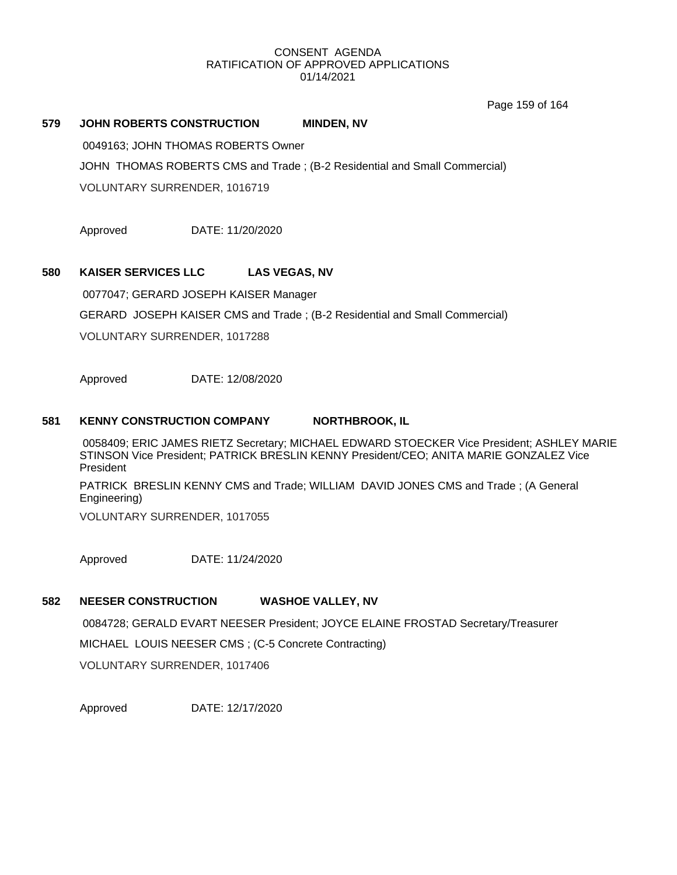Page 159 of 164

# **579 JOHN ROBERTS CONSTRUCTION MINDEN, NV**

0049163; JOHN THOMAS ROBERTS Owner

JOHN THOMAS ROBERTS CMS and Trade ; (B-2 Residential and Small Commercial)

VOLUNTARY SURRENDER, 1016719

Approved DATE: 11/20/2020

# **580 KAISER SERVICES LLC LAS VEGAS, NV**

0077047; GERARD JOSEPH KAISER Manager GERARD JOSEPH KAISER CMS and Trade ; (B-2 Residential and Small Commercial) VOLUNTARY SURRENDER, 1017288

Approved DATE: 12/08/2020

# **581 KENNY CONSTRUCTION COMPANY NORTHBROOK, IL**

0058409; ERIC JAMES RIETZ Secretary; MICHAEL EDWARD STOECKER Vice President; ASHLEY MARIE STINSON Vice President; PATRICK BRESLIN KENNY President/CEO; ANITA MARIE GONZALEZ Vice President

PATRICK BRESLIN KENNY CMS and Trade; WILLIAM DAVID JONES CMS and Trade ; (A General Engineering)

VOLUNTARY SURRENDER, 1017055

Approved DATE: 11/24/2020

# **582 NEESER CONSTRUCTION WASHOE VALLEY, NV**

0084728; GERALD EVART NEESER President; JOYCE ELAINE FROSTAD Secretary/Treasurer MICHAEL LOUIS NEESER CMS ; (C-5 Concrete Contracting) VOLUNTARY SURRENDER, 1017406

Approved DATE: 12/17/2020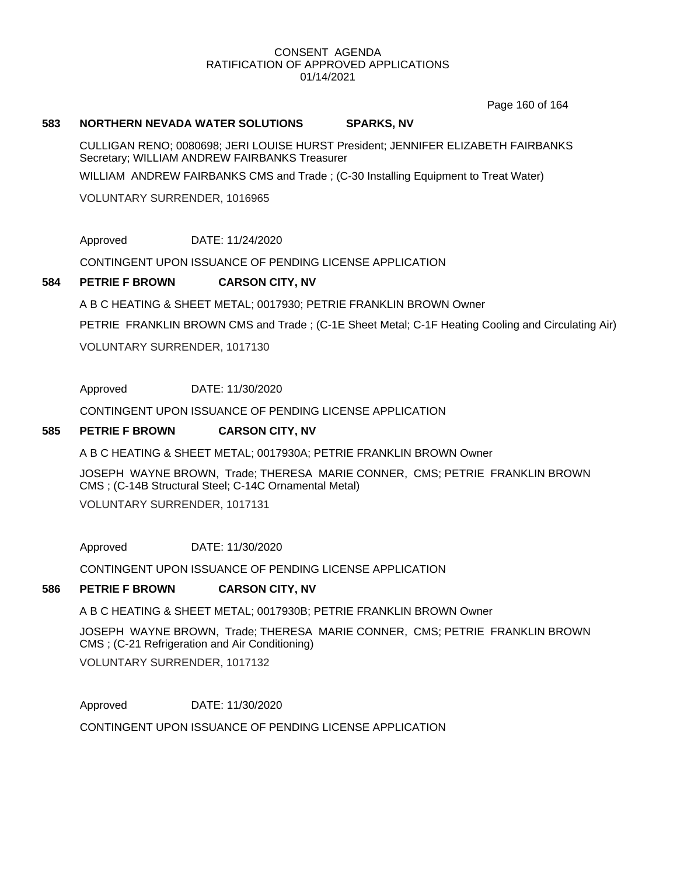Page 160 of 164

### **583 NORTHERN NEVADA WATER SOLUTIONS SPARKS, NV**

CULLIGAN RENO; 0080698; JERI LOUISE HURST President; JENNIFER ELIZABETH FAIRBANKS Secretary; WILLIAM ANDREW FAIRBANKS Treasurer

WILLIAM ANDREW FAIRBANKS CMS and Trade ; (C-30 Installing Equipment to Treat Water)

VOLUNTARY SURRENDER, 1016965

Approved DATE: 11/24/2020

CONTINGENT UPON ISSUANCE OF PENDING LICENSE APPLICATION

# **584 PETRIE F BROWN CARSON CITY, NV**

A B C HEATING & SHEET METAL; 0017930; PETRIE FRANKLIN BROWN Owner

PETRIE FRANKLIN BROWN CMS and Trade ; (C-1E Sheet Metal; C-1F Heating Cooling and Circulating Air)

VOLUNTARY SURRENDER, 1017130

Approved DATE: 11/30/2020

CONTINGENT UPON ISSUANCE OF PENDING LICENSE APPLICATION

# **585 PETRIE F BROWN CARSON CITY, NV**

A B C HEATING & SHEET METAL; 0017930A; PETRIE FRANKLIN BROWN Owner

JOSEPH WAYNE BROWN, Trade; THERESA MARIE CONNER, CMS; PETRIE FRANKLIN BROWN CMS ; (C-14B Structural Steel; C-14C Ornamental Metal)

VOLUNTARY SURRENDER, 1017131

Approved DATE: 11/30/2020

CONTINGENT UPON ISSUANCE OF PENDING LICENSE APPLICATION

#### **586 PETRIE F BROWN CARSON CITY, NV**

A B C HEATING & SHEET METAL; 0017930B; PETRIE FRANKLIN BROWN Owner

JOSEPH WAYNE BROWN, Trade; THERESA MARIE CONNER, CMS; PETRIE FRANKLIN BROWN CMS ; (C-21 Refrigeration and Air Conditioning) VOLUNTARY SURRENDER, 1017132

Approved DATE: 11/30/2020

CONTINGENT UPON ISSUANCE OF PENDING LICENSE APPLICATION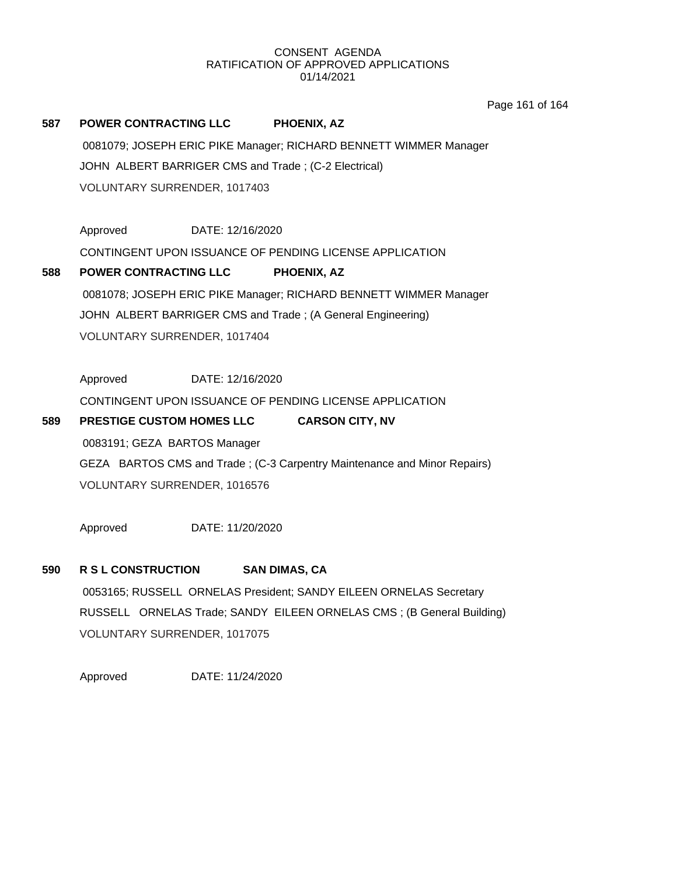Page 161 of 164

# **587 POWER CONTRACTING LLC PHOENIX, AZ**

0081079; JOSEPH ERIC PIKE Manager; RICHARD BENNETT WIMMER Manager JOHN ALBERT BARRIGER CMS and Trade ; (C-2 Electrical) VOLUNTARY SURRENDER, 1017403

Approved DATE: 12/16/2020

CONTINGENT UPON ISSUANCE OF PENDING LICENSE APPLICATION

# **588 POWER CONTRACTING LLC PHOENIX, AZ** 0081078; JOSEPH ERIC PIKE Manager; RICHARD BENNETT WIMMER Manager JOHN ALBERT BARRIGER CMS and Trade ; (A General Engineering) VOLUNTARY SURRENDER, 1017404

Approved DATE: 12/16/2020

CONTINGENT UPON ISSUANCE OF PENDING LICENSE APPLICATION

# **589 PRESTIGE CUSTOM HOMES LLC CARSON CITY, NV**

0083191; GEZA BARTOS Manager GEZA BARTOS CMS and Trade ; (C-3 Carpentry Maintenance and Minor Repairs) VOLUNTARY SURRENDER, 1016576

Approved DATE: 11/20/2020

# **590 R S L CONSTRUCTION SAN DIMAS, CA**

0053165; RUSSELL ORNELAS President; SANDY EILEEN ORNELAS Secretary RUSSELL ORNELAS Trade; SANDY EILEEN ORNELAS CMS ; (B General Building) VOLUNTARY SURRENDER, 1017075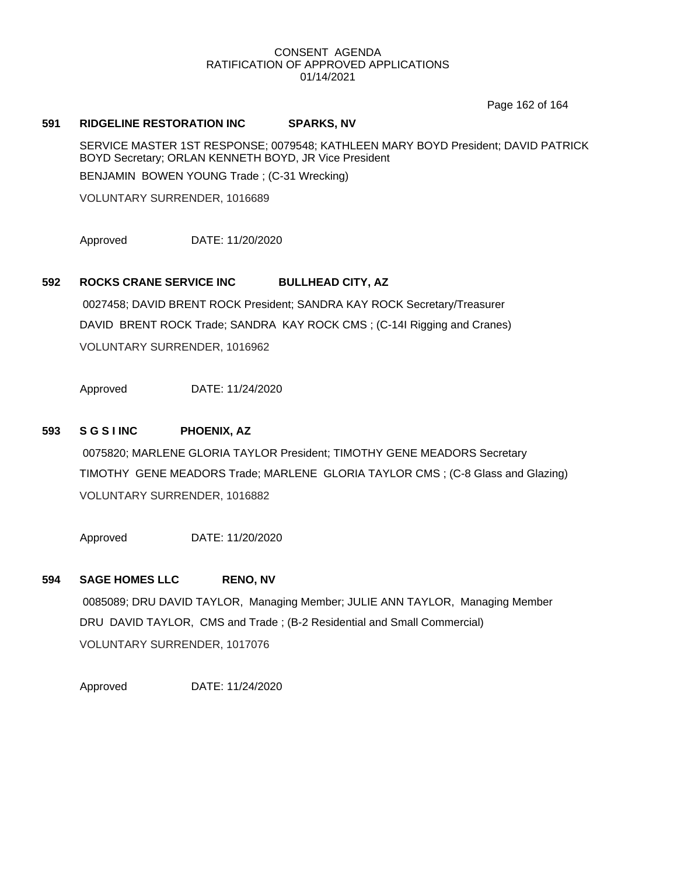Page 162 of 164

# **591 RIDGELINE RESTORATION INC SPARKS, NV**

SERVICE MASTER 1ST RESPONSE; 0079548; KATHLEEN MARY BOYD President; DAVID PATRICK BOYD Secretary; ORLAN KENNETH BOYD, JR Vice President BENJAMIN BOWEN YOUNG Trade ; (C-31 Wrecking)

VOLUNTARY SURRENDER, 1016689

Approved DATE: 11/20/2020

# **592 ROCKS CRANE SERVICE INC BULLHEAD CITY, AZ**

0027458; DAVID BRENT ROCK President; SANDRA KAY ROCK Secretary/Treasurer DAVID BRENT ROCK Trade; SANDRA KAY ROCK CMS ; (C-14I Rigging and Cranes) VOLUNTARY SURRENDER, 1016962

Approved DATE: 11/24/2020

# **593 S G S I INC PHOENIX, AZ**

0075820; MARLENE GLORIA TAYLOR President; TIMOTHY GENE MEADORS Secretary TIMOTHY GENE MEADORS Trade; MARLENE GLORIA TAYLOR CMS ; (C-8 Glass and Glazing) VOLUNTARY SURRENDER, 1016882

Approved DATE: 11/20/2020

# **594 SAGE HOMES LLC RENO, NV**

0085089; DRU DAVID TAYLOR, Managing Member; JULIE ANN TAYLOR, Managing Member DRU DAVID TAYLOR, CMS and Trade ; (B-2 Residential and Small Commercial) VOLUNTARY SURRENDER, 1017076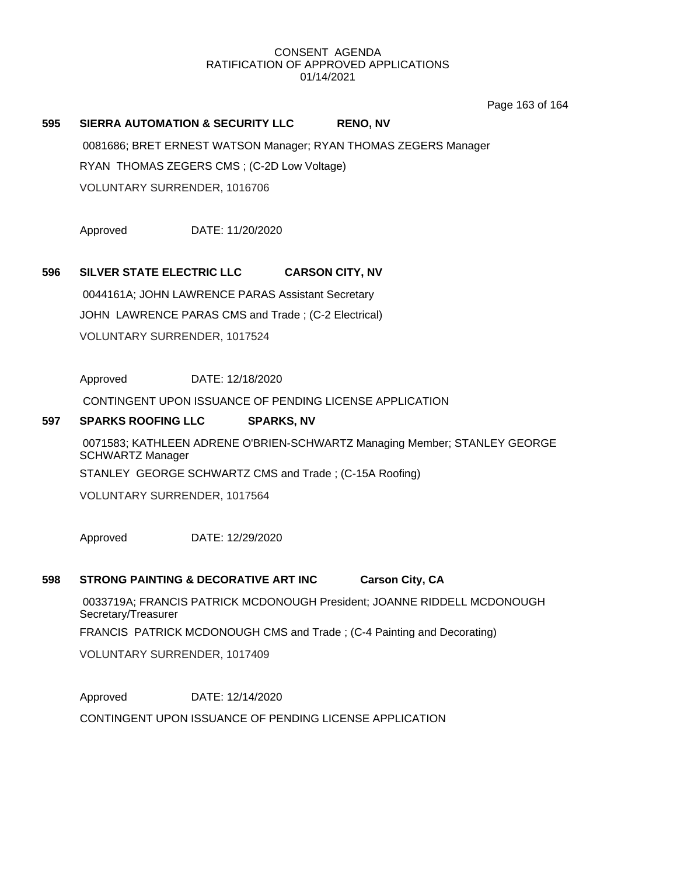Page 163 of 164

# **595 SIERRA AUTOMATION & SECURITY LLC RENO, NV**

0081686; BRET ERNEST WATSON Manager; RYAN THOMAS ZEGERS Manager RYAN THOMAS ZEGERS CMS ; (C-2D Low Voltage) VOLUNTARY SURRENDER, 1016706

Approved DATE: 11/20/2020

# **596 SILVER STATE ELECTRIC LLC CARSON CITY, NV**

0044161A; JOHN LAWRENCE PARAS Assistant Secretary JOHN LAWRENCE PARAS CMS and Trade ; (C-2 Electrical) VOLUNTARY SURRENDER, 1017524

Approved DATE: 12/18/2020

CONTINGENT UPON ISSUANCE OF PENDING LICENSE APPLICATION

# **597 SPARKS ROOFING LLC SPARKS, NV**

0071583; KATHLEEN ADRENE O'BRIEN-SCHWARTZ Managing Member; STANLEY GEORGE SCHWARTZ Manager STANLEY GEORGE SCHWARTZ CMS and Trade ; (C-15A Roofing)

VOLUNTARY SURRENDER, 1017564

Approved DATE: 12/29/2020

#### **598 STRONG PAINTING & DECORATIVE ART INC Carson City, CA**

0033719A; FRANCIS PATRICK MCDONOUGH President; JOANNE RIDDELL MCDONOUGH Secretary/Treasurer

FRANCIS PATRICK MCDONOUGH CMS and Trade ; (C-4 Painting and Decorating)

VOLUNTARY SURRENDER, 1017409

Approved DATE: 12/14/2020

CONTINGENT UPON ISSUANCE OF PENDING LICENSE APPLICATION